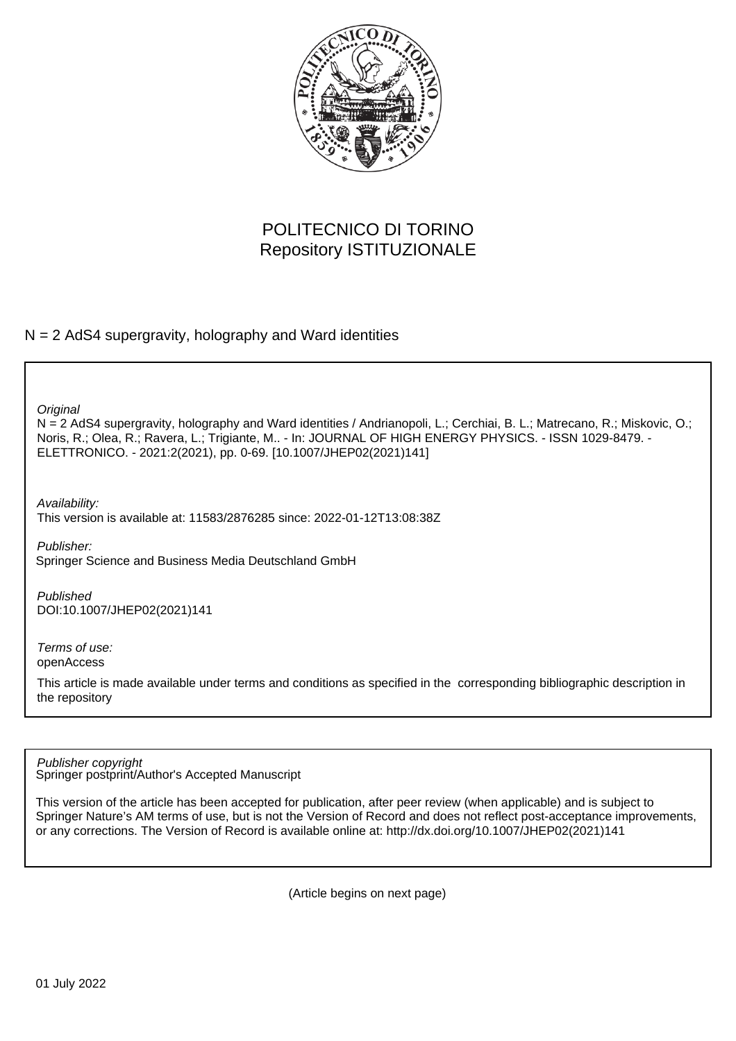

## POLITECNICO DI TORINO Repository ISTITUZIONALE

## $N = 2$  AdS4 supergravity, holography and Ward identities

**Original** 

N = 2 AdS4 supergravity, holography and Ward identities / Andrianopoli, L.; Cerchiai, B. L.; Matrecano, R.; Miskovic, O.; Noris, R.; Olea, R.; Ravera, L.; Trigiante, M.. - In: JOURNAL OF HIGH ENERGY PHYSICS. - ISSN 1029-8479. - ELETTRONICO. - 2021:2(2021), pp. 0-69. [10.1007/JHEP02(2021)141]

Availability:

This version is available at: 11583/2876285 since: 2022-01-12T13:08:38Z

Publisher: Springer Science and Business Media Deutschland GmbH

Published DOI:10.1007/JHEP02(2021)141

Terms of use: openAccess

This article is made available under terms and conditions as specified in the corresponding bibliographic description in the repository

Springer postprint/Author's Accepted Manuscript Publisher copyright

This version of the article has been accepted for publication, after peer review (when applicable) and is subject to Springer Nature's AM terms of use, but is not the Version of Record and does not reflect post-acceptance improvements, or any corrections. The Version of Record is available online at: http://dx.doi.org/10.1007/JHEP02(2021)141

(Article begins on next page)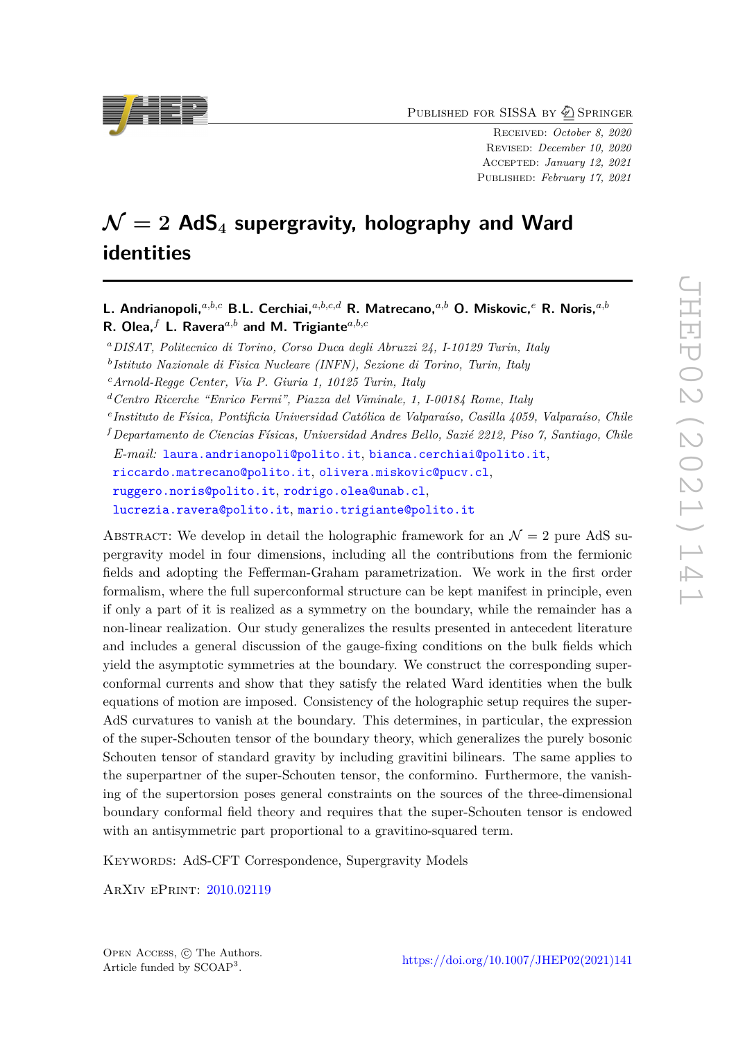PUBLISHED FOR SISSA BY 2 SPRINGER

Received: *October 8, 2020* Revised: *December 10, 2020* Accepted: *January 12, 2021* Published: *February 17, 2021*

# $\mathcal{N} = 2$  **AdS**<sub>4</sub> **supergravity, holography and Ward identities**

*<sup>a</sup>DISAT, Politecnico di Torino, Corso Duca degli Abruzzi 24, I-10129 Turin, Italy*

*b Istituto Nazionale di Fisica Nucleare (INFN), Sezione di Torino, Turin, Italy*

*<sup>c</sup>Arnold-Regge Center, Via P. Giuria 1, 10125 Turin, Italy*

*<sup>d</sup>Centro Ricerche "Enrico Fermi", Piazza del Viminale, 1, I-00184 Rome, Italy*

*e Instituto de Física, Pontificia Universidad Católica de Valparaíso, Casilla 4059, Valparaíso, Chile*

*<sup>f</sup>Departamento de Ciencias Físicas, Universidad Andres Bello, Sazié 2212, Piso 7, Santiago, Chile*

*E-mail:* [laura.andrianopoli@polito.it](mailto:laura.andrianopoli@polito.it), [bianca.cerchiai@polito.it](mailto:bianca.cerchiai@polito.it), [riccardo.matrecano@polito.it](mailto:riccardo.matrecano@polito.it), [olivera.miskovic@pucv.cl](mailto:olivera.miskovic@pucv.cl), [ruggero.noris@polito.it](mailto:ruggero.noris@polito.it), [rodrigo.olea@unab.cl](mailto:rodrigo.olea@unab.cl), [lucrezia.ravera@polito.it](mailto:lucrezia.ravera@polito.it), [mario.trigiante@polito.it](mailto:mario.trigiante@polito.it)

ABSTRACT: We develop in detail the holographic framework for an  $\mathcal{N}=2$  pure AdS supergravity model in four dimensions, including all the contributions from the fermionic fields and adopting the Fefferman-Graham parametrization. We work in the first order formalism, where the full superconformal structure can be kept manifest in principle, even if only a part of it is realized as a symmetry on the boundary, while the remainder has a non-linear realization. Our study generalizes the results presented in antecedent literature and includes a general discussion of the gauge-fixing conditions on the bulk fields which yield the asymptotic symmetries at the boundary. We construct the corresponding superconformal currents and show that they satisfy the related Ward identities when the bulk equations of motion are imposed. Consistency of the holographic setup requires the super-AdS curvatures to vanish at the boundary. This determines, in particular, the expression of the super-Schouten tensor of the boundary theory, which generalizes the purely bosonic Schouten tensor of standard gravity by including gravitini bilinears. The same applies to the superpartner of the super-Schouten tensor, the conformino. Furthermore, the vanishing of the supertorsion poses general constraints on the sources of the three-dimensional boundary conformal field theory and requires that the super-Schouten tensor is endowed with an antisymmetric part proportional to a gravitino-squared term.

KEYWORDS: AdS-CFT Correspondence, Supergravity Models

ArXiv ePrint: [2010.02119](https://arxiv.org/abs/2010.02119)



**L. Andrianopoli,***a,b,c* **B.L. Cerchiai,***a,b,c,d* **R. Matrecano,***a,b* **O. Miskovic,***<sup>e</sup>* **R. Noris,***a,b* **R. Olea,***<sup>f</sup>* **L. Ravera***a,b* **and M. Trigiante***a,b,c*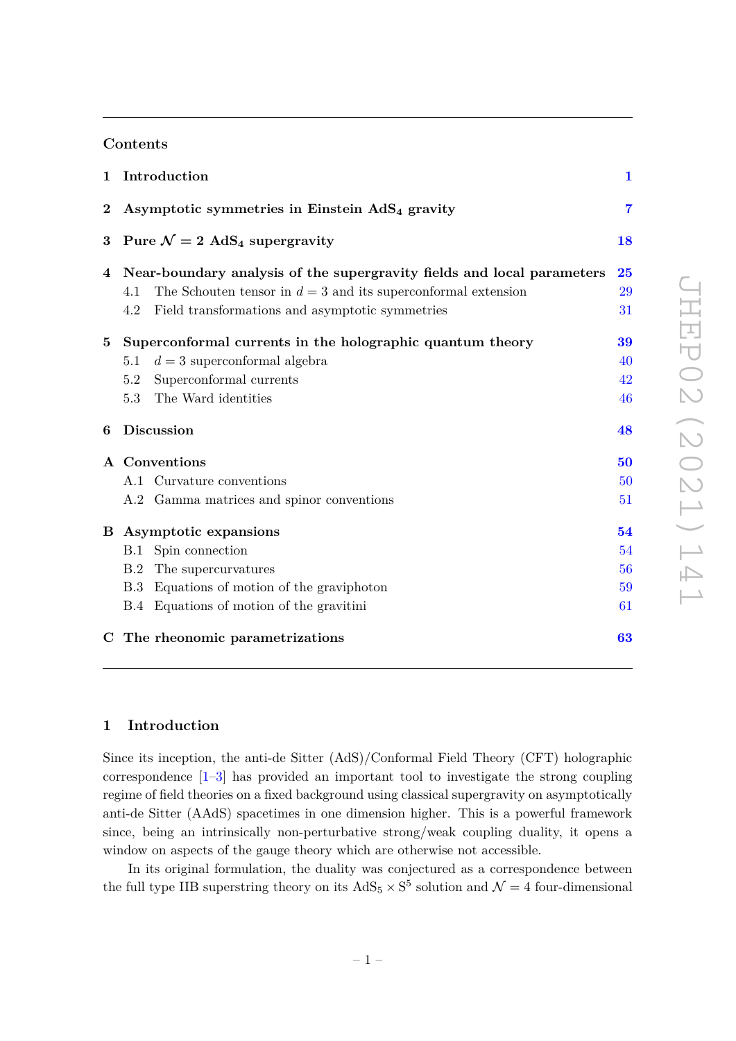#### **Contents**

| $\mathbf 1$ | Introduction                                                           | $\mathbf{1}$   |  |  |
|-------------|------------------------------------------------------------------------|----------------|--|--|
| $\bf{2}$    | Asymptotic symmetries in Einstein $AdS4$ gravity                       | $\overline{7}$ |  |  |
| 3           | Pure $\mathcal{N}=2$ AdS <sub>4</sub> supergravity                     |                |  |  |
| 4           | Near-boundary analysis of the supergravity fields and local parameters | 25             |  |  |
|             | The Schouten tensor in $d=3$ and its superconformal extension<br>4.1   | 29             |  |  |
|             | Field transformations and asymptotic symmetries<br>4.2                 | 31             |  |  |
| $\bf{5}$    | Superconformal currents in the holographic quantum theory              | 39             |  |  |
|             | $d=3$ superconformal algebra<br>5.1                                    | 40             |  |  |
|             | Superconformal currents<br>5.2                                         | 42             |  |  |
|             | The Ward identities<br>$5.3\,$                                         | 46             |  |  |
| 6           | Discussion                                                             | 48             |  |  |
|             | A Conventions                                                          | 50             |  |  |
|             | A.1 Curvature conventions                                              | 50             |  |  |
|             | A.2 Gamma matrices and spinor conventions                              | 51             |  |  |
|             | <b>B</b> Asymptotic expansions                                         | 54             |  |  |
|             | Spin connection<br>B.1                                                 | 54             |  |  |
|             | The supercurvatures<br>B.2                                             | 56             |  |  |
|             | B.3 Equations of motion of the graviphoton                             | 59             |  |  |
|             | B.4 Equations of motion of the gravitini                               | 61             |  |  |
|             | C The rheonomic parametrizations                                       | 63             |  |  |

#### **1 Introduction**

Since its inception, the anti-de Sitter (AdS)/Conformal Field Theory (CFT) holographic correspondence  $[1-3]$  has provided an important tool to investigate the strong coupling regime of field theories on a fixed background using classical supergravity on asymptotically anti-de Sitter (AAdS) spacetimes in one dimension higher. This is a powerful framework since, being an intrinsically non-perturbative strong/weak coupling duality, it opens a window on aspects of the gauge theory which are otherwise not accessible.

In its original formulation, the duality was conjectured as a correspondence between the full type IIB superstring theory on its  $AdS_5 \times S^5$  solution and  $\mathcal{N}=4$  four-dimensional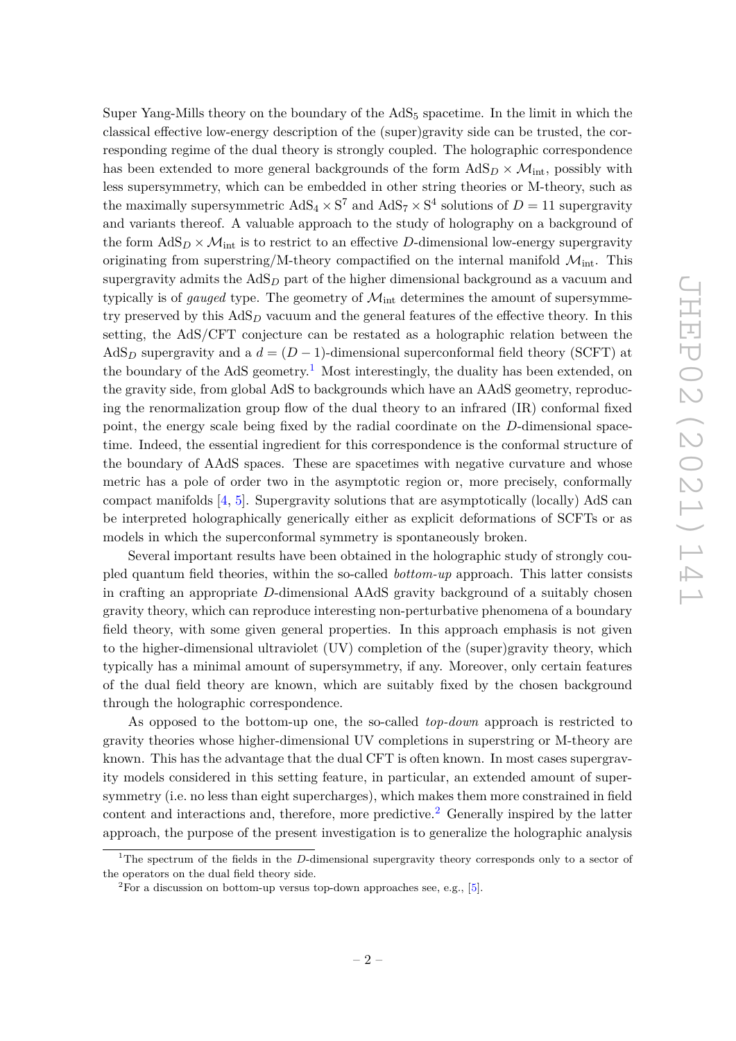Super Yang-Mills theory on the boundary of the  $AdS<sub>5</sub>$  spacetime. In the limit in which the classical effective low-energy description of the (super)gravity side can be trusted, the corresponding regime of the dual theory is strongly coupled. The holographic correspondence has been extended to more general backgrounds of the form  $AdS_D \times \mathcal{M}_{int}$ , possibly with less supersymmetry, which can be embedded in other string theories or M-theory, such as the maximally supersymmetric  $AdS_4 \times S^7$  and  $AdS_7 \times S^4$  solutions of  $D = 11$  supergravity and variants thereof. A valuable approach to the study of holography on a background of the form  $\text{AdS}_D \times \mathcal{M}_{\text{int}}$  is to restrict to an effective *D*-dimensional low-energy supergravity originating from superstring/M-theory compactified on the internal manifold  $\mathcal{M}_{int}$ . This supergravity admits the  $AdS<sub>D</sub>$  part of the higher dimensional background as a vacuum and typically is of *gauged* type. The geometry of  $\mathcal{M}_{int}$  determines the amount of supersymmetry preserved by this AdS*<sup>D</sup>* vacuum and the general features of the effective theory. In this setting, the AdS/CFT conjecture can be restated as a holographic relation between the AdS<sub>*D*</sub> supergravity and a  $d = (D-1)$ -dimensional superconformal field theory (SCFT) at the boundary of the AdS geometry.<sup>1</sup> Most interestingly, the duality has been extended, on the gravity side, from global AdS to backgrounds which have an AAdS geometry, reproducing the renormalization group flow of the dual theory to an infrared (IR) conformal fixed point, the energy scale being fixed by the radial coordinate on the *D*-dimensional spacetime. Indeed, the essential ingredient for this correspondence is the conformal structure of the boundary of AAdS spaces. These are spacetimes with negative curvature and whose metric has a pole of order two in the asymptotic region or, more precisely, conformally compact manifolds [4, 5]. Supergravity solutions that are asymptotically (locally) AdS can be interpreted holographically generically either as explicit deformations of SCFTs or as models in which the superconformal symmetry is spontaneously broken.

Several important results have been obtained in the holographic study of strongly coupled quantum field theories, within the so-called *bottom-up* approach. This latter consists in crafting an appropriate *D*-dimensional AAdS gravity background of a suitably chosen gravity theory, which can reproduce interesting non-perturbative phenomena of a boundary field theory, with some given general properties. In this approach emphasis is not given to the higher-dimensional ultraviolet (UV) completion of the (super)gravity theory, which typically has a minimal amount of supersymmetry, if any. Moreover, only certain features of the dual field theory are known, which are suitably fixed by the chosen background through the holographic correspondence.

As opposed to the bottom-up one, the so-called *top-down* approach is restricted to gravity theories whose higher-dimensional UV completions in superstring or M-theory are known. This has the advantage that the dual CFT is often known. In most cases supergravity models considered in this setting feature, in particular, an extended amount of supersymmetry (i.e. no less than eight supercharges), which makes them more constrained in field content and interactions and, therefore, more predictive.<sup>2</sup> Generally inspired by the latter approach, the purpose of the present investigation is to generalize the holographic analysis

<sup>&</sup>lt;sup>1</sup>The spectrum of the fields in the *D*-dimensional supergravity theory corresponds only to a sector of the operators on the dual field theory side.

<sup>&</sup>lt;sup>2</sup>For a discussion on bottom-up versus top-down approaches see, e.g., [5].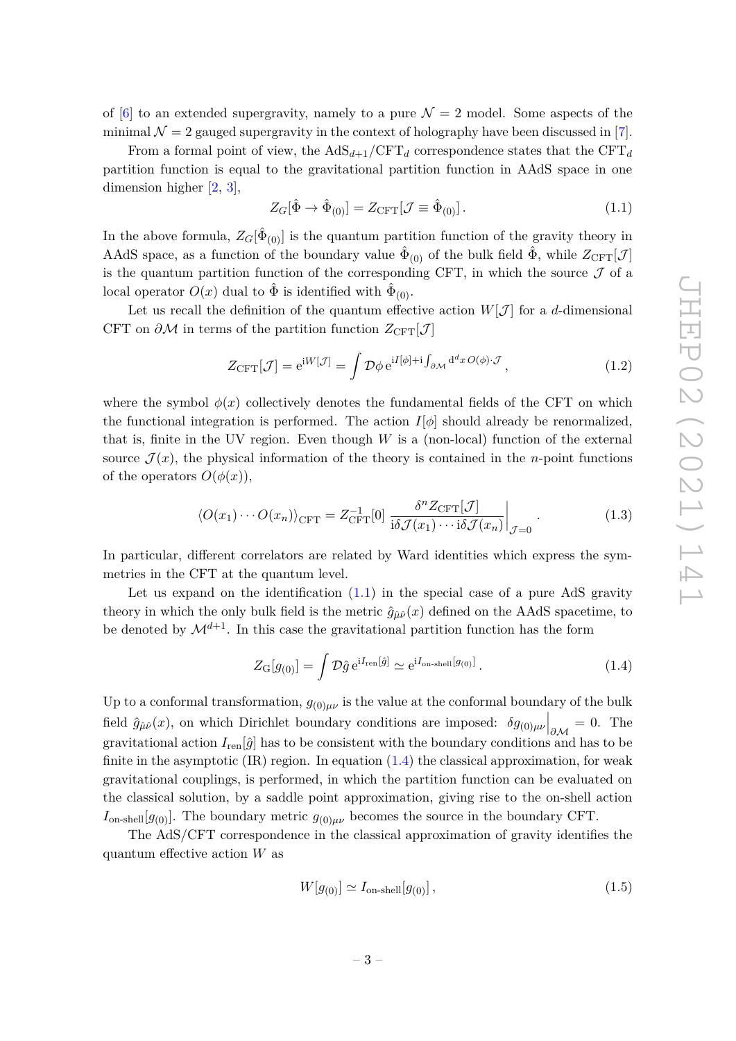of  $[6]$  to an extended supergravity, namely to a pure  $\mathcal{N}=2$  model. Some aspects of the minimal  $\mathcal{N} = 2$  gauged supergravity in the context of holography have been discussed in [7].

From a formal point of view, the  $AdS_{d+1}/CFT_d$  correspondence states that the  $CFT_d$ partition function is equal to the gravitational partition function in AAdS space in one dimension higher [2, 3],

$$
Z_G[\hat{\Phi} \to \hat{\Phi}_{(0)}] = Z_{\text{CFT}}[\mathcal{J} \equiv \hat{\Phi}_{(0)}]. \tag{1.1}
$$

In the above formula,  $Z_G[\hat{\Phi}_{(0)}]$  is the quantum partition function of the gravity theory in AAdS space, as a function of the boundary value  $\hat{\Phi}_{(0)}$  of the bulk field  $\hat{\Phi}$ , while  $Z_{\text{CFT}}[\mathcal{J}]$ is the quantum partition function of the corresponding CFT, in which the source  $\mathcal J$  of a local operator  $O(x)$  dual to  $\hat{\Phi}$  is identified with  $\hat{\Phi}_{(0)}$ .

Let us recall the definition of the quantum effective action  $W[\mathcal{J}]$  for a *d*-dimensional CFT on  $\partial M$  in terms of the partition function  $Z_{\text{CFT}}[\mathcal{J}]$ 

$$
Z_{\text{CFT}}[\mathcal{J}] = e^{iW[\mathcal{J}]} = \int \mathcal{D}\phi \, e^{iI[\phi] + i \int_{\partial \mathcal{M}} d^d x \, O(\phi) \cdot \mathcal{J}}, \tag{1.2}
$$

where the symbol  $\phi(x)$  collectively denotes the fundamental fields of the CFT on which the functional integration is performed. The action  $I[\phi]$  should already be renormalized, that is, finite in the UV region. Even though *W* is a (non-local) function of the external source  $\mathcal{J}(x)$ , the physical information of the theory is contained in the *n*-point functions of the operators  $O(\phi(x))$ ,

$$
\langle O(x_1)\cdots O(x_n)\rangle_{\text{CFT}} = Z_{\text{CFT}}^{-1}[0] \frac{\delta^n Z_{\text{CFT}}[\mathcal{J}]}{\mathrm{i}\delta\mathcal{J}(x_1)\cdots\mathrm{i}\delta\mathcal{J}(x_n)}\bigg|_{\mathcal{J}=0}.
$$
 (1.3)

In particular, different correlators are related by Ward identities which express the symmetries in the CFT at the quantum level.

Let us expand on the identification  $(1.1)$  in the special case of a pure AdS gravity theory in which the only bulk field is the metric  $\hat{g}_{\hat{\mu}\hat{\nu}}(x)$  defined on the AAdS spacetime, to be denoted by  $\mathcal{M}^{d+1}$ . In this case the gravitational partition function has the form

$$
Z_{\mathcal{G}}[g_{(0)}] = \int \mathcal{D}\hat{g} e^{iI_{\text{ren}}[\hat{g}]} \simeq e^{iI_{\text{on-shell}}[g_{(0)}]}.
$$
\n(1.4)

Up to a conformal transformation,  $g_{(0)\mu\nu}$  is the value at the conformal boundary of the bulk field  $\hat{g}_{\hat{\mu}\hat{\nu}}(x)$ , on which Dirichlet boundary conditions are imposed:  $\delta g_{(0)\mu\nu}\Big|_{\partial\mathcal{M}} = 0$ . The gravitational action  $I_{\text{ren}}[\hat{g}]$  has to be consistent with the boundary conditions and has to be finite in the asymptotic  $(IR)$  region. In equation  $(1.4)$  the classical approximation, for weak gravitational couplings, is performed, in which the partition function can be evaluated on the classical solution, by a saddle point approximation, giving rise to the on-shell action  $I_{\text{on-shell}}[g_{(0)}]$ . The boundary metric  $g_{(0)\mu\nu}$  becomes the source in the boundary CFT.

The AdS/CFT correspondence in the classical approximation of gravity identifies the quantum effective action *W* as

$$
W[g_{(0)}] \simeq I_{\text{on-shell}}[g_{(0)}],\tag{1.5}
$$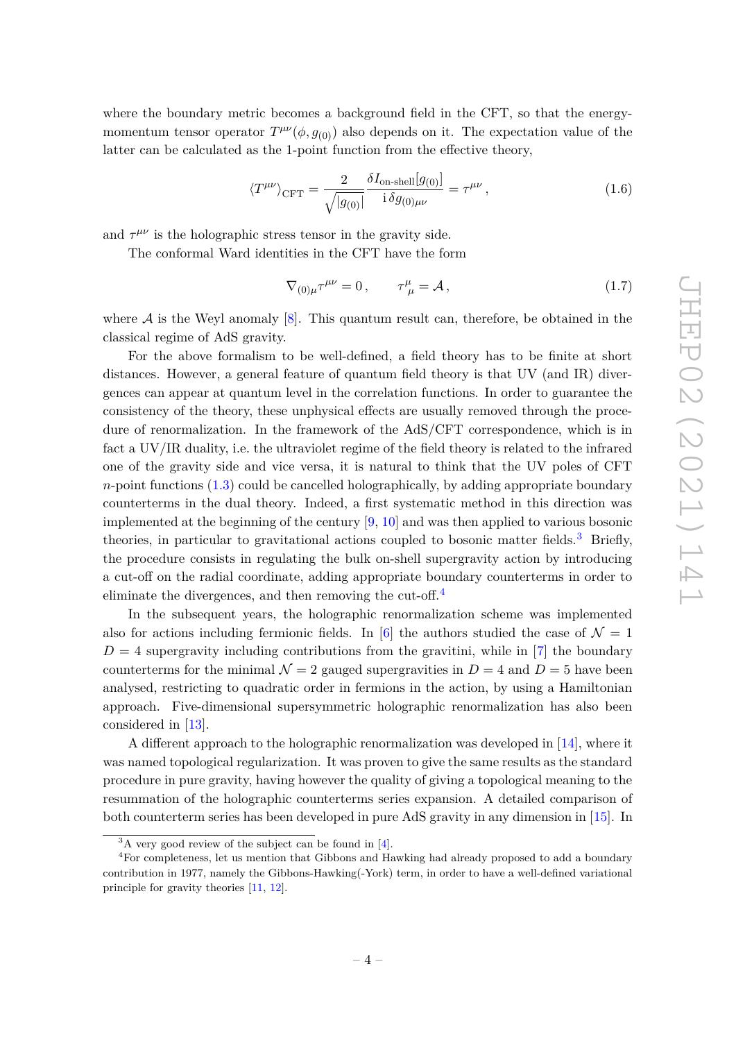where the boundary metric becomes a background field in the CFT, so that the energymomentum tensor operator  $T^{\mu\nu}(\phi, g_{(0)})$  also depends on it. The expectation value of the latter can be calculated as the 1-point function from the effective theory,

$$
\langle T^{\mu\nu}\rangle_{\text{CFT}} = \frac{2}{\sqrt{|g_{(0)}|}} \frac{\delta I_{\text{on-shell}}[g_{(0)}]}{\mathrm{i} \,\delta g_{(0)\mu\nu}} = \tau^{\mu\nu} \,, \tag{1.6}
$$

and  $\tau^{\mu\nu}$  is the holographic stress tensor in the gravity side.

The conformal Ward identities in the CFT have the form

$$
\nabla_{(0)\mu}\tau^{\mu\nu} = 0, \qquad \tau^{\mu}_{\ \mu} = \mathcal{A}, \tag{1.7}
$$

where  $A$  is the Weyl anomaly [8]. This quantum result can, therefore, be obtained in the classical regime of AdS gravity.

For the above formalism to be well-defined, a field theory has to be finite at short distances. However, a general feature of quantum field theory is that UV (and IR) divergences can appear at quantum level in the correlation functions. In order to guarantee the consistency of the theory, these unphysical effects are usually removed through the procedure of renormalization. In the framework of the AdS/CFT correspondence, which is in fact a UV/IR duality, i.e. the ultraviolet regime of the field theory is related to the infrared one of the gravity side and vice versa, it is natural to think that the UV poles of CFT *n*-point functions (1.3) could be cancelled holographically, by adding appropriate boundary counterterms in the dual theory. Indeed, a first systematic method in this direction was implemented at the beginning of the century [9, 10] and was then applied to various bosonic theories, in particular to gravitational actions coupled to bosonic matter fields.<sup>3</sup> Briefly, the procedure consists in regulating the bulk on-shell supergravity action by introducing a cut-off on the radial coordinate, adding appropriate boundary counterterms in order to eliminate the divergences, and then removing the cut-off.<sup>4</sup>

In the subsequent years, the holographic renormalization scheme was implemented also for actions including fermionic fields. In [6] the authors studied the case of  $\mathcal{N} = 1$  $D = 4$  supergravity including contributions from the gravitini, while in [7] the boundary counterterms for the minimal  $\mathcal{N} = 2$  gauged supergravities in  $D = 4$  and  $D = 5$  have been analysed, restricting to quadratic order in fermions in the action, by using a Hamiltonian approach. Five-dimensional supersymmetric holographic renormalization has also been considered in [13].

A different approach to the holographic renormalization was developed in [14], where it was named topological regularization. It was proven to give the same results as the standard procedure in pure gravity, having however the quality of giving a topological meaning to the resummation of the holographic counterterms series expansion. A detailed comparison of both counterterm series has been developed in pure AdS gravity in any dimension in [15]. In

 ${}^{3}$ A very good review of the subject can be found in [4].

<sup>&</sup>lt;sup>4</sup>For completeness, let us mention that Gibbons and Hawking had already proposed to add a boundary contribution in 1977, namely the Gibbons-Hawking(-York) term, in order to have a well-defined variational principle for gravity theories [11, 12].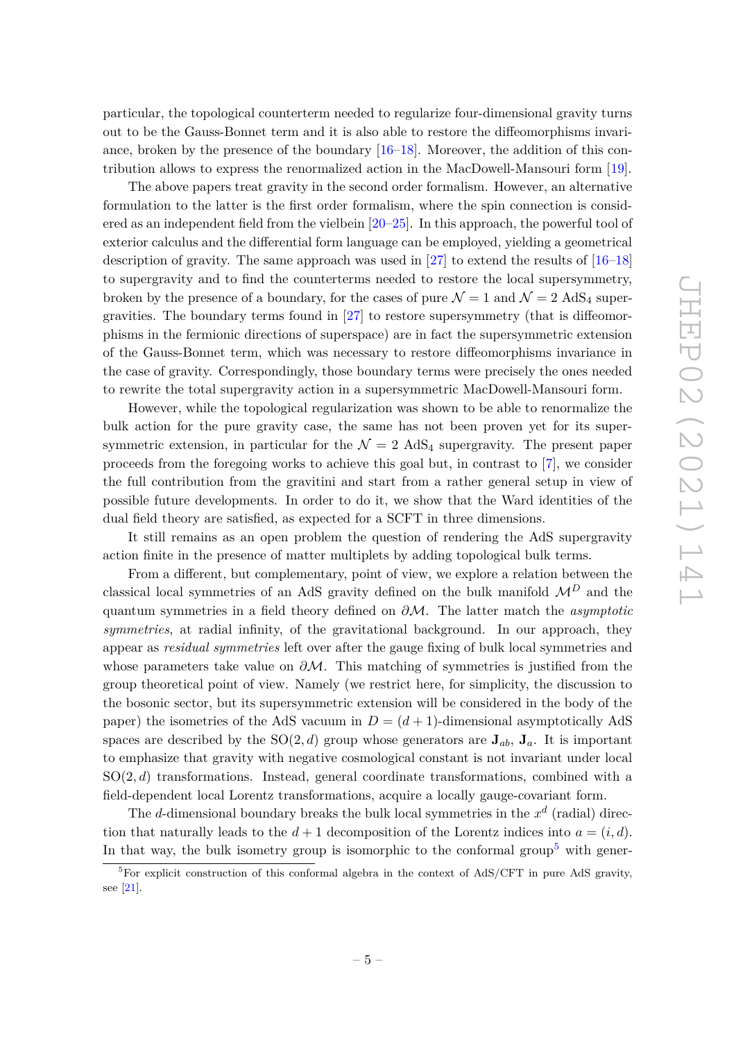particular, the topological counterterm needed to regularize four-dimensional gravity turns out to be the Gauss-Bonnet term and it is also able to restore the diffeomorphisms invariance, broken by the presence of the boundary [16–18]. Moreover, the addition of this contribution allows to express the renormalized action in the MacDowell-Mansouri form [19].

The above papers treat gravity in the second order formalism. However, an alternative formulation to the latter is the first order formalism, where the spin connection is considered as an independent field from the vielbein [20–25]. In this approach, the powerful tool of exterior calculus and the differential form language can be employed, yielding a geometrical description of gravity. The same approach was used in [27] to extend the results of [16–18] to supergravity and to find the counterterms needed to restore the local supersymmetry, broken by the presence of a boundary, for the cases of pure  $\mathcal{N} = 1$  and  $\mathcal{N} = 2$  AdS<sub>4</sub> supergravities. The boundary terms found in  $[27]$  to restore supersymmetry (that is diffeomorphisms in the fermionic directions of superspace) are in fact the supersymmetric extension of the Gauss-Bonnet term, which was necessary to restore diffeomorphisms invariance in the case of gravity. Correspondingly, those boundary terms were precisely the ones needed to rewrite the total supergravity action in a supersymmetric MacDowell-Mansouri form.

However, while the topological regularization was shown to be able to renormalize the bulk action for the pure gravity case, the same has not been proven yet for its supersymmetric extension, in particular for the  $\mathcal{N} = 2$  AdS<sub>4</sub> supergravity. The present paper proceeds from the foregoing works to achieve this goal but, in contrast to [7], we consider the full contribution from the gravitini and start from a rather general setup in view of possible future developments. In order to do it, we show that the Ward identities of the dual field theory are satisfied, as expected for a SCFT in three dimensions.

It still remains as an open problem the question of rendering the AdS supergravity action finite in the presence of matter multiplets by adding topological bulk terms.

From a different, but complementary, point of view, we explore a relation between the classical local symmetries of an AdS gravity defined on the bulk manifold  $\mathcal{M}^D$  and the quantum symmetries in a field theory defined on *∂*M. The latter match the *asymptotic symmetries*, at radial infinity, of the gravitational background. In our approach, they appear as *residual symmetries* left over after the gauge fixing of bulk local symmetries and whose parameters take value on *∂*M. This matching of symmetries is justified from the group theoretical point of view. Namely (we restrict here, for simplicity, the discussion to the bosonic sector, but its supersymmetric extension will be considered in the body of the paper) the isometries of the AdS vacuum in  $D = (d + 1)$ -dimensional asymptotically AdS spaces are described by the  $SO(2, d)$  group whose generators are  $J_{ab}$ ,  $J_a$ . It is important to emphasize that gravity with negative cosmological constant is not invariant under local SO(2*, d*) transformations. Instead, general coordinate transformations, combined with a field-dependent local Lorentz transformations, acquire a locally gauge-covariant form.

The *d*-dimensional boundary breaks the bulk local symmetries in the *x d* (radial) direction that naturally leads to the  $d+1$  decomposition of the Lorentz indices into  $a = (i, d)$ . In that way, the bulk isometry group is isomorphic to the conformal group<sup>5</sup> with gener-

 ${}^{5}$ For explicit construction of this conformal algebra in the context of AdS/CFT in pure AdS gravity, see [21].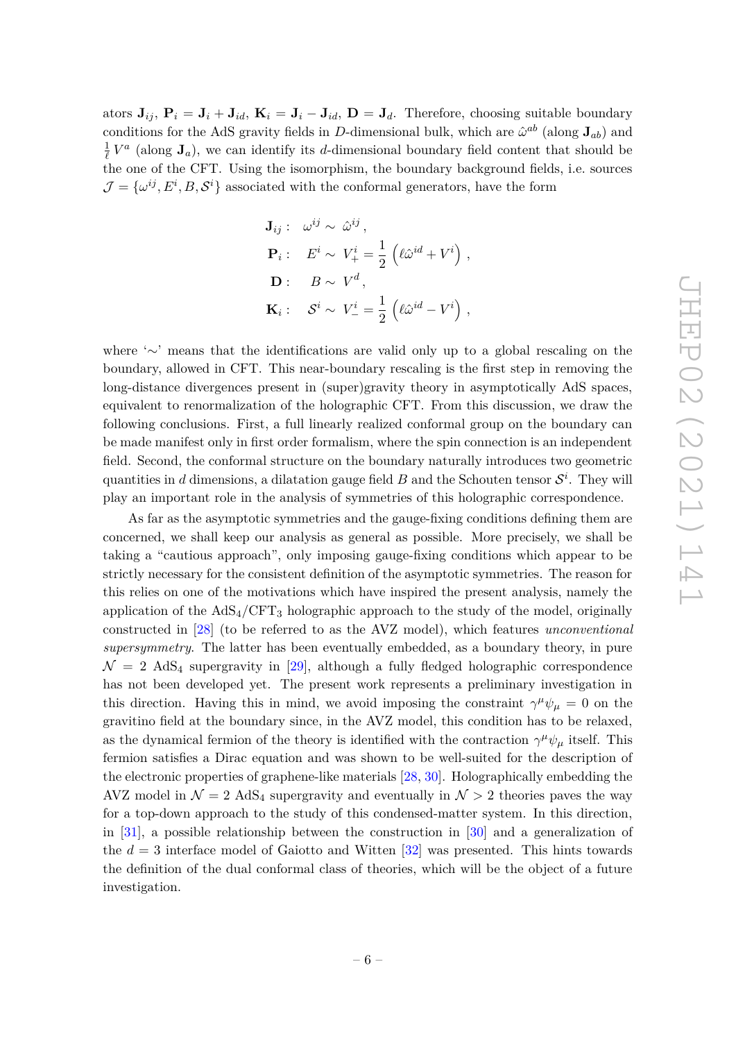ators  $\mathbf{J}_{ij}$ ,  $\mathbf{P}_i = \mathbf{J}_i + \mathbf{J}_{id}$ ,  $\mathbf{K}_i = \mathbf{J}_i - \mathbf{J}_{id}$ ,  $\mathbf{D} = \mathbf{J}_d$ . Therefore, choosing suitable boundary conditions for the AdS gravity fields in *D*-dimensional bulk, which are  $\hat{\omega}^{ab}$  (along  $J_{ab}$ ) and 1  $\frac{1}{\ell}V^a$  (along  $J_a$ ), we can identify its *d*-dimensional boundary field content that should be the one of the CFT. Using the isomorphism, the boundary background fields, i.e. sources  $\mathcal{J} = {\omega^{ij}, E^i, B, \mathcal{S}^i}$  associated with the conformal generators, have the form

$$
\mathbf{J}_{ij}: \omega^{ij} \sim \hat{\omega}^{ij},
$$
  
\n
$$
\mathbf{P}_i: E^i \sim V_+^i = \frac{1}{2} \left( \ell \hat{\omega}^{id} + V^i \right),
$$
  
\n
$$
\mathbf{D}: B \sim V^d,
$$
  
\n
$$
\mathbf{K}_i: S^i \sim V_-^i = \frac{1}{2} \left( \ell \hat{\omega}^{id} - V^i \right),
$$

where '∼' means that the identifications are valid only up to a global rescaling on the boundary, allowed in CFT. This near-boundary rescaling is the first step in removing the long-distance divergences present in (super)gravity theory in asymptotically AdS spaces, equivalent to renormalization of the holographic CFT. From this discussion, we draw the following conclusions. First, a full linearly realized conformal group on the boundary can be made manifest only in first order formalism, where the spin connection is an independent field. Second, the conformal structure on the boundary naturally introduces two geometric quantities in *d* dimensions, a dilatation gauge field *B* and the Schouten tensor  $\mathcal{S}^i$ . They will play an important role in the analysis of symmetries of this holographic correspondence.

As far as the asymptotic symmetries and the gauge-fixing conditions defining them are concerned, we shall keep our analysis as general as possible. More precisely, we shall be taking a "cautious approach", only imposing gauge-fixing conditions which appear to be strictly necessary for the consistent definition of the asymptotic symmetries. The reason for this relies on one of the motivations which have inspired the present analysis, namely the application of the  $AdS_4/CFT_3$  holographic approach to the study of the model, originally constructed in [28] (to be referred to as the AVZ model), which features *unconventional supersymmetry*. The latter has been eventually embedded, as a boundary theory, in pure  $\mathcal{N} = 2$  AdS<sub>4</sub> supergravity in [29], although a fully fledged holographic correspondence has not been developed yet. The present work represents a preliminary investigation in this direction. Having this in mind, we avoid imposing the constraint  $\gamma^{\mu}\psi_{\mu} = 0$  on the gravitino field at the boundary since, in the AVZ model, this condition has to be relaxed, as the dynamical fermion of the theory is identified with the contraction  $\gamma^{\mu}\psi_{\mu}$  itself. This fermion satisfies a Dirac equation and was shown to be well-suited for the description of the electronic properties of graphene-like materials [28, 30]. Holographically embedding the AVZ model in  $\mathcal{N} = 2$  AdS<sub>4</sub> supergravity and eventually in  $\mathcal{N} > 2$  theories paves the way for a top-down approach to the study of this condensed-matter system. In this direction, in [31], a possible relationship between the construction in [30] and a generalization of the  $d = 3$  interface model of Gaiotto and Witten  $[32]$  was presented. This hints towards the definition of the dual conformal class of theories, which will be the object of a future investigation.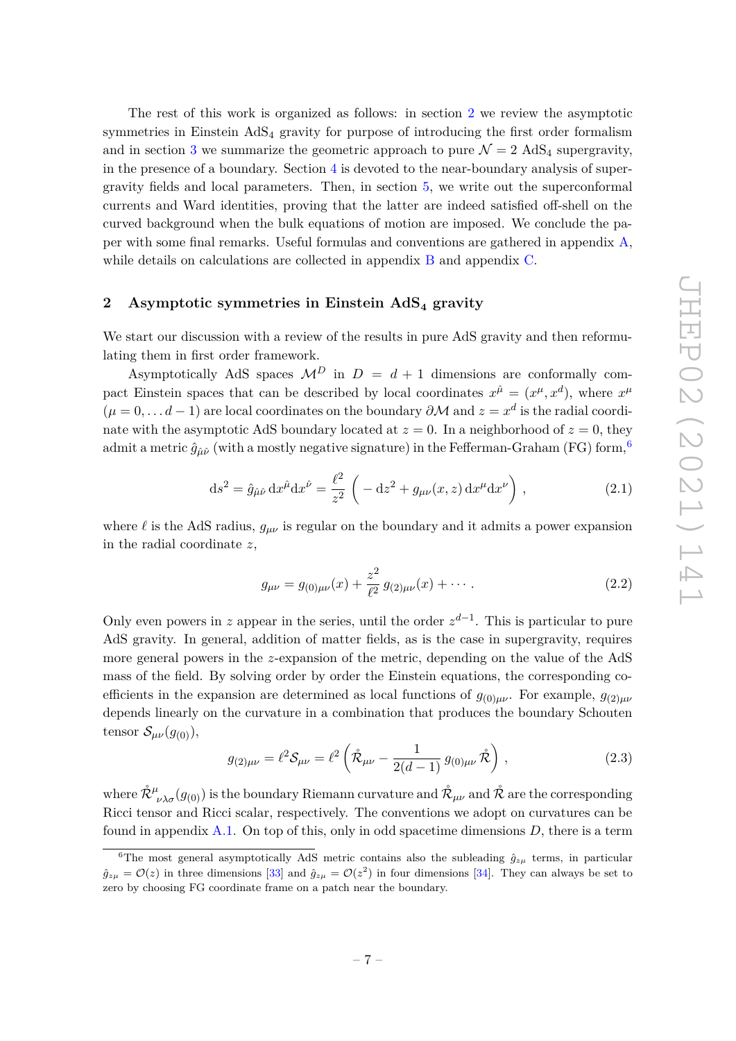The rest of this work is organized as follows: in section 2 we review the asymptotic symmetries in Einstein AdS<sup>4</sup> gravity for purpose of introducing the first order formalism and in section 3 we summarize the geometric approach to pure  $\mathcal{N} = 2$  AdS<sub>4</sub> supergravity, in the presence of a boundary. Section 4 is devoted to the near-boundary analysis of supergravity fields and local parameters. Then, in section 5, we write out the superconformal currents and Ward identities, proving that the latter are indeed satisfied off-shell on the curved background when the bulk equations of motion are imposed. We conclude the paper with some final remarks. Useful formulas and conventions are gathered in appendix A, while details on calculations are collected in appendix B and appendix C.

#### **2 Asymptotic symmetries in Einstein AdS<sup>4</sup> gravity**

We start our discussion with a review of the results in pure AdS gravity and then reformulating them in first order framework.

Asymptotically AdS spaces  $\mathcal{M}^D$  in  $D = d + 1$  dimensions are conformally compact Einstein spaces that can be described by local coordinates  $x^{\hat{\mu}} = (x^{\mu}, x^d)$ , where  $x^{\mu}$  $(\mu = 0, \ldots d - 1)$  are local coordinates on the boundary  $\partial M$  and  $z = x^d$  is the radial coordinate with the asymptotic AdS boundary located at  $z = 0$ . In a neighborhood of  $z = 0$ , they admit a metric  $\hat{g}_{\hat{u}\hat{\nu}}$  (with a mostly negative signature) in the Fefferman-Graham (FG) form,<sup>6</sup>

$$
ds^{2} = \hat{g}_{\hat{\mu}\hat{\nu}} dx^{\hat{\mu}} dx^{\hat{\nu}} = \frac{\ell^{2}}{z^{2}} \left( -dz^{2} + g_{\mu\nu}(x, z) dx^{\mu} dx^{\nu} \right),
$$
 (2.1)

where  $\ell$  is the AdS radius,  $g_{\mu\nu}$  is regular on the boundary and it admits a power expansion in the radial coordinate *z*,

$$
g_{\mu\nu} = g_{(0)\mu\nu}(x) + \frac{z^2}{\ell^2} g_{(2)\mu\nu}(x) + \cdots
$$
 (2.2)

Only even powers in *z* appear in the series, until the order  $z^{d-1}$ . This is particular to pure AdS gravity. In general, addition of matter fields, as is the case in supergravity, requires more general powers in the *z*-expansion of the metric, depending on the value of the AdS mass of the field. By solving order by order the Einstein equations, the corresponding coefficients in the expansion are determined as local functions of  $g_{(0)\mu\nu}$ . For example,  $g_{(2)\mu\nu}$ depends linearly on the curvature in a combination that produces the boundary Schouten tensor  $\mathcal{S}_{\mu\nu}(g_{(0)}),$ 

$$
g_{(2)\mu\nu} = \ell^2 \mathcal{S}_{\mu\nu} = \ell^2 \left( \mathring{\mathcal{R}}_{\mu\nu} - \frac{1}{2(d-1)} g_{(0)\mu\nu} \mathring{\mathcal{R}} \right), \qquad (2.3)
$$

where  $\mathring{\mathcal{R}}^\mu_{\,\,\,\nu\lambda\sigma}(g_{(0)})$  is the boundary Riemann curvature and  $\mathring{\mathcal{R}}_{\mu\nu}$  and  $\mathring{\mathcal{R}}$  are the corresponding Ricci tensor and Ricci scalar, respectively. The conventions we adopt on curvatures can be found in appendix A.1. On top of this, only in odd spacetime dimensions *D*, there is a term

<sup>&</sup>lt;sup>6</sup>The most general asymptotically AdS metric contains also the subleading  $\hat{g}_{z\mu}$  terms, in particular  $g_{z\mu} = \mathcal{O}(z)$  in three dimensions [33] and  $g_{z\mu} = \mathcal{O}(z^2)$  in four dimensions [34]. They can always be set to zero by choosing FG coordinate frame on a patch near the boundary.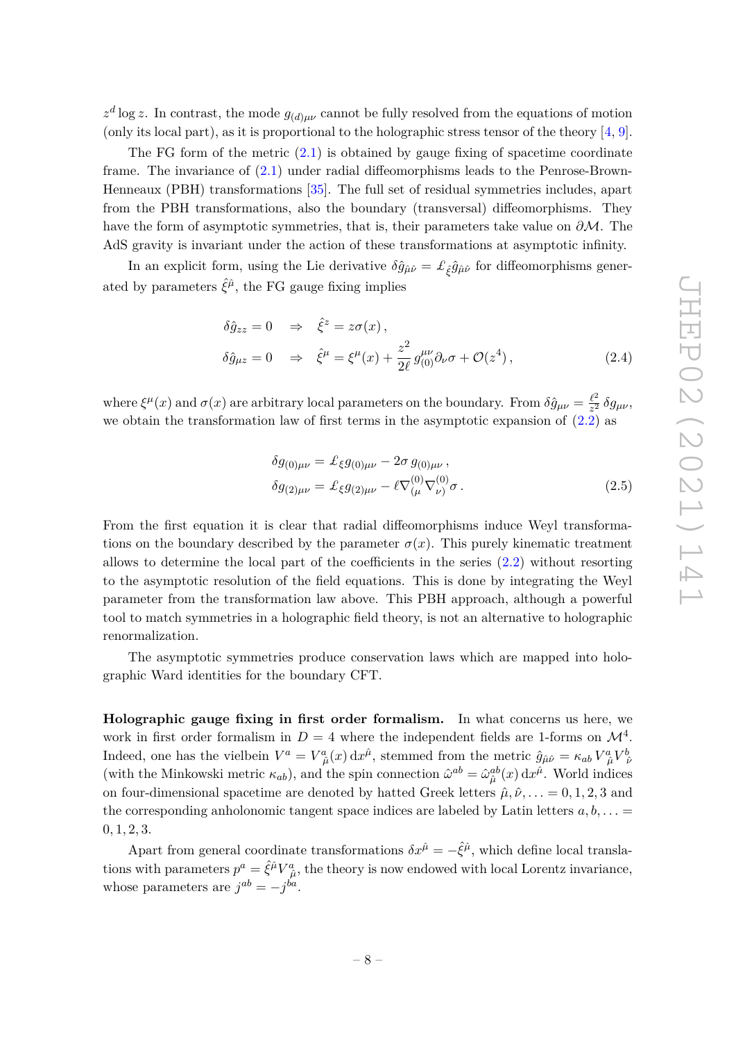$z^d$  log *z*. In contrast, the mode  $g_{(d)\mu\nu}$  cannot be fully resolved from the equations of motion (only its local part), as it is proportional to the holographic stress tensor of the theory  $[4, 9]$ .

The FG form of the metric  $(2.1)$  is obtained by gauge fixing of spacetime coordinate frame. The invariance of (2.1) under radial diffeomorphisms leads to the Penrose-Brown-Henneaux (PBH) transformations [35]. The full set of residual symmetries includes, apart from the PBH transformations, also the boundary (transversal) diffeomorphisms. They have the form of asymptotic symmetries, that is, their parameters take value on *∂*M. The AdS gravity is invariant under the action of these transformations at asymptotic infinity.

In an explicit form, using the Lie derivative  $\delta \hat{g}_{\hat{\mu}\hat{\nu}} = \pounds_{\hat{\xi}} \hat{g}_{\hat{\mu}\hat{\nu}}$  for diffeomorphisms generated by parameters  $\hat{\xi}^{\hat{\mu}}$ , the FG gauge fixing implies

$$
\delta \hat{g}_{zz} = 0 \quad \Rightarrow \quad \hat{\xi}^z = z\sigma(x) ,
$$
  

$$
\delta \hat{g}_{\mu z} = 0 \quad \Rightarrow \quad \hat{\xi}^{\mu} = \xi^{\mu}(x) + \frac{z^2}{2\ell} g^{\mu\nu}_{(0)} \partial_{\nu} \sigma + \mathcal{O}(z^4) , \tag{2.4}
$$

where  $\xi^{\mu}(x)$  and  $\sigma(x)$  are arbitrary local parameters on the boundary. From  $\delta \hat{g}_{\mu\nu} = \frac{\ell^2}{z^2}$  $\frac{\ell^2}{z^2} \delta g_{\mu\nu}$ we obtain the transformation law of first terms in the asymptotic expansion of  $(2.2)$  as

$$
\delta g_{(0)\mu\nu} = \pounds_{\xi} g_{(0)\mu\nu} - 2\sigma g_{(0)\mu\nu}, \n\delta g_{(2)\mu\nu} = \pounds_{\xi} g_{(2)\mu\nu} - \ell \nabla^{(0)}_{(\mu} \nabla^{(0)}_{\nu)} \sigma.
$$
\n(2.5)

From the first equation it is clear that radial diffeomorphisms induce Weyl transformations on the boundary described by the parameter  $\sigma(x)$ . This purely kinematic treatment allows to determine the local part of the coefficients in the series (2.2) without resorting to the asymptotic resolution of the field equations. This is done by integrating the Weyl parameter from the transformation law above. This PBH approach, although a powerful tool to match symmetries in a holographic field theory, is not an alternative to holographic renormalization.

The asymptotic symmetries produce conservation laws which are mapped into holographic Ward identities for the boundary CFT.

**Holographic gauge fixing in first order formalism.** In what concerns us here, we work in first order formalism in  $D=4$  where the independent fields are 1-forms on  $\mathcal{M}^4$ . Indeed, one has the vielbein  $V^a = V^a_{\ \hat{\mu}}(x) dx^{\hat{\mu}}$ , stemmed from the metric  $\hat{g}_{\hat{\mu}\hat{\nu}} = \kappa_{ab} V^a_{\ \hat{\mu}} V^b_{\ \hat{\nu}}$ (with the Minkowski metric  $\kappa_{ab}$ ), and the spin connection  $\hat{\omega}^{ab} = \hat{\omega}_{\hat{\mu}}^{ab}(x) dx^{\hat{\mu}}$ . World indices on four-dimensional spacetime are denoted by hatted Greek letters  $\hat{\mu}, \hat{\nu}, \dots = 0, 1, 2, 3$  and the corresponding anholonomic tangent space indices are labeled by Latin letters  $a, b, \ldots =$ 0*,* 1*,* 2*,* 3.

Apart from general coordinate transformations  $\delta x^{\hat{\mu}} = -\hat{\xi}^{\hat{\mu}}$ , which define local translations with parameters  $p^a = \hat{\xi}^{\hat{\mu}} V^a_{\hat{\mu}}$ , the theory is now endowed with local Lorentz invariance, whose parameters are  $j^{ab} = -j^{ba}$ .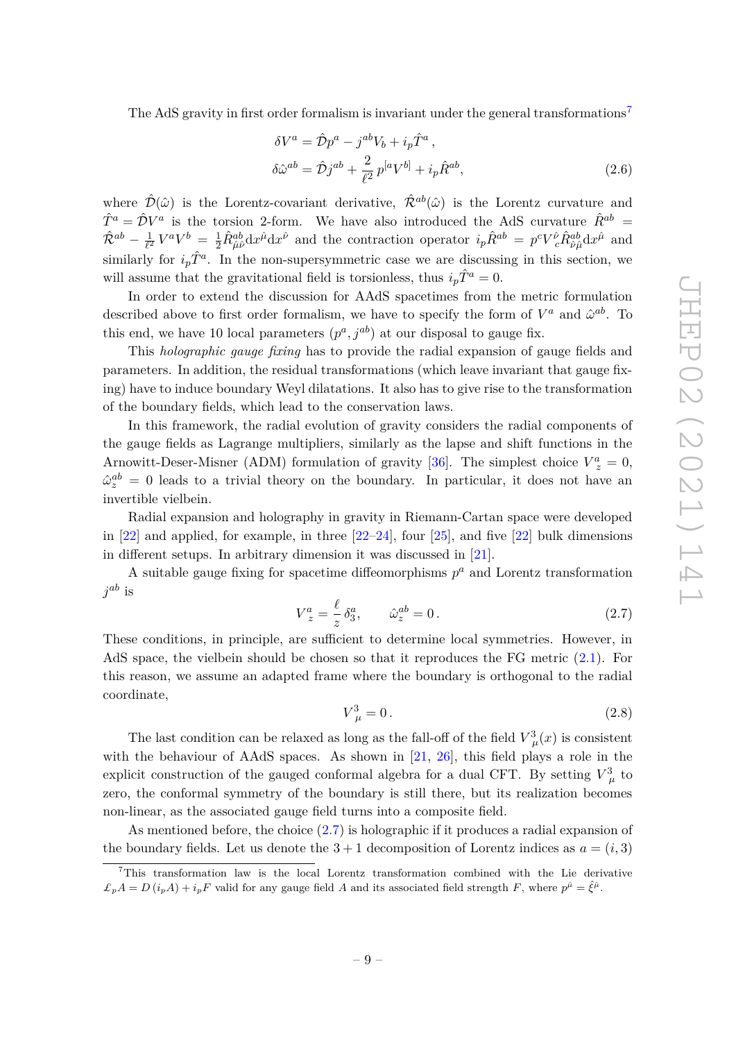The AdS gravity in first order formalism is invariant under the general transformations<sup>7</sup>

$$
\delta V^a = \hat{\mathcal{D}}p^a - j^{ab}V_b + i_p \hat{T}^a ,
$$
  
\n
$$
\delta \hat{\omega}^{ab} = \hat{\mathcal{D}}j^{ab} + \frac{2}{\ell^2} p^{[a}V^{b]} + i_p \hat{R}^{ab} ,
$$
\n(2.6)

where  $\hat{\mathcal{D}}(\hat{\omega})$  is the Lorentz-covariant derivative,  $\hat{\mathcal{R}}^{ab}(\hat{\omega})$  is the Lorentz curvature and  $\hat{T}^a = \hat{\mathcal{D}}V^a$  is the torsion 2-form. We have also introduced the AdS curvature  $\hat{R}^{ab}$  =  $\hat{{\mathcal{R}}}^{ab} - \frac{1}{\ell^2}$  $\frac{1}{\ell^2}V^aV^b = \frac{1}{2}\hat{R}^{ab}_{\hat{\mu}\hat{\nu}}dx^{\hat{\mu}}dx^{\hat{\nu}}$  and the contraction operator  $i_p\hat{R}^{ab} = p^cV_c^{\hat{\nu}}\hat{R}^{ab}_{\hat{\nu}\hat{\mu}}dx^{\hat{\mu}}$  and similarly for  $i_p\hat{T}^a$ . In the non-supersymmetric case we are discussing in this section, we will assume that the gravitational field is torsionless, thus  $i_p \hat{T}^a = 0$ .

In order to extend the discussion for AAdS spacetimes from the metric formulation described above to first order formalism, we have to specify the form of  $V^a$  and  $\hat{\omega}^{ab}$ . To this end, we have 10 local parameters  $(p^a, j^{ab})$  at our disposal to gauge fix.

This *holographic gauge fixing* has to provide the radial expansion of gauge fields and parameters. In addition, the residual transformations (which leave invariant that gauge fixing) have to induce boundary Weyl dilatations. It also has to give rise to the transformation of the boundary fields, which lead to the conservation laws.

In this framework, the radial evolution of gravity considers the radial components of the gauge fields as Lagrange multipliers, similarly as the lapse and shift functions in the Arnowitt-Deser-Misner (ADM) formulation of gravity [36]. The simplest choice  $V_z^a = 0$ ,  $\hat{\omega}_z^{ab} = 0$  leads to a trivial theory on the boundary. In particular, it does not have an invertible vielbein.

Radial expansion and holography in gravity in Riemann-Cartan space were developed in  $[22]$  and applied, for example, in three  $[22-24]$ , four  $[25]$ , and five  $[22]$  bulk dimensions in different setups. In arbitrary dimension it was discussed in [21].

A suitable gauge fixing for spacetime diffeomorphisms  $p^a$  and Lorentz transformation  $j^{ab}$  is

$$
V_z^a = \frac{\ell}{z} \delta_3^a, \qquad \hat{\omega}_z^{ab} = 0. \tag{2.7}
$$

These conditions, in principle, are sufficient to determine local symmetries. However, in AdS space, the vielbein should be chosen so that it reproduces the FG metric (2.1). For this reason, we assume an adapted frame where the boundary is orthogonal to the radial coordinate,

$$
V_{\ \mu}^{3} = 0. \tag{2.8}
$$

The last condition can be relaxed as long as the fall-off of the field  $V^3_\mu(x)$  is consistent with the behaviour of AAdS spaces. As shown in [21, 26], this field plays a role in the explicit construction of the gauged conformal algebra for a dual CFT. By setting  $V^3_{\mu}$  to zero, the conformal symmetry of the boundary is still there, but its realization becomes non-linear, as the associated gauge field turns into a composite field.

As mentioned before, the choice (2.7) is holographic if it produces a radial expansion of the boundary fields. Let us denote the  $3 + 1$  decomposition of Lorentz indices as  $a = (i, 3)$ 

<sup>&</sup>lt;sup>7</sup>This transformation law is the local Lorentz transformation combined with the Lie derivative  $\mathcal{L}_p A = D(i_p A) + i_p F$  valid for any gauge field *A* and its associated field strength *F*, where  $p^{\hat{\mu}} = \hat{\xi}^{\hat{\mu}}$ .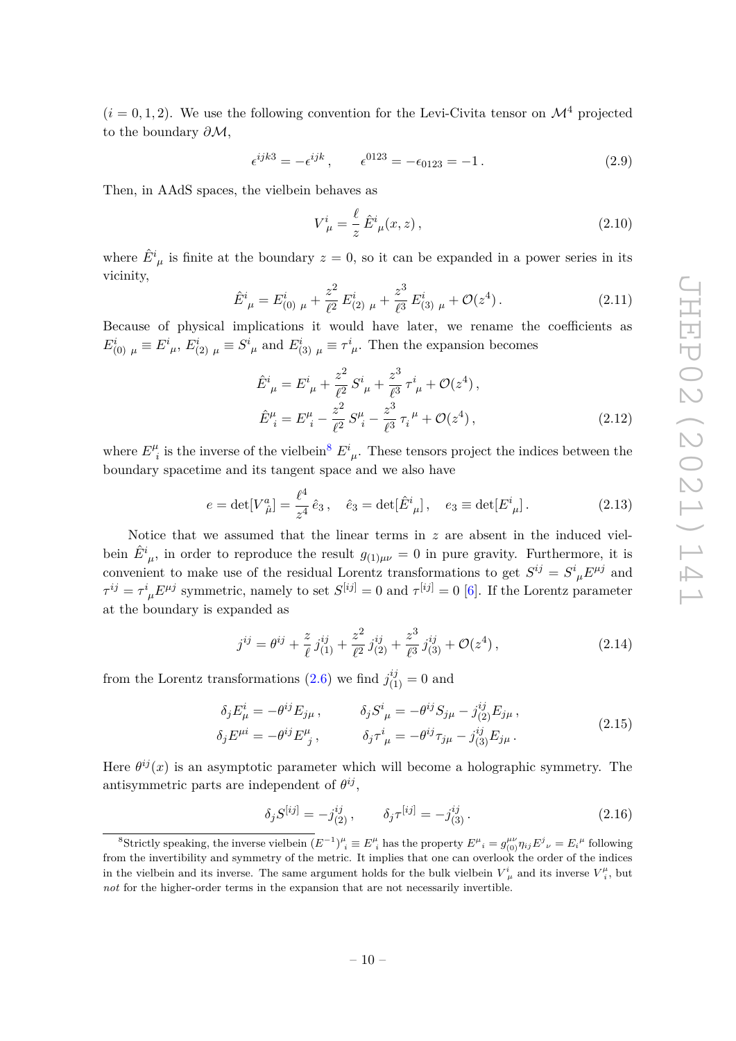$(i = 0, 1, 2)$ . We use the following convention for the Levi-Civita tensor on  $\mathcal{M}^4$  projected to the boundary *∂*M,

$$
\epsilon^{ijk3} = -\epsilon^{ijk}, \qquad \epsilon^{0123} = -\epsilon_{0123} = -1.
$$
 (2.9)

Then, in AAdS spaces, the vielbein behaves as

$$
V_{\ \mu}^{i} = \frac{\ell}{z} \hat{E}_{\ \mu}^{i}(x, z) \,, \tag{2.10}
$$

where  $\hat{E}^i_{\mu}$  is finite at the boundary  $z = 0$ , so it can be expanded in a power series in its vicinity,

$$
\hat{E}^i_{\ \mu} = E^i_{(0)\ \mu} + \frac{z^2}{\ell^2} E^i_{(2)\ \mu} + \frac{z^3}{\ell^3} E^i_{(3)\ \mu} + \mathcal{O}(z^4) \,. \tag{2.11}
$$

Because of physical implications it would have later, we rename the coefficients as  $E^i_{(0) \mu} \equiv E^i_{\ \mu}, E^i_{(2) \mu} \equiv S^i_{\ \mu}$  and  $E^i_{(3) \mu} \equiv \tau^i_{\ \mu}$ . Then the expansion becomes

$$
\hat{E}^{i}_{\ \mu} = E^{i}_{\ \mu} + \frac{z^{2}}{\ell^{2}} S^{i}_{\ \mu} + \frac{z^{3}}{\ell^{3}} \tau^{i}_{\ \mu} + \mathcal{O}(z^{4}),
$$
\n
$$
\hat{E}^{\mu}_{\ i} = E^{\mu}_{\ i} - \frac{z^{2}}{\ell^{2}} S^{\mu}_{\ i} - \frac{z^{3}}{\ell^{3}} \tau_{i}^{\ \mu} + \mathcal{O}(z^{4}),
$$
\n(2.12)

where  $E^{\mu}_{i}$ <sup>*i*</sup></sup> is the inverse of the vielbein<sup>8</sup>  $E^i_{\mu}$ . These tensors project the indices between the boundary spacetime and its tangent space and we also have

$$
e = det[V^a_{\hat{\mu}}] = \frac{\ell^4}{z^4} \hat{e}_3
$$
,  $\hat{e}_3 = det[\hat{E}^i_{\mu}], \quad e_3 \equiv det[E^i_{\mu}].$  (2.13)

Notice that we assumed that the linear terms in *z* are absent in the induced vielbein  $\hat{E}^i_{\mu}$ , in order to reproduce the result  $g_{(1)\mu\nu} = 0$  in pure gravity. Furthermore, it is convenient to make use of the residual Lorentz transformations to get  $S^{ij} = S^i{}_{\mu} E^{\mu j}$  and  $\tau^{ij} = \tau^i{}_{\mu} E^{\mu j}$  symmetric, namely to set  $S^{[ij]} = 0$  and  $\tau^{[ij]} = 0$  [6]. If the Lorentz parameter at the boundary is expanded as

$$
j^{ij} = \theta^{ij} + \frac{z}{\ell} j^{ij}_{(1)} + \frac{z^2}{\ell^2} j^{ij}_{(2)} + \frac{z^3}{\ell^3} j^{ij}_{(3)} + \mathcal{O}(z^4) \,, \tag{2.14}
$$

from the Lorentz transformations (2.6) we find  $j_{(1)}^{ij} = 0$  and

$$
\delta_j E^i_\mu = -\theta^{ij} E_{j\mu} , \qquad \delta_j S^i{}_\mu = -\theta^{ij} S_{j\mu} - j^{ij}_{(2)} E_{j\mu} , \n\delta_j E^{\mu i} = -\theta^{ij} E^\mu{}_j , \qquad \delta_j \tau^i{}_\mu = -\theta^{ij} \tau_{j\mu} - j^{ij}_{(3)} E_{j\mu} .
$$
\n(2.15)

Here  $\theta^{ij}(x)$  is an asymptotic parameter which will become a holographic symmetry. The antisymmetric parts are independent of  $\theta^{ij}$ ,

$$
\delta_j S^{[ij]} = -j^{ij}_{(2)}, \qquad \delta_j \tau^{[ij]} = -j^{ij}_{(3)}.
$$
\n(2.16)

<sup>&</sup>lt;sup>8</sup>Strictly speaking, the inverse vielbein  $(E^{-1})^{\mu}_{i} \equiv E^{\mu}_{i}$  has the property  $E^{\mu}_{i} = g_{(0)}^{\mu\nu} \eta_{ij} E^{j}{}_{\nu} = E_{i}{}^{\mu}$  following from the invertibility and symmetry of the metric. It implies that one can overlook the order of the indices in the vielbein and its inverse. The same argument holds for the bulk vielbein  $V^i_{\mu}$  and its inverse  $V^{\mu}_i$ , but *not* for the higher-order terms in the expansion that are not necessarily invertible.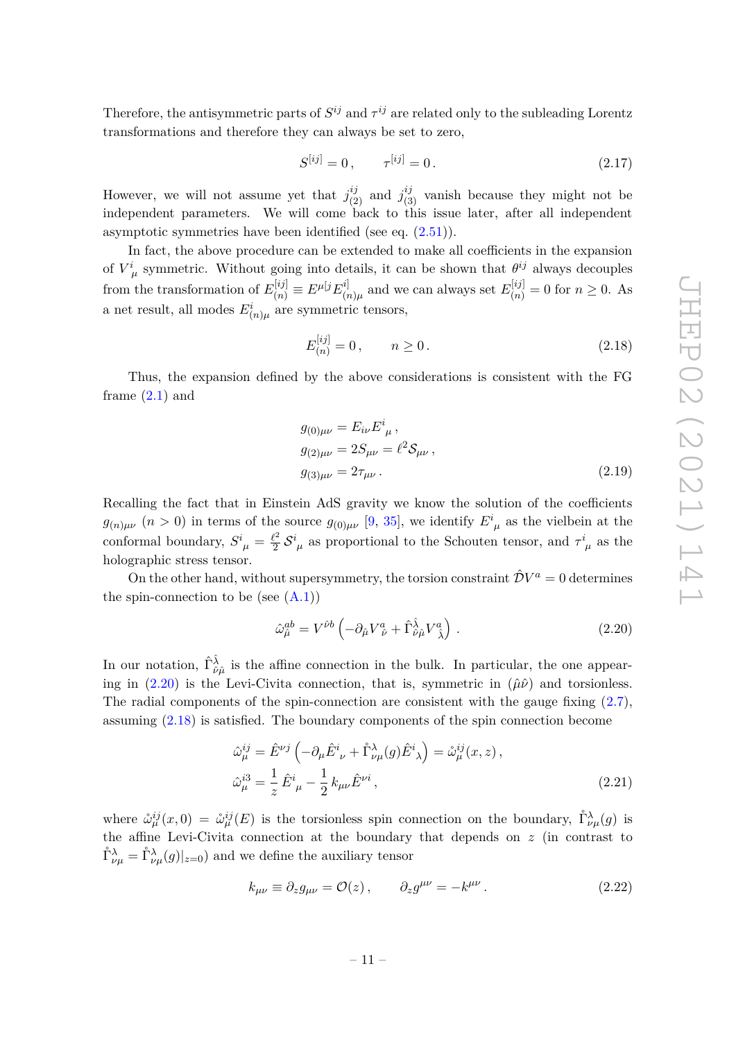Therefore, the antisymmetric parts of  $S^{ij}$  and  $\tau^{ij}$  are related only to the subleading Lorentz transformations and therefore they can always be set to zero,

$$
S^{[ij]} = 0, \qquad \tau^{[ij]} = 0. \tag{2.17}
$$

However, we will not assume yet that  $j_{(2)}^{ij}$  and  $j_{(3)}^{ij}$  vanish because they might not be independent parameters. We will come back to this issue later, after all independent asymptotic symmetries have been identified (see eq. (2.51)).

In fact, the above procedure can be extended to make all coefficients in the expansion of  $V^i_{\mu}$  symmetric. Without going into details, it can be shown that  $\theta^{ij}$  always decouples from the transformation of  $E_{(n)}^{[ij]} \equiv E^{\mu[j]} E_{(n)}^{i]}$  $\sum_{(n)\mu}^{[i]}$  and we can always set  $E_{(n)}^{[ij]} = 0$  for  $n \geq 0$ . As a net result, all modes  $E^i_{(n)\mu}$  are symmetric tensors,

$$
E_{(n)}^{[ij]} = 0, \qquad n \ge 0. \tag{2.18}
$$

Thus, the expansion defined by the above considerations is consistent with the FG frame  $(2.1)$  and

$$
g_{(0)\mu\nu} = E_{i\nu} E^i_{\ \mu} ,\n g_{(2)\mu\nu} = 2S_{\mu\nu} = \ell^2 S_{\mu\nu} ,\n g_{(3)\mu\nu} = 2\tau_{\mu\nu} .
$$
\n(2.19)

Recalling the fact that in Einstein AdS gravity we know the solution of the coefficients  $g_{(n)\mu\nu}$  (*n* > 0) in terms of the source  $g_{(0)\mu\nu}$  [9, 35], we identify  $E^i_{\mu}$  as the vielbein at the conformal boundary,  $S^i_{\ \mu} = \frac{\ell^2}{2}$  $\frac{\partial^2}{\partial^2} S^i_{\mu}$  as proportional to the Schouten tensor, and  $\tau^i_{\mu}$  as the holographic stress tensor.

On the other hand, without supersymmetry, the torsion constraint  $\hat{\mathcal{D}}V^a = 0$  determines the spin-connection to be (see  $(A.1)$ )

$$
\hat{\omega}_{\hat{\mu}}^{ab} = V^{\hat{\nu}b} \left( -\partial_{\hat{\mu}} V^a_{\ \hat{\nu}} + \hat{\Gamma}^{\hat{\lambda}}_{\hat{\nu}\hat{\mu}} V^a_{\ \hat{\lambda}} \right) \,. \tag{2.20}
$$

In our notation,  $\hat{\Gamma}^{\hat{\lambda}}_{\hat{\nu}\hat{\mu}}$  is the affine connection in the bulk. In particular, the one appearing in  $(2.20)$  is the Levi-Civita connection, that is, symmetric in  $(\hat{\mu}\hat{\nu})$  and torsionless. The radial components of the spin-connection are consistent with the gauge fixing  $(2.7)$ , assuming (2.18) is satisfied. The boundary components of the spin connection become

$$
\hat{\omega}_{\mu}^{ij} = \hat{E}^{\nu j} \left( -\partial_{\mu} \hat{E}^{i}_{ \nu} + \mathring{\Gamma}^{\lambda}_{\nu\mu}(g) \hat{E}^{i}_{ \lambda} \right) = \mathring{\omega}_{\mu}^{ij}(x, z),
$$
  
\n
$$
\hat{\omega}_{\mu}^{i3} = \frac{1}{z} \hat{E}^{i}_{ \mu} - \frac{1}{2} k_{\mu\nu} \hat{E}^{\nu i},
$$
\n(2.21)

where  $\mathring{\omega}_{\mu}^{ij}(x,0) = \mathring{\omega}_{\mu}^{ij}(E)$  is the torsionless spin connection on the boundary,  $\mathring{\Gamma}_{\nu\mu}^{\lambda}(g)$  is the affine Levi-Civita connection at the boundary that depends on *z* (in contrast to  $\hat{\Gamma}_{\nu\mu}^{\lambda} = \hat{\Gamma}_{\nu\mu}^{\lambda}(g)|_{z=0}$  and we define the auxiliary tensor

$$
k_{\mu\nu} \equiv \partial_z g_{\mu\nu} = \mathcal{O}(z) \,, \qquad \partial_z g^{\mu\nu} = -k^{\mu\nu} \,. \tag{2.22}
$$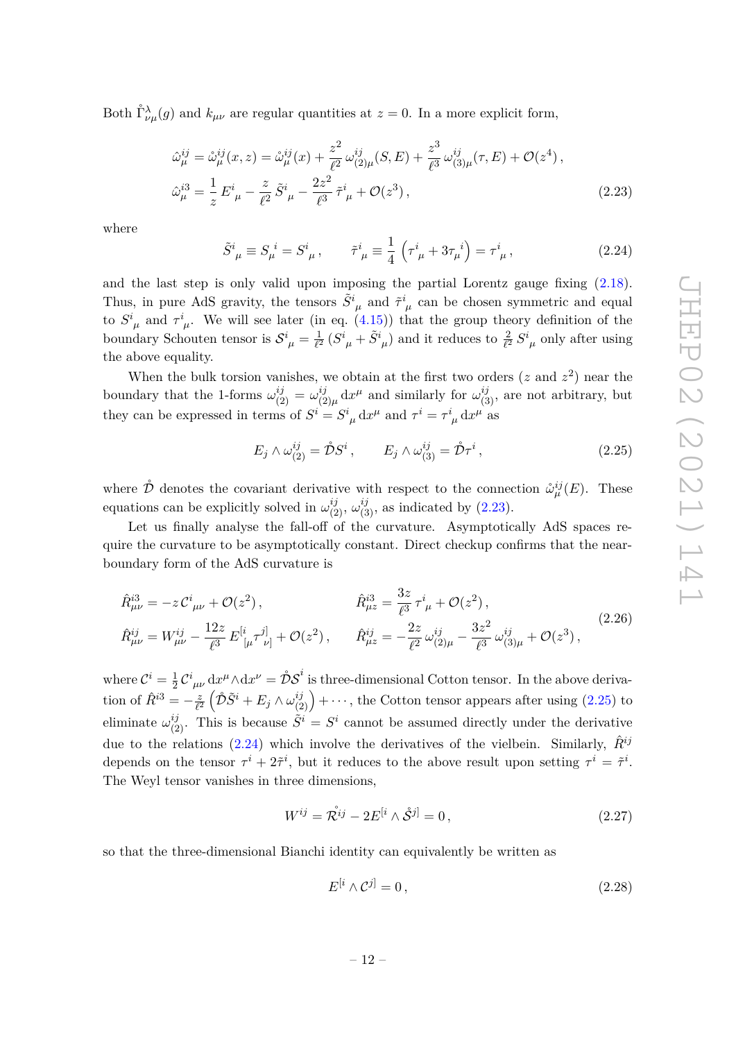Both  $\mathring{\Gamma}_{\nu\mu}^{\lambda}(g)$  and  $k_{\mu\nu}$  are regular quantities at  $z=0$ . In a more explicit form,

$$
\hat{\omega}_{\mu}^{ij} = \mathring{\omega}_{\mu}^{ij}(x, z) = \mathring{\omega}_{\mu}^{ij}(x) + \frac{z^2}{\ell^2} \omega_{(2)\mu}^{ij}(S, E) + \frac{z^3}{\ell^3} \omega_{(3)\mu}^{ij}(\tau, E) + \mathcal{O}(z^4),
$$
  

$$
\hat{\omega}_{\mu}^{i3} = \frac{1}{z} E^i_{\ \mu} - \frac{z}{\ell^2} \tilde{S}^i_{\ \mu} - \frac{2z^2}{\ell^3} \tilde{\tau}^i_{\ \mu} + \mathcal{O}(z^3),
$$
\n(2.23)

where

$$
\tilde{S}^{i}_{\ \mu} \equiv S_{\mu}^{\ i} = S^{i}_{\ \mu} \,, \qquad \tilde{\tau}^{i}_{\ \mu} \equiv \frac{1}{4} \left( \tau^{i}_{\ \mu} + 3\tau^{i}_{\mu} \right) = \tau^{i}_{\ \mu} \,, \tag{2.24}
$$

and the last step is only valid upon imposing the partial Lorentz gauge fixing (2.18). Thus, in pure AdS gravity, the tensors  $\tilde{S}^i_{\mu}$  and  $\tilde{\tau}^i_{\mu}$  can be chosen symmetric and equal to  $S^i_{\mu}$  and  $\tau^i_{\mu}$ . We will see later (in eq. (4.15)) that the group theory definition of the boundary Schouten tensor is  $S^i_{\ \mu} = \frac{1}{\ell^2}$  $\frac{1}{\ell^2} (S^i_{\ \mu} + \tilde{S}^i_{\ \mu})$  and it reduces to  $\frac{2}{\ell^2} S^i_{\ \mu}$  only after using the above equality.

When the bulk torsion vanishes, we obtain at the first two orders  $(z \text{ and } z^2)$  near the boundary that the 1-forms  $\omega_{(2)}^{ij} = \omega_{(2)}^{ij}$  $\int_{(2)\mu}^{ij} dx^{\mu}$  and similarly for  $\omega_{(3)}^{ij}$ , are not arbitrary, but they can be expressed in terms of  $S^i = S^i_{\ \mu} dx^{\mu}$  and  $\tau^i = \tau^i_{\ \mu} dx^{\mu}$  as

$$
E_j \wedge \omega_{(2)}^{ij} = \mathring{\mathcal{D}} S^i, \qquad E_j \wedge \omega_{(3)}^{ij} = \mathring{\mathcal{D}} \tau^i,
$$
\n(2.25)

where  $\mathring{\mathcal{D}}$  denotes the covariant derivative with respect to the connection  $\mathring{\omega}_{\mu}^{ij}(E)$ . These equations can be explicitly solved in  $\omega_{(2)}^{ij}$ ,  $\omega_{(3)}^{ij}$ , as indicated by (2.23).

Let us finally analyse the fall-off of the curvature. Asymptotically AdS spaces require the curvature to be asymptotically constant. Direct checkup confirms that the nearboundary form of the AdS curvature is

$$
\hat{R}^{i3}_{\mu\nu} = -z \mathcal{C}^{i}{}_{\mu\nu} + \mathcal{O}(z^{2}), \qquad \hat{R}^{i3}_{\mu z} = \frac{3z}{\ell^{3}} \tau^{i}{}_{\mu} + \mathcal{O}(z^{2}), \n\hat{R}^{i j}_{\mu\nu} = W^{i j}_{\mu\nu} - \frac{12z}{\ell^{3}} E^{[i}{}_{[\mu} \tau^{j]}{}_{\nu]} + \mathcal{O}(z^{2}), \qquad \hat{R}^{i j}_{\mu z} = -\frac{2z}{\ell^{2}} \omega^{i j}_{(2)\mu} - \frac{3z^{2}}{\ell^{3}} \omega^{i j}_{(3)\mu} + \mathcal{O}(z^{3}),
$$
\n(2.26)

where  $\mathcal{C}^i = \frac{1}{2}$  $\frac{1}{2}\mathcal{C}_{\mu\nu}^i dx^\mu \wedge dx^\nu = \mathring{\mathcal{D}}\mathcal{S}^i$  is three-dimensional Cotton tensor. In the above derivation of  $\hat{R}^{i3} = -\frac{z}{\ell^2}$  $\frac{z}{\ell^2}\left(\mathcal{\tilde{D}}\tilde{S}^i + E_j \wedge \omega_{(2)}^{ij}\right) + \cdots$ , the Cotton tensor appears after using (2.25) to eliminate  $\omega_{(2)}^{ij}$ . This is because  $\tilde{S}^i = S^i$  cannot be assumed directly under the derivative due to the relations  $(2.24)$  which involve the derivatives of the vielbein. Similarly,  $\hat{R}^{ij}$ depends on the tensor  $\tau^i + 2\tilde{\tau}^i$ , but it reduces to the above result upon setting  $\tau^i = \tilde{\tau}^i$ . The Weyl tensor vanishes in three dimensions,

$$
W^{ij} = \mathcal{R}^{ij} - 2E^{[i} \wedge \mathcal{S}^{j]} = 0,
$$
\n(2.27)

so that the three-dimensional Bianchi identity can equivalently be written as

$$
E^{[i} \wedge \mathcal{C}^{j]} = 0, \qquad (2.28)
$$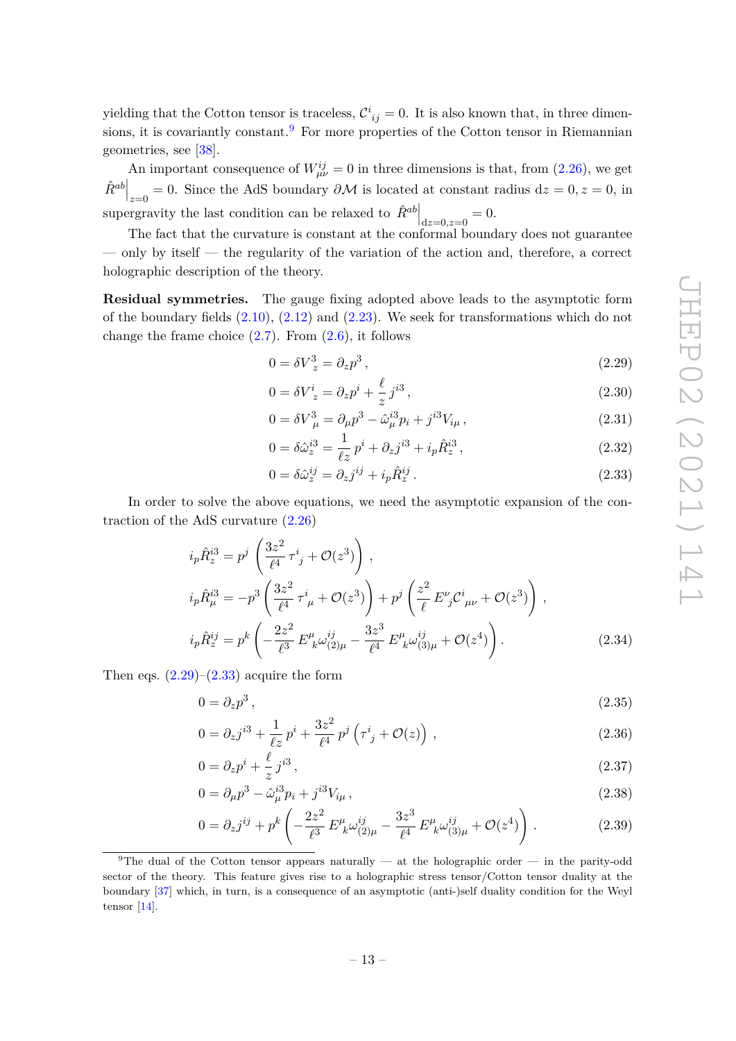yielding that the Cotton tensor is traceless,  $\mathcal{C}_{ij}^i = 0$ . It is also known that, in three dimensions, it is covariantly constant.<sup>9</sup> For more properties of the Cotton tensor in Riemannian geometries, see [38].

An important consequence of  $W_{\mu\nu}^{ij} = 0$  in three dimensions is that, from (2.26), we get  $\hat{R}^{ab}\Big|_{x=0} = 0$ . Since the AdS boundary  $\partial \mathcal{M}$  is located at constant radius  $dz = 0, z = 0$ , in supergravity the last condition can be relaxed to  $\hat{R}^{ab}\Big|_{d\tilde{z}=0,\tilde{z}=0}=0.$ 

The fact that the curvature is constant at the conformal boundary does not guarantee — only by itself — the regularity of the variation of the action and, therefore, a correct holographic description of the theory.

**Residual symmetries.** The gauge fixing adopted above leads to the asymptotic form of the boundary fields  $(2.10)$ ,  $(2.12)$  and  $(2.23)$ . We seek for transformations which do not change the frame choice  $(2.7)$ . From  $(2.6)$ , it follows

$$
0 = \delta V_z^3 = \partial_z p^3, \qquad (2.29)
$$

$$
0 = \delta V_z^i = \partial_z p^i + \frac{\ell}{z} j^{i3},\qquad(2.30)
$$

$$
0 = \delta V_{\mu}^{3} = \partial_{\mu} p^{3} - \hat{\omega}_{\mu}^{i3} p_{i} + j^{i3} V_{i\mu} , \qquad (2.31)
$$

$$
0 = \delta \hat{\omega}_z^{i3} = \frac{1}{\ell z} p^i + \partial_z j^{i3} + i_p \hat{R}_z^{i3}, \qquad (2.32)
$$

$$
0 = \delta \hat{\omega}_z^{ij} = \partial_z j^{ij} + i_p \hat{R}_z^{ij} \,. \tag{2.33}
$$

In order to solve the above equations, we need the asymptotic expansion of the contraction of the AdS curvature (2.26)

$$
i_{p}\hat{R}_{z}^{i3} = p^{j} \left(\frac{3z^{2}}{\ell^{4}} \tau^{i}_{j} + \mathcal{O}(z^{3})\right),
$$
  
\n
$$
i_{p}\hat{R}_{\mu}^{i3} = -p^{3} \left(\frac{3z^{2}}{\ell^{4}} \tau^{i}_{\mu} + \mathcal{O}(z^{3})\right) + p^{j} \left(\frac{z^{2}}{\ell} E^{\nu}_{j} C^{i}_{\mu\nu} + \mathcal{O}(z^{3})\right),
$$
  
\n
$$
i_{p}\hat{R}_{z}^{ij} = p^{k} \left(-\frac{2z^{2}}{\ell^{3}} E^{\mu}_{\ k}\omega_{(2)\mu}^{ij} - \frac{3z^{3}}{\ell^{4}} E^{\mu}_{\ k}\omega_{(3)\mu}^{ij} + \mathcal{O}(z^{4})\right).
$$
\n(2.34)

Then eqs.  $(2.29)$ – $(2.33)$  acquire the form

$$
0 = \partial_z p^3, \tag{2.35}
$$

$$
0 = \partial_z j^{i3} + \frac{1}{\ell z} p^i + \frac{3z^2}{\ell^4} p^j \left( \tau^i{}_j + \mathcal{O}(z) \right) , \qquad (2.36)
$$

$$
0 = \partial_z p^i + \frac{\ell}{z} j^{i3},\tag{2.37}
$$

$$
0 = \partial_{\mu} p^3 - \hat{\omega}_{\mu}^{i3} p_i + j^{i3} V_{i\mu}, \qquad (2.38)
$$

$$
0 = \partial_z j^{ij} + p^k \left( -\frac{2z^2}{\ell^3} E^{\mu}_{\ k} \omega_{(2)\mu}^{ij} - \frac{3z^3}{\ell^4} E^{\mu}_{\ k} \omega_{(3)\mu}^{ij} + \mathcal{O}(z^4) \right) \,. \tag{2.39}
$$

<sup>&</sup>lt;sup>9</sup>The dual of the Cotton tensor appears naturally — at the holographic order — in the parity-odd sector of the theory. This feature gives rise to a holographic stress tensor/Cotton tensor duality at the boundary [37] which, in turn, is a consequence of an asymptotic (anti-)self duality condition for the Weyl tensor [14].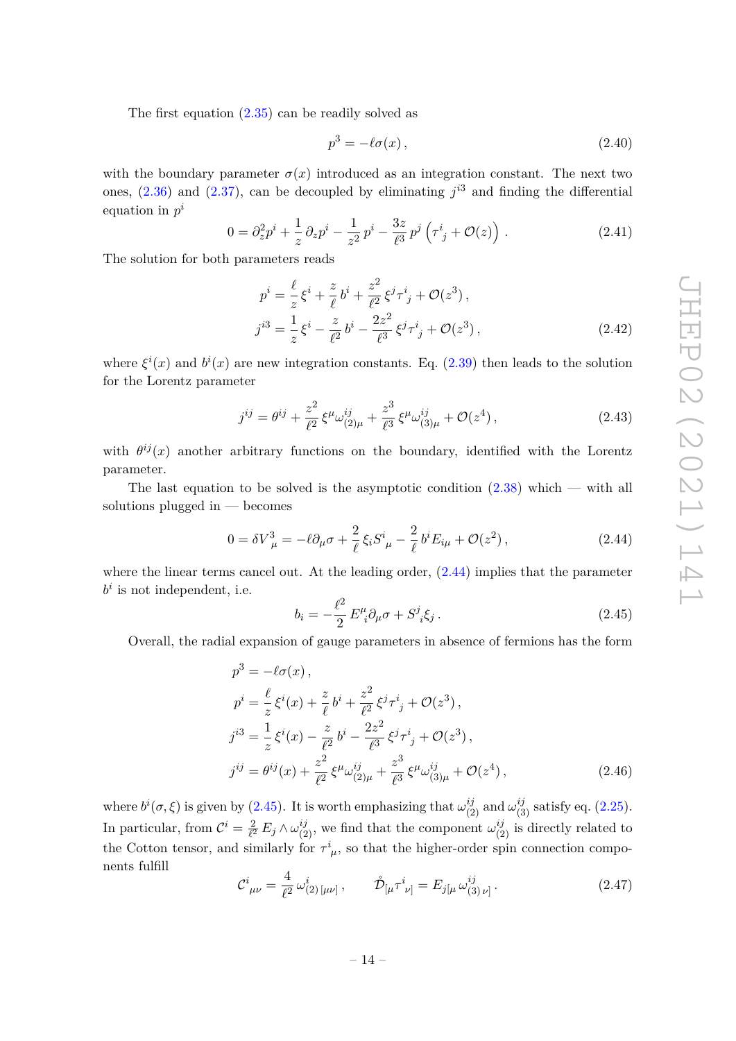The first equation  $(2.35)$  can be readily solved as

$$
p^3 = -\ell \sigma(x) \,,\tag{2.40}
$$

with the boundary parameter  $\sigma(x)$  introduced as an integration constant. The next two ones,  $(2.36)$  and  $(2.37)$ , can be decoupled by eliminating  $j^{3}$  and finding the differential equation in *p i*

$$
0 = \partial_z^2 p^i + \frac{1}{z} \partial_z p^i - \frac{1}{z^2} p^i - \frac{3z}{\ell^3} p^j \left( \tau^i{}_j + \mathcal{O}(z) \right) . \tag{2.41}
$$

The solution for both parameters reads

$$
p^{i} = \frac{\ell}{z}\xi^{i} + \frac{z}{\ell}b^{i} + \frac{z^{2}}{\ell^{2}}\xi^{j}\tau^{i}_{j} + \mathcal{O}(z^{3}),
$$
  
\n
$$
j^{i3} = \frac{1}{z}\xi^{i} - \frac{z}{\ell^{2}}b^{i} - \frac{2z^{2}}{\ell^{3}}\xi^{j}\tau^{i}_{j} + \mathcal{O}(z^{3}),
$$
\n(2.42)

where  $\xi^{i}(x)$  and  $b^{i}(x)$  are new integration constants. Eq. (2.39) then leads to the solution for the Lorentz parameter

$$
j^{ij} = \theta^{ij} + \frac{z^2}{\ell^2} \xi^\mu \omega_{(2)\mu}^{ij} + \frac{z^3}{\ell^3} \xi^\mu \omega_{(3)\mu}^{ij} + \mathcal{O}(z^4) \,, \tag{2.43}
$$

with  $\theta^{ij}(x)$  another arbitrary functions on the boundary, identified with the Lorentz parameter.

The last equation to be solved is the asymptotic condition  $(2.38)$  which — with all solutions plugged in — becomes

$$
0 = \delta V_{\mu}^{3} = -\ell \partial_{\mu} \sigma + \frac{2}{\ell} \xi_{i} S^{i}_{\mu} - \frac{2}{\ell} b^{i} E_{i\mu} + \mathcal{O}(z^{2}), \qquad (2.44)
$$

where the linear terms cancel out. At the leading order, (2.44) implies that the parameter  $b^i$  is not independent, i.e.

$$
b_i = -\frac{\ell^2}{2} E^{\mu}_{\ i} \partial_{\mu} \sigma + S^j_{\ i} \xi_j \,. \tag{2.45}
$$

Overall, the radial expansion of gauge parameters in absence of fermions has the form

$$
p^{3} = -\ell\sigma(x),
$$
  
\n
$$
p^{i} = \frac{\ell}{z}\xi^{i}(x) + \frac{z}{\ell}b^{i} + \frac{z^{2}}{\ell^{2}}\xi^{j}\tau^{i}{}_{j} + \mathcal{O}(z^{3}),
$$
  
\n
$$
j^{i3} = \frac{1}{z}\xi^{i}(x) - \frac{z}{\ell^{2}}b^{i} - \frac{2z^{2}}{\ell^{3}}\xi^{j}\tau^{i}{}_{j} + \mathcal{O}(z^{3}),
$$
  
\n
$$
j^{ij} = \theta^{ij}(x) + \frac{z^{2}}{\ell^{2}}\xi^{\mu}\omega^{ij}_{(2)\mu} + \frac{z^{3}}{\ell^{3}}\xi^{\mu}\omega^{ij}_{(3)\mu} + \mathcal{O}(z^{4}),
$$
\n(2.46)

where  $b^{i}(\sigma,\xi)$  is given by (2.45). It is worth emphasizing that  $\omega_{(2)}^{ij}$  and  $\omega_{(3)}^{ij}$  satisfy eq. (2.25). In particular, from  $\mathcal{C}^i = \frac{2}{\ell^2}$  $\frac{2}{\ell^2} E_j \wedge \omega_{(2)}^{ij}$ , we find that the component  $\omega_{(2)}^{ij}$  is directly related to the Cotton tensor, and similarly for  $\tau^i_{\mu}$ , so that the higher-order spin connection components fulfill

$$
\mathcal{C}^i_{\ \mu\nu} = \frac{4}{\ell^2} \,\omega^i_{(2)\,[\mu\nu]}, \qquad \mathring{\mathcal{D}}_{[\mu} \tau^i_{\ \nu]} = E_{j[\mu} \,\omega^{ij}_{(3)\,\nu]} \,. \tag{2.47}
$$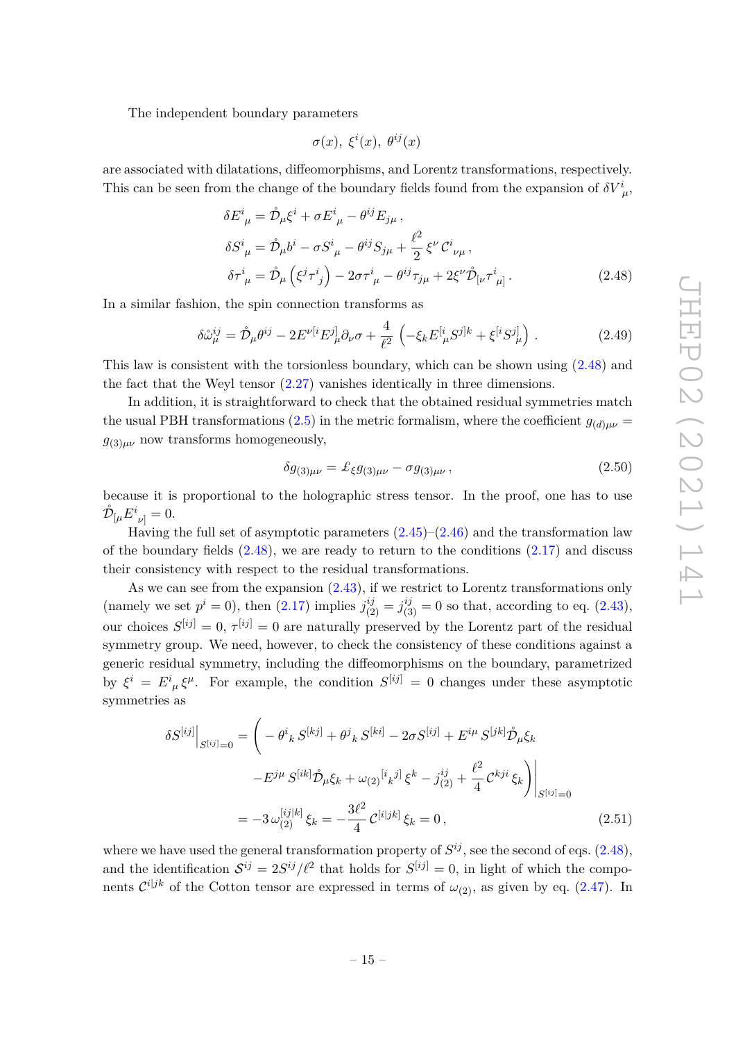The independent boundary parameters

$$
\sigma(x),\ \xi^i(x),\ \theta^{ij}(x)
$$

are associated with dilatations, diffeomorphisms, and Lorentz transformations, respectively. This can be seen from the change of the boundary fields found from the expansion of  $\delta V^i_{\mu}$ ,

$$
\delta E^{i}{}_{\mu} = \mathring{\mathcal{D}}_{\mu} \xi^{i} + \sigma E^{i}{}_{\mu} - \theta^{ij} E_{j\mu} ,
$$
  
\n
$$
\delta S^{i}{}_{\mu} = \mathring{\mathcal{D}}_{\mu} b^{i} - \sigma S^{i}{}_{\mu} - \theta^{ij} S_{j\mu} + \frac{\ell^{2}}{2} \xi^{\nu} C^{i}{}_{\nu\mu} ,
$$
  
\n
$$
\delta \tau^{i}{}_{\mu} = \mathring{\mathcal{D}}_{\mu} \left( \xi^{j} \tau^{i}{}_{j} \right) - 2 \sigma \tau^{i}{}_{\mu} - \theta^{ij} \tau_{j\mu} + 2 \xi^{\nu} \mathring{\mathcal{D}}_{\left[\nu} \tau^{i}{}_{\mu\right]} .
$$
\n(2.48)

In a similar fashion, the spin connection transforms as

$$
\delta \mathring{\omega}_{\mu}^{ij} = \mathring{\mathcal{D}}_{\mu} \theta^{ij} - 2E^{\nu[i} E^j_{\mu} \partial_{\nu} \sigma + \frac{4}{\ell^2} \left( -\xi_k E^{[i}_{\mu} S^{j]k} + \xi^{[i} S^{j]}_{\mu} \right) \,. \tag{2.49}
$$

This law is consistent with the torsionless boundary, which can be shown using (2.48) and the fact that the Weyl tensor (2.27) vanishes identically in three dimensions.

In addition, it is straightforward to check that the obtained residual symmetries match the usual PBH transformations (2.5) in the metric formalism, where the coefficient  $g_{(d)\mu\nu}$  = *g*(3)*µν* now transforms homogeneously,

$$
\delta g_{(3)\mu\nu} = \pounds_{\xi} g_{(3)\mu\nu} - \sigma g_{(3)\mu\nu} , \qquad (2.50)
$$

because it is proportional to the holographic stress tensor. In the proof, one has to use  $\mathring{\mathcal{D}}_{\left[\mu\right.}E_{\left.\nu\right]}^{i}=0.$ 

Having the full set of asymptotic parameters  $(2.45)-(2.46)$  and the transformation law of the boundary fields  $(2.48)$ , we are ready to return to the conditions  $(2.17)$  and discuss their consistency with respect to the residual transformations.

As we can see from the expansion  $(2.43)$ , if we restrict to Lorentz transformations only (namely we set  $p^i = 0$ ), then (2.17) implies  $j_{(2)}^{ij} = j_{(3)}^{ij} = 0$  so that, according to eq. (2.43), our choices  $S^{[ij]} = 0$ ,  $\tau^{[ij]} = 0$  are naturally preserved by the Lorentz part of the residual symmetry group. We need, however, to check the consistency of these conditions against a generic residual symmetry, including the diffeomorphisms on the boundary, parametrized by  $\xi^i = E^i_{\mu} \xi^{\mu}$ . For example, the condition  $S^{[ij]} = 0$  changes under these asymptotic symmetries as

$$
\delta S^{[ij]} \Big|_{S^{[ij]}=0} = \left( -\theta^i{}_k \, S^{[kj]} + \theta^j{}_k \, S^{[ki]} - 2\sigma S^{[ij]} + E^{i\mu} \, S^{[jk]} \mathring{\mathcal{D}}_\mu \xi_k \right. \\
\left. -E^{j\mu} \, S^{[ik]} \mathring{\mathcal{D}}_\mu \xi_k + \omega_{(2)}^{[i}{}_k{}^{j]} \, \xi^k - j^{ij}_{(2)} + \frac{\ell^2}{4} \, \mathcal{C}^{kji} \, \xi_k \right) \Big|_{S^{[ij]}=0} \\
= -3 \, \omega_{(2)}^{[ij]k]} \, \xi_k = -\frac{3\ell^2}{4} \, \mathcal{C}^{[i]jk]} \, \xi_k = 0 \,, \tag{2.51}
$$

where we have used the general transformation property of  $S^{ij}$ , see the second of eqs.  $(2.48)$ , and the identification  $S^{ij} = 2S^{ij}/\ell^2$  that holds for  $S^{[ij]} = 0$ , in light of which the components  $\mathcal{C}^{i|jk}$  of the Cotton tensor are expressed in terms of  $\omega_{(2)}$ , as given by eq. (2.47). In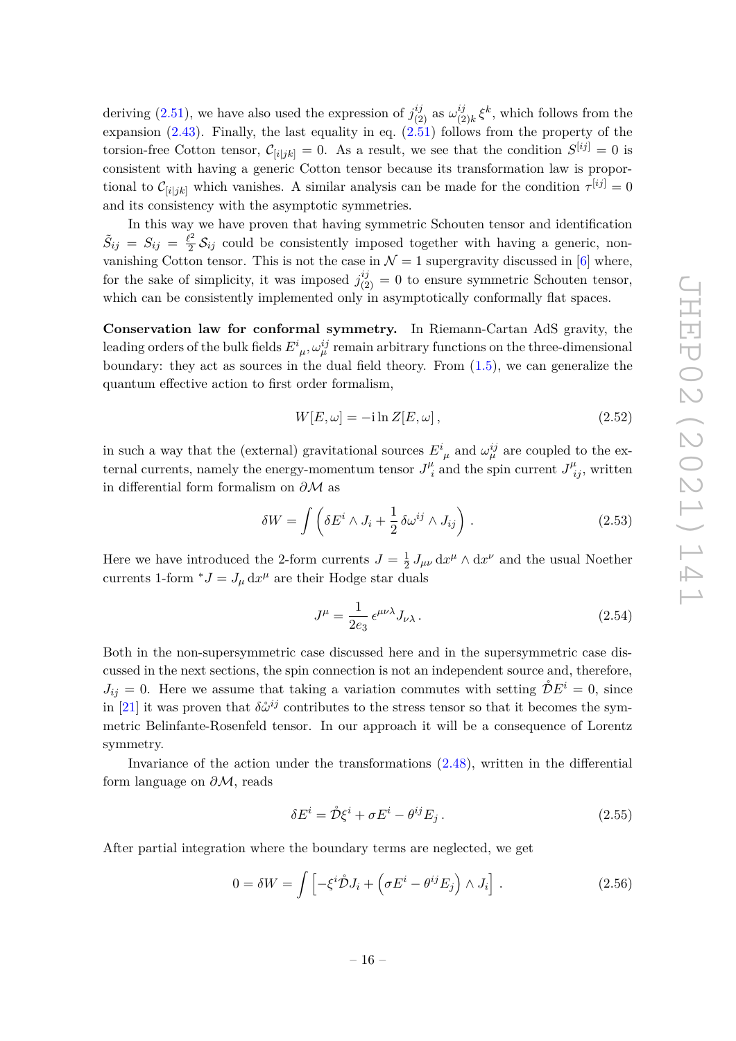deriving (2.51), we have also used the expression of  $j_{(2)}^{ij}$  as  $\omega_{(2)}^{ij}$  $\zeta_{(2)k}^{ij} \xi^k$ , which follows from the expansion (2.43). Finally, the last equality in eq.  $(2.51)$  follows from the property of the torsion-free Cotton tensor,  $\mathcal{C}_{[i|jk]} = 0$ . As a result, we see that the condition  $S^{[ij]} = 0$  is consistent with having a generic Cotton tensor because its transformation law is proportional to  $\mathcal{C}_{[i|jk]}$  which vanishes. A similar analysis can be made for the condition  $\tau^{[ij]} = 0$ and its consistency with the asymptotic symmetries.

In this way we have proven that having symmetric Schouten tensor and identification  $\tilde{S}_{ij} = S_{ij} = \frac{\ell^2}{2}$  $\frac{2^2}{2}\mathcal{S}_{ij}$  could be consistently imposed together with having a generic, nonvanishing Cotton tensor. This is not the case in  $\mathcal{N}=1$  supergravity discussed in [6] where, for the sake of simplicity, it was imposed  $j_{(2)}^{ij} = 0$  to ensure symmetric Schouten tensor, which can be consistently implemented only in asymptotically conformally flat spaces.

**Conservation law for conformal symmetry.** In Riemann-Cartan AdS gravity, the leading orders of the bulk fields  $E^i_{\;\mu}, \omega^{ij}_\mu$  remain arbitrary functions on the three-dimensional boundary: they act as sources in the dual field theory. From (1.5), we can generalize the quantum effective action to first order formalism,

$$
W[E,\omega] = -i\ln Z[E,\omega],\qquad(2.52)
$$

in such a way that the (external) gravitational sources  $E^i_{\mu}$  and  $\omega^{ij}_{\mu}$  are coupled to the external currents, namely the energy-momentum tensor  $J^{\mu}_{\;i}$  $J^{\mu}_{\ i}$  and the spin current  $J^{\mu}_{\ ij}$ , written in differential form formalism on *∂*M as

$$
\delta W = \int \left( \delta E^i \wedge J_i + \frac{1}{2} \delta \omega^{ij} \wedge J_{ij} \right) . \tag{2.53}
$$

Here we have introduced the 2-form currents  $J = \frac{1}{2}$  $\frac{1}{2} J_{\mu\nu} dx^{\mu} \wedge dx^{\nu}$  and the usual Noether currents 1-form  $^*J = J_\mu \, dx^\mu$  are their Hodge star duals

$$
J^{\mu} = \frac{1}{2e_3} \epsilon^{\mu\nu\lambda} J_{\nu\lambda} \,. \tag{2.54}
$$

Both in the non-supersymmetric case discussed here and in the supersymmetric case discussed in the next sections, the spin connection is not an independent source and, therefore,  $J_{ij} = 0$ . Here we assume that taking a variation commutes with setting  $\mathring{\mathcal{D}}E^i = 0$ , since in [21] it was proven that  $\delta \mathring{\omega}^{ij}$  contributes to the stress tensor so that it becomes the symmetric Belinfante-Rosenfeld tensor. In our approach it will be a consequence of Lorentz symmetry.

Invariance of the action under the transformations (2.48), written in the differential form language on *∂*M, reads

$$
\delta E^i = \mathring{\mathcal{D}} \xi^i + \sigma E^i - \theta^{ij} E_j \,. \tag{2.55}
$$

After partial integration where the boundary terms are neglected, we get

$$
0 = \delta W = \int \left[ -\xi^i \mathcal{D} J_i + \left( \sigma E^i - \theta^{ij} E_j \right) \wedge J_i \right]. \tag{2.56}
$$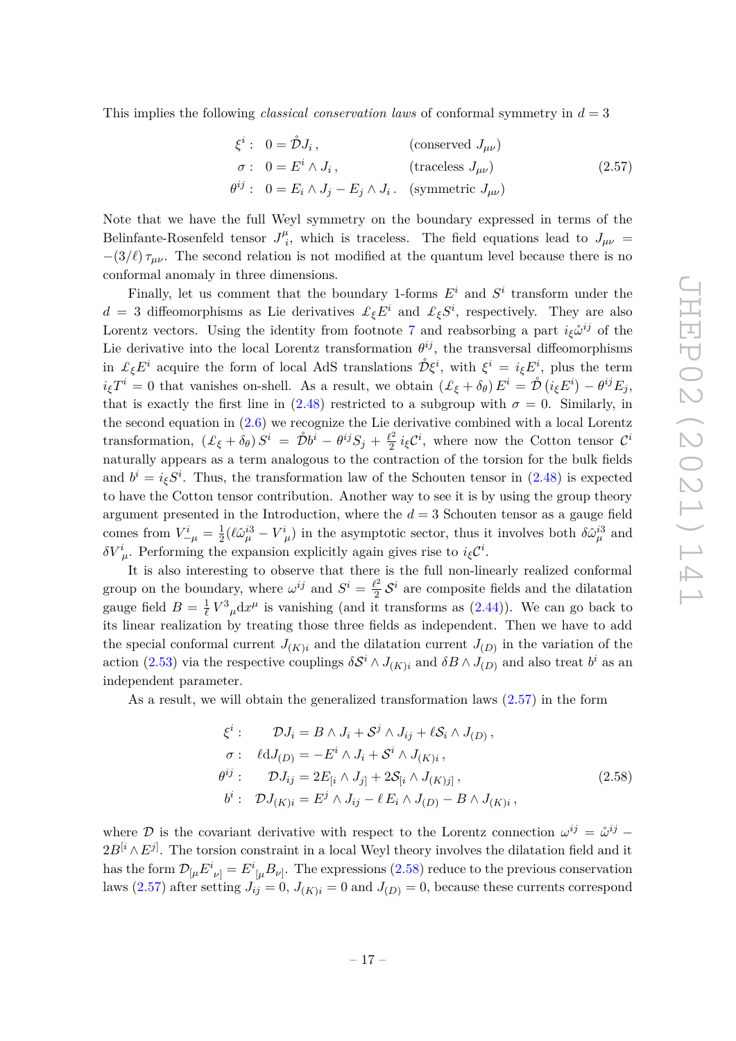This implies the following *classical conservation laws* of conformal symmetry in *d* = 3

$$
\xi^{i}: 0 = \mathcal{\mathring{D}}J_{i}, \qquad \text{(conserved } J_{\mu\nu})
$$
\n
$$
\sigma: 0 = E^{i} \wedge J_{i}, \qquad \text{(traceless } J_{\mu\nu})
$$
\n
$$
\theta^{ij}: 0 = E_{i} \wedge J_{j} - E_{j} \wedge J_{i}. \qquad \text{(symmetric } J_{\mu\nu})
$$
\n(2.57)

Note that we have the full Weyl symmetry on the boundary expressed in terms of the Belinfante-Rosenfeld tensor  $J^{\mu}_{i}$  $i<sub>i</sub>$ , which is traceless. The field equations lead to  $J_{\mu\nu}$  $-(3/\ell)\tau_{\mu\nu}$ . The second relation is not modified at the quantum level because there is no conformal anomaly in three dimensions.

Finally, let us comment that the boundary 1-forms  $E^i$  and  $S^i$  transform under the  $d = 3$  diffeomorphisms as Lie derivatives  $\mathcal{L}_{\xi}E^{i}$  and  $\mathcal{L}_{\xi}S^{i}$ , respectively. They are also Lorentz vectors. Using the identity from footnote 7 and reabsorbing a part  $i<sub>ξ</sub>ω<sup>i<sub>j</sub></sup>$  of the Lie derivative into the local Lorentz transformation  $\theta^{ij}$ , the transversal diffeomorphisms in  $\mathcal{L}_{\xi}E^i$  acquire the form of local AdS translations  $\mathring{\mathcal{D}}\xi^i$ , with  $\xi^i = i_{\xi}E^i$ , plus the term  $i_{\xi}$ *T*<sup>*i*</sup> = 0 that vanishes on-shell. As a result, we obtain  $(\pounds_{\xi} + \delta_{\theta}) E^{i} = \mathring{\mathcal{D}} (i_{\xi} E^{i}) - \theta^{ij} E_{j}$ , that is exactly the first line in  $(2.48)$  restricted to a subgroup with  $\sigma = 0$ . Similarly, in the second equation in  $(2.6)$  we recognize the Lie derivative combined with a local Lorentz  $\text{transformation,} \ \ (\pounds_{\xi} + \delta_{\theta}) \ S^{i} \ = \ \mathring{\mathcal{D}}b^{i} - \theta^{ij} S_{j} + \frac{\ell^{2}}{2}$  $\frac{\ell^2}{2} i_{\xi} \mathcal{C}^i$ , where now the Cotton tensor  $\mathcal{C}^i$ naturally appears as a term analogous to the contraction of the torsion for the bulk fields and  $b^i = i_{\xi}S^i$ . Thus, the transformation law of the Schouten tensor in (2.48) is expected to have the Cotton tensor contribution. Another way to see it is by using the group theory argument presented in the Introduction, where the  $d = 3$  Schouten tensor as a gauge field comes from  $V^i_{-\mu} = \frac{1}{2}$  $\frac{1}{2}$ ( $\ell \hat{\omega}^{i3}_{\mu} - V^i_{\mu}$ ) in the asymptotic sector, thus it involves both  $\delta \hat{\omega}^{i3}_{\mu}$  and *δV*<sup>*i*</sup><sub>μ</sub>. Performing the expansion explicitly again gives rise to *i<sub>ξ</sub>C<sup><i>i*</sup></sup>.

It is also interesting to observe that there is the full non-linearly realized conformal group on the boundary, where  $\omega^{ij}$  and  $S^i = \frac{\ell^2}{2}$  $\frac{\ell^2}{2}$   $\mathcal{S}^i$  are composite fields and the dilatation gauge field  $B = \frac{1}{\ell}$  $\frac{1}{\ell}V^3{}_{\mu}dx^{\mu}$  is vanishing (and it transforms as (2.44)). We can go back to its linear realization by treating those three fields as independent. Then we have to add the special conformal current  $J_{(K)i}$  and the dilatation current  $J_{(D)}$  in the variation of the action (2.53) via the respective couplings  $\delta S^i \wedge J_{(K)i}$  and  $\delta B \wedge J_{(D)}$  and also treat  $b^i$  as an independent parameter.

As a result, we will obtain the generalized transformation laws (2.57) in the form

$$
\xi^{i}: \qquad \mathcal{D}J_{i} = B \wedge J_{i} + \mathcal{S}^{j} \wedge J_{ij} + \ell \mathcal{S}_{i} \wedge J_{(D)},
$$
\n
$$
\sigma: \quad \ell dJ_{(D)} = -E^{i} \wedge J_{i} + \mathcal{S}^{i} \wedge J_{(K)i},
$$
\n
$$
\theta^{ij}: \qquad \mathcal{D}J_{ij} = 2E_{[i} \wedge J_{j]} + 2\mathcal{S}_{[i} \wedge J_{(K)j]},
$$
\n
$$
b^{i}: \qquad \mathcal{D}J_{(K)i} = E^{j} \wedge J_{ij} - \ell E_{i} \wedge J_{(D)} - B \wedge J_{(K)i},
$$
\n
$$
(2.58)
$$

where D is the covariant derivative with respect to the Lorentz connection  $\omega^{ij} = \mathring{\omega}^{ij}$  –  $2B^{[i} \wedge E^{j]}$ . The torsion constraint in a local Weyl theory involves the dilatation field and it has the form  $\mathcal{D}_{\lbrack\mu}E^{i}{}_{\nu]}=E^{i}{}_{\lbrack\mu}B_{\nu]}$ . The expressions (2.58) reduce to the previous conservation laws (2.57) after setting  $J_{ij} = 0$ ,  $J_{(K)i} = 0$  and  $J_{(D)} = 0$ , because these currents correspond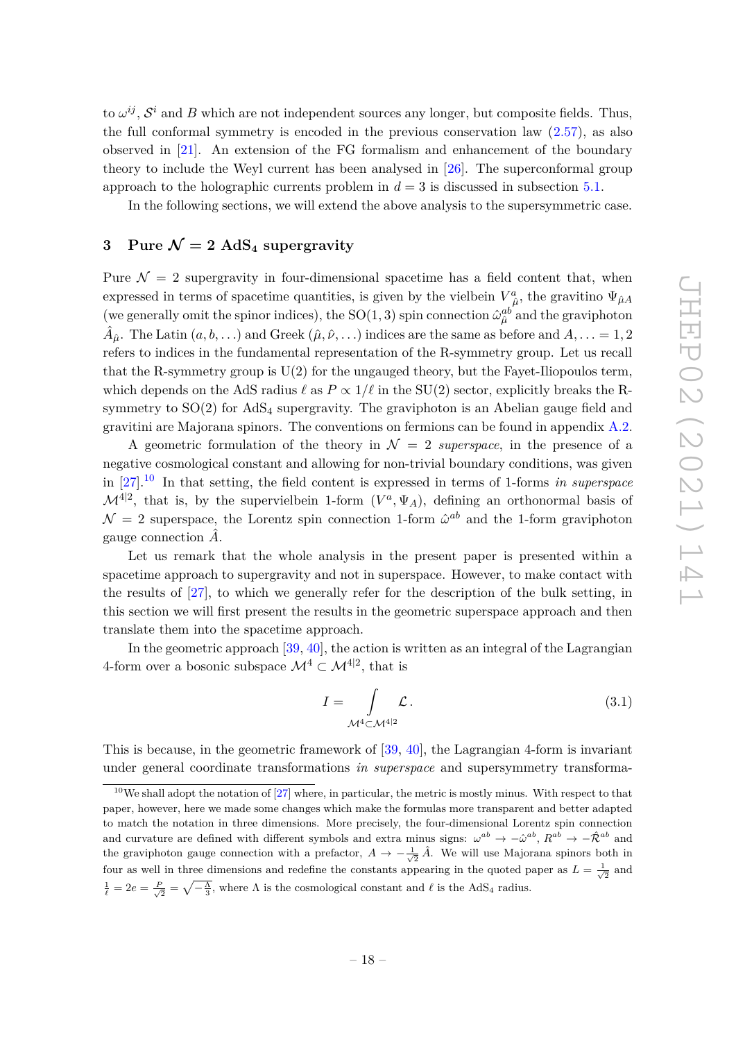to  $\omega^{ij}$ ,  $\mathcal{S}^i$  and *B* which are not independent sources any longer, but composite fields. Thus, the full conformal symmetry is encoded in the previous conservation law  $(2.57)$ , as also observed in [21]. An extension of the FG formalism and enhancement of the boundary theory to include the Weyl current has been analysed in [26]. The superconformal group approach to the holographic currents problem in  $d = 3$  is discussed in subsection 5.1.

In the following sections, we will extend the above analysis to the supersymmetric case.

## **3** Pure  $\mathcal{N} = 2$  AdS<sub>4</sub> supergravity

Pure  $\mathcal{N} = 2$  supergravity in four-dimensional spacetime has a field content that, when expressed in terms of spacetime quantities, is given by the vielbein  $V^a_{\hat{\mu}}$ , the gravitino  $\Psi_{\hat{\mu}A}$ (we generally omit the spinor indices), the SO(1,3) spin connection  $\hat{\omega}_{\hat{\mu}}^{ab}$  and the graviphoton  $\hat{A}_{\hat{\mu}}$ . The Latin  $(a, b, \ldots)$  and Greek  $(\hat{\mu}, \hat{\nu}, \ldots)$  indices are the same as before and  $A, \ldots = 1, 2$ refers to indices in the fundamental representation of the R-symmetry group. Let us recall that the R-symmetry group is  $U(2)$  for the ungauged theory, but the Fayet-Iliopoulos term, which depends on the AdS radius  $\ell$  as  $P \propto 1/\ell$  in the SU(2) sector, explicitly breaks the Rsymmetry to  $SO(2)$  for  $AdS<sub>4</sub>$  supergravity. The graviphoton is an Abelian gauge field and gravitini are Majorana spinors. The conventions on fermions can be found in appendix A.2.

A geometric formulation of the theory in  $\mathcal{N} = 2$  *superspace*, in the presence of a negative cosmological constant and allowing for non-trivial boundary conditions, was given in [27].<sup>10</sup> In that setting, the field content is expressed in terms of 1-forms *in superspace*  $\mathcal{M}^{4|2}$ , that is, by the supervielbein 1-form  $(V^a, \Psi_A)$ , defining an orthonormal basis of  $\mathcal{N} = 2$  superspace, the Lorentz spin connection 1-form  $\hat{\omega}^{ab}$  and the 1-form graviphoton gauge connection *A*ˆ.

Let us remark that the whole analysis in the present paper is presented within a spacetime approach to supergravity and not in superspace. However, to make contact with the results of [27], to which we generally refer for the description of the bulk setting, in this section we will first present the results in the geometric superspace approach and then translate them into the spacetime approach.

In the geometric approach [39, 40], the action is written as an integral of the Lagrangian 4-form over a bosonic subspace  $\mathcal{M}^4 \subset \mathcal{M}^{4|2}$ , that is

$$
I = \int_{\mathcal{M}^4 \subset \mathcal{M}^{4|2}} \mathcal{L} \,. \tag{3.1}
$$

This is because, in the geometric framework of [39, 40], the Lagrangian 4-form is invariant under general coordinate transformations *in superspace* and supersymmetry transforma-

 $10$ We shall adopt the notation of  $[27]$  where, in particular, the metric is mostly minus. With respect to that paper, however, here we made some changes which make the formulas more transparent and better adapted to match the notation in three dimensions. More precisely, the four-dimensional Lorentz spin connection and curvature are defined with different symbols and extra minus signs:  $\omega^{ab} \to -\hat{\omega}^{ab}$ ,  $R^{ab} \to -\hat{\mathcal{R}}^{ab}$  and the graviphoton gauge connection with a prefactor,  $A \to -\frac{1}{\sqrt{2}} \hat{A}$ . We will use Majorana spinors both in four as well in three dimensions and redefine the constants appearing in the quoted paper as  $L = \frac{1}{\sqrt{2}}$  and  $\frac{1}{\ell} = 2e = \frac{P}{\sqrt{2}} = \sqrt{-\frac{\Lambda}{3}}$ , where  $\Lambda$  is the cosmological constant and  $\ell$  is the AdS<sub>4</sub> radius.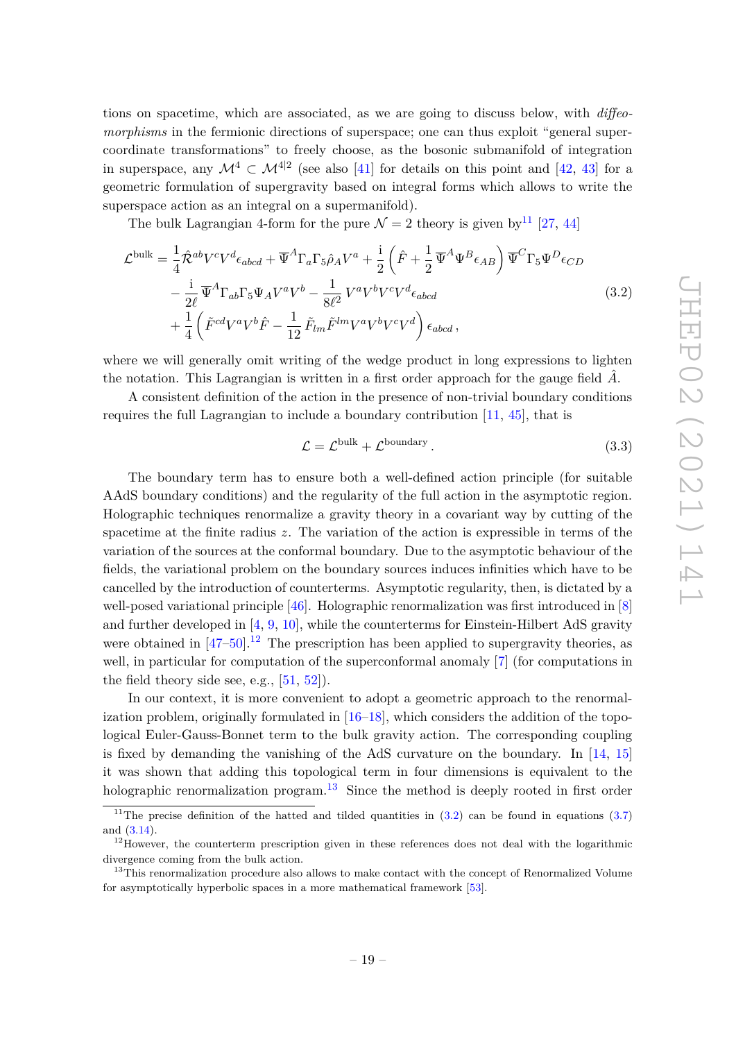tions on spacetime, which are associated, as we are going to discuss below, with *diffeomorphisms* in the fermionic directions of superspace; one can thus exploit "general supercoordinate transformations" to freely choose, as the bosonic submanifold of integration in superspace, any  $\mathcal{M}^4 \subset \mathcal{M}^{4|2}$  (see also [41] for details on this point and [42, 43] for a geometric formulation of supergravity based on integral forms which allows to write the superspace action as an integral on a supermanifold).

The bulk Lagrangian 4-form for the pure  $\mathcal{N} = 2$  theory is given by  $^{11}$  [27, 44]

$$
\mathcal{L}^{\text{bulk}} = \frac{1}{4} \hat{\mathcal{R}}^{ab} V^c V^d \epsilon_{abcd} + \overline{\Psi}^A \Gamma_a \Gamma_5 \hat{\rho}_A V^a + \frac{i}{2} \left( \hat{F} + \frac{1}{2} \overline{\Psi}^A \Psi^B \epsilon_{AB} \right) \overline{\Psi}^C \Gamma_5 \Psi^D \epsilon_{CD} - \frac{i}{2\ell} \overline{\Psi}^A \Gamma_{ab} \Gamma_5 \Psi_A V^a V^b - \frac{1}{8\ell^2} V^a V^b V^c V^d \epsilon_{abcd} + \frac{1}{4} \left( \tilde{F}^{cd} V^a V^b \hat{F} - \frac{1}{12} \tilde{F}_{lm} \tilde{F}^{lm} V^a V^b V^c V^d \right) \epsilon_{abcd} ,
$$
 (3.2)

where we will generally omit writing of the wedge product in long expressions to lighten the notation. This Lagrangian is written in a first order approach for the gauge field  $\hat{A}$ .

A consistent definition of the action in the presence of non-trivial boundary conditions requires the full Lagrangian to include a boundary contribution [11, 45], that is

$$
\mathcal{L} = \mathcal{L}^{\text{bulk}} + \mathcal{L}^{\text{boundary}}.
$$
\n(3.3)

The boundary term has to ensure both a well-defined action principle (for suitable AAdS boundary conditions) and the regularity of the full action in the asymptotic region. Holographic techniques renormalize a gravity theory in a covariant way by cutting of the spacetime at the finite radius *z*. The variation of the action is expressible in terms of the variation of the sources at the conformal boundary. Due to the asymptotic behaviour of the fields, the variational problem on the boundary sources induces infinities which have to be cancelled by the introduction of counterterms. Asymptotic regularity, then, is dictated by a well-posed variational principle [46]. Holographic renormalization was first introduced in [8] and further developed in [4, 9, 10], while the counterterms for Einstein-Hilbert AdS gravity were obtained in  $[47-50]$ .<sup>12</sup> The prescription has been applied to supergravity theories, as well, in particular for computation of the superconformal anomaly [7] (for computations in the field theory side see, e.g.,  $[51, 52]$ .

In our context, it is more convenient to adopt a geometric approach to the renormalization problem, originally formulated in  $[16–18]$ , which considers the addition of the topological Euler-Gauss-Bonnet term to the bulk gravity action. The corresponding coupling is fixed by demanding the vanishing of the AdS curvature on the boundary. In [14, 15] it was shown that adding this topological term in four dimensions is equivalent to the holographic renormalization program.<sup>13</sup> Since the method is deeply rooted in first order

<sup>&</sup>lt;sup>11</sup>The precise definition of the hatted and tilded quantities in  $(3.2)$  can be found in equations  $(3.7)$ and (3.14).

<sup>&</sup>lt;sup>12</sup>However, the counterterm prescription given in these references does not deal with the logarithmic divergence coming from the bulk action.

<sup>&</sup>lt;sup>13</sup>This renormalization procedure also allows to make contact with the concept of Renormalized Volume for asymptotically hyperbolic spaces in a more mathematical framework [53].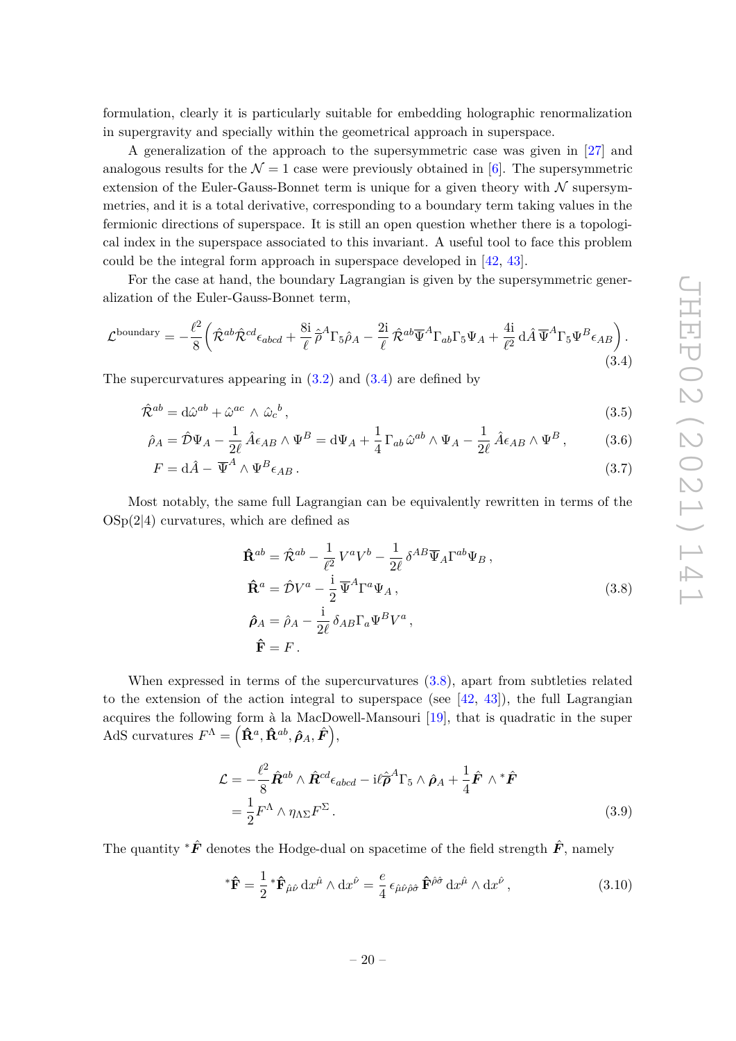formulation, clearly it is particularly suitable for embedding holographic renormalization in supergravity and specially within the geometrical approach in superspace.

A generalization of the approach to the supersymmetric case was given in [27] and analogous results for the  $\mathcal{N} = 1$  case were previously obtained in [6]. The supersymmetric extension of the Euler-Gauss-Bonnet term is unique for a given theory with  $\mathcal N$  supersymmetries, and it is a total derivative, corresponding to a boundary term taking values in the fermionic directions of superspace. It is still an open question whether there is a topological index in the superspace associated to this invariant. A useful tool to face this problem could be the integral form approach in superspace developed in [42, 43].

For the case at hand, the boundary Lagrangian is given by the supersymmetric generalization of the Euler-Gauss-Bonnet term,

$$
\mathcal{L}^{\text{boundary}} = -\frac{\ell^2}{8} \left( \hat{\mathcal{R}}^{ab} \hat{\mathcal{R}}^{cd} \epsilon_{abcd} + \frac{8i}{\ell} \hat{\rho}^A \Gamma_5 \hat{\rho}_A - \frac{2i}{\ell} \hat{\mathcal{R}}^{ab} \overline{\Psi}^A \Gamma_{ab} \Gamma_5 \Psi_A + \frac{4i}{\ell^2} d\hat{A} \overline{\Psi}^A \Gamma_5 \Psi^B \epsilon_{AB} \right).
$$
\n(3.4)

The supercurvatures appearing in  $(3.2)$  and  $(3.4)$  are defined by

$$
\hat{\mathcal{R}}^{ab} = d\hat{\omega}^{ab} + \hat{\omega}^{ac} \wedge \hat{\omega}_c{}^b,\tag{3.5}
$$

$$
\hat{\rho}_A = \hat{\mathcal{D}} \Psi_A - \frac{1}{2\ell} \hat{A} \epsilon_{AB} \wedge \Psi^B = d\Psi_A + \frac{1}{4} \Gamma_{ab} \hat{\omega}^{ab} \wedge \Psi_A - \frac{1}{2\ell} \hat{A} \epsilon_{AB} \wedge \Psi^B, \tag{3.6}
$$

$$
F = d\hat{A} - \overline{\Psi}^A \wedge \Psi^B \epsilon_{AB} \,. \tag{3.7}
$$

Most notably, the same full Lagrangian can be equivalently rewritten in terms of the  $OSp(2|4)$  curvatures, which are defined as

$$
\hat{\mathbf{R}}^{ab} = \hat{\mathcal{R}}^{ab} - \frac{1}{\ell^2} V^a V^b - \frac{1}{2\ell} \delta^{AB} \overline{\Psi}_A \Gamma^{ab} \Psi_B ,
$$
\n
$$
\hat{\mathbf{R}}^a = \hat{\mathcal{D}} V^a - \frac{i}{2} \overline{\Psi}^A \Gamma^a \Psi_A ,
$$
\n
$$
\hat{\rho}_A = \hat{\rho}_A - \frac{i}{2\ell} \delta_{AB} \Gamma_a \Psi^B V^a ,
$$
\n
$$
\hat{\mathbf{F}} = F .
$$
\n(3.8)

When expressed in terms of the supercurvatures  $(3.8)$ , apart from subtleties related to the extension of the action integral to superspace (see  $[42, 43]$ ), the full Lagrangian acquires the following form à la MacDowell-Mansouri [19], that is quadratic in the super  $\operatorname{AdS}$  curvatures  $F^{\Lambda} = \left( \mathbf{\hat{R}}^{a}, \mathbf{\hat{R}}^{ab}, \hat{\boldsymbol{\rho}}_{A}, \hat{\boldsymbol{F}} \right),$ 

$$
\mathcal{L} = -\frac{\ell^2}{8} \hat{R}^{ab} \wedge \hat{R}^{cd} \epsilon_{abcd} - i \ell \hat{\rho}^A \Gamma_5 \wedge \hat{\rho}_A + \frac{1}{4} \hat{F} \wedge {}^* \hat{F}
$$
  
=  $\frac{1}{2} F^{\Lambda} \wedge \eta_{\Lambda \Sigma} F^{\Sigma}$ . (3.9)

The quantity <sup>∗</sup>*F*ˆ denotes the Hodge-dual on spacetime of the field strength *F*ˆ, namely

$$
^{\ast }\mathbf{\hat{F}} = \frac{1}{2} {}^{\ast }\mathbf{\hat{F}}_{\hat{\mu}\hat{\nu}} \, \mathrm{d}x^{\hat{\mu}} \wedge \mathrm{d}x^{\hat{\nu}} = \frac{e}{4} \, \epsilon_{\hat{\mu}\hat{\nu}\hat{\rho}\hat{\sigma}} \, \mathbf{\hat{F}}^{\hat{\rho}\hat{\sigma}} \, \mathrm{d}x^{\hat{\mu}} \wedge \mathrm{d}x^{\hat{\nu}} \,, \tag{3.10}
$$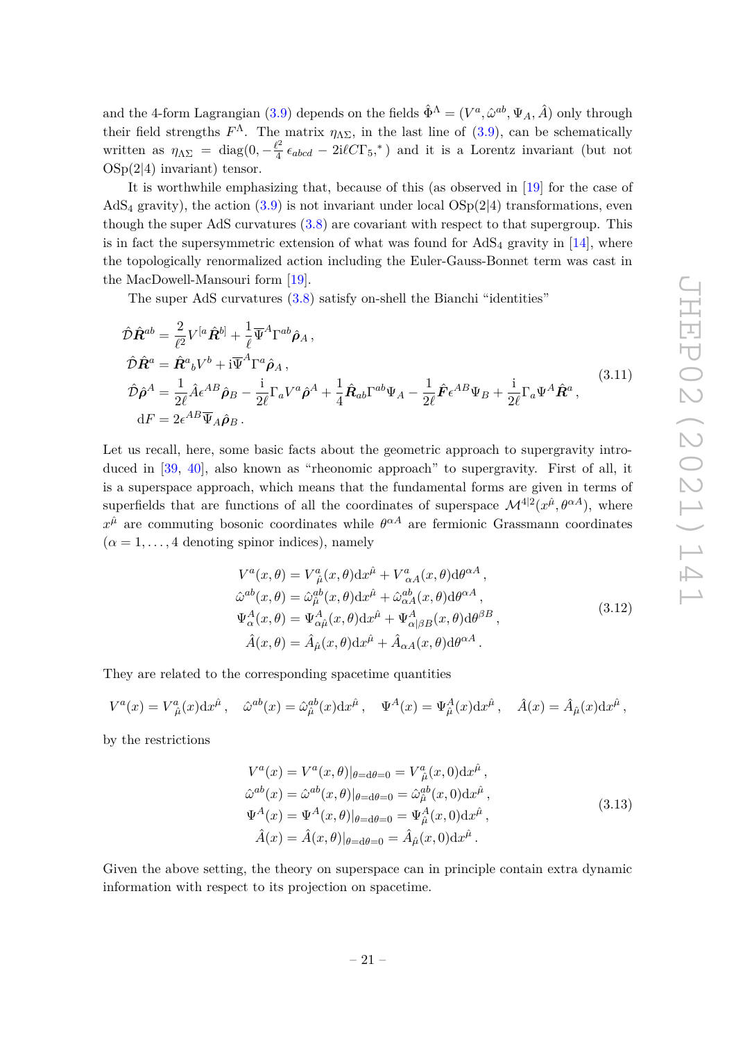and the 4-form Lagrangian (3.9) depends on the fields  $\hat{\Phi}^{\Lambda} = (V^a, \hat{\omega}^{ab}, \Psi_A, \hat{A})$  only through their field strengths  $F^{\Lambda}$ . The matrix  $\eta_{\Lambda\Sigma}$ , in the last line of (3.9), can be schematically written as  $\eta_{\Lambda\Sigma} = \text{diag}(0, -\frac{\ell^2}{4})$  $\frac{\ell^2}{4} \epsilon_{abcd} - 2i\ell C\Gamma_5$ <sup>\*</sup>) and it is a Lorentz invariant (but not  $OSp(2|4)$  invariant) tensor.

It is worthwhile emphasizing that, because of this (as observed in [19] for the case of AdS<sub>4</sub> gravity), the action (3.9) is not invariant under local  $OSp(2|4)$  transformations, even though the super AdS curvatures (3.8) are covariant with respect to that supergroup. This is in fact the supersymmetric extension of what was found for  $AdS_4$  gravity in [14], where the topologically renormalized action including the Euler-Gauss-Bonnet term was cast in the MacDowell-Mansouri form [19].

The super AdS curvatures (3.8) satisfy on-shell the Bianchi "identities"

$$
\hat{\mathcal{D}}\hat{\mathbf{R}}^{ab} = \frac{2}{\ell^2} V^{[a}\hat{\mathbf{R}}^{b]} + \frac{1}{\ell} \overline{\Psi}^A \Gamma^{ab} \hat{\boldsymbol{\rho}}_A ,
$$
\n
$$
\hat{\mathcal{D}}\hat{\mathbf{R}}^a = \hat{\mathbf{R}}^a{}_b V^b + i \overline{\Psi}^A \Gamma^a \hat{\boldsymbol{\rho}}_A ,
$$
\n
$$
\hat{\mathcal{D}}\hat{\boldsymbol{\rho}}^A = \frac{1}{2\ell} \hat{A} \epsilon^{AB} \hat{\boldsymbol{\rho}}_B - \frac{i}{2\ell} \Gamma_a V^a \hat{\boldsymbol{\rho}}^A + \frac{1}{4} \hat{\mathbf{R}}_{ab} \Gamma^{ab} \Psi_A - \frac{1}{2\ell} \hat{\mathbf{F}} \epsilon^{AB} \Psi_B + \frac{i}{2\ell} \Gamma_a \Psi^A \hat{\mathbf{R}}^a ,
$$
\n
$$
dF = 2\epsilon^{AB} \overline{\Psi}_A \hat{\boldsymbol{\rho}}_B .
$$
\n(3.11)

Let us recall, here, some basic facts about the geometric approach to supergravity introduced in [39, 40], also known as "rheonomic approach" to supergravity. First of all, it is a superspace approach, which means that the fundamental forms are given in terms of superfields that are functions of all the coordinates of superspace  $\mathcal{M}^{4|2}(x^{\hat{\mu}},\theta^{\alpha A})$ , where  $x^{\hat{\mu}}$  are commuting bosonic coordinates while  $\theta^{\alpha A}$  are fermionic Grassmann coordinates  $(\alpha = 1, \ldots, 4$  denoting spinor indices), namely

$$
V^{a}(x,\theta) = V^{a}_{\hat{\mu}}(x,\theta)dx^{\hat{\mu}} + V^{a}_{\alpha A}(x,\theta)d\theta^{\alpha A},
$$
  
\n
$$
\hat{\omega}^{ab}(x,\theta) = \hat{\omega}^{ab}_{\hat{\mu}}(x,\theta)dx^{\hat{\mu}} + \hat{\omega}^{ab}_{\alpha A}(x,\theta)d\theta^{\alpha A},
$$
  
\n
$$
\Psi^{A}_{\alpha}(x,\theta) = \Psi^{A}_{\alpha\hat{\mu}}(x,\theta)dx^{\hat{\mu}} + \Psi^{A}_{\alpha|\beta B}(x,\theta)d\theta^{\beta B},
$$
  
\n
$$
\hat{A}(x,\theta) = \hat{A}_{\hat{\mu}}(x,\theta)dx^{\hat{\mu}} + \hat{A}_{\alpha A}(x,\theta)d\theta^{\alpha A}.
$$
\n(3.12)

They are related to the corresponding spacetime quantities

$$
V^a(x) = V^a_{\ \hat{\mu}}(x) dx^{\hat{\mu}}, \quad \hat{\omega}^{ab}(x) = \hat{\omega}_{\hat{\mu}}^{ab}(x) dx^{\hat{\mu}}, \quad \Psi^A(x) = \Psi^A_{\hat{\mu}}(x) dx^{\hat{\mu}}, \quad \hat{A}(x) = \hat{A}_{\hat{\mu}}(x) dx^{\hat{\mu}},
$$

by the restrictions

$$
V^{a}(x) = V^{a}(x, \theta)|_{\theta = d\theta = 0} = V^{a}_{\hat{\mu}}(x, 0)dx^{\hat{\mu}},
$$
  
\n
$$
\hat{\omega}^{ab}(x) = \hat{\omega}^{ab}(x, \theta)|_{\theta = d\theta = 0} = \hat{\omega}^{ab}_{\hat{\mu}}(x, 0)dx^{\hat{\mu}},
$$
  
\n
$$
\Psi^{A}(x) = \Psi^{A}(x, \theta)|_{\theta = d\theta = 0} = \Psi^{A}_{\hat{\mu}}(x, 0)dx^{\hat{\mu}},
$$
  
\n
$$
\hat{A}(x) = \hat{A}(x, \theta)|_{\theta = d\theta = 0} = \hat{A}_{\hat{\mu}}(x, 0)dx^{\hat{\mu}}.
$$
\n(3.13)

Given the above setting, the theory on superspace can in principle contain extra dynamic information with respect to its projection on spacetime.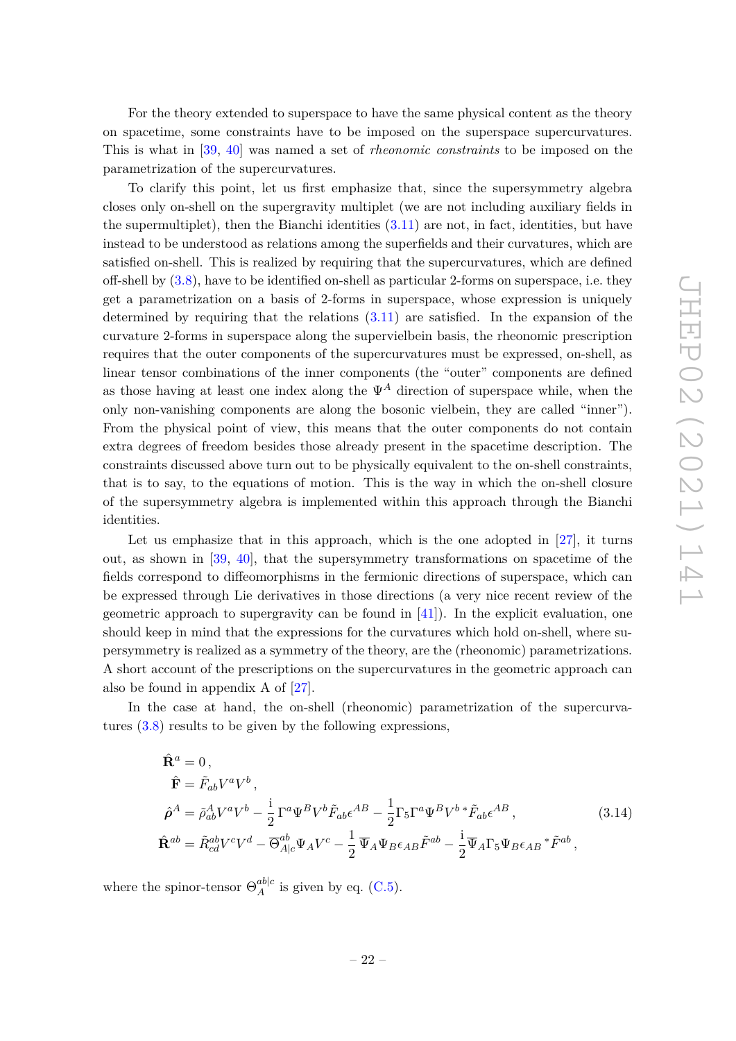For the theory extended to superspace to have the same physical content as the theory on spacetime, some constraints have to be imposed on the superspace supercurvatures. This is what in [39, 40] was named a set of *rheonomic constraints* to be imposed on the parametrization of the supercurvatures.

To clarify this point, let us first emphasize that, since the supersymmetry algebra closes only on-shell on the supergravity multiplet (we are not including auxiliary fields in the supermultiplet), then the Bianchi identities  $(3.11)$  are not, in fact, identities, but have instead to be understood as relations among the superfields and their curvatures, which are satisfied on-shell. This is realized by requiring that the supercurvatures, which are defined off-shell by (3.8), have to be identified on-shell as particular 2-forms on superspace, i.e. they get a parametrization on a basis of 2-forms in superspace, whose expression is uniquely determined by requiring that the relations (3.11) are satisfied. In the expansion of the curvature 2-forms in superspace along the supervielbein basis, the rheonomic prescription requires that the outer components of the supercurvatures must be expressed, on-shell, as linear tensor combinations of the inner components (the "outer" components are defined as those having at least one index along the  $\Psi^A$  direction of superspace while, when the only non-vanishing components are along the bosonic vielbein, they are called "inner"). From the physical point of view, this means that the outer components do not contain extra degrees of freedom besides those already present in the spacetime description. The constraints discussed above turn out to be physically equivalent to the on-shell constraints, that is to say, to the equations of motion. This is the way in which the on-shell closure of the supersymmetry algebra is implemented within this approach through the Bianchi identities.

Let us emphasize that in this approach, which is the one adopted in  $[27]$ , it turns out, as shown in [39, 40], that the supersymmetry transformations on spacetime of the fields correspond to diffeomorphisms in the fermionic directions of superspace, which can be expressed through Lie derivatives in those directions (a very nice recent review of the geometric approach to supergravity can be found in [41]). In the explicit evaluation, one should keep in mind that the expressions for the curvatures which hold on-shell, where supersymmetry is realized as a symmetry of the theory, are the (rheonomic) parametrizations. A short account of the prescriptions on the supercurvatures in the geometric approach can also be found in appendix A of [27].

In the case at hand, the on-shell (rheonomic) parametrization of the supercurvatures (3.8) results to be given by the following expressions,

$$
\hat{\mathbf{R}}^{a} = 0, \n\hat{\mathbf{F}} = \tilde{F}_{ab}V^{a}V^{b}, \n\hat{\rho}^{A} = \tilde{\rho}_{ab}^{A}V^{a}V^{b} - \frac{i}{2}\Gamma^{a}\Psi^{B}V^{b}\tilde{F}_{ab}\epsilon^{AB} - \frac{1}{2}\Gamma_{5}\Gamma^{a}\Psi^{B}V^{b}*\tilde{F}_{ab}\epsilon^{AB},
$$
\n(3.14)\n
$$
\hat{\mathbf{R}}^{ab} = \tilde{R}_{cd}^{ab}V^{c}V^{d} - \overline{\Theta}_{A|c}^{ab}\Psi_{A}V^{c} - \frac{1}{2}\overline{\Psi}_{A}\Psi_{B}\epsilon_{AB}\tilde{F}^{ab} - \frac{i}{2}\overline{\Psi}_{A}\Gamma_{5}\Psi_{B}\epsilon_{AB}*\tilde{F}^{ab},
$$

where the spinor-tensor  $\Theta_A^{ab|c}$  $A^{\text{a}o|c}$  is given by eq. (C.5).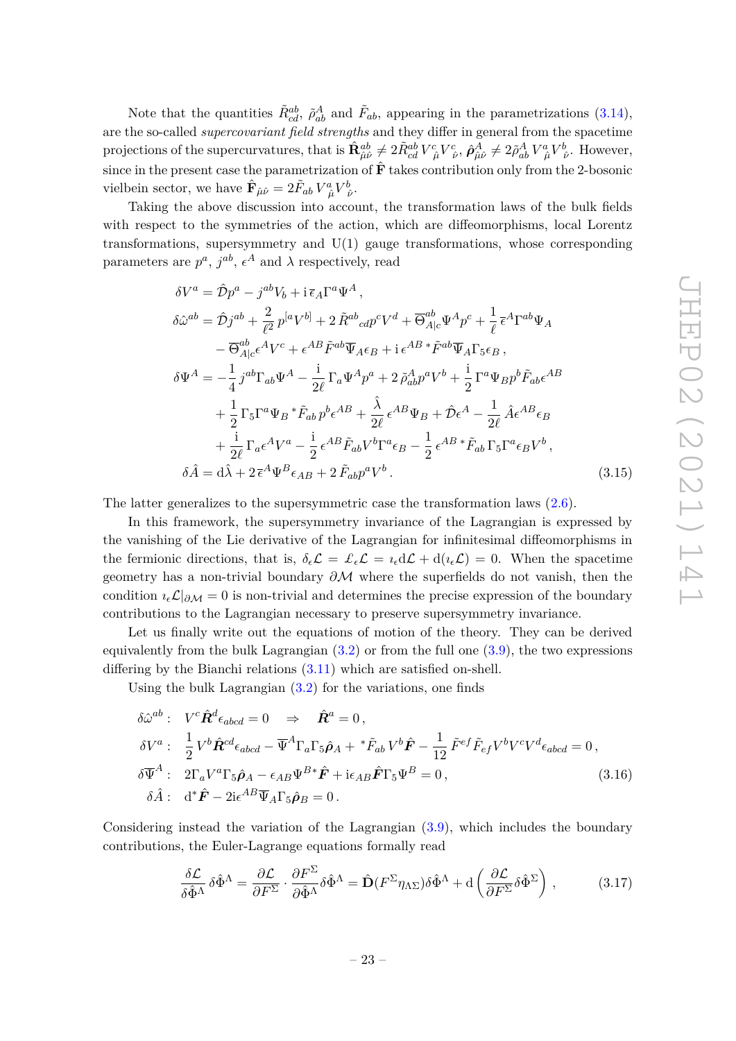Note that the quantities  $\tilde{R}_{cd}^{ab}$ ,  $\tilde{\rho}_{ab}^A$  and  $\tilde{F}_{ab}$ , appearing in the parametrizations (3.14), are the so-called *supercovariant field strengths* and they differ in general from the spacetime projections of the supercurvatures, that is  $\hat{\mathbf{R}}_{\hat{\mu}\hat{\nu}}^{ab} \neq 2\tilde{R}_{cd}^{ab}V_{\ \hat{\mu}}^{c}V_{\ \hat{\nu}}^{c}, \hat{\rho}_{\hat{\mu}\hat{\nu}}^{A} \neq 2\tilde{\rho}_{ab}^{A}V_{\ \hat{\mu}}^{a}V_{\ \hat{\nu}}^{b}.$  However, since in the present case the parametrization of  $\hat{F}$  takes contribution only from the 2-bosonic vielbein sector, we have  $\hat{\mathbf{F}}_{\hat{\mu}\hat{\nu}} = 2\tilde{F}_{ab}V^a_{\ \hat{\mu}}V^b_{\ \hat{\nu}}.$ 

Taking the above discussion into account, the transformation laws of the bulk fields with respect to the symmetries of the action, which are diffeomorphisms, local Lorentz transformations, supersymmetry and U(1) gauge transformations, whose corresponding parameters are  $p^a$ ,  $j^{ab}$ ,  $\epsilon^A$  and  $\lambda$  respectively, read

$$
\delta V^{a} = \hat{\mathcal{D}}p^{a} - j^{ab}V_{b} + i \bar{\epsilon}_{A}\Gamma^{a}\Psi^{A},
$$
  
\n
$$
\delta\hat{\omega}^{ab} = \hat{\mathcal{D}}j^{ab} + \frac{2}{\ell^{2}}p^{[a}V^{b]} + 2\tilde{R}^{ab}{}_{cd}p^{c}V^{d} + \overline{\Theta}^{ab}_{A|c}\Psi^{A}p^{c} + \frac{1}{\ell}\bar{\epsilon}^{A}\Gamma^{ab}\Psi_{A}
$$
  
\n
$$
- \overline{\Theta}^{ab}_{A|c}\epsilon^{A}V^{c} + \epsilon^{AB}\tilde{F}^{ab}\overline{\Psi}_{A}\epsilon_{B} + i\epsilon^{AB}{}^{*}\tilde{F}^{ab}\overline{\Psi}_{A}\Gamma_{5}\epsilon_{B},
$$
  
\n
$$
\delta\Psi^{A} = -\frac{1}{4}j^{ab}\Gamma_{ab}\Psi^{A} - \frac{i}{2\ell}\Gamma_{a}\Psi^{A}p^{a} + 2\tilde{\rho}_{ab}^{A}p^{a}V^{b} + \frac{i}{2}\Gamma^{a}\Psi_{B}p^{b}\tilde{F}_{ab}\epsilon^{AB}
$$
  
\n
$$
+ \frac{1}{2}\Gamma_{5}\Gamma^{a}\Psi_{B}{}^{*}\tilde{F}_{ab}p^{b}\epsilon^{AB} + \frac{\hat{\lambda}}{2\ell}\epsilon^{AB}\Psi_{B} + \hat{\mathcal{D}}\epsilon^{A} - \frac{1}{2\ell}\hat{A}\epsilon^{AB}\epsilon_{B}
$$
  
\n
$$
+ \frac{i}{2\ell}\Gamma_{a}\epsilon^{A}V^{a} - \frac{i}{2}\epsilon^{AB}\tilde{F}_{ab}V^{b}\Gamma^{a}\epsilon_{B} - \frac{1}{2}\epsilon^{AB}{}^{*}\tilde{F}_{ab}\Gamma_{5}\Gamma^{a}\epsilon_{B}V^{b},
$$
  
\n
$$
\delta\hat{A} = d\hat{\lambda} + 2\bar{\epsilon}^{A}\Psi^{B}\epsilon_{AB} + 2\tilde{F}_{ab}p^{a}V^{b}.
$$
 (3.15)

The latter generalizes to the supersymmetric case the transformation laws (2.6).

In this framework, the supersymmetry invariance of the Lagrangian is expressed by the vanishing of the Lie derivative of the Lagrangian for infinitesimal diffeomorphisms in the fermionic directions, that is,  $\delta_{\epsilon} \mathcal{L} = \mathcal{L}_{\epsilon} \mathcal{L} = i_{\epsilon} d\mathcal{L} + d(i_{\epsilon} \mathcal{L}) = 0$ . When the spacetime geometry has a non-trivial boundary *∂*M where the superfields do not vanish, then the condition  $\iota_{\epsilon}\mathcal{L}|_{\partial\mathcal{M}}=0$  is non-trivial and determines the precise expression of the boundary contributions to the Lagrangian necessary to preserve supersymmetry invariance.

Let us finally write out the equations of motion of the theory. They can be derived equivalently from the bulk Lagrangian (3.2) or from the full one (3.9), the two expressions differing by the Bianchi relations (3.11) which are satisfied on-shell.

Using the bulk Lagrangian  $(3.2)$  for the variations, one finds

$$
\delta\hat{\omega}^{ab}: V^c \hat{\mathbf{R}}^d \epsilon_{abcd} = 0 \Rightarrow \hat{\mathbf{R}}^a = 0,
$$
  
\n
$$
\delta V^a: \frac{1}{2} V^b \hat{\mathbf{R}}^{cd} \epsilon_{abcd} - \overline{\Psi}^A \Gamma_a \Gamma_5 \hat{\rho}_A + {}^* \tilde{F}_{ab} V^b \hat{\mathbf{F}} - \frac{1}{12} \tilde{F}^{ef} \tilde{F}_{ef} V^b V^c V^d \epsilon_{abcd} = 0,
$$
  
\n
$$
\delta \overline{\Psi}^A: 2\Gamma_a V^a \Gamma_5 \hat{\rho}_A - \epsilon_{AB} \Psi^{B*} \hat{\mathbf{F}} + i \epsilon_{AB} \hat{\mathbf{F}} \Gamma_5 \Psi^B = 0,
$$
  
\n
$$
\delta \hat{A}: d^* \hat{\mathbf{F}} - 2i \epsilon^{AB} \overline{\Psi}_A \Gamma_5 \hat{\rho}_B = 0.
$$
\n(3.16)

Considering instead the variation of the Lagrangian (3.9), which includes the boundary contributions, the Euler-Lagrange equations formally read

$$
\frac{\delta \mathcal{L}}{\delta \hat{\Phi}^{\Lambda}} \delta \hat{\Phi}^{\Lambda} = \frac{\partial \mathcal{L}}{\partial F^{\Sigma}} \cdot \frac{\partial F^{\Sigma}}{\partial \hat{\Phi}^{\Lambda}} \delta \hat{\Phi}^{\Lambda} = \hat{\mathbf{D}} (F^{\Sigma} \eta_{\Lambda \Sigma}) \delta \hat{\Phi}^{\Lambda} + d \left( \frac{\partial \mathcal{L}}{\partial F^{\Sigma}} \delta \hat{\Phi}^{\Sigma} \right), \tag{3.17}
$$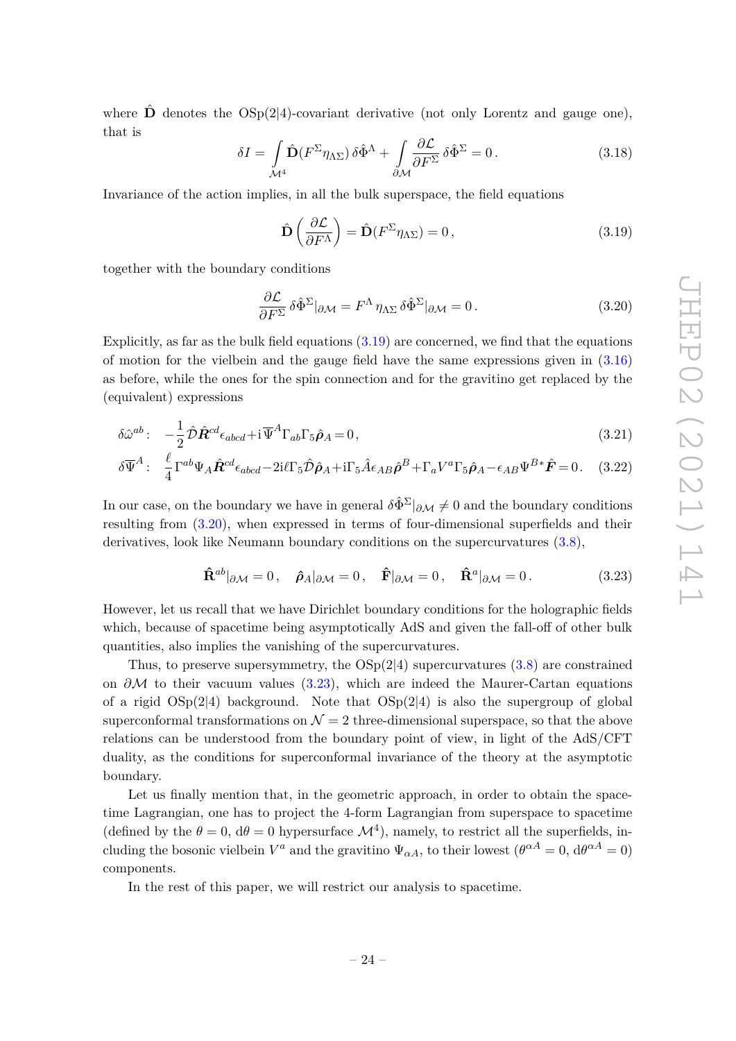where  $\hat{\mathbf{D}}$  denotes the OSp(2|4)-covariant derivative (not only Lorentz and gauge one), that is

$$
\delta I = \int_{\mathcal{M}^4} \hat{\mathbf{D}} (F^{\Sigma} \eta_{\Lambda \Sigma}) \, \delta \hat{\Phi}^{\Lambda} + \int_{\partial \mathcal{M}} \frac{\partial \mathcal{L}}{\partial F^{\Sigma}} \, \delta \hat{\Phi}^{\Sigma} = 0 \,. \tag{3.18}
$$

Invariance of the action implies, in all the bulk superspace, the field equations

$$
\hat{\mathbf{D}}\left(\frac{\partial \mathcal{L}}{\partial F^{\Lambda}}\right) = \hat{\mathbf{D}}(F^{\Sigma}\eta_{\Lambda\Sigma}) = 0, \qquad (3.19)
$$

together with the boundary conditions

$$
\frac{\partial \mathcal{L}}{\partial F^{\Sigma}} \delta \hat{\Phi}^{\Sigma}|_{\partial \mathcal{M}} = F^{\Lambda} \eta_{\Lambda \Sigma} \delta \hat{\Phi}^{\Sigma}|_{\partial \mathcal{M}} = 0. \qquad (3.20)
$$

Explicitly, as far as the bulk field equations  $(3.19)$  are concerned, we find that the equations of motion for the vielbein and the gauge field have the same expressions given in  $(3.16)$ as before, while the ones for the spin connection and for the gravitino get replaced by the (equivalent) expressions

$$
\delta \hat{\omega}^{ab}: \quad -\frac{1}{2} \hat{\mathcal{D}} \hat{\mathbf{R}}^{cd} \epsilon_{abcd} + \mathrm{i} \, \overline{\Psi}^A \Gamma_{ab} \Gamma_5 \hat{\boldsymbol{\rho}}_A = 0 \,, \tag{3.21}
$$

$$
\delta \overline{\Psi}^A: \quad \frac{\ell}{4} \Gamma^{ab} \Psi_A \hat{\mathbf{R}}^{cd} \epsilon_{abcd} - 2i \ell \Gamma_5 \hat{\mathcal{D}} \hat{\boldsymbol{\rho}}_A + i \Gamma_5 \hat{A} \epsilon_{AB} \hat{\boldsymbol{\rho}}^B + \Gamma_a V^a \Gamma_5 \hat{\boldsymbol{\rho}}_A - \epsilon_{AB} \Psi^{B*} \hat{\mathbf{F}} = 0. \quad (3.22)
$$

In our case, on the boundary we have in general  $\delta \hat{\Phi}^{\Sigma}|_{\partial M} \neq 0$  and the boundary conditions resulting from (3.20), when expressed in terms of four-dimensional superfields and their derivatives, look like Neumann boundary conditions on the supercurvatures  $(3.8)$ ,

$$
\hat{\mathbf{R}}^{ab}|_{\partial \mathcal{M}} = 0, \quad \hat{\boldsymbol{\rho}}_A|_{\partial \mathcal{M}} = 0, \quad \hat{\mathbf{F}}|_{\partial \mathcal{M}} = 0, \quad \hat{\mathbf{R}}^a|_{\partial \mathcal{M}} = 0. \tag{3.23}
$$

However, let us recall that we have Dirichlet boundary conditions for the holographic fields which, because of spacetime being asymptotically AdS and given the fall-off of other bulk quantities, also implies the vanishing of the supercurvatures.

Thus, to preserve supersymmetry, the  $OSp(2|4)$  supercurvatures  $(3.8)$  are constrained on *∂*M to their vacuum values (3.23), which are indeed the Maurer-Cartan equations of a rigid  $OSp(2|4)$  background. Note that  $OSp(2|4)$  is also the supergroup of global superconformal transformations on  $\mathcal{N}=2$  three-dimensional superspace, so that the above relations can be understood from the boundary point of view, in light of the AdS/CFT duality, as the conditions for superconformal invariance of the theory at the asymptotic boundary.

Let us finally mention that, in the geometric approach, in order to obtain the spacetime Lagrangian, one has to project the 4-form Lagrangian from superspace to spacetime (defined by the  $\theta = 0$ ,  $d\theta = 0$  hypersurface  $\mathcal{M}^4$ ), namely, to restrict all the superfields, including the bosonic vielbein  $V^a$  and the gravitino  $\Psi_{\alpha A}$ , to their lowest  $(\theta^{\alpha A} = 0, d\theta^{\alpha A} = 0)$ components.

In the rest of this paper, we will restrict our analysis to spacetime.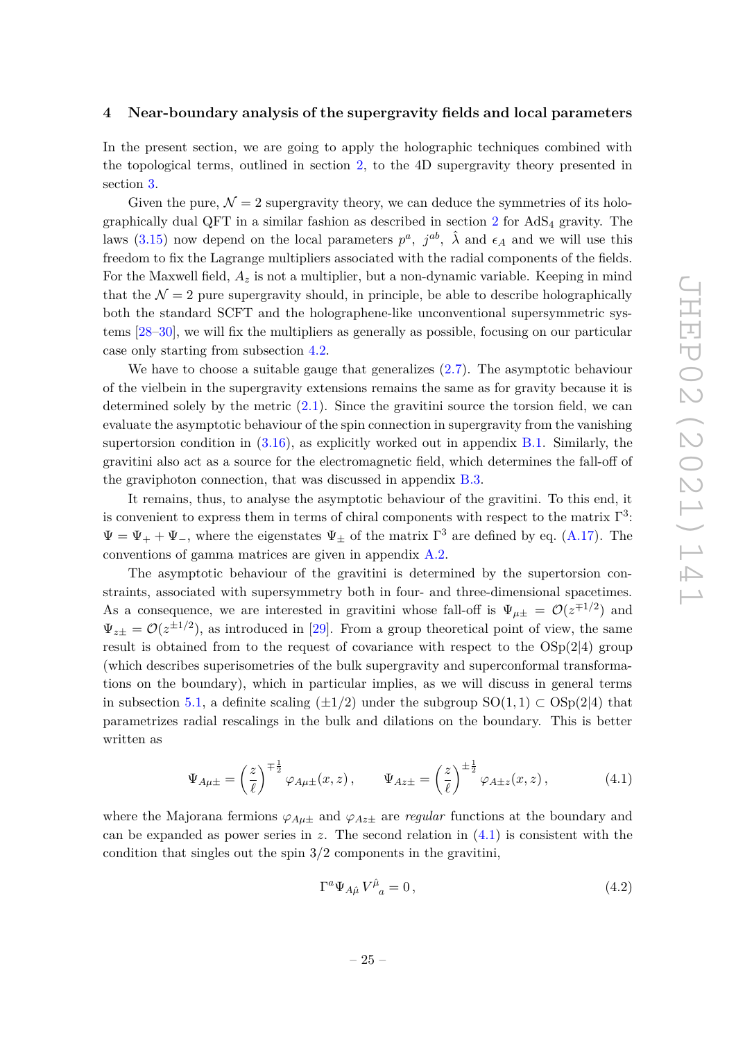#### **4 Near-boundary analysis of the supergravity fields and local parameters**

In the present section, we are going to apply the holographic techniques combined with the topological terms, outlined in section 2, to the 4D supergravity theory presented in section 3.

Given the pure,  $\mathcal{N} = 2$  supergravity theory, we can deduce the symmetries of its holographically dual QFT in a similar fashion as described in section  $2$  for AdS<sub>4</sub> gravity. The laws (3.15) now depend on the local parameters  $p^a$ ,  $j^{ab}$ ,  $\hat{\lambda}$  and  $\epsilon_A$  and we will use this freedom to fix the Lagrange multipliers associated with the radial components of the fields. For the Maxwell field,  $A_z$  is not a multiplier, but a non-dynamic variable. Keeping in mind that the  $\mathcal{N} = 2$  pure supergravity should, in principle, be able to describe holographically both the standard SCFT and the holographene-like unconventional supersymmetric systems [28–30], we will fix the multipliers as generally as possible, focusing on our particular case only starting from subsection 4.2.

We have to choose a suitable gauge that generalizes (2.7). The asymptotic behaviour of the vielbein in the supergravity extensions remains the same as for gravity because it is determined solely by the metric (2.1). Since the gravitini source the torsion field, we can evaluate the asymptotic behaviour of the spin connection in supergravity from the vanishing supertorsion condition in  $(3.16)$ , as explicitly worked out in appendix B.1. Similarly, the gravitini also act as a source for the electromagnetic field, which determines the fall-off of the graviphoton connection, that was discussed in appendix B.3.

It remains, thus, to analyse the asymptotic behaviour of the gravitini. To this end, it is convenient to express them in terms of chiral components with respect to the matrix  $\Gamma^3$ :  $\Psi = \Psi_+ + \Psi_-,$  where the eigenstates  $\Psi_{\pm}$  of the matrix  $\Gamma^3$  are defined by eq. (A.17). The conventions of gamma matrices are given in appendix A.2.

The asymptotic behaviour of the gravitini is determined by the supertorsion constraints, associated with supersymmetry both in four- and three-dimensional spacetimes. As a consequence, we are interested in gravitini whose fall-off is  $\Psi_{\mu\pm} = \mathcal{O}(z^{\mp 1/2})$  and  $\Psi_{z\pm} = \mathcal{O}(z^{\pm 1/2})$ , as introduced in [29]. From a group theoretical point of view, the same result is obtained from to the request of covariance with respect to the  $OSp(2|4)$  group (which describes superisometries of the bulk supergravity and superconformal transformations on the boundary), which in particular implies, as we will discuss in general terms in subsection 5.1, a definite scaling  $(\pm 1/2)$  under the subgroup SO(1,1) ⊂ OSp(2|4) that parametrizes radial rescalings in the bulk and dilations on the boundary. This is better written as

$$
\Psi_{A\mu\pm} = \left(\frac{z}{\ell}\right)^{\mp\frac{1}{2}}\varphi_{A\mu\pm}(x,z), \qquad \Psi_{Az\pm} = \left(\frac{z}{\ell}\right)^{\pm\frac{1}{2}}\varphi_{A\pm z}(x,z), \tag{4.1}
$$

where the Majorana fermions  $\varphi_{A\mu\pm}$  and  $\varphi_{A\lambda\pm}$  are *regular* functions at the boundary and can be expanded as power series in  $z$ . The second relation in  $(4.1)$  is consistent with the condition that singles out the spin  $3/2$  components in the gravitini.

$$
\Gamma^a \Psi_{A\hat{\mu}} V^{\hat{\mu}}{}_a = 0 \,, \tag{4.2}
$$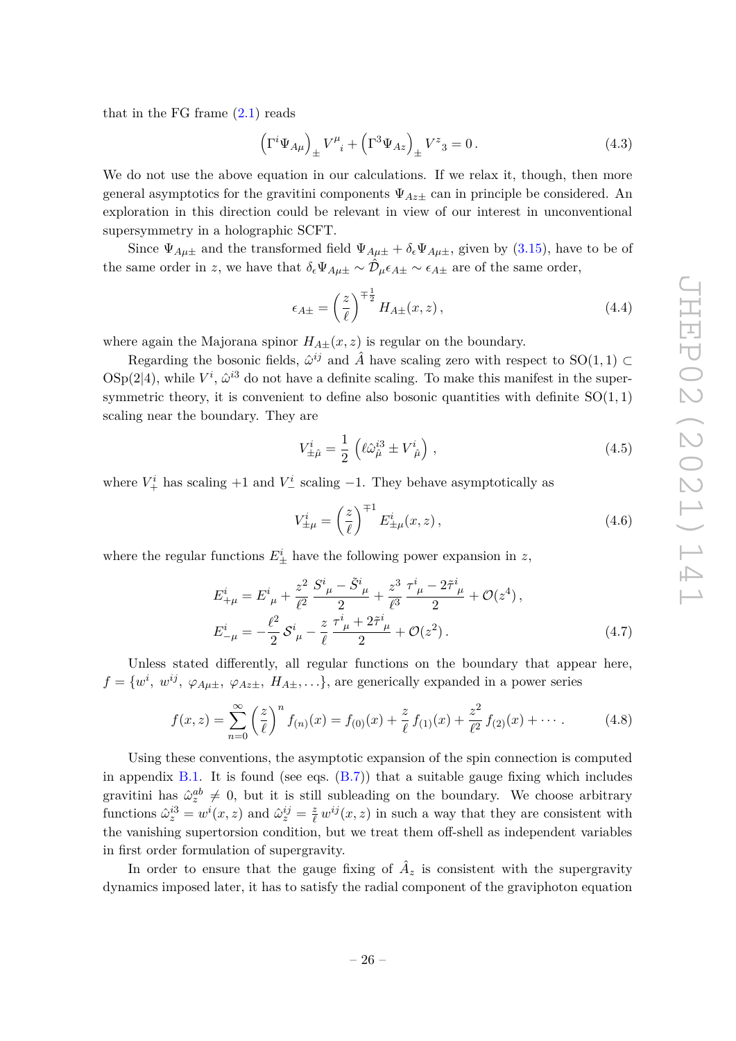that in the FG frame  $(2.1)$  reads

$$
\left(\Gamma^i \Psi_{A\mu}\right)_{\pm} V^{\mu}_{\ \ i} + \left(\Gamma^3 \Psi_{Az}\right)_{\pm} V^z{}_{3} = 0\,. \tag{4.3}
$$

We do not use the above equation in our calculations. If we relax it, though, then more general asymptotics for the gravitini components  $\Psi_{Az\pm}$  can in principle be considered. An exploration in this direction could be relevant in view of our interest in unconventional supersymmetry in a holographic SCFT.

Since  $\Psi_{A\mu\pm}$  and the transformed field  $\Psi_{A\mu\pm} + \delta_{\epsilon} \Psi_{A\mu\pm}$ , given by (3.15), have to be of the same order in *z*, we have that  $\delta_{\epsilon} \Psi_{A\mu\pm} \sim \hat{\mathcal{D}}_{\mu} \epsilon_{A\pm} \sim \epsilon_{A\pm}$  are of the same order,

$$
\epsilon_{A\pm} = \left(\frac{z}{\ell}\right)^{\mp \frac{1}{2}} H_{A\pm}(x, z),\tag{4.4}
$$

where again the Majorana spinor  $H_{A\pm}(x, z)$  is regular on the boundary.

Regarding the bosonic fields,  $\hat{\omega}^{ij}$  and  $\hat{A}$  have scaling zero with respect to SO(1,1) ⊂  $\text{OSp}(2|4)$ , while  $V^i$ ,  $\hat{\omega}^{i3}$  do not have a definite scaling. To make this manifest in the supersymmetric theory, it is convenient to define also bosonic quantities with definite SO(1*,* 1) scaling near the boundary. They are

$$
V_{\pm\hat{\mu}}^i = \frac{1}{2} \left( \ell \hat{\omega}_{\hat{\mu}}^{i3} \pm V_{\hat{\mu}}^i \right) , \qquad (4.5)
$$

where  $V^i_+$  has scaling  $+1$  and  $V^i_-$  scaling  $-1$ . They behave asymptotically as

$$
V_{\pm\mu}^i = \left(\frac{z}{\ell}\right)^{\mp 1} E_{\pm\mu}^i(x, z), \qquad (4.6)
$$

where the regular functions  $E^i_{\pm}$  have the following power expansion in *z*,

$$
E_{+\mu}^{i} = E_{\ \mu}^{i} + \frac{z^{2}}{\ell^{2}} \frac{S_{\ \mu}^{i} - \tilde{S}_{\ \mu}^{i}}{2} + \frac{z^{3}}{\ell^{3}} \frac{\tau_{\ \mu}^{i} - 2\tilde{\tau}_{\ \mu}^{i}}{2} + \mathcal{O}(z^{4}),
$$
  
\n
$$
E_{-\mu}^{i} = -\frac{\ell^{2}}{2} S_{\ \mu}^{i} - \frac{z}{\ell} \frac{\tau_{\ \mu}^{i} + 2\tilde{\tau}_{\ \mu}^{i}}{2} + \mathcal{O}(z^{2}).
$$
\n(4.7)

Unless stated differently, all regular functions on the boundary that appear here,  $f = \{w^i, w^{ij}, \varphi_{A\mu\pm}, \varphi_{Az\pm}, H_{A\pm}, \ldots\}$ , are generically expanded in a power series

$$
f(x,z) = \sum_{n=0}^{\infty} \left(\frac{z}{\ell}\right)^n f_{(n)}(x) = f_{(0)}(x) + \frac{z}{\ell} f_{(1)}(x) + \frac{z^2}{\ell^2} f_{(2)}(x) + \cdots
$$
 (4.8)

Using these conventions, the asymptotic expansion of the spin connection is computed in appendix B.1. It is found (see eqs.  $(B.7)$ ) that a suitable gauge fixing which includes gravitini has  $\hat{\omega}_z^{ab} \neq 0$ , but it is still subleading on the boundary. We choose arbitrary functions  $\hat{\omega}_z^{i3} = w^i(x, z)$  and  $\hat{\omega}_z^{ij} = \frac{z}{\ell} w^{ij}(x, z)$  in such a way that they are consistent with the vanishing supertorsion condition, but we treat them off-shell as independent variables in first order formulation of supergravity.

In order to ensure that the gauge fixing of  $\hat{A}_z$  is consistent with the supergravity dynamics imposed later, it has to satisfy the radial component of the graviphoton equation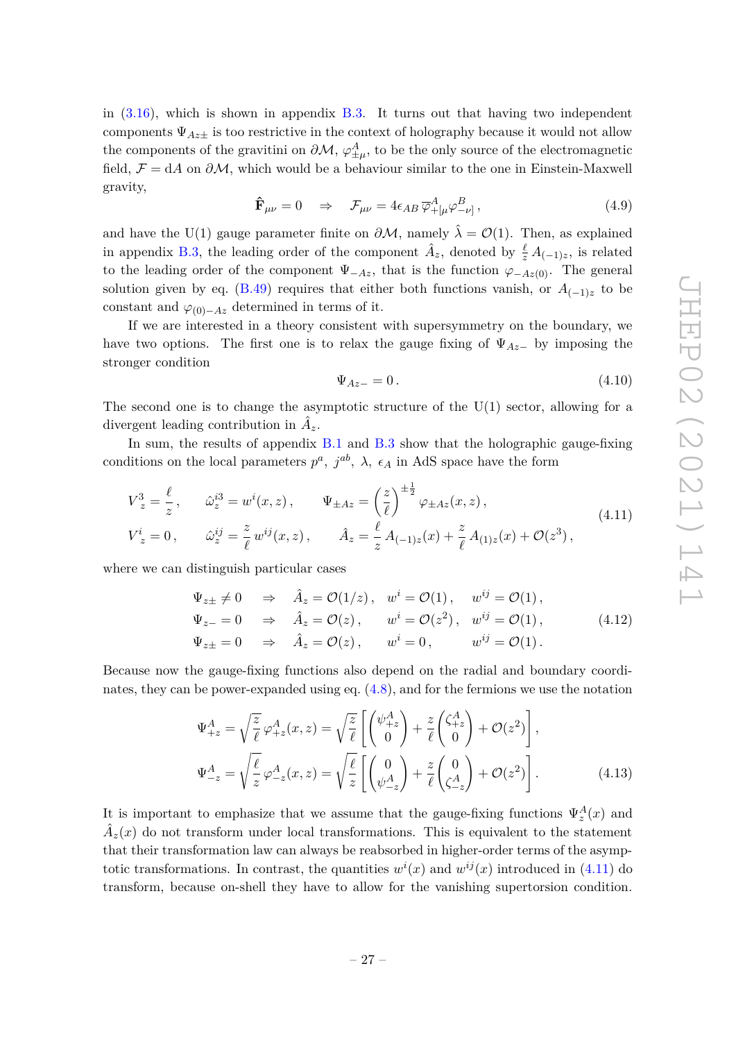in  $(3.16)$ , which is shown in appendix B.3. It turns out that having two independent components  $\Psi_{Az+}$  is too restrictive in the context of holography because it would not allow the components of the gravitini on  $\partial \mathcal{M}, \varphi_{\pm\mu}^A$ , to be the only source of the electromagnetic field,  $\mathcal{F} = dA$  on  $\partial M$ , which would be a behaviour similar to the one in Einstein-Maxwell gravity,

$$
\hat{\mathbf{F}}_{\mu\nu} = 0 \quad \Rightarrow \quad \mathcal{F}_{\mu\nu} = 4\epsilon_{AB} \, \overline{\varphi}_{+[\mu}^{A} \varphi_{-\nu]}^{B} \,, \tag{4.9}
$$

and have the U(1) gauge parameter finite on  $\partial M$ , namely  $\hat{\lambda} = \mathcal{O}(1)$ . Then, as explained in appendix B.3, the leading order of the component  $\hat{A}_z$ , denoted by  $\frac{\ell}{z} A_{(-1)z}$ , is related to the leading order of the component  $\Psi_{-Az}$ , that is the function  $\varphi_{-Az(0)}$ . The general solution given by eq. (B.49) requires that either both functions vanish, or  $A_{(-1)z}$  to be constant and  $\varphi_{(0)-Az}$  determined in terms of it.

If we are interested in a theory consistent with supersymmetry on the boundary, we have two options. The first one is to relax the gauge fixing of  $\Psi_{Az}-$  by imposing the stronger condition

$$
\Psi_{Az-} = 0. \tag{4.10}
$$

The second one is to change the asymptotic structure of the  $U(1)$  sector, allowing for a divergent leading contribution in  $\hat{A}_z$ .

In sum, the results of appendix B.1 and B.3 show that the holographic gauge-fixing conditions on the local parameters  $p^a$ ,  $j^{ab}$ ,  $\lambda$ ,  $\epsilon_A$  in AdS space have the form

$$
V_z^3 = \frac{\ell}{z}, \qquad \hat{\omega}_z^{i3} = w^i(x, z), \qquad \Psi_{\pm Az} = \left(\frac{z}{\ell}\right)^{\pm \frac{1}{2}} \varphi_{\pm Az}(x, z),
$$
  
\n
$$
V_z^i = 0, \qquad \hat{\omega}_z^{ij} = \frac{z}{\ell} w^{ij}(x, z), \qquad \hat{A}_z = \frac{\ell}{z} A_{(-1)z}(x) + \frac{z}{\ell} A_{(1)z}(x) + \mathcal{O}(z^3),
$$
\n(4.11)

where we can distinguish particular cases

$$
\Psi_{z\pm} \neq 0 \quad \Rightarrow \quad \hat{A}_z = \mathcal{O}(1/z), \quad w^i = \mathcal{O}(1), \quad w^{ij} = \mathcal{O}(1),
$$
\n
$$
\Psi_{z-} = 0 \quad \Rightarrow \quad \hat{A}_z = \mathcal{O}(z), \quad w^i = \mathcal{O}(z^2), \quad w^{ij} = \mathcal{O}(1),
$$
\n
$$
\Psi_{z\pm} = 0 \quad \Rightarrow \quad \hat{A}_z = \mathcal{O}(z), \quad w^i = 0, \quad w^{ij} = \mathcal{O}(1).
$$
\n(4.12)

Because now the gauge-fixing functions also depend on the radial and boundary coordinates, they can be power-expanded using eq. (4.8), and for the fermions we use the notation

$$
\Psi_{+z}^{A} = \sqrt{\frac{z}{\ell}} \varphi_{+z}^{A}(x, z) = \sqrt{\frac{z}{\ell}} \left[ \begin{pmatrix} \psi_{+z}^{A} \\ 0 \end{pmatrix} + \frac{z}{\ell} \begin{pmatrix} \zeta_{+z}^{A} \\ 0 \end{pmatrix} + \mathcal{O}(z^{2}) \right],
$$
  
\n
$$
\Psi_{-z}^{A} = \sqrt{\frac{\ell}{z}} \varphi_{-z}^{A}(x, z) = \sqrt{\frac{\ell}{z}} \left[ \begin{pmatrix} 0 \\ \psi_{-z}^{A} \end{pmatrix} + \frac{z}{\ell} \begin{pmatrix} 0 \\ \zeta_{-z}^{A} \end{pmatrix} + \mathcal{O}(z^{2}) \right].
$$
\n(4.13)

It is important to emphasize that we assume that the gauge-fixing functions  $\Psi_z^A(x)$  and  $\hat{A}_z(x)$  do not transform under local transformations. This is equivalent to the statement that their transformation law can always be reabsorbed in higher-order terms of the asymptotic transformations. In contrast, the quantities  $w^{i}(x)$  and  $w^{ij}(x)$  introduced in (4.11) do transform, because on-shell they have to allow for the vanishing supertorsion condition.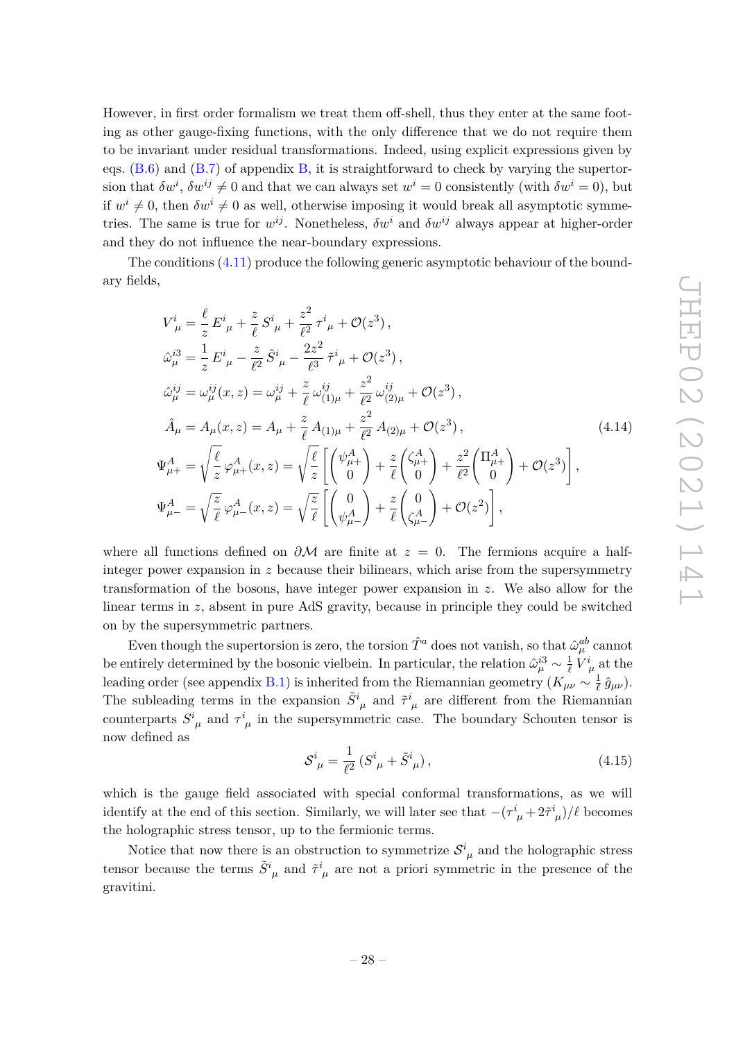However, in first order formalism we treat them off-shell, thus they enter at the same footing as other gauge-fixing functions, with the only difference that we do not require them to be invariant under residual transformations. Indeed, using explicit expressions given by eqs.  $(B.6)$  and  $(B.7)$  of appendix  $B$ , it is straightforward to check by varying the supertorsion that  $\delta w^i$ ,  $\delta w^{ij} \neq 0$  and that we can always set  $w^i = 0$  consistently (with  $\delta w^i = 0$ ), but if  $w^i \neq 0$ , then  $\delta w^i \neq 0$  as well, otherwise imposing it would break all asymptotic symmetries. The same is true for  $w^{ij}$ . Nonetheless,  $\delta w^i$  and  $\delta w^{ij}$  always appear at higher-order and they do not influence the near-boundary expressions.

The conditions (4.11) produce the following generic asymptotic behaviour of the boundary fields,

$$
V_{\mu}^{i} = \frac{\ell}{z} E_{\mu}^{i} + \frac{z}{\ell} S_{\mu}^{i} + \frac{z^{2}}{\ell^{2}} \tau_{\mu}^{i} + \mathcal{O}(z^{3}),
$$
  
\n
$$
\hat{\omega}_{\mu}^{i3} = \frac{1}{z} E_{\mu}^{i} - \frac{z}{\ell^{2}} \tilde{S}_{\mu}^{i} - \frac{2z^{2}}{\ell^{3}} \tilde{\tau}_{\mu}^{i} + \mathcal{O}(z^{3}),
$$
  
\n
$$
\hat{\omega}_{\mu}^{ij} = \omega_{\mu}^{ij}(x, z) = \omega_{\mu}^{ij} + \frac{z}{\ell} \omega_{(1)\mu}^{ij} + \frac{z^{2}}{\ell^{2}} \omega_{(2)\mu}^{ij} + \mathcal{O}(z^{3}),
$$
  
\n
$$
\hat{A}_{\mu} = A_{\mu}(x, z) = A_{\mu} + \frac{z}{\ell} A_{(1)\mu} + \frac{z^{2}}{\ell^{2}} A_{(2)\mu} + \mathcal{O}(z^{3}),
$$
  
\n
$$
\Psi_{\mu+}^{A} = \sqrt{\frac{\ell}{z}} \varphi_{\mu+}^{A}(x, z) = \sqrt{\frac{\ell}{z}} \left[ \begin{pmatrix} \psi_{\mu+}^{A} \\ 0 \end{pmatrix} + \frac{z}{\ell} \begin{pmatrix} \zeta_{\mu+}^{A} \\ 0 \end{pmatrix} + \frac{z^{2}}{\ell^{2}} \begin{pmatrix} \Pi_{\mu+}^{A} \\ 0 \end{pmatrix} + \mathcal{O}(z^{3}) \right],
$$
  
\n
$$
\Psi_{\mu-}^{A} = \sqrt{\frac{z}{\ell}} \varphi_{\mu-}^{A}(x, z) = \sqrt{\frac{z}{\ell}} \left[ \begin{pmatrix} 0 \\ \psi_{\mu-}^{A} \end{pmatrix} + \frac{z}{\ell} \begin{pmatrix} 0 \\ \zeta_{\mu-}^{A} \end{pmatrix} + \mathcal{O}(z^{2}) \right],
$$

where all functions defined on  $\partial M$  are finite at  $z = 0$ . The fermions acquire a halfinteger power expansion in *z* because their bilinears, which arise from the supersymmetry transformation of the bosons, have integer power expansion in *z*. We also allow for the linear terms in *z*, absent in pure AdS gravity, because in principle they could be switched on by the supersymmetric partners.

Even though the supertorsion is zero, the torsion  $\hat{T}^a$  does not vanish, so that  $\hat{\omega}_{\mu}^{ab}$  cannot be entirely determined by the bosonic vielbein. In particular, the relation  $\hat{\omega}_{\mu}^{i3} \sim \frac{1}{\ell}$  $\frac{1}{\ell}$   $V^i_{\ \mu}$  at the leading order (see appendix B.1) is inherited from the Riemannian geometry ( $K_{\mu\nu} \sim \frac{1}{\ell}$  $\frac{1}{\ell} \,\hat{g}_{\mu\nu}).$ The subleading terms in the expansion  $\tilde{S}^i_{\mu}$  and  $\tilde{\tau}^i_{\mu}$  are different from the Riemannian counterparts  $S^i_{\mu}$  and  $\tau^i_{\mu}$  in the supersymmetric case. The boundary Schouten tensor is now defined as

$$
S^i_{\ \mu} = \frac{1}{\ell^2} \left( S^i_{\ \mu} + \tilde{S}^i_{\ \mu} \right),\tag{4.15}
$$

which is the gauge field associated with special conformal transformations, as we will identify at the end of this section. Similarly, we will later see that  $-(\tau^i_{\mu} + 2\tilde{\tau}^i_{\mu})/\ell$  becomes the holographic stress tensor, up to the fermionic terms.

Notice that now there is an obstruction to symmetrize  $S^i_{\mu}$  and the holographic stress tensor because the terms  $\tilde{S}^i_{\mu}$  and  $\tilde{\tau}^i_{\mu}$  are not a priori symmetric in the presence of the gravitini.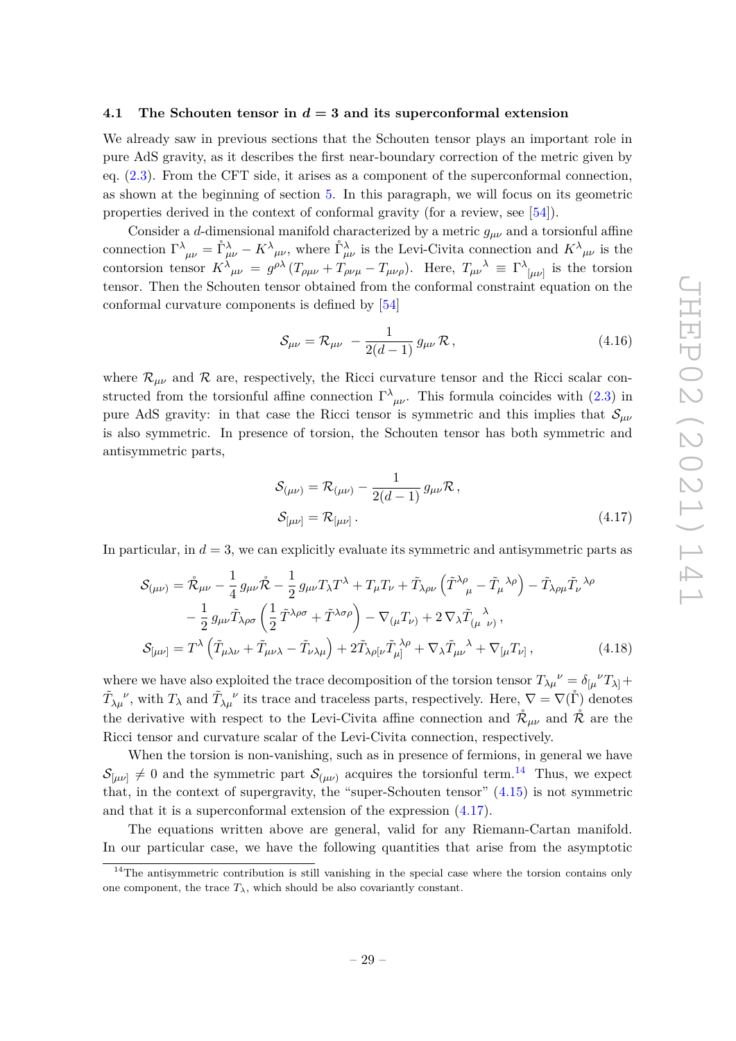#### **4.1 The Schouten tensor in** *d* **= 3 and its superconformal extension**

We already saw in previous sections that the Schouten tensor plays an important role in pure AdS gravity, as it describes the first near-boundary correction of the metric given by eq. (2.3). From the CFT side, it arises as a component of the superconformal connection, as shown at the beginning of section 5. In this paragraph, we will focus on its geometric properties derived in the context of conformal gravity (for a review, see [54]).

Consider a *d*-dimensional manifold characterized by a metric  $g_{\mu\nu}$  and a torsionful affine connection  $\Gamma^{\lambda}{}_{\mu\nu} = \mathring{\Gamma}^{\lambda}{}_{\mu\nu} - K^{\lambda}{}_{\mu\nu}$ , where  $\mathring{\Gamma}^{\lambda}{}_{\mu\nu}$  is the Levi-Civita connection and  $K^{\lambda}{}_{\mu\nu}$  is the contorsion tensor  $K^{\lambda}{}_{\mu\nu} = g^{\rho\lambda} (T_{\rho\mu\nu} + T_{\rho\nu\mu} - T_{\mu\nu\rho})$ . Here,  $T_{\mu\nu}{}^{\lambda} \equiv \Gamma^{\lambda}{}_{[\mu\nu]}$  is the torsion tensor. Then the Schouten tensor obtained from the conformal constraint equation on the conformal curvature components is defined by [54]

$$
S_{\mu\nu} = \mathcal{R}_{\mu\nu} - \frac{1}{2(d-1)} g_{\mu\nu} \mathcal{R},
$$
\n(4.16)

where  $\mathcal{R}_{\mu\nu}$  and  $\mathcal R$  are, respectively, the Ricci curvature tensor and the Ricci scalar constructed from the torsionful affine connection  $\Gamma^{\lambda}{}_{\mu\nu}$ . This formula coincides with (2.3) in pure AdS gravity: in that case the Ricci tensor is symmetric and this implies that  $S_{\mu\nu}$ is also symmetric. In presence of torsion, the Schouten tensor has both symmetric and antisymmetric parts,

$$
S_{(\mu\nu)} = \mathcal{R}_{(\mu\nu)} - \frac{1}{2(d-1)} g_{\mu\nu} \mathcal{R},
$$
  
\n
$$
S_{[\mu\nu]} = \mathcal{R}_{[\mu\nu]}.
$$
\n(4.17)

In particular, in  $d = 3$ , we can explicitly evaluate its symmetric and antisymmetric parts as

$$
\mathcal{S}_{(\mu\nu)} = \mathring{\mathcal{R}}_{\mu\nu} - \frac{1}{4} g_{\mu\nu} \mathring{\mathcal{R}} - \frac{1}{2} g_{\mu\nu} T_{\lambda} T^{\lambda} + T_{\mu} T_{\nu} + \tilde{T}_{\lambda\rho\nu} \left( \tilde{T}^{\lambda\rho}_{\mu} - \tilde{T}_{\mu}^{\lambda\rho} \right) - \tilde{T}_{\lambda\rho\mu} \tilde{T}_{\nu}^{\lambda\rho} - \frac{1}{2} g_{\mu\nu} \tilde{T}_{\lambda\rho\sigma} \left( \frac{1}{2} \tilde{T}^{\lambda\rho\sigma} + \tilde{T}^{\lambda\sigma\rho} \right) - \nabla_{(\mu} T_{\nu)} + 2 \nabla_{\lambda} \tilde{T}_{(\mu \nu)}, \mathcal{S}_{[\mu\nu]} = T^{\lambda} \left( \tilde{T}_{\mu\lambda\nu} + \tilde{T}_{\mu\nu\lambda} - \tilde{T}_{\nu\lambda\mu} \right) + 2 \tilde{T}_{\lambda\rho[\nu} \tilde{T}_{\mu]}^{\lambda\rho} + \nabla_{\lambda} \tilde{T}_{\mu\nu}^{\lambda} + \nabla_{[\mu} T_{\nu]},
$$
\n(4.18)

where we have also exploited the trace decomposition of the torsion tensor  $T_{\lambda\mu}{}^{\nu} = \delta_{\mu}{}^{\nu}T_{\lambda} +$  $\tilde{T}_{\lambda\mu}^{\ \ \nu}$ , with  $T_{\lambda}$  and  $\tilde{T}_{\lambda\mu}^{\ \ \nu}$  its trace and traceless parts, respectively. Here,  $\nabla = \nabla(\mathring{\Gamma})$  denotes the derivative with respect to the Levi-Civita affine connection and  $\mathcal{R}_{\mu\nu}$  and  $\mathcal{R}$  are the Ricci tensor and curvature scalar of the Levi-Civita connection, respectively.

When the torsion is non-vanishing, such as in presence of fermions, in general we have  $\mathcal{S}_{[\mu\nu]} \neq 0$  and the symmetric part  $\mathcal{S}_{(\mu\nu)}$  acquires the torsionful term.<sup>14</sup> Thus, we expect that, in the context of supergravity, the "super-Schouten tensor"  $(4.15)$  is not symmetric and that it is a superconformal extension of the expression (4.17).

The equations written above are general, valid for any Riemann-Cartan manifold. In our particular case, we have the following quantities that arise from the asymptotic

<sup>&</sup>lt;sup>14</sup>The antisymmetric contribution is still vanishing in the special case where the torsion contains only one component, the trace  $T_{\lambda}$ , which should be also covariantly constant.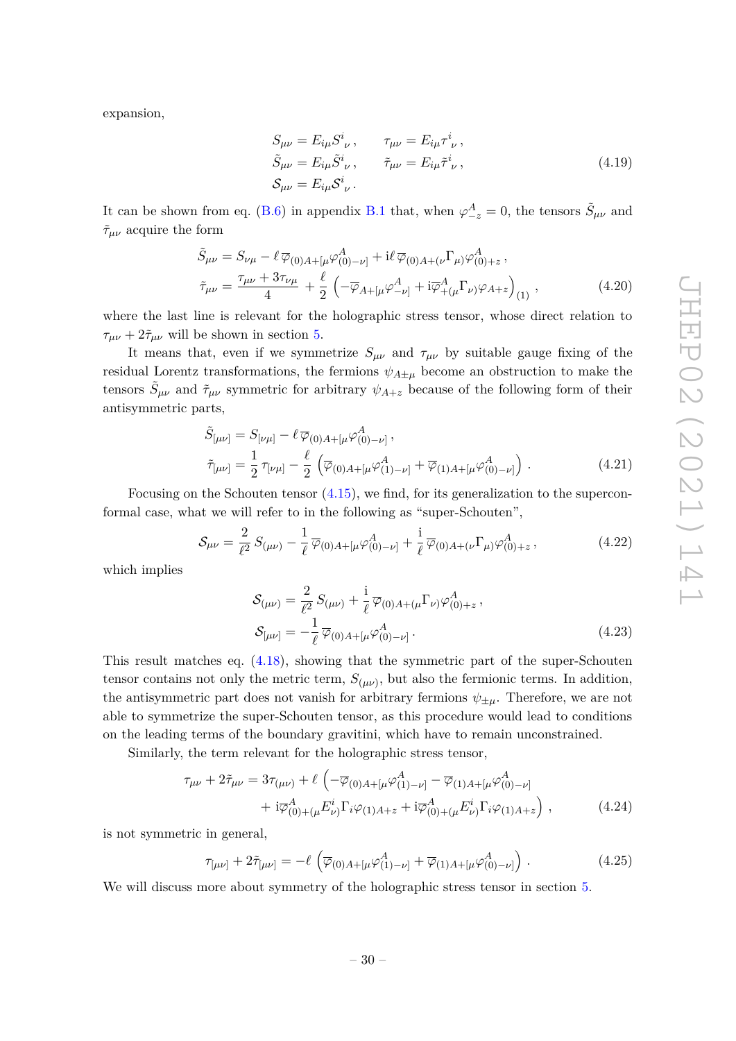expansion,

$$
S_{\mu\nu} = E_{i\mu} S^{i}_{\ \nu} , \qquad \tau_{\mu\nu} = E_{i\mu} \tau^{i}_{\ \nu} , \n\tilde{S}_{\mu\nu} = E_{i\mu} \tilde{S}^{i}_{\ \nu} , \qquad \tilde{\tau}_{\mu\nu} = E_{i\mu} \tilde{\tau}^{i}_{\ \nu} , \n\mathcal{S}_{\mu\nu} = E_{i\mu} S^{i}_{\ \nu} .
$$
\n(4.19)

It can be shown from eq. (B.6) in appendix B.1 that, when  $\varphi_{-z}^A = 0$ , the tensors  $\tilde{S}_{\mu\nu}$  and  $\tilde{\tau}_{\mu\nu}$  acquire the form

$$
\tilde{S}_{\mu\nu} = S_{\nu\mu} - \ell \, \overline{\varphi}_{(0)A + [\mu \varphi_{(0) - \nu]}^{A} + i \ell \, \overline{\varphi}_{(0)A + (\nu} \Gamma_{\mu}) \varphi_{(0) + z}^{A} \,, \n\tilde{\tau}_{\mu\nu} = \frac{\tau_{\mu\nu} + 3\tau_{\nu\mu}}{4} + \frac{\ell}{2} \left( -\overline{\varphi}_{A + [\mu \varphi_{-\nu]}^{A} + i\overline{\varphi}_{+(\mu}^{A} \Gamma_{\nu)} \varphi_{A + z} \right)_{(1)} \,,
$$
\n(4.20)

where the last line is relevant for the holographic stress tensor, whose direct relation to  $\tau_{\mu\nu} + 2\tilde{\tau}_{\mu\nu}$  will be shown in section 5.

It means that, even if we symmetrize  $S_{\mu\nu}$  and  $\tau_{\mu\nu}$  by suitable gauge fixing of the residual Lorentz transformations, the fermions  $\psi_{A\pm\mu}$  become an obstruction to make the tensors  $\tilde{S}_{\mu\nu}$  and  $\tilde{\tau}_{\mu\nu}$  symmetric for arbitrary  $\psi_{A+z}$  because of the following form of their antisymmetric parts,

$$
\tilde{S}_{[\mu\nu]} = S_{[\nu\mu]} - \ell \, \overline{\varphi}_{(0)A + [\mu} \varphi^A_{(0) - \nu]},
$$
\n
$$
\tilde{\tau}_{[\mu\nu]} = \frac{1}{2} \, \tau_{[\nu\mu]} - \frac{\ell}{2} \left( \overline{\varphi}_{(0)A + [\mu} \varphi^A_{(1) - \nu]} + \overline{\varphi}_{(1)A + [\mu} \varphi^A_{(0) - \nu]} \right). \tag{4.21}
$$

Focusing on the Schouten tensor (4.15), we find, for its generalization to the superconformal case, what we will refer to in the following as "super-Schouten",

$$
S_{\mu\nu} = \frac{2}{\ell^2} S_{(\mu\nu)} - \frac{1}{\ell} \overline{\varphi}_{(0)A + [\mu} \varphi^A_{(0) - \nu]} + \frac{i}{\ell} \overline{\varphi}_{(0)A + (\nu} \Gamma_{\mu)} \varphi^A_{(0) + z}, \qquad (4.22)
$$

which implies

$$
S_{(\mu\nu)} = \frac{2}{\ell^2} S_{(\mu\nu)} + \frac{i}{\ell} \overline{\varphi}_{(0)A + (\mu} \Gamma_{\nu)} \varphi^A_{(0) + z},
$$
  

$$
S_{[\mu\nu]} = -\frac{1}{\ell} \overline{\varphi}_{(0)A + [\mu} \varphi^A_{(0) - \nu]}.
$$
 (4.23)

This result matches eq. (4.18), showing that the symmetric part of the super-Schouten tensor contains not only the metric term,  $S_{(\mu\nu)}$ , but also the fermionic terms. In addition, the antisymmetric part does not vanish for arbitrary fermions  $\psi_{\pm\mu}$ . Therefore, we are not able to symmetrize the super-Schouten tensor, as this procedure would lead to conditions on the leading terms of the boundary gravitini, which have to remain unconstrained.

Similarly, the term relevant for the holographic stress tensor,

$$
\tau_{\mu\nu} + 2\tilde{\tau}_{\mu\nu} = 3\tau_{(\mu\nu)} + \ell \left( -\overline{\varphi}_{(0)A + [\mu} \varphi_{(1) - \nu]}^{A} - \overline{\varphi}_{(1)A + [\mu} \varphi_{(0) - \nu]}^{A} \right. \\
\left. + i\overline{\varphi}_{(0) + (\mu}^{A} E_{\nu)}^{i} \Gamma_{i} \varphi_{(1)A + z} + i\overline{\varphi}_{(0) + (\mu}^{A} E_{\nu)}^{i} \Gamma_{i} \varphi_{(1)A + z} \right), \tag{4.24}
$$

is not symmetric in general,

$$
\tau_{[\mu\nu]} + 2\tilde{\tau}_{[\mu\nu]} = -\ell \left( \overline{\varphi}_{(0)A + [\mu} \varphi_{(1) - \nu]}^{A} + \overline{\varphi}_{(1)A + [\mu} \varphi_{(0) - \nu]}^{A} \right). \tag{4.25}
$$

We will discuss more about symmetry of the holographic stress tensor in section 5.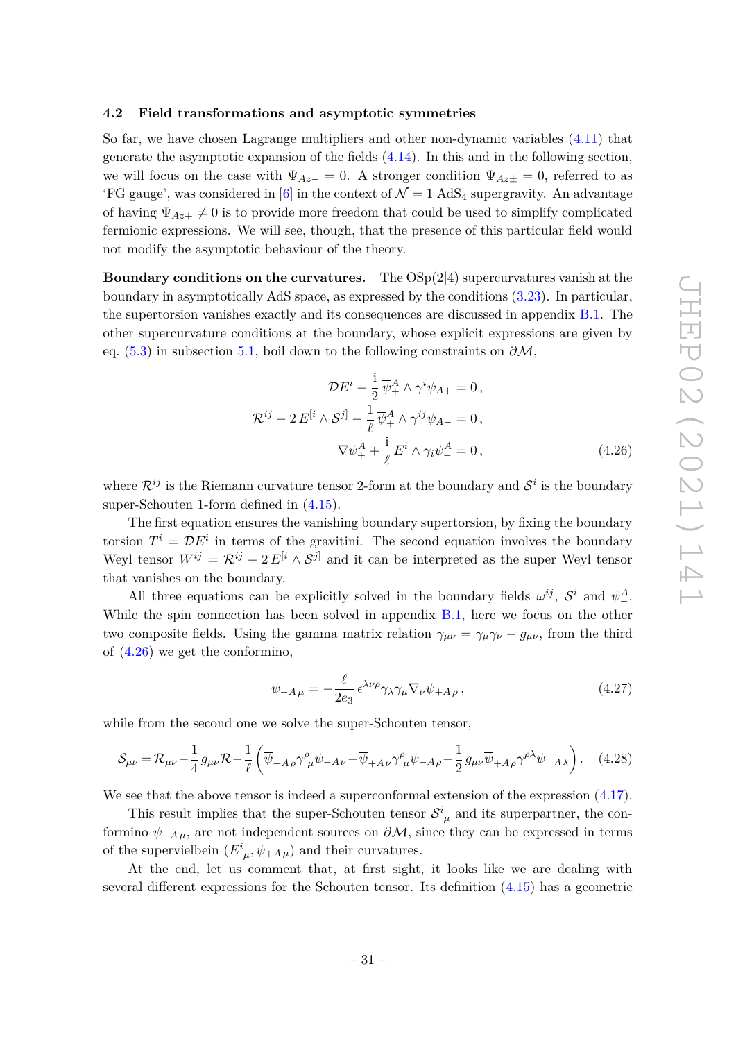#### **4.2 Field transformations and asymptotic symmetries**

So far, we have chosen Lagrange multipliers and other non-dynamic variables (4.11) that generate the asymptotic expansion of the fields (4.14). In this and in the following section, we will focus on the case with  $\Psi_{Az-} = 0$ . A stronger condition  $\Psi_{Az\pm} = 0$ , referred to as 'FG gauge', was considered in [6] in the context of  $\mathcal{N}=1$  AdS<sub>4</sub> supergravity. An advantage of having  $\Psi_{Az+} \neq 0$  is to provide more freedom that could be used to simplify complicated fermionic expressions. We will see, though, that the presence of this particular field would not modify the asymptotic behaviour of the theory.

**Boundary conditions on the curvatures.** The OSp(2|4) supercurvatures vanish at the boundary in asymptotically AdS space, as expressed by the conditions (3.23). In particular, the supertorsion vanishes exactly and its consequences are discussed in appendix B.1. The other supercurvature conditions at the boundary, whose explicit expressions are given by eq. (5.3) in subsection 5.1, boil down to the following constraints on *∂*M,

$$
\mathcal{D}E^{i} - \frac{1}{2}\overline{\psi}_{+}^{A} \wedge \gamma^{i}\psi_{A+} = 0,
$$
  

$$
\mathcal{R}^{ij} - 2E^{[i} \wedge \mathcal{S}^{j]} - \frac{1}{\ell}\overline{\psi}_{+}^{A} \wedge \gamma^{ij}\psi_{A-} = 0,
$$
  

$$
\nabla \psi_{+}^{A} + \frac{i}{\ell}E^{i} \wedge \gamma_{i}\psi_{-}^{A} = 0,
$$
 (4.26)

where  $\mathcal{R}^{ij}$  is the Riemann curvature tensor 2-form at the boundary and  $\mathcal{S}^i$  is the boundary super-Schouten 1-form defined in (4.15).

The first equation ensures the vanishing boundary supertorsion, by fixing the boundary torsion  $T^i = \mathcal{D}E^i$  in terms of the gravitini. The second equation involves the boundary Weyl tensor  $W^{ij} = \mathcal{R}^{ij} - 2 E^{[i} \wedge \mathcal{S}^{j]}$  and it can be interpreted as the super Weyl tensor that vanishes on the boundary.

All three equations can be explicitly solved in the boundary fields  $\omega^{ij}$ ,  $\mathcal{S}^i$  and  $\psi^A_-$ . While the spin connection has been solved in appendix  $B.1$ , here we focus on the other two composite fields. Using the gamma matrix relation  $\gamma_{\mu\nu} = \gamma_{\mu}\gamma_{\nu} - g_{\mu\nu}$ , from the third of (4.26) we get the conformino,

$$
\psi_{-A\,\mu} = -\frac{\ell}{2e_3} \,\epsilon^{\lambda\nu\rho} \gamma_\lambda \gamma_\mu \nabla_\nu \psi_{+A\,\rho} \,, \tag{4.27}
$$

while from the second one we solve the super-Schouten tensor,

$$
S_{\mu\nu} = \mathcal{R}_{\mu\nu} - \frac{1}{4} g_{\mu\nu} \mathcal{R} - \frac{1}{\ell} \left( \overline{\psi}_{+A\rho} \gamma^{\rho}_{\mu} \psi_{-A\nu} - \overline{\psi}_{+A\nu} \gamma^{\rho}_{\mu} \psi_{-A\rho} - \frac{1}{2} g_{\mu\nu} \overline{\psi}_{+A\rho} \gamma^{\rho\lambda} \psi_{-A\lambda} \right). \tag{4.28}
$$

We see that the above tensor is indeed a superconformal extension of the expression  $(4.17)$ .

This result implies that the super-Schouten tensor  $S^i_{\mu}$  and its superpartner, the conformino  $\psi_{-A\mu}$ , are not independent sources on  $\partial M$ , since they can be expressed in terms of the supervielbein  $(E^i_{\mu}, \psi_{+A\mu})$  and their curvatures.

At the end, let us comment that, at first sight, it looks like we are dealing with several different expressions for the Schouten tensor. Its definition (4.15) has a geometric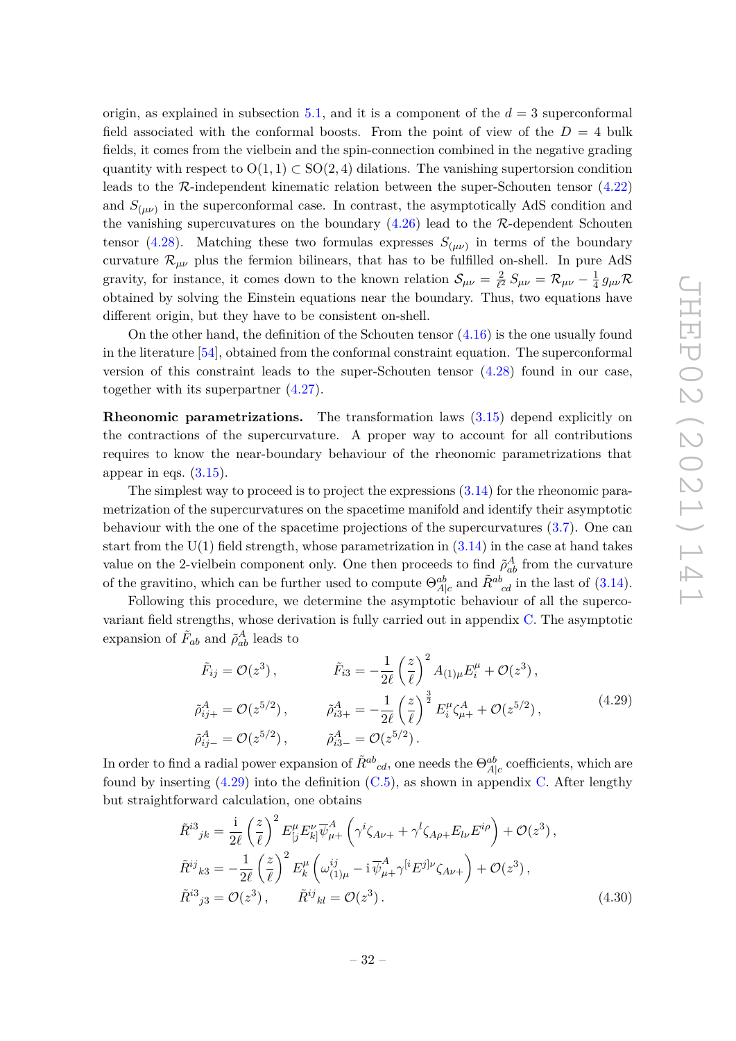origin, as explained in subsection 5.1, and it is a component of the  $d = 3$  superconformal field associated with the conformal boosts. From the point of view of the  $D = 4$  bulk fields, it comes from the vielbein and the spin-connection combined in the negative grading quantity with respect to  $O(1, 1) \subset SO(2, 4)$  dilations. The vanishing supertorsion condition leads to the R-independent kinematic relation between the super-Schouten tensor (4.22) and  $S_{(\mu\nu)}$  in the superconformal case. In contrast, the asymptotically AdS condition and the vanishing supercuvatures on the boundary  $(4.26)$  lead to the R-dependent Schouten tensor (4.28). Matching these two formulas expresses  $S_{(\mu\nu)}$  in terms of the boundary curvature  $\mathcal{R}_{\mu\nu}$  plus the fermion bilinears, that has to be fulfilled on-shell. In pure AdS gravity, for instance, it comes down to the known relation  $S_{\mu\nu} = \frac{2}{l^2}$  $\frac{2}{\ell^2}\,S_{\mu\nu} = \mathcal{R}_{\mu\nu} - \frac{1}{4}$  $rac{1}{4}g_{\mu\nu}R$ obtained by solving the Einstein equations near the boundary. Thus, two equations have different origin, but they have to be consistent on-shell.

On the other hand, the definition of the Schouten tensor (4.16) is the one usually found in the literature [54], obtained from the conformal constraint equation. The superconformal version of this constraint leads to the super-Schouten tensor (4.28) found in our case, together with its superpartner (4.27).

**Rheonomic parametrizations.** The transformation laws (3.15) depend explicitly on the contractions of the supercurvature. A proper way to account for all contributions requires to know the near-boundary behaviour of the rheonomic parametrizations that appear in eqs.  $(3.15)$ .

The simplest way to proceed is to project the expressions (3.14) for the rheonomic parametrization of the supercurvatures on the spacetime manifold and identify their asymptotic behaviour with the one of the spacetime projections of the supercurvatures (3.7). One can start from the  $U(1)$  field strength, whose parametrization in  $(3.14)$  in the case at hand takes value on the 2-vielbein component only. One then proceeds to find  $\tilde{\rho}_{ab}^A$  from the curvature of the gravitino, which can be further used to compute  $\Theta_{A|c}^{ab}$  and  $\tilde{R}^{ab}_{cd}$  in the last of (3.14).

Following this procedure, we determine the asymptotic behaviour of all the supercovariant field strengths, whose derivation is fully carried out in appendix C. The asymptotic expansion of  $\tilde{F}_{ab}$  and  $\tilde{\rho}_{ab}^A$  leads to

$$
\tilde{F}_{ij} = \mathcal{O}(z^3), \qquad \tilde{F}_{i3} = -\frac{1}{2\ell} \left(\frac{z}{\ell}\right)^2 A_{(1)\mu} E_i^{\mu} + \mathcal{O}(z^3),
$$
\n
$$
\tilde{\rho}_{ij+}^A = \mathcal{O}(z^{5/2}), \qquad \tilde{\rho}_{i3+}^A = -\frac{1}{2\ell} \left(\frac{z}{\ell}\right)^{\frac{3}{2}} E_i^{\mu} \zeta_{\mu+}^A + \mathcal{O}(z^{5/2}),
$$
\n
$$
\tilde{\rho}_{ij-}^A = \mathcal{O}(z^{5/2}), \qquad \tilde{\rho}_{i3-}^A = \mathcal{O}(z^{5/2}).
$$
\n(4.29)

In order to find a radial power expansion of  $\tilde{R}^{ab}{}_{cd}$ , one needs the  $\Theta^{ab}_{A|c}$  coefficients, which are found by inserting  $(4.29)$  into the definition  $(C.5)$ , as shown in appendix C. After lengthy but straightforward calculation, one obtains

$$
\tilde{R}^{i3}{}_{jk} = \frac{i}{2\ell} \left(\frac{z}{\ell}\right)^2 E_{[j}^{\mu} E_{k]}^{\nu} \overline{\psi}_{\mu+}^A \left(\gamma^i \zeta_{A\nu+} + \gamma^l \zeta_{A\rho+} E_{l\nu} E^{i\rho}\right) + \mathcal{O}(z^3), \n\tilde{R}^{ij}{}_{k3} = -\frac{1}{2\ell} \left(\frac{z}{\ell}\right)^2 E_k^{\mu} \left(\omega_{(1)\mu}^{ij} - i \overline{\psi}_{\mu+}^A \gamma^{[i} E^{j]\nu} \zeta_{A\nu+}\right) + \mathcal{O}(z^3), \n\tilde{R}^{i3}{}_{j3} = \mathcal{O}(z^3), \qquad \tilde{R}^{ij}{}_{kl} = \mathcal{O}(z^3).
$$
\n(4.30)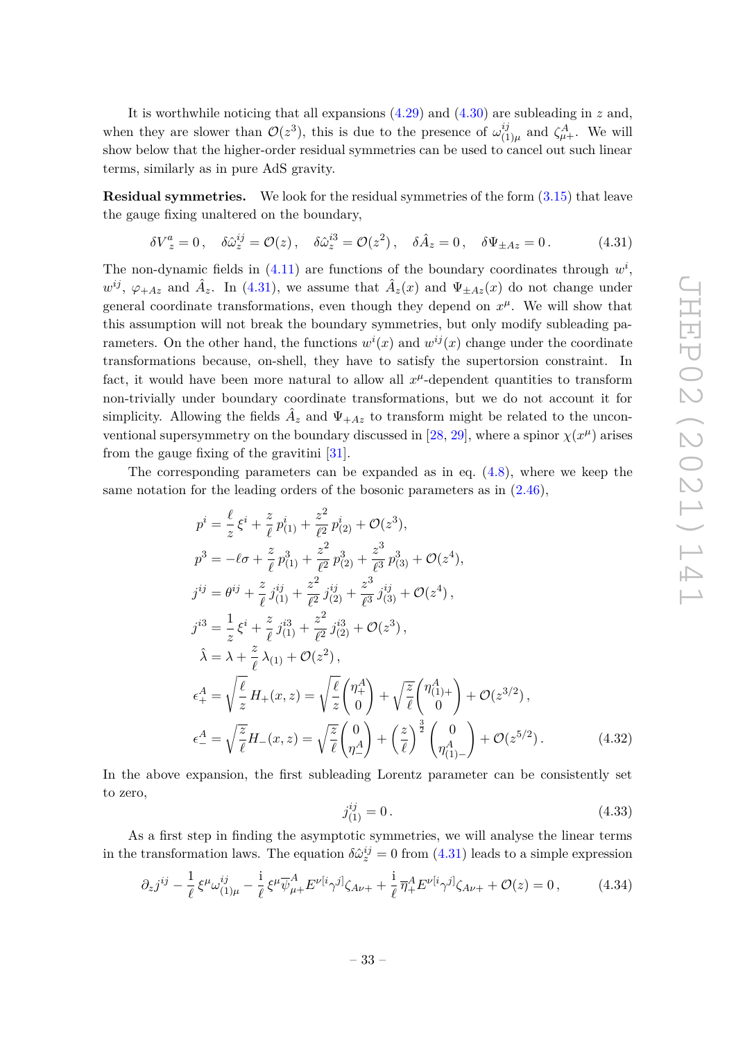It is worthwhile noticing that all expansions (4.29) and (4.30) are subleading in *z* and, when they are slower than  $\mathcal{O}(z^3)$ , this is due to the presence of  $\omega_{(1)}^{ij}$  $\chi_{(1)\mu}^{ij}$  and  $\zeta_{\mu+}^A$ . We will show below that the higher-order residual symmetries can be used to cancel out such linear terms, similarly as in pure AdS gravity.

**Residual symmetries.** We look for the residual symmetries of the form  $(3.15)$  that leave the gauge fixing unaltered on the boundary,

$$
\delta V_z^a = 0 \,, \quad \delta \hat{\omega}_z^{ij} = \mathcal{O}(z) \,, \quad \delta \hat{\omega}_z^{i3} = \mathcal{O}(z^2) \,, \quad \delta \hat{A}_z = 0 \,, \quad \delta \Psi_{\pm Az} = 0 \,. \tag{4.31}
$$

The non-dynamic fields in  $(4.11)$  are functions of the boundary coordinates through  $w^i$ ,  $w^{ij}$ ,  $\varphi_{+Az}$  and  $\hat{A}_z$ . In (4.31), we assume that  $\hat{A}_z(x)$  and  $\Psi_{\pm Az}(x)$  do not change under general coordinate transformations, even though they depend on  $x^{\mu}$ . We will show that this assumption will not break the boundary symmetries, but only modify subleading parameters. On the other hand, the functions  $w^{i}(x)$  and  $w^{i j}(x)$  change under the coordinate transformations because, on-shell, they have to satisfy the supertorsion constraint. In fact, it would have been more natural to allow all  $x^{\mu}$ -dependent quantities to transform non-trivially under boundary coordinate transformations, but we do not account it for simplicity. Allowing the fields  $\hat{A}_z$  and  $\Psi_{+Az}$  to transform might be related to the unconventional supersymmetry on the boundary discussed in [28, 29], where a spinor  $\chi(x^{\mu})$  arises from the gauge fixing of the gravitini [31].

The corresponding parameters can be expanded as in eq. (4.8), where we keep the same notation for the leading orders of the bosonic parameters as in (2.46),

$$
p^{i} = \frac{\ell}{z} \xi^{i} + \frac{z}{\ell} p_{(1)}^{i} + \frac{z^{2}}{\ell^{2}} p_{(2)}^{i} + \mathcal{O}(z^{3}),
$$
  
\n
$$
p^{3} = -\ell \sigma + \frac{z}{\ell} p_{(1)}^{3} + \frac{z^{2}}{\ell^{2}} p_{(2)}^{3} + \frac{z^{3}}{\ell^{3}} p_{(3)}^{3} + \mathcal{O}(z^{4}),
$$
  
\n
$$
j^{ij} = \theta^{ij} + \frac{z}{\ell} j^{ij}_{(1)} + \frac{z^{2}}{\ell^{2}} j^{ij}_{(2)} + \frac{z^{3}}{\ell^{3}} j^{ij}_{(3)} + \mathcal{O}(z^{4}),
$$
  
\n
$$
j^{i3} = \frac{1}{z} \xi^{i} + \frac{z}{\ell} j^{i3}_{(1)} + \frac{z^{2}}{\ell^{2}} j^{i3}_{(2)} + \mathcal{O}(z^{3}),
$$
  
\n
$$
\hat{\lambda} = \lambda + \frac{z}{\ell} \lambda_{(1)} + \mathcal{O}(z^{2}),
$$
  
\n
$$
\epsilon_{+}^{A} = \sqrt{\frac{\ell}{z}} H_{+}(x, z) = \sqrt{\frac{\ell}{z}} {n + \choose 0} + \sqrt{\frac{z}{\ell}} {n + \choose 0} + \mathcal{O}(z^{3/2}),
$$
  
\n
$$
\epsilon_{-}^{A} = \sqrt{\frac{z}{\ell}} H_{-}(x, z) = \sqrt{\frac{z}{\ell}} {n + \choose 0} + \left(\frac{z}{\ell}\right)^{\frac{3}{2}} {n + \choose 0} + \mathcal{O}(z^{5/2}).
$$
  
\n(4.32)

In the above expansion, the first subleading Lorentz parameter can be consistently set to zero,

$$
j_{(1)}^{ij} = 0. \t\t(4.33)
$$

As a first step in finding the asymptotic symmetries, we will analyse the linear terms in the transformation laws. The equation  $\delta \hat{\omega}^{ij}_z = 0$  from (4.31) leads to a simple expression

$$
\partial_z j^{ij} - \frac{1}{\ell} \xi^{\mu} \omega_{(1)\mu}^{ij} - \frac{i}{\ell} \xi^{\mu} \overline{\psi}^A_{\mu+} E^{\nu[i} \gamma^{j]} \zeta_{A\nu+} + \frac{i}{\ell} \overline{\eta}^A_+ E^{\nu[i} \gamma^{j]} \zeta_{A\nu+} + \mathcal{O}(z) = 0, \qquad (4.34)
$$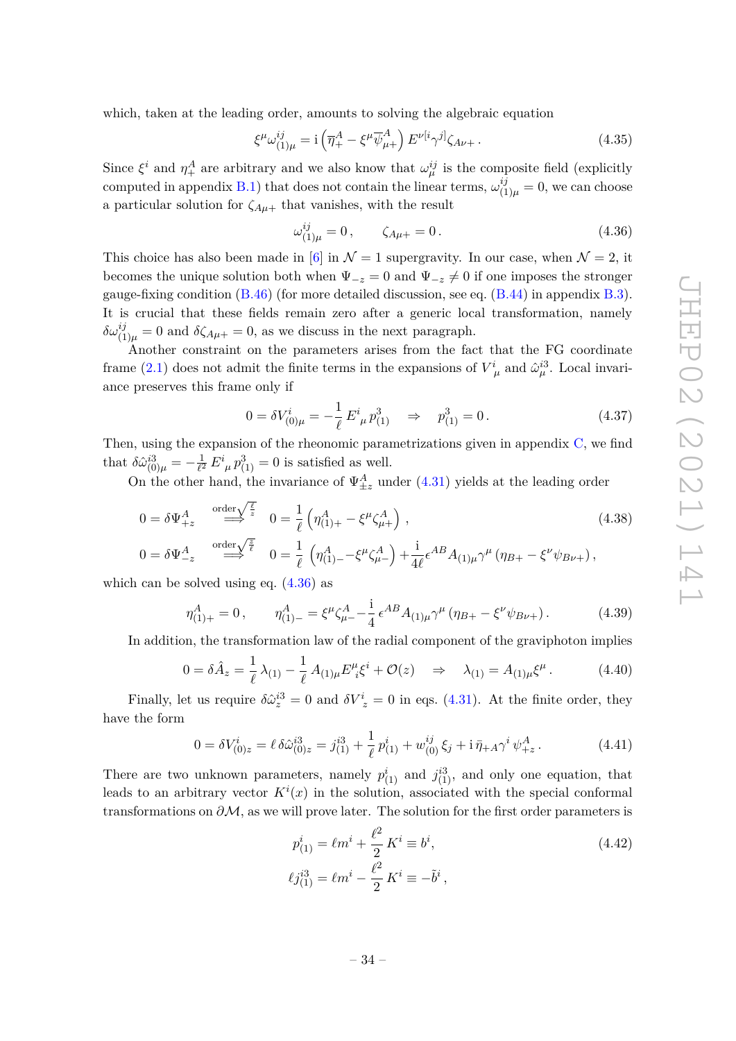which, taken at the leading order, amounts to solving the algebraic equation

$$
\xi^{\mu}\omega_{(1)\mu}^{ij} = \mathbf{i}\left(\overline{\eta}_+^A - \xi^{\mu}\overline{\psi}_{\mu+}^A\right)E^{\nu[i}\gamma^{j]}\zeta_{A\nu+} \,. \tag{4.35}
$$

Since  $\xi^i$  and  $\eta^A_+$  are arbitrary and we also know that  $\omega^{ij}_\mu$  is the composite field (explicitly computed in appendix B.1) that does not contain the linear terms,  $\omega_{11}^{ij}$  $\binom{y}{1\mu} = 0$ , we can choose a particular solution for  $\zeta_{A\mu+}$  that vanishes, with the result

$$
\omega_{(1)\mu}^{ij} = 0, \qquad \zeta_{A\mu +} = 0. \tag{4.36}
$$

This choice has also been made in [6] in  $\mathcal{N}=1$  supergravity. In our case, when  $\mathcal{N}=2$ , it becomes the unique solution both when  $\Psi_{-z} = 0$  and  $\Psi_{-z} \neq 0$  if one imposes the stronger gauge-fixing condition  $(B.46)$  (for more detailed discussion, see eq.  $(B.44)$  in appendix B.3). It is crucial that these fields remain zero after a generic local transformation, namely  $\delta \omega_{(1)\mu}^{ij} = 0$  and  $\delta \zeta_{A\mu+} = 0$ , as we discuss in the next paragraph.

Another constraint on the parameters arises from the fact that the FG coordinate frame (2.1) does not admit the finite terms in the expansions of  $V^i_{\mu}$  and  $\hat{\omega}^{i3}_{\mu}$ . Local invariance preserves this frame only if

$$
0 = \delta V^i_{(0)\mu} = -\frac{1}{\ell} E^i_{\ \mu} p^3_{(1)} \quad \Rightarrow \quad p^3_{(1)} = 0 \,. \tag{4.37}
$$

Then, using the expansion of the rheonomic parametrizations given in appendix C, we find that  $\delta \hat{\omega}_{(0)\mu}^{i3} = -\frac{1}{\ell^2}$  $\frac{1}{\ell^2} E^i_{\ \mu} p^3_{(1)} = 0$  is satisfied as well.

On the other hand, the invariance of  $\Psi_{\pm z}^{A}$  under (4.31) yields at the leading order

$$
0 = \delta \Psi_{+z}^{A} \stackrel{\text{order}\sqrt{\frac{\ell}{z}}}{\Longrightarrow} 0 = \frac{1}{\ell} \left( \eta_{(1)+}^{A} - \xi^{\mu} \zeta_{\mu+}^{A} \right), \tag{4.38}
$$

$$
0 = \delta \Psi_{-z}^{A} \stackrel{\text{order}\sqrt{\frac{z}{\ell}}}{\longrightarrow} 0 = \frac{1}{\ell} \left( \eta_{(1)-}^{A} - \xi^{\mu} \zeta_{\mu -}^{A} \right) + \frac{i}{4\ell} \epsilon^{AB} A_{(1)\mu} \gamma^{\mu} \left( \eta_{B+} - \xi^{\nu} \psi_{B\nu +} \right),
$$

which can be solved using eq.  $(4.36)$  as

$$
\eta_{(1)+}^{A} = 0, \qquad \eta_{(1)-}^{A} = \xi^{\mu} \zeta_{\mu}^{A} - \frac{\mathrm{i}}{4} \epsilon^{AB} A_{(1)\mu} \gamma^{\mu} \left( \eta_{B+} - \xi^{\nu} \psi_{B\nu+} \right). \tag{4.39}
$$

In addition, the transformation law of the radial component of the graviphoton implies

$$
0 = \delta \hat{A}_z = \frac{1}{\ell} \lambda_{(1)} - \frac{1}{\ell} A_{(1)\mu} E^{\mu}_{\ i} \xi^i + \mathcal{O}(z) \quad \Rightarrow \quad \lambda_{(1)} = A_{(1)\mu} \xi^{\mu} \,. \tag{4.40}
$$

Finally, let us require  $\delta \hat{\omega}_z^{i3} = 0$  and  $\delta V_z^i = 0$  in eqs. (4.31). At the finite order, they have the form

$$
0 = \delta V_{(0)z}^i = \ell \,\delta \hat{\omega}_{(0)z}^{i3} = j_{(1)}^{i3} + \frac{1}{\ell} \, p_{(1)}^i + w_{(0)}^{ij} \, \xi_j + i \, \bar{\eta}_{+A} \gamma^i \, \psi_{+z}^A. \tag{4.41}
$$

There are two unknown parameters, namely  $p_{(1)}^i$  and  $j_{(1)}^{i3}$ , and only one equation, that leads to an arbitrary vector  $K^i(x)$  in the solution, associated with the special conformal transformations on *∂*M, as we will prove later. The solution for the first order parameters is

$$
p_{(1)}^i = \ell m^i + \frac{\ell^2}{2} K^i \equiv b^i,
$$
  
\n
$$
\ell j_{(1)}^{i3} = \ell m^i - \frac{\ell^2}{2} K^i \equiv -\tilde{b}^i,
$$
\n(4.42)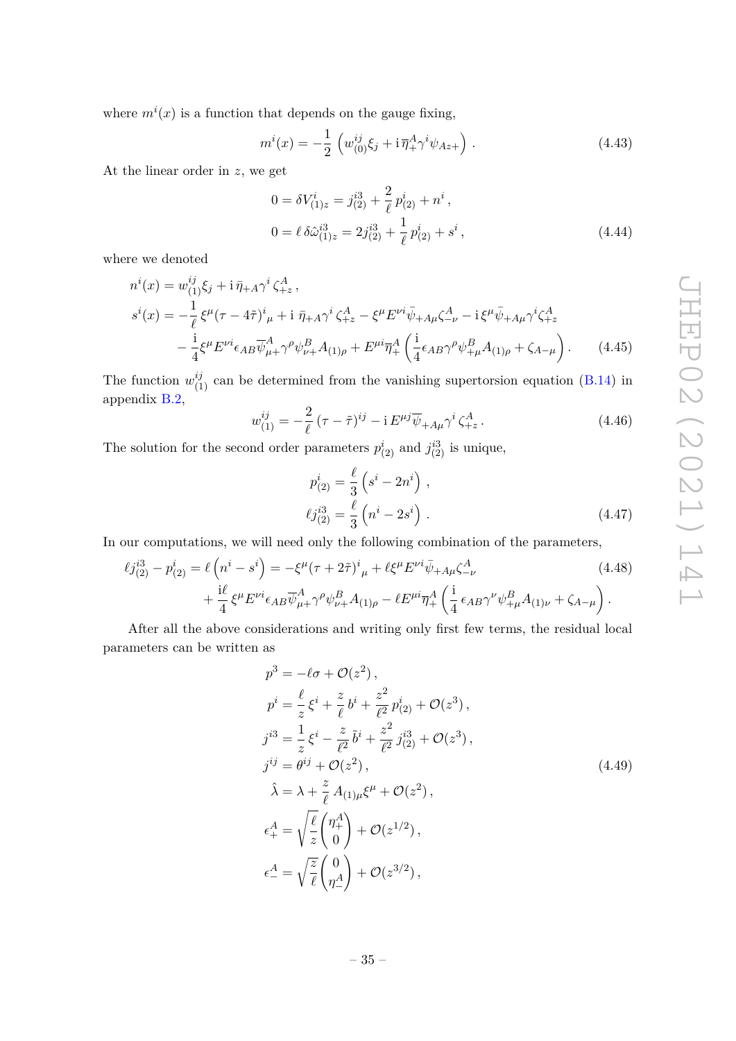where  $m^i(x)$  is a function that depends on the gauge fixing,

$$
m^{i}(x) = -\frac{1}{2} \left( w_{(0)}^{ij} \xi_{j} + i \, \overline{\eta}_{+}^{A} \gamma^{i} \psi_{Az+} \right). \tag{4.43}
$$

At the linear order in *z*, we get

$$
0 = \delta V_{(1)z}^{i} = j_{(2)}^{i3} + \frac{2}{\ell} p_{(2)}^{i} + n^{i} ,
$$
  
\n
$$
0 = \ell \delta \hat{\omega}_{(1)z}^{i3} = 2j_{(2)}^{i3} + \frac{1}{\ell} p_{(2)}^{i} + s^{i} ,
$$
\n(4.44)

where we denoted

$$
n^{i}(x) = w_{(1)}^{ij}\xi_{j} + i\,\bar{\eta}_{+A}\gamma^{i}\zeta_{+z}^{A},
$$
  
\n
$$
s^{i}(x) = -\frac{1}{\ell}\xi^{\mu}(\tau - 4\tilde{\tau})^{i}{}_{\mu} + i\,\bar{\eta}_{+A}\gamma^{i}\zeta_{+z}^{A} - \xi^{\mu}E^{\nu i}\bar{\psi}_{+A\mu}\zeta_{-\nu}^{A} - i\xi^{\mu}\bar{\psi}_{+A\mu}\gamma^{i}\zeta_{+z}^{A}
$$
  
\n
$$
-\frac{i}{4}\xi^{\mu}E^{\nu i}\epsilon_{AB}\bar{\psi}_{\mu+}^{A}\gamma^{\rho}\psi_{\nu+}^{B}A_{(1)\rho} + E^{\mu i}\bar{\eta}_{+}^{A}\left(\frac{i}{4}\epsilon_{AB}\gamma^{\rho}\psi_{+\mu}^{B}A_{(1)\rho} + \zeta_{A-\mu}\right).
$$
 (4.45)

The function  $w_{(1)}^{ij}$  can be determined from the vanishing supertorsion equation (B.14) in appendix B.2,

$$
w_{(1)}^{ij} = -\frac{2}{\ell} \left( \tau - \tilde{\tau} \right)^{ij} - i E^{\mu j} \overline{\psi}_{+A\mu} \gamma^i \zeta_{+z}^A. \tag{4.46}
$$

The solution for the second order parameters  $p_{(2)}^i$  and  $j_{(2)}^{i3}$  is unique,

$$
p_{(2)}^i = \frac{\ell}{3} \left( s^i - 2n^i \right) ,
$$
  

$$
\ell j_{(2)}^{i3} = \frac{\ell}{3} \left( n^i - 2s^i \right) .
$$
 (4.47)

In our computations, we will need only the following combination of the parameters,

$$
\ell j_{(2)}^{i3} - p_{(2)}^i = \ell \left( n^i - s^i \right) = -\xi^\mu (\tau + 2\tilde{\tau})^i{}_{\mu} + \ell \xi^\mu E^{\nu i} \bar{\psi}_{+A\mu} \zeta^A_{-\nu}
$$
\n
$$
+ \frac{i\ell}{4} \xi^\mu E^{\nu i} \epsilon_{AB} \overline{\psi}^A_{\mu+} \gamma^\rho \psi^B_{\nu+} A_{(1)\rho} - \ell E^{\mu i} \overline{\eta}^A_+ \left( \frac{i}{4} \epsilon_{AB} \gamma^\nu \psi^B_{+\mu} A_{(1)\nu} + \zeta_{A-\mu} \right).
$$
\n(4.48)

After all the above considerations and writing only first few terms, the residual local parameters can be written as

$$
p^{3} = -\ell\sigma + \mathcal{O}(z^{2}),
$$
  
\n
$$
p^{i} = \frac{\ell}{z}\xi^{i} + \frac{z}{\ell}b^{i} + \frac{z^{2}}{\ell^{2}}p_{(2)}^{i} + \mathcal{O}(z^{3}),
$$
  
\n
$$
j^{i3} = \frac{1}{z}\xi^{i} - \frac{z}{\ell^{2}}\tilde{b}^{i} + \frac{z^{2}}{\ell^{2}}j_{(2)}^{i3} + \mathcal{O}(z^{3}),
$$
  
\n
$$
j^{ij} = \theta^{ij} + \mathcal{O}(z^{2}),
$$
  
\n
$$
\hat{\lambda} = \lambda + \frac{z}{\ell}A_{(1)\mu}\xi^{\mu} + \mathcal{O}(z^{2}),
$$
  
\n
$$
\epsilon_{+}^{A} = \sqrt{\frac{\ell}{z}}\begin{pmatrix} \eta_{+}^{A} \\ 0 \end{pmatrix} + \mathcal{O}(z^{1/2}),
$$
  
\n
$$
\epsilon_{-}^{A} = \sqrt{\frac{z}{\ell}}\begin{pmatrix} 0 \\ \eta_{-}^{A} \end{pmatrix} + \mathcal{O}(z^{3/2}),
$$
  
\n(4.49)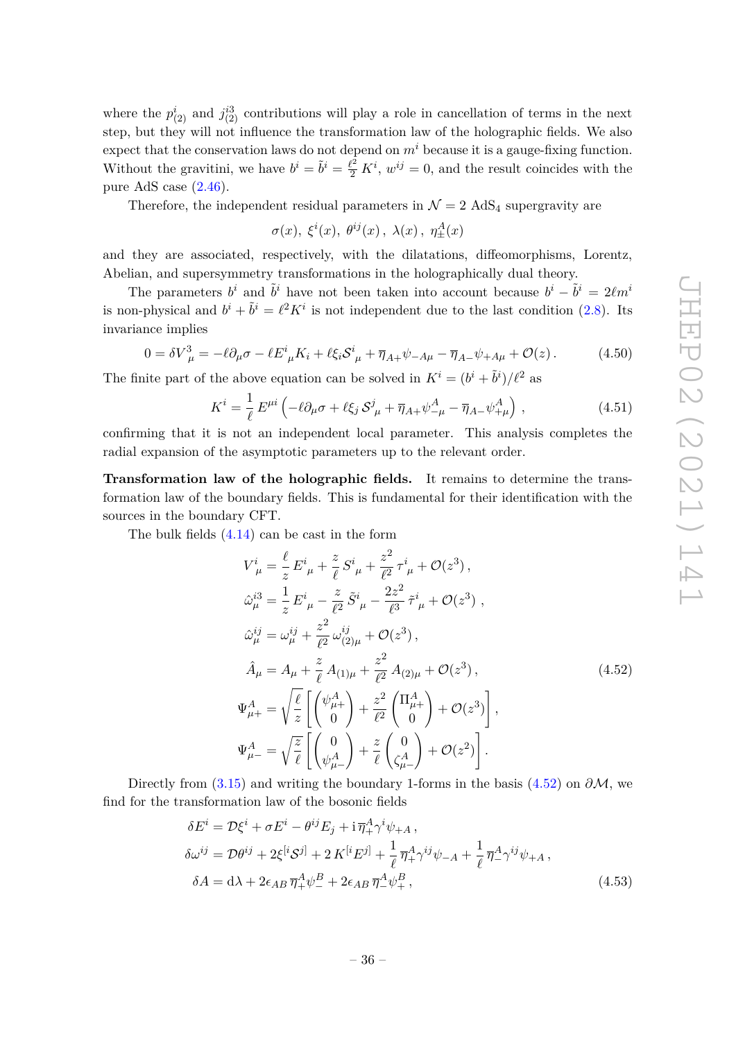where the  $p_{(2)}^i$  and  $j_{(2)}^{i3}$  contributions will play a role in cancellation of terms in the next step, but they will not influence the transformation law of the holographic fields. We also expect that the conservation laws do not depend on  $m<sup>i</sup>$  because it is a gauge-fixing function. Without the gravitini, we have  $b^i = \tilde{b}^i = \frac{\ell^2}{2} K^i$ ,  $w^{ij} = 0$ , and the result coincides with the pure AdS case (2.46).

Therefore, the independent residual parameters in  $\mathcal{N} = 2$  AdS<sub>4</sub> supergravity are

$$
\sigma(x),\ \xi^i(x),\ \theta^{ij}(x)\,,\ \lambda(x)\,,\ \eta^A_\pm(x)
$$

and they are associated, respectively, with the dilatations, diffeomorphisms, Lorentz, Abelian, and supersymmetry transformations in the holographically dual theory.

The parameters  $b^i$  and  $\tilde{b}^i$  have not been taken into account because  $b^i - \tilde{b}^i = 2\ell m^i$ is non-physical and  $b^i + \tilde{b}^i = \ell^2 K^i$  is not independent due to the last condition (2.8). Its invariance implies

$$
0 = \delta V_{\mu}^3 = -\ell \partial_{\mu} \sigma - \ell E^i_{\mu} K_i + \ell \xi_i \mathcal{S}^i_{\mu} + \overline{\eta}_{A+} \psi_{-A\mu} - \overline{\eta}_{A-} \psi_{+A\mu} + \mathcal{O}(z) \,. \tag{4.50}
$$

The finite part of the above equation can be solved in  $K^i = (b^i + \tilde{b}^i)/\ell^2$  as

$$
K^{i} = \frac{1}{\ell} E^{\mu i} \left( -\ell \partial_{\mu} \sigma + \ell \xi_{j} \mathcal{S}_{\mu}^{j} + \overline{\eta}_{A+} \psi_{-\mu}^{A} - \overline{\eta}_{A-} \psi_{+\mu}^{A} \right) , \qquad (4.51)
$$

confirming that it is not an independent local parameter. This analysis completes the radial expansion of the asymptotic parameters up to the relevant order.

**Transformation law of the holographic fields.** It remains to determine the transformation law of the boundary fields. This is fundamental for their identification with the sources in the boundary CFT.

The bulk fields (4.14) can be cast in the form

$$
V_{\mu}^{i} = \frac{\ell}{z} E_{\mu}^{i} + \frac{z}{\ell} S_{\mu}^{i} + \frac{z^{2}}{\ell^{2}} \tau_{\mu}^{i} + \mathcal{O}(z^{3}),
$$
  
\n
$$
\hat{\omega}_{\mu}^{i3} = \frac{1}{z} E_{\mu}^{i} - \frac{z}{\ell^{2}} \tilde{S}_{\mu}^{i} - \frac{2z^{2}}{\ell^{3}} \tilde{\tau}_{\mu}^{i} + \mathcal{O}(z^{3}),
$$
  
\n
$$
\hat{\omega}_{\mu}^{ij} = \omega_{\mu}^{ij} + \frac{z^{2}}{\ell^{2}} \omega_{(2)\mu}^{ij} + \mathcal{O}(z^{3}),
$$
  
\n
$$
\hat{A}_{\mu} = A_{\mu} + \frac{z}{\ell} A_{(1)\mu} + \frac{z^{2}}{\ell^{2}} A_{(2)\mu} + \mathcal{O}(z^{3}),
$$
  
\n
$$
\Psi_{\mu+}^{A} = \sqrt{\frac{\ell}{z}} \left[ \begin{pmatrix} \psi_{\mu+}^{A} \\ 0 \end{pmatrix} + \frac{z^{2}}{\ell^{2}} \begin{pmatrix} \Pi_{\mu+}^{A} \\ 0 \end{pmatrix} + \mathcal{O}(z^{3}) \right],
$$
  
\n
$$
\Psi_{\mu-}^{A} = \sqrt{\frac{z}{\ell}} \left[ \begin{pmatrix} 0 \\ \psi_{\mu-}^{A} \end{pmatrix} + \frac{z}{\ell} \begin{pmatrix} 0 \\ \zeta_{\mu-}^{A} \end{pmatrix} + \mathcal{O}(z^{2}) \right].
$$
 (4.52)

Directly from (3.15) and writing the boundary 1-forms in the basis (4.52) on  $\partial M$ , we find for the transformation law of the bosonic fields

$$
\delta E^{i} = \mathcal{D}\xi^{i} + \sigma E^{i} - \theta^{ij} E_{j} + i \overline{\eta}_{+}^{A} \gamma^{i} \psi_{+A} ,
$$
  
\n
$$
\delta \omega^{ij} = \mathcal{D}\theta^{ij} + 2\xi^{[i}\mathcal{S}^{j]} + 2 K^{[i} E^{j]} + \frac{1}{\ell} \overline{\eta}_{+}^{A} \gamma^{ij} \psi_{-A} + \frac{1}{\ell} \overline{\eta}_{-}^{A} \gamma^{ij} \psi_{+A} ,
$$
  
\n
$$
\delta A = d\lambda + 2\epsilon_{AB} \overline{\eta}_{+}^{A} \psi_{-}^{B} + 2\epsilon_{AB} \overline{\eta}_{-}^{A} \psi_{+}^{B} ,
$$
\n(4.53)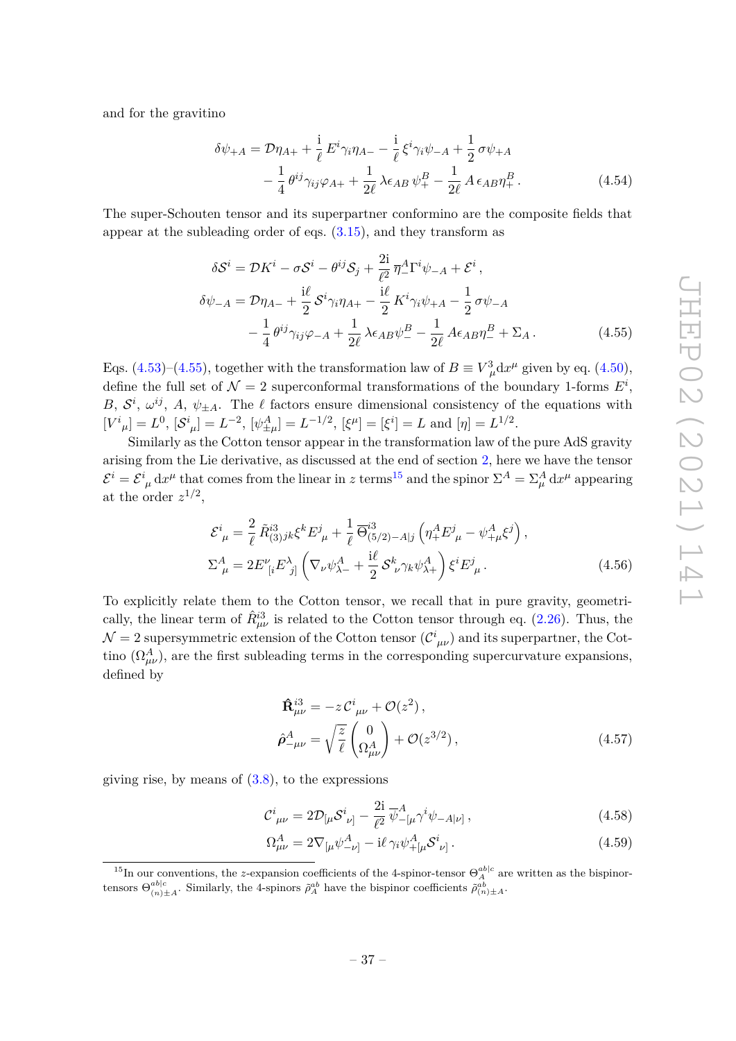and for the gravitino

$$
\delta\psi_{+A} = \mathcal{D}\eta_{A+} + \frac{i}{\ell} E^i \gamma_i \eta_{A-} - \frac{i}{\ell} \xi^i \gamma_i \psi_{-A} + \frac{1}{2} \sigma \psi_{+A} - \frac{1}{4} \theta^{ij} \gamma_{ij} \varphi_{A+} + \frac{1}{2\ell} \lambda \epsilon_{AB} \psi^B_+ - \frac{1}{2\ell} A \epsilon_{AB} \eta^B_+ .
$$
(4.54)

The super-Schouten tensor and its superpartner conformino are the composite fields that appear at the subleading order of eqs. (3.15), and they transform as

$$
\delta S^{i} = \mathcal{D}K^{i} - \sigma S^{i} - \theta^{ij}\mathcal{S}_{j} + \frac{2i}{\ell^{2}}\overline{\eta}{}_{-}^{A}\Gamma^{i}\psi_{-A} + \mathcal{E}^{i},
$$
  
\n
$$
\delta\psi_{-A} = \mathcal{D}\eta_{A-} + \frac{i\ell}{2}\mathcal{S}^{i}\gamma_{i}\eta_{A+} - \frac{i\ell}{2}\mathcal{K}^{i}\gamma_{i}\psi_{+A} - \frac{1}{2}\sigma\psi_{-A}
$$
  
\n
$$
-\frac{1}{4}\theta^{ij}\gamma_{ij}\varphi_{-A} + \frac{1}{2\ell}\lambda\epsilon_{AB}\psi_{-}^{B} - \frac{1}{2\ell}\mathcal{A}\epsilon_{AB}\eta_{-}^{B} + \Sigma_{A}.
$$
\n(4.55)

Eqs. (4.53)–(4.55), together with the transformation law of  $B \equiv V^3_{\mu} dx^{\mu}$  given by eq. (4.50), define the full set of  $\mathcal{N} = 2$  superconformal transformations of the boundary 1-forms  $E^i$ , *B*,  $S^i$ ,  $\omega^{ij}$ , *A*,  $\psi_{\pm A}$ . The  $\ell$  factors ensure dimensional consistency of the equations with  $[V^i{}_\mu] = L^0$ ,  $[\mathcal{S}^i{}_\mu] = L^{-2}$ ,  $[\psi^A_{\pm\mu}] = L^{-1/2}$ ,  $[\xi^\mu] = [\xi^i] = L$  and  $[\eta] = L^{1/2}$ .

Similarly as the Cotton tensor appear in the transformation law of the pure AdS gravity arising from the Lie derivative, as discussed at the end of section 2, here we have the tensor  $\mathcal{E}^i = \mathcal{E}^i_{\mu} dx^{\mu}$  that comes from the linear in *z* terms<sup>15</sup> and the spinor  $\Sigma^A = \Sigma^A_{\mu} dx^{\mu}$  appearing at the order  $z^{1/2}$ ,

$$
\mathcal{E}^{i}_{\mu} = \frac{2}{\ell} \tilde{R}^{i3}_{(3)jk} \xi^{k} E^{j}_{\mu} + \frac{1}{\ell} \overline{\Theta}^{i3}_{(5/2)-A|j} \left( \eta_{+}^{A} E^{j}_{\mu} - \psi_{+\mu}^{A} \xi^{j} \right),
$$
  
\n
$$
\Sigma^{A}_{\mu} = 2E^{\nu}_{\ [i} E^{\lambda}_{\ j]} \left( \nabla_{\nu} \psi_{\lambda-}^{A} + \frac{i\ell}{2} \mathcal{S}^{k}_{\ \nu} \gamma_{k} \psi_{\lambda+}^{A} \right) \xi^{i} E^{j}_{\ \mu}.
$$
\n(4.56)

To explicitly relate them to the Cotton tensor, we recall that in pure gravity, geometrically, the linear term of  $\hat{R}^{3}_{\mu\nu}$  is related to the Cotton tensor through eq. (2.26). Thus, the  $\mathcal{N}=2$  supersymmetric extension of the Cotton tensor  $(\mathcal{C}_{\mu\nu}^i)$  and its superpartner, the Cottino  $(\Omega_{\mu\nu}^A)$ , are the first subleading terms in the corresponding supercurvature expansions, defined by

$$
\hat{\mathbf{R}}_{\mu\nu}^{i3} = -z \mathcal{C}_{\mu\nu}^{i} + \mathcal{O}(z^{2}),
$$
\n
$$
\hat{\rho}_{-\mu\nu}^{A} = \sqrt{\frac{z}{\ell}} \begin{pmatrix} 0 \\ \Omega_{\mu\nu}^{A} \end{pmatrix} + \mathcal{O}(z^{3/2}),
$$
\n(4.57)

giving rise, by means of  $(3.8)$ , to the expressions

$$
\mathcal{C}^{i}_{\ \mu\nu} = 2\mathcal{D}_{[\mu} \mathcal{S}^{i}_{\ \nu]} - \frac{2i}{\ell^{2}} \overline{\psi}^{A}_{-[\mu} \gamma^{i} \psi_{-A|\nu]} \,, \tag{4.58}
$$

$$
\Omega^{A}_{\mu\nu} = 2\nabla_{[\mu}\psi^{A}_{-\nu]} - i\ell \gamma_i \psi^{A}_{+[\mu} S^i{}_{\nu]}.
$$
\n(4.59)

<sup>&</sup>lt;sup>15</sup>In our conventions, the *z*-expansion coefficients of the 4-spinor-tensor  $\Theta_A^{ab|c}$  are written as the bispinortensors  $\Theta_{(n)\pm A}^{ab|c}$ . Similarly, the 4-spinors  $\tilde{\rho}_A^{ab}$  have the bispinor coefficients  $\tilde{\rho}_{(n)\pm A}^{ab}$ .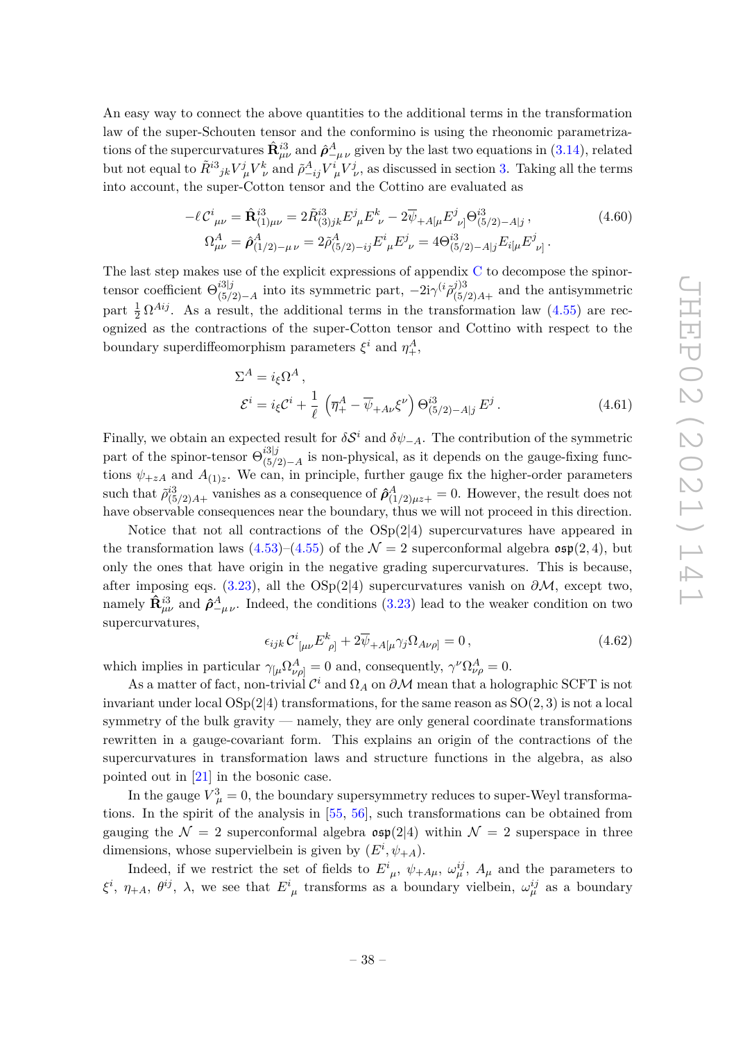An easy way to connect the above quantities to the additional terms in the transformation law of the super-Schouten tensor and the conformino is using the rheonomic parametrizations of the supercurvatures  $\hat{\mathbf{R}}_{\mu\nu}^{i3}$  and  $\hat{\boldsymbol{\rho}}_{-\mu\nu}^A$  given by the last two equations in (3.14), related but not equal to  $\tilde{R}^{i3}{}_{jk}V^j_{\mu}V^k_{\nu}$  and  $\tilde{\rho}^A_{-ij}V^i_{\mu}V^j_{\nu}$ , as discussed in section 3. Taking all the terms into account, the super-Cotton tensor and the Cottino are evaluated as

$$
-\ell C^{i}{}_{\mu\nu} = \hat{\mathbf{R}}^{i3}_{(1)\mu\nu} = 2\tilde{R}^{i3}_{(3)jk} E^{j}{}_{\mu} E^{k}{}_{\nu} - 2\overline{\psi}_{+A[\mu} E^{j}{}_{\nu]} \Theta^{i3}_{(5/2)-A|j} ,
$$
\n
$$
\Omega^{A}{}_{\mu\nu} = \hat{\rho}^{A}_{(1/2)-\mu\nu} = 2\tilde{\rho}^{A}_{(5/2)-ij} E^{i}{}_{\mu} E^{j}{}_{\nu} = 4\Theta^{i3}_{(5/2)-A|j} E_{i[\mu} E^{j}{}_{\nu]} .
$$
\n(4.60)

The last step makes use of the explicit expressions of appendix C to decompose the spinortensor coefficient Θ *i*3|*j*  $i3|j$ <sub>(5/2)−*A*</sub> into its symmetric part,  $-2iγ$ <sup>(*i*</sup> $ρ$ <sup>7</sup>(<sub>5/</sub>3)  $\int_{(5/2)A+}^{(5/2)}$  and the antisymmetric part  $\frac{1}{2} \Omega^{Aij}$ . As a result, the additional terms in the transformation law (4.55) are recognized as the contractions of the super-Cotton tensor and Cottino with respect to the boundary superdiffeomorphism parameters  $\xi^i$  and  $\eta^A_+$ ,

$$
\Sigma^{A} = i_{\xi} \Omega^{A},
$$
  
\n
$$
\mathcal{E}^{i} = i_{\xi} \mathcal{C}^{i} + \frac{1}{\ell} \left( \overline{\eta}^{A}_{+} - \overline{\psi}^{A}_{+} \mathcal{A} \nu \xi^{\nu} \right) \Theta^{i3}_{(5/2) - A|j} E^{j}.
$$
\n(4.61)

Finally, we obtain an expected result for  $\delta S^i$  and  $\delta \psi_{-A}$ . The contribution of the symmetric part of the spinor-tensor  $\Theta_{(5)}^{i3|j}$  $\int_{(5/2)-A}^{(5/2)}$  is non-physical, as it depends on the gauge-fixing functions  $\psi_{+zA}$  and  $A_{(1)z}$ . We can, in principle, further gauge fix the higher-order parameters such that  $\tilde{\rho}_{(5/2)A+}^{i3}$  vanishes as a consequence of  $\hat{\rho}_{(1/2)\mu z+}^A=0$ . However, the result does not have observable consequences near the boundary, thus we will not proceed in this direction.

Notice that not all contractions of the  $OSp(2|4)$  supercurvatures have appeared in the transformation laws  $(4.53)$ – $(4.55)$  of the  $\mathcal{N}=2$  superconformal algebra  $\mathfrak{osp}(2,4)$ , but only the ones that have origin in the negative grading supercurvatures. This is because, after imposing eqs. (3.23), all the  $OSp(2|4)$  supercurvatures vanish on  $\partial M$ , except two, namely  $\hat{\mathbf{R}}_{\mu\nu}^{i3}$  and  $\hat{\boldsymbol{\rho}}_{-\mu\nu}^A$ . Indeed, the conditions (3.23) lead to the weaker condition on two supercurvatures,

$$
\epsilon_{ijk} \mathcal{C}^i_{\ \left[\mu\nu\right.} E^k_{\ \rho\right]} + 2\overline{\psi}_{+A[\mu}\gamma_j \Omega_{A\nu\rho]} = 0\,,\tag{4.62}
$$

which implies in particular  $\gamma_{\mu} \Omega_{\nu \rho}^{A} = 0$  and, consequently,  $\gamma^{\nu} \Omega_{\nu \rho}^{A} = 0$ .

As a matter of fact, non-trivial  $\mathcal{C}^i$  and  $\Omega_A$  on  $\partial \mathcal{M}$  mean that a holographic SCFT is not invariant under local OSp(2|4) transformations, for the same reason as SO(2*,* 3) is not a local symmetry of the bulk gravity — namely, they are only general coordinate transformations rewritten in a gauge-covariant form. This explains an origin of the contractions of the supercurvatures in transformation laws and structure functions in the algebra, as also pointed out in [21] in the bosonic case.

In the gauge  $V^3_\mu = 0$ , the boundary supersymmetry reduces to super-Weyl transformations. In the spirit of the analysis in [55, 56], such transformations can be obtained from gauging the  $\mathcal{N} = 2$  superconformal algebra  $\mathfrak{osp}(2|4)$  within  $\mathcal{N} = 2$  superspace in three dimensions, whose supervielbein is given by  $(E^i, \psi_{+A})$ .

Indeed, if we restrict the set of fields to  $E^i_{\mu}$ ,  $\psi_{+A\mu}$ ,  $\omega^{ij}_{\mu}$ ,  $A_{\mu}$  and the parameters to  $\xi^i$ ,  $\eta_{+A}$ ,  $\theta^{ij}$ ,  $\lambda$ , we see that  $E^i_{\ \mu}$  transforms as a boundary vielbein,  $\omega^{ij}_{\mu}$  as a boundary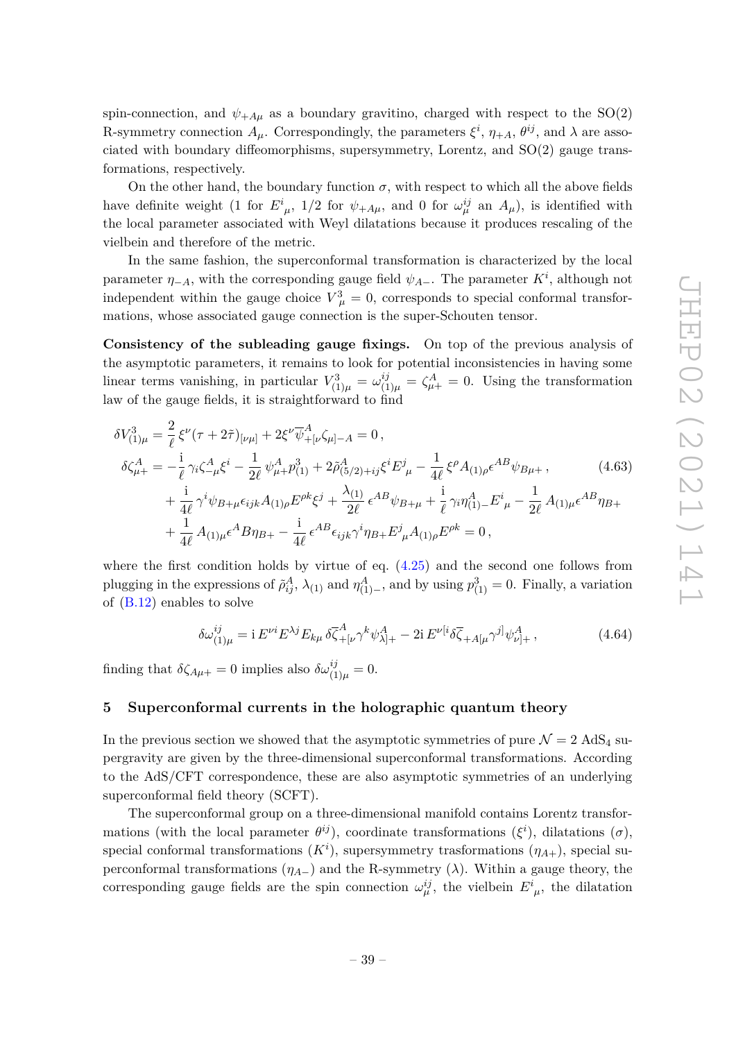spin-connection, and  $\psi_{+A\mu}$  as a boundary gravitino, charged with respect to the SO(2) R-symmetry connection  $A_\mu$ . Correspondingly, the parameters  $\xi^i$ ,  $\eta_{+A}$ ,  $\theta^{ij}$ , and  $\lambda$  are associated with boundary diffeomorphisms, supersymmetry, Lorentz, and SO(2) gauge transformations, respectively.

On the other hand, the boundary function  $\sigma$ , with respect to which all the above fields have definite weight (1 for  $E^i_{\mu}$ , 1/2 for  $\psi_{+A\mu}$ , and 0 for  $\omega_{\mu}^{ij}$  an  $A_{\mu}$ ), is identified with the local parameter associated with Weyl dilatations because it produces rescaling of the vielbein and therefore of the metric.

In the same fashion, the superconformal transformation is characterized by the local parameter  $\eta$ <sub>−*A*</sub>, with the corresponding gauge field  $\psi$ <sub>*A*−</sub>. The parameter  $K^i$ , although not independent within the gauge choice  $V^3_{\mu} = 0$ , corresponds to special conformal transformations, whose associated gauge connection is the super-Schouten tensor.

**Consistency of the subleading gauge fixings.** On top of the previous analysis of the asymptotic parameters, it remains to look for potential inconsistencies in having some linear terms vanishing, in particular  $V_{(1)\mu}^3 = \omega_{(1)\mu}^{ij} = \zeta_{\mu+}^A = 0$ . Using the transformation law of the gauge fields, it is straightforward to find

$$
\delta V_{(1)\mu}^{3} = \frac{2}{\ell} \xi^{\nu} (\tau + 2\tilde{\tau})_{[\nu\mu]} + 2\xi^{\nu} \overline{\psi}_{+[\nu}^{A} \zeta_{\mu]-A} = 0 ,
$$
  
\n
$$
\delta \zeta_{\mu+}^{A} = -\frac{i}{\ell} \gamma_{i} \zeta_{-\mu}^{A} \xi^{i} - \frac{1}{2\ell} \psi_{\mu+}^{A} p_{(1)}^{3} + 2\tilde{\rho}_{(5/2)+ij}^{A} \xi^{i} E^{j}_{\mu} - \frac{1}{4\ell} \xi^{\rho} A_{(1)\rho} \epsilon^{AB} \psi_{B\mu+} , \qquad (4.63)
$$
  
\n
$$
+ \frac{i}{4\ell} \gamma^{i} \psi_{B+\mu} \epsilon_{ijk} A_{(1)\rho} E^{\rho k} \xi^{j} + \frac{\lambda_{(1)}}{2\ell} \epsilon^{AB} \psi_{B+\mu} + \frac{i}{\ell} \gamma_{i} \eta_{(1)-}^{A} E^{i}_{\mu} - \frac{1}{2\ell} A_{(1)\mu} \epsilon^{AB} \eta_{B+} + \frac{1}{4\ell} A_{(1)\mu} \epsilon^{A} B \eta_{B+} - \frac{i}{4\ell} \epsilon^{AB} \epsilon_{ijk} \gamma^{i} \eta_{B+} E^{j}_{\mu} A_{(1)\rho} E^{\rho k} = 0 ,
$$

where the first condition holds by virtue of eq.  $(4.25)$  and the second one follows from plugging in the expressions of  $\tilde{\rho}_{ij}^A$ ,  $\lambda_{(1)}$  and  $\eta_{(1)-}^A$ , and by using  $p_{(1)}^3 = 0$ . Finally, a variation of (B.12) enables to solve

$$
\delta \omega_{(1)\mu}^{ij} = i E^{\nu i} E^{\lambda j} E_{k\mu} \, \delta \bar{\zeta}_{+[\nu}^A \gamma^k \psi_{\lambda]+}^A - 2i \, E^{\nu[i} \delta \bar{\zeta}_{+A[\mu} \gamma^{j]} \psi_{\nu]+}^A \,, \tag{4.64}
$$

finding that  $\delta \zeta_{A\mu+} = 0$  implies also  $\delta \omega_{(1)\mu}^{ij} = 0$ .

#### **5 Superconformal currents in the holographic quantum theory**

In the previous section we showed that the asymptotic symmetries of pure  $\mathcal{N} = 2$  AdS<sub>4</sub> supergravity are given by the three-dimensional superconformal transformations. According to the AdS/CFT correspondence, these are also asymptotic symmetries of an underlying superconformal field theory (SCFT).

The superconformal group on a three-dimensional manifold contains Lorentz transformations (with the local parameter  $\theta^{ij}$ ), coordinate transformations  $(\xi^i)$ , dilatations  $(\sigma)$ , special conformal transformations  $(K<sup>i</sup>)$ , supersymmetry trasformations  $(\eta_{A+})$ , special superconformal transformations  $(\eta_{A-})$  and the R-symmetry  $(\lambda)$ . Within a gauge theory, the corresponding gauge fields are the spin connection  $\omega_{\mu}^{ij}$ , the vielbein  $E^i_{\ \mu}$ , the dilatation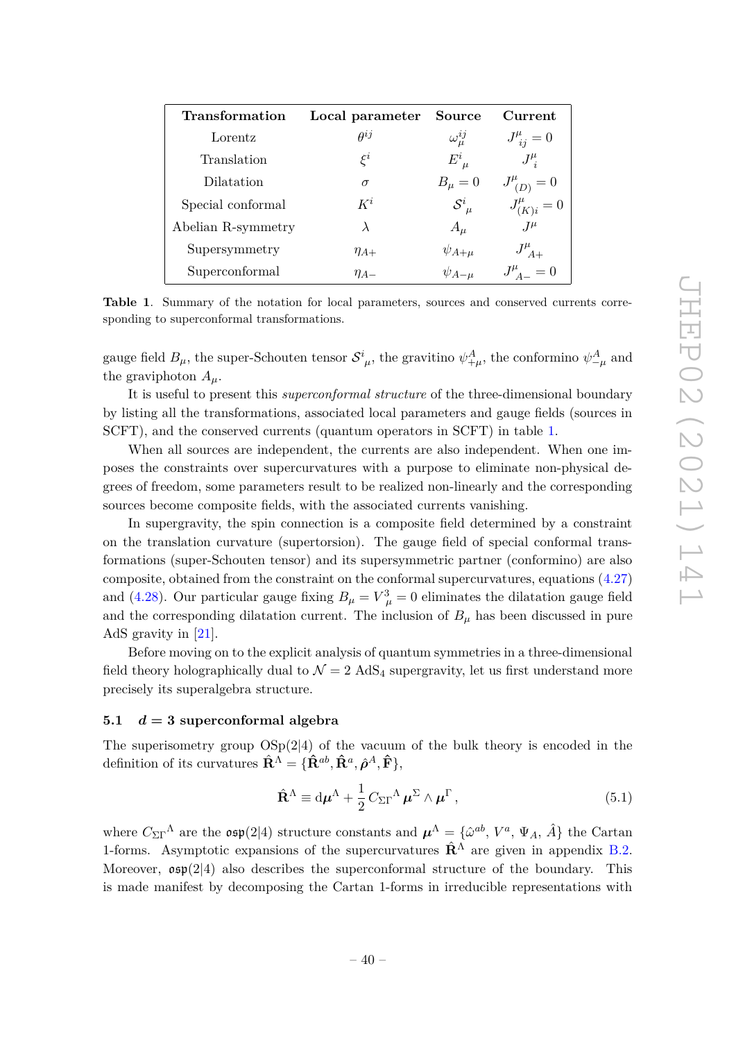| <b>Transformation</b> | Local parameter | Source            | Current              |
|-----------------------|-----------------|-------------------|----------------------|
| Lorentz               | $\rho^{ij}$     | $\omega_\mu^{ij}$ | $J^{\mu}_{ij}=0$     |
| Translation           | $\xi^i$         | $E^i_{\mu}$       | $J^\mu_{\;i}$        |
| Dilatation            | $\sigma$        | $B_\mu=0$         | $J^{\mu}_{(D)}=0$    |
| Special conformal     | $K^i$           | $S^i_{\ \mu}$     | $J_{(K)i}^{\mu} = 0$ |
| Abelian R-symmetry    | $\lambda$       | $A_\mu$           | $J^{\mu}$            |
| Supersymmetry         | $\eta_{A+}$     | $\psi_{A+\mu}$    | $J_{\ A+}^{\mu}$     |
| Superconformal        | $\eta_{A-}$     | $\psi_{A-\mu}$    | $J_{A-}^{\mu} = 0$   |

**Table 1**. Summary of the notation for local parameters, sources and conserved currents corresponding to superconformal transformations.

gauge field  $B_\mu$ , the super-Schouten tensor  $S^i_{\mu}$ , the gravitino  $\psi^A_{+\mu}$ , the conformino  $\psi^A_{-\mu}$  and the graviphoton  $A_\mu$ .

It is useful to present this *superconformal structure* of the three-dimensional boundary by listing all the transformations, associated local parameters and gauge fields (sources in SCFT), and the conserved currents (quantum operators in SCFT) in table 1.

When all sources are independent, the currents are also independent. When one imposes the constraints over supercurvatures with a purpose to eliminate non-physical degrees of freedom, some parameters result to be realized non-linearly and the corresponding sources become composite fields, with the associated currents vanishing.

In supergravity, the spin connection is a composite field determined by a constraint on the translation curvature (supertorsion). The gauge field of special conformal transformations (super-Schouten tensor) and its supersymmetric partner (conformino) are also composite, obtained from the constraint on the conformal supercurvatures, equations (4.27) and (4.28). Our particular gauge fixing  $B_{\mu} = V_{\ \mu}^3 = 0$  eliminates the dilatation gauge field and the corresponding dilatation current. The inclusion of  $B<sub>\mu</sub>$  has been discussed in pure AdS gravity in [21].

Before moving on to the explicit analysis of quantum symmetries in a three-dimensional field theory holographically dual to  $\mathcal{N} = 2$  AdS<sub>4</sub> supergravity, let us first understand more precisely its superalgebra structure.

#### **5.1** *d* **= 3 superconformal algebra**

The superisometry group  $OSp(2|4)$  of the vacuum of the bulk theory is encoded in the definition of its curvatures  $\hat{\mathbf{R}}^{\Lambda} = \{\hat{\mathbf{R}}^{ab}, \hat{\mathbf{R}}^{a}, \hat{\boldsymbol{\rho}}^{A}, \hat{\mathbf{F}}\},\$ 

$$
\hat{\mathbf{R}}^{\Lambda} \equiv d\boldsymbol{\mu}^{\Lambda} + \frac{1}{2} C_{\Sigma\Gamma}{}^{\Lambda} \boldsymbol{\mu}^{\Sigma} \wedge \boldsymbol{\mu}^{\Gamma} , \qquad (5.1)
$$

where  $C_{\Sigma\Gamma}^{\Lambda}$  are the  $\mathfrak{osp}(2|4)$  structure constants and  $\mu^{\Lambda} = \{\hat{\omega}^{ab}, V^a, \Psi_A, \hat{A}\}\$  the Cartan 1-forms. Asymptotic expansions of the supercurvatures  $\hat{\mathbf{R}}^{\Lambda}$  are given in appendix B.2. Moreover,  $\mathfrak{osp}(2|4)$  also describes the superconformal structure of the boundary. This is made manifest by decomposing the Cartan 1-forms in irreducible representations with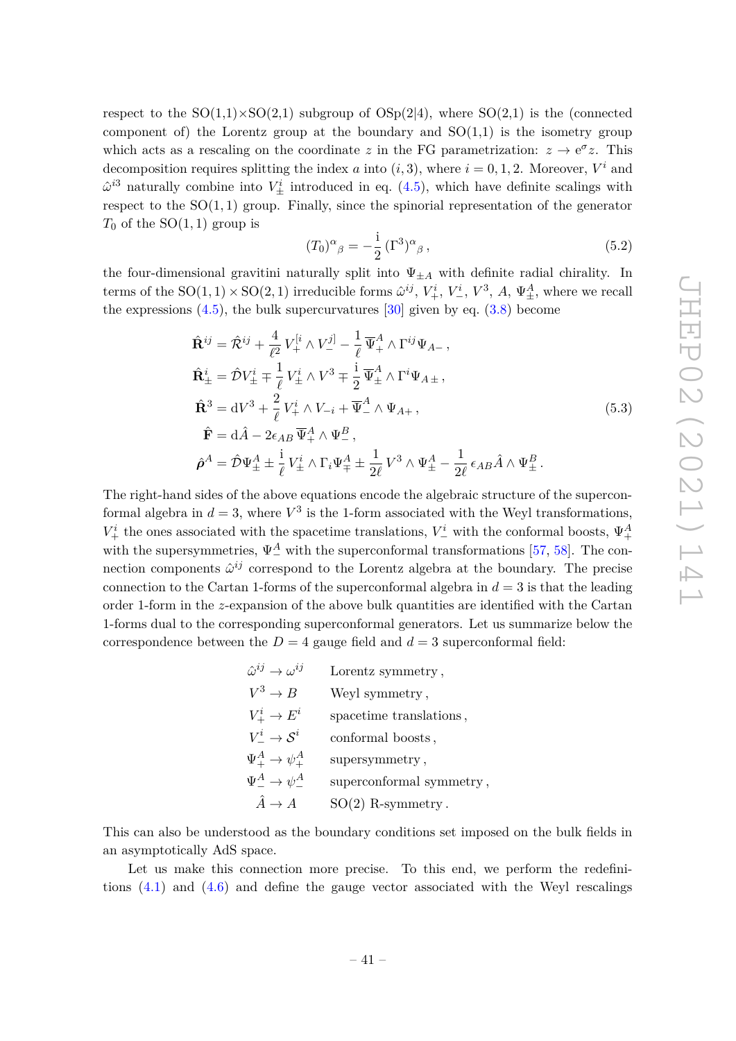respect to the  $SO(1,1)\times SO(2,1)$  subgroup of  $OSp(2|4)$ , where  $SO(2,1)$  is the (connected component of) the Lorentz group at the boundary and  $SO(1,1)$  is the isometry group which acts as a rescaling on the coordinate *z* in the FG parametrization:  $z \to e^{\sigma} z$ . This decomposition requires splitting the index *a* into  $(i, 3)$ , where  $i = 0, 1, 2$ . Moreover,  $V^i$  and  $\hat{\omega}^{i3}$  naturally combine into  $V^i_{\pm}$  introduced in eq. (4.5), which have definite scalings with respect to the  $SO(1,1)$  group. Finally, since the spinorial representation of the generator  $T_0$  of the SO(1, 1) group is

$$
(T_0)^{\alpha}{}_{\beta} = -\frac{i}{2} \left( \Gamma^3 \right)^{\alpha}{}_{\beta} , \qquad (5.2)
$$

the four-dimensional gravitini naturally split into  $\Psi_{\pm A}$  with definite radial chirality. In terms of the  $SO(1,1) \times SO(2,1)$  irreducible forms  $\hat{\omega}^{ij}$ ,  $V_+^i$ ,  $V_-^i$ ,  $V^3$ ,  $A$ ,  $\Psi_{\pm}^A$ , where we recall the expressions  $(4.5)$ , the bulk supercurvatures  $[30]$  given by eq.  $(3.8)$  become

$$
\hat{\mathbf{R}}^{ij} = \hat{\mathcal{R}}^{ij} + \frac{4}{\ell^2} V_{+}^{[i} \wedge V_{-}^{j]} - \frac{1}{\ell} \overline{\Psi}_{+}^{A} \wedge \Gamma^{ij} \Psi_{A-},
$$
\n
$$
\hat{\mathbf{R}}_{\pm}^{i} = \hat{\mathcal{D}} V_{\pm}^{i} \mp \frac{1}{\ell} V_{\pm}^{i} \wedge V^{3} \mp \frac{1}{2} \overline{\Psi}_{\pm}^{A} \wedge \Gamma^{i} \Psi_{A\pm},
$$
\n
$$
\hat{\mathbf{R}}^{3} = dV^{3} + \frac{2}{\ell} V_{+}^{i} \wedge V_{-i} + \overline{\Psi}_{-}^{A} \wedge \Psi_{A+},
$$
\n
$$
\hat{\mathbf{F}} = d\hat{A} - 2\epsilon_{AB} \overline{\Psi}_{+}^{A} \wedge \Psi_{-}^{B},
$$
\n
$$
\hat{\rho}^{A} = \hat{\mathcal{D}} \Psi_{\pm}^{A} \pm \frac{i}{\ell} V_{\pm}^{i} \wedge \Gamma_{i} \Psi_{\mp}^{A} \pm \frac{1}{2\ell} V^{3} \wedge \Psi_{\pm}^{A} - \frac{1}{2\ell} \epsilon_{AB} \hat{A} \wedge \Psi_{\pm}^{B}.
$$
\n(5.3)

The right-hand sides of the above equations encode the algebraic structure of the superconformal algebra in  $d = 3$ , where  $V^3$  is the 1-form associated with the Weyl transformations,  $V^i_+$  the ones associated with the spacetime translations,  $V^i_-$  with the conformal boosts,  $\Psi^A_+$ with the supersymmetries,  $\Psi_{-}^{A}$  with the superconformal transformations [57, 58]. The connection components  $\hat{\omega}^{ij}$  correspond to the Lorentz algebra at the boundary. The precise connection to the Cartan 1-forms of the superconformal algebra in  $d = 3$  is that the leading order 1-form in the *z*-expansion of the above bulk quantities are identified with the Cartan 1-forms dual to the corresponding superconformal generators. Let us summarize below the correspondence between the  $D = 4$  gauge field and  $d = 3$  superconformal field:

| $\hat{\omega}^{ij} \rightarrow \omega^{ij}$ | Lorentz symmetry,        |
|---------------------------------------------|--------------------------|
| $V^3 \to B$                                 | Weyl symmetry,           |
| $V^i_+ \to E^i$                             | spacetime translations,  |
| $V^i \rightarrow \mathcal{S}^i$             | conformal boosts,        |
| $\Psi^A_+ \rightarrow \psi^A_+$             | supersymmetry,           |
| $\Psi^A_-\to\psi^A_-$                       | superconformal symmetry, |
| $\hat{A} \to A$                             | $SO(2)$ R-symmetry.      |

This can also be understood as the boundary conditions set imposed on the bulk fields in an asymptotically AdS space.

Let us make this connection more precise. To this end, we perform the redefinitions  $(4.1)$  and  $(4.6)$  and define the gauge vector associated with the Weyl rescalings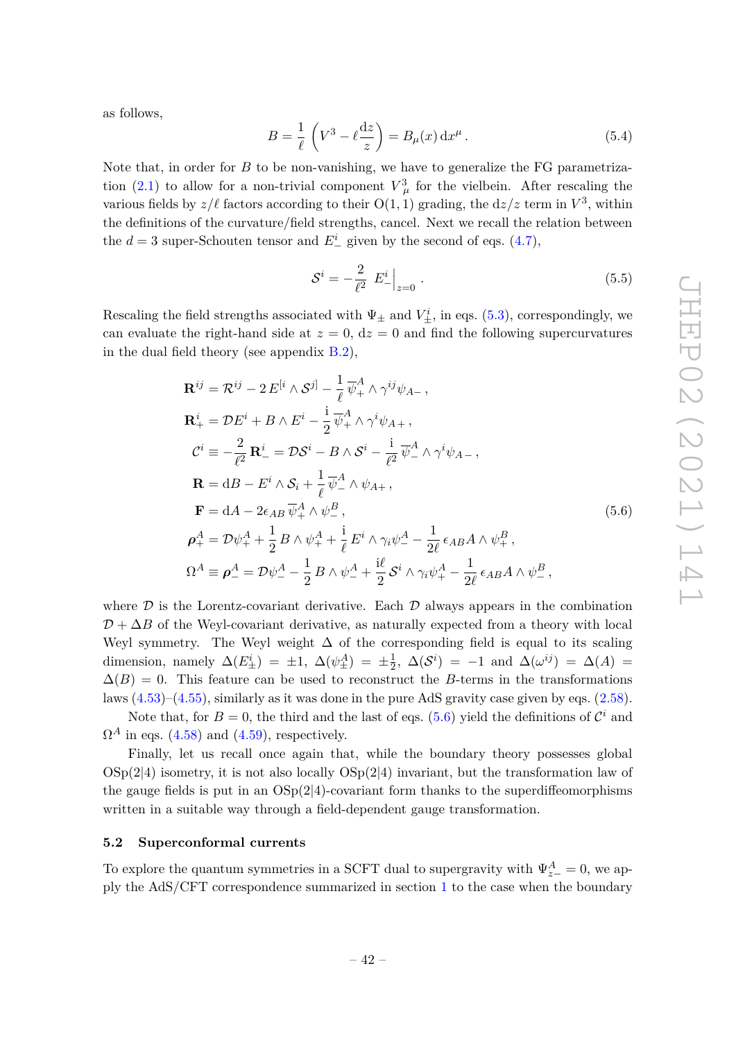as follows,

$$
B = \frac{1}{\ell} \left( V^3 - \ell \frac{dz}{z} \right) = B_{\mu}(x) dx^{\mu}.
$$
 (5.4)

Note that, in order for *B* to be non-vanishing, we have to generalize the FG parametrization (2.1) to allow for a non-trivial component  $V^3_\mu$  for the vielbein. After rescaling the various fields by  $z/\ell$  factors according to their  $O(1, 1)$  grading, the  $dz/z$  term in  $V^3$ , within the definitions of the curvature/field strengths, cancel. Next we recall the relation between the  $d = 3$  super-Schouten tensor and  $E^i$  given by the second of eqs. (4.7),

$$
S^{i} = -\frac{2}{\ell^{2}} E^{i}_{-}\Big|_{z=0}.
$$
\n(5.5)

Rescaling the field strengths associated with  $\Psi_{\pm}$  and  $V_{\pm}^{i}$ , in eqs. (5.3), correspondingly, we can evaluate the right-hand side at  $z = 0$ ,  $dz = 0$  and find the following supercurvatures in the dual field theory (see appendix B.2),

$$
\mathbf{R}^{ij} = \mathcal{R}^{ij} - 2E^{[i} \wedge S^{j]} - \frac{1}{\ell} \overline{\psi}_{+}^{A} \wedge \gamma^{ij} \psi_{A-},
$$
\n
$$
\mathbf{R}_{+}^{i} = \mathcal{D}E^{i} + B \wedge E^{i} - \frac{i}{2} \overline{\psi}_{+}^{A} \wedge \gamma^{i} \psi_{A+},
$$
\n
$$
\mathcal{C}^{i} \equiv -\frac{2}{\ell^{2}} \mathbf{R}_{-}^{i} = \mathcal{D}S^{i} - B \wedge S^{i} - \frac{i}{\ell^{2}} \overline{\psi}_{-}^{A} \wedge \gamma^{i} \psi_{A-},
$$
\n
$$
\mathbf{R} = \mathrm{d}B - E^{i} \wedge S_{i} + \frac{1}{\ell} \overline{\psi}_{-}^{A} \wedge \psi_{A+},
$$
\n
$$
\mathbf{F} = \mathrm{d}A - 2\epsilon_{AB} \overline{\psi}_{+}^{A} \wedge \psi_{-}^{B},
$$
\n
$$
\rho_{+}^{A} = \mathcal{D}\psi_{+}^{A} + \frac{1}{2} B \wedge \psi_{+}^{A} + \frac{i}{\ell} E^{i} \wedge \gamma_{i} \psi_{-}^{A} - \frac{1}{2\ell} \epsilon_{AB} A \wedge \psi_{+}^{B},
$$
\n
$$
\Omega^{A} \equiv \rho_{-}^{A} = \mathcal{D}\psi_{-}^{A} - \frac{1}{2} B \wedge \psi_{-}^{A} + \frac{i\ell}{2} S^{i} \wedge \gamma_{i} \psi_{+}^{A} - \frac{1}{2\ell} \epsilon_{AB} A \wedge \psi_{-}^{B},
$$
\n(5.6)

where  $\mathcal D$  is the Lorentz-covariant derivative. Each  $\mathcal D$  always appears in the combination  $D + \Delta B$  of the Weyl-covariant derivative, as naturally expected from a theory with local Weyl symmetry. The Weyl weight  $\Delta$  of the corresponding field is equal to its scaling dimension, namely  $\Delta(E_{\pm}^i) = \pm 1$ ,  $\Delta(\psi_{\pm}^A) = \pm \frac{1}{2}$  $\frac{1}{2}$ ,  $\Delta(\mathcal{S}^i) = -1$  and  $\Delta(\omega^{ij}) = \Delta(A) =$  $\Delta(B) = 0$ . This feature can be used to reconstruct the *B*-terms in the transformations laws (4.53)–(4.55), similarly as it was done in the pure AdS gravity case given by eqs. (2.58).

Note that, for  $B = 0$ , the third and the last of eqs. (5.6) yield the definitions of  $\mathcal{C}^i$  and  $\Omega^A$  in eqs. (4.58) and (4.59), respectively.

Finally, let us recall once again that, while the boundary theory possesses global  $\text{OSp}(2|4)$  isometry, it is not also locally  $\text{OSp}(2|4)$  invariant, but the transformation law of the gauge fields is put in an  $OSp(2|4)$ -covariant form thanks to the superdiffeomorphisms written in a suitable way through a field-dependent gauge transformation.

#### **5.2 Superconformal currents**

To explore the quantum symmetries in a SCFT dual to supergravity with  $\Psi_{z-}^A = 0$ , we apply the AdS/CFT correspondence summarized in section 1 to the case when the boundary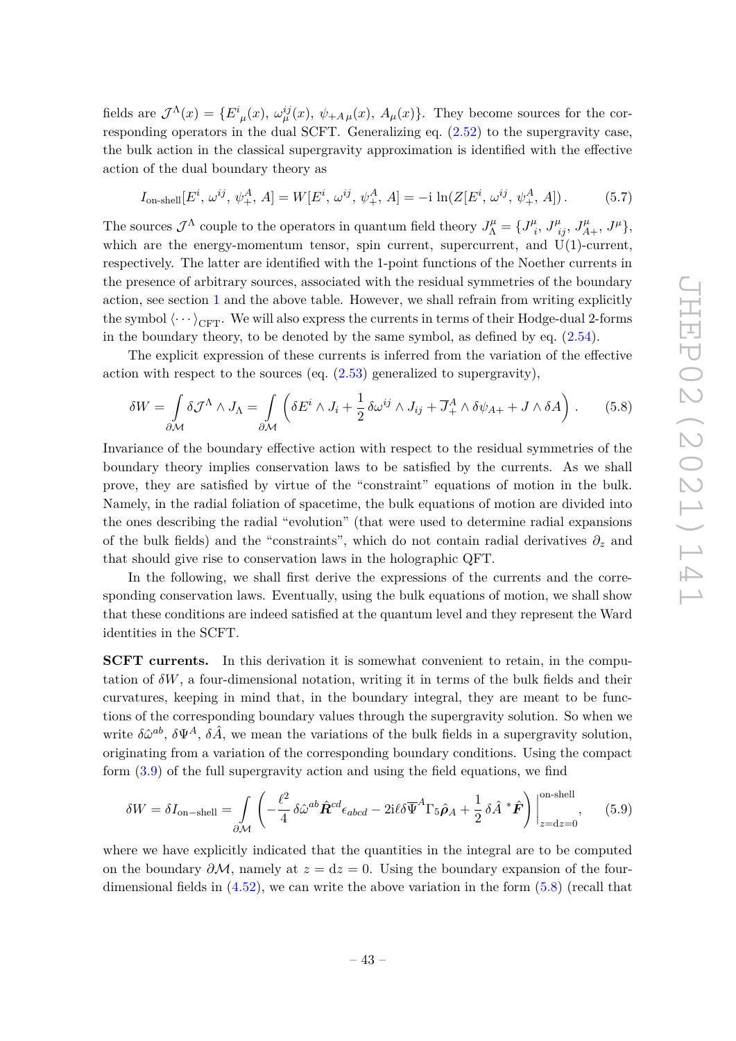fields are  $\mathcal{J}^{\Lambda}(x) = \{E^{i}_{\mu}(x), \omega_{\mu}^{ij}(x), \psi_{+A\mu}(x), A_{\mu}(x)\}\.$  They become sources for the corresponding operators in the dual SCFT. Generalizing eq.  $(2.52)$  to the supergravity case, the bulk action in the classical supergravity approximation is identified with the effective action of the dual boundary theory as

$$
I_{\text{on-shell}}[E^i, \omega^{ij}, \psi^A_+, A] = W[E^i, \omega^{ij}, \psi^A_+, A] = -i \ln(Z[E^i, \omega^{ij}, \psi^A_+, A]). \tag{5.7}
$$

The sources  $\mathcal{J}^{\Lambda}$  couple to the operators in quantum field theory  $J^{\mu}_{\Lambda} = \{J^{\mu}_{i}\}$  $J^{\mu}_{ij}, J^{\mu}_{A+}, J^{\mu},$ which are the energy-momentum tensor, spin current, supercurrent, and  $U(1)$ -current, respectively. The latter are identified with the 1-point functions of the Noether currents in the presence of arbitrary sources, associated with the residual symmetries of the boundary action, see section 1 and the above table. However, we shall refrain from writing explicitly the symbol  $\langle \cdots \rangle_{\text{CFT}}$ . We will also express the currents in terms of their Hodge-dual 2-forms in the boundary theory, to be denoted by the same symbol, as defined by eq. (2.54).

The explicit expression of these currents is inferred from the variation of the effective action with respect to the sources (eq.  $(2.53)$  generalized to supergravity),

$$
\delta W = \int_{\partial \mathcal{M}} \delta \mathcal{J}^{\Lambda} \wedge J_{\Lambda} = \int_{\partial \mathcal{M}} \left( \delta E^{i} \wedge J_{i} + \frac{1}{2} \delta \omega^{ij} \wedge J_{ij} + \overline{J}_{+}^{A} \wedge \delta \psi_{A+} + J \wedge \delta A \right). \tag{5.8}
$$

Invariance of the boundary effective action with respect to the residual symmetries of the boundary theory implies conservation laws to be satisfied by the currents. As we shall prove, they are satisfied by virtue of the "constraint" equations of motion in the bulk. Namely, in the radial foliation of spacetime, the bulk equations of motion are divided into the ones describing the radial "evolution" (that were used to determine radial expansions of the bulk fields) and the "constraints", which do not contain radial derivatives  $\partial_z$  and that should give rise to conservation laws in the holographic QFT.

In the following, we shall first derive the expressions of the currents and the corresponding conservation laws. Eventually, using the bulk equations of motion, we shall show that these conditions are indeed satisfied at the quantum level and they represent the Ward identities in the SCFT.

**SCFT currents.** In this derivation it is somewhat convenient to retain, in the computation of  $\delta W$ , a four-dimensional notation, writing it in terms of the bulk fields and their curvatures, keeping in mind that, in the boundary integral, they are meant to be functions of the corresponding boundary values through the supergravity solution. So when we write  $\delta \hat{\omega}^{ab}$ ,  $\delta \Psi^A$ ,  $\delta \hat{A}$ , we mean the variations of the bulk fields in a supergravity solution, originating from a variation of the corresponding boundary conditions. Using the compact form (3.9) of the full supergravity action and using the field equations, we find

$$
\delta W = \delta I_{\text{on-shell}} = \int_{\partial \mathcal{M}} \left( -\frac{\ell^2}{4} \delta \hat{\omega}^{ab} \hat{\mathbf{R}}^{cd} \epsilon_{abcd} - 2i\ell \delta \overline{\Psi}^A \Gamma_5 \hat{\boldsymbol{\rho}}_A + \frac{1}{2} \delta \hat{A}^* \hat{\mathbf{F}} \right) \Big|_{z=dz=0}^{\text{on-shell}}, \tag{5.9}
$$

where we have explicitly indicated that the quantities in the integral are to be computed on the boundary  $\partial M$ , namely at  $z = dz = 0$ . Using the boundary expansion of the fourdimensional fields in  $(4.52)$ , we can write the above variation in the form  $(5.8)$  (recall that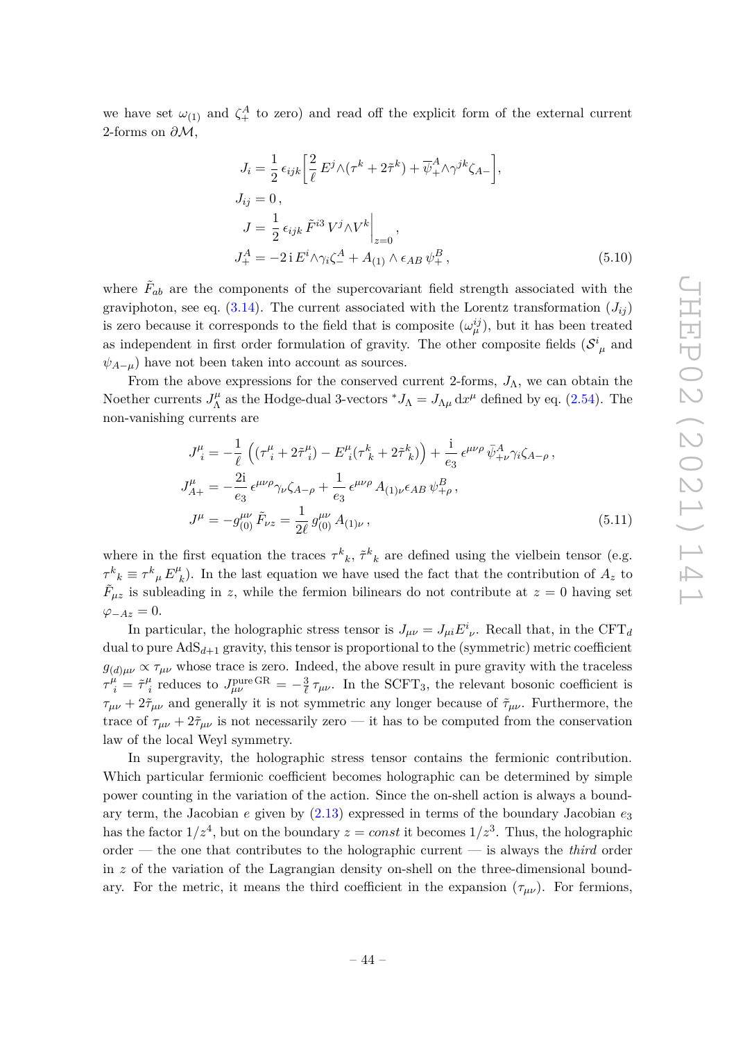we have set  $\omega_{(1)}$  and  $\zeta_+^A$  to zero) and read off the explicit form of the external current 2-forms on *∂*M,

$$
J_i = \frac{1}{2} \epsilon_{ijk} \left[ \frac{2}{\ell} E^j \wedge (\tau^k + 2\tilde{\tau}^k) + \overline{\psi}_+^A \wedge \gamma^{jk} \zeta_{A-} \right],
$$
  
\n
$$
J_{ij} = 0,
$$
  
\n
$$
J = \frac{1}{2} \epsilon_{ijk} \tilde{F}^{i3} V^j \wedge V^k \Big|_{z=0},
$$
  
\n
$$
J_+^A = -2i E^i \wedge \gamma_i \zeta_-^A + A_{(1)} \wedge \epsilon_{AB} \psi_+^B,
$$
\n(5.10)

where  $\tilde{F}_{ab}$  are the components of the supercovariant field strength associated with the graviphoton, see eq.  $(3.14)$ . The current associated with the Lorentz transformation  $(J_{ii})$ is zero because it corresponds to the field that is composite  $(\omega_{\mu}^{ij})$ , but it has been treated as independent in first order formulation of gravity. The other composite fields  $(S^i_{\mu}$  and  $\psi_{A-\mu}$ ) have not been taken into account as sources.

From the above expressions for the conserved current 2-forms,  $J_{\Lambda}$ , we can obtain the Noether currents  $J^{\mu}_{\Lambda}$  $\int_{\Lambda}^{\mu}$  as the Hodge-dual 3-vectors  ${}^*J_{\Lambda} = J_{\Lambda\mu} dx^{\mu}$  defined by eq. (2.54). The non-vanishing currents are

$$
J_{\ i}^{\mu} = -\frac{1}{\ell} \left( (\tau_{\ i}^{\mu} + 2\tilde{\tau}_{\ i}^{\mu}) - E_{\ i}^{\mu} (\tau_{\ k}^{k} + 2\tilde{\tau}_{\ k}^{k}) \right) + \frac{i}{e_3} \epsilon^{\mu\nu\rho} \bar{\psi}_{+\nu}^{A} \gamma_{i} \zeta_{A-\rho} ,
$$
  
\n
$$
J_{A+}^{\mu} = -\frac{2i}{e_3} \epsilon^{\mu\nu\rho} \gamma_{\nu} \zeta_{A-\rho} + \frac{1}{e_3} \epsilon^{\mu\nu\rho} A_{(1)\nu} \epsilon_{AB} \psi_{+\rho}^{B} ,
$$
  
\n
$$
J^{\mu} = -g_{(0)}^{\mu\nu} \tilde{F}_{\nu z} = \frac{1}{2\ell} g_{(0)}^{\mu\nu} A_{(1)\nu} ,
$$
\n(5.11)

where in the first equation the traces  $\tau^k{}_k$ ,  $\tilde{\tau}^k{}_k$  are defined using the vielbein tensor (e.g.  $\tau^k{}_k \equiv \tau^k{}_\mu E^\mu{}_\beta$  $h_k$ ). In the last equation we have used the fact that the contribution of  $A_z$  to  $\tilde{F}_{\mu z}$  is subleading in *z*, while the fermion bilinears do not contribute at  $z = 0$  having set  $\varphi_{-Az} = 0.$ 

In particular, the holographic stress tensor is  $J_{\mu\nu} = J_{\mu i} E^i_{\ \nu}$ . Recall that, in the CFT<sub>*d*</sub> dual to pure  $AdS_{d+1}$  gravity, this tensor is proportional to the (symmetric) metric coefficient  $g_{(d)\mu\nu} \propto \tau_{\mu\nu}$  whose trace is zero. Indeed, the above result in pure gravity with the traceless  $\tau^{\mu}_{\ i} = \tilde{\tau}^{\mu}_{\ i}$ <sup>*i*</sup></sup> *i* reduces to  $J_{\mu\nu}^{\text{pure GR}} = -\frac{3}{\ell}$  $\frac{3}{\ell} \tau_{\mu\nu}$ . In the SCFT<sub>3</sub>, the relevant bosonic coefficient is  $\tau_{\mu\nu} + 2\tilde{\tau}_{\mu\nu}$  and generally it is not symmetric any longer because of  $\tilde{\tau}_{\mu\nu}$ . Furthermore, the trace of  $\tau_{\mu\nu} + 2\tilde{\tau}_{\mu\nu}$  is not necessarily zero — it has to be computed from the conservation law of the local Weyl symmetry.

In supergravity, the holographic stress tensor contains the fermionic contribution. Which particular fermionic coefficient becomes holographic can be determined by simple power counting in the variation of the action. Since the on-shell action is always a boundary term, the Jacobian *e* given by (2.13) expressed in terms of the boundary Jacobian *e*<sup>3</sup> has the factor  $1/z^4$ , but on the boundary  $z = const$  it becomes  $1/z^3$ . Thus, the holographic order — the one that contributes to the holographic current — is always the *third* order in *z* of the variation of the Lagrangian density on-shell on the three-dimensional boundary. For the metric, it means the third coefficient in the expansion  $(\tau_{\mu\nu})$ . For fermions,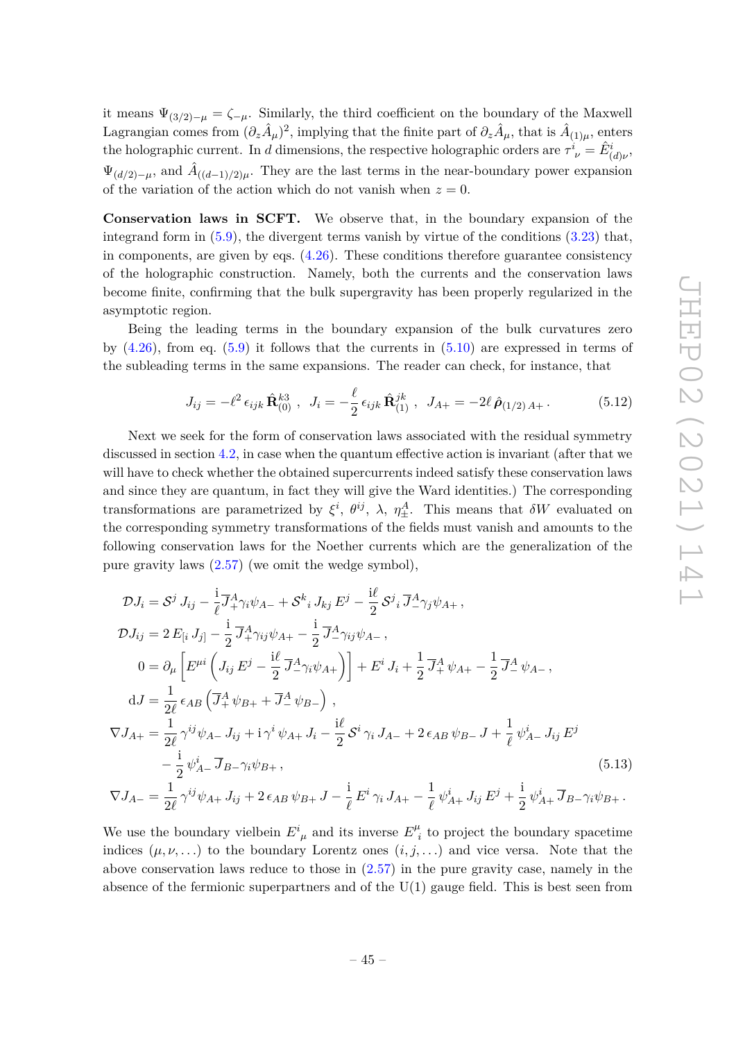it means  $\Psi_{(3/2)-\mu} = \zeta_{-\mu}$ . Similarly, the third coefficient on the boundary of the Maxwell  $\Delta$  Lagrangian comes from  $(\partial_z \hat{A}_\mu)^2$ , implying that the finite part of  $\partial_z \hat{A}_\mu$ , that is  $\hat{A}_{(1)\mu}$ , enters the holographic current. In *d* dimensions, the respective holographic orders are  $\tau^i_{\ \nu} = \hat{E}^i_{(d)\nu}$ ,  $\Psi_{(d/2)-\mu}$ , and  $\hat{A}_{((d-1)/2)\mu}$ . They are the last terms in the near-boundary power expansion of the variation of the action which do not vanish when  $z = 0$ .

**Conservation laws in SCFT.** We observe that, in the boundary expansion of the integrand form in  $(5.9)$ , the divergent terms vanish by virtue of the conditions  $(3.23)$  that, in components, are given by eqs.  $(4.26)$ . These conditions therefore guarantee consistency of the holographic construction. Namely, both the currents and the conservation laws become finite, confirming that the bulk supergravity has been properly regularized in the asymptotic region.

Being the leading terms in the boundary expansion of the bulk curvatures zero by  $(4.26)$ , from eq.  $(5.9)$  it follows that the currents in  $(5.10)$  are expressed in terms of the subleading terms in the same expansions. The reader can check, for instance, that

$$
J_{ij} = -\ell^2 \epsilon_{ijk} \hat{\mathbf{R}}_{(0)}^{k3}, \quad J_i = -\frac{\ell}{2} \epsilon_{ijk} \hat{\mathbf{R}}_{(1)}^{jk}, \quad J_{A+} = -2\ell \hat{\boldsymbol{\rho}}_{(1/2)A+}.
$$
 (5.12)

Next we seek for the form of conservation laws associated with the residual symmetry discussed in section 4.2, in case when the quantum effective action is invariant (after that we will have to check whether the obtained supercurrents indeed satisfy these conservation laws and since they are quantum, in fact they will give the Ward identities.) The corresponding transformations are parametrized by  $\xi^i$ ,  $\theta^{ij}$ ,  $\lambda$ ,  $\eta^A_{\pm}$ . This means that  $\delta W$  evaluated on the corresponding symmetry transformations of the fields must vanish and amounts to the following conservation laws for the Noether currents which are the generalization of the pure gravity laws (2.57) (we omit the wedge symbol),

$$
\mathcal{D}J_{i} = \mathcal{S}^{j} J_{ij} - \frac{i}{\ell} \overline{J}_{+}^{A} \gamma_{i} \psi_{A-} + \mathcal{S}^{k}{}_{i} J_{kj} E^{j} - \frac{i}{2} \mathcal{S}^{j}{}_{i} \overline{J}_{-}^{A} \gamma_{j} \psi_{A+} ,
$$
  
\n
$$
\mathcal{D}J_{ij} = 2 E_{[i} J_{j]} - \frac{i}{2} \overline{J}_{+}^{A} \gamma_{ij} \psi_{A+} - \frac{i}{2} \overline{J}_{-}^{A} \gamma_{ij} \psi_{A-} ,
$$
  
\n
$$
0 = \partial_{\mu} \left[ E^{\mu i} \left( J_{ij} E^{j} - \frac{i \ell}{2} \overline{J}_{-}^{A} \gamma_{i} \psi_{A+} \right) \right] + E^{i} J_{i} + \frac{1}{2} \overline{J}_{+}^{A} \psi_{A+} - \frac{1}{2} \overline{J}_{-}^{A} \psi_{A-} ,
$$
  
\n
$$
dJ = \frac{1}{2\ell} \epsilon_{AB} \left( \overline{J}_{+}^{A} \psi_{B+} + \overline{J}_{-}^{A} \psi_{B-} \right) ,
$$
  
\n
$$
\nabla J_{A+} = \frac{1}{2\ell} \gamma^{ij} \psi_{A-} J_{ij} + i \gamma^{i} \psi_{A+} J_{i} - \frac{i \ell}{2} \mathcal{S}^{i} \gamma_{i} J_{A-} + 2 \epsilon_{AB} \psi_{B-} J + \frac{1}{\ell} \psi_{A-}^{i} J_{ij} E^{j} - \frac{i}{2} \psi_{A-}^{i} \overline{J}_{B-} \gamma_{i} \psi_{B+} ,
$$
  
\n
$$
U_{A-} = \frac{1}{2\ell} \gamma^{ij} \psi_{A+} J_{ij} + 2 \epsilon_{AB} \psi_{B+} J - \frac{i}{\ell} E^{i} \gamma_{i} J_{A+} - \frac{1}{\ell} \psi_{A+}^{i} J_{ij} E^{j} + \frac{i}{2} \psi_{A+}^{i} \overline{J}_{B-} \gamma_{i} \psi_{B+} .
$$
  
\n(5.13)

We use the boundary vielbein  $E^i_{\ \mu}$  and its inverse  $E^{\mu}_{\ i}$  $\frac{1}{i}$  to project the boundary spacetime indices  $(\mu, \nu, ...)$  to the boundary Lorentz ones  $(i, j, ...)$  and vice versa. Note that the above conservation laws reduce to those in (2.57) in the pure gravity case, namely in the absence of the fermionic superpartners and of the  $U(1)$  gauge field. This is best seen from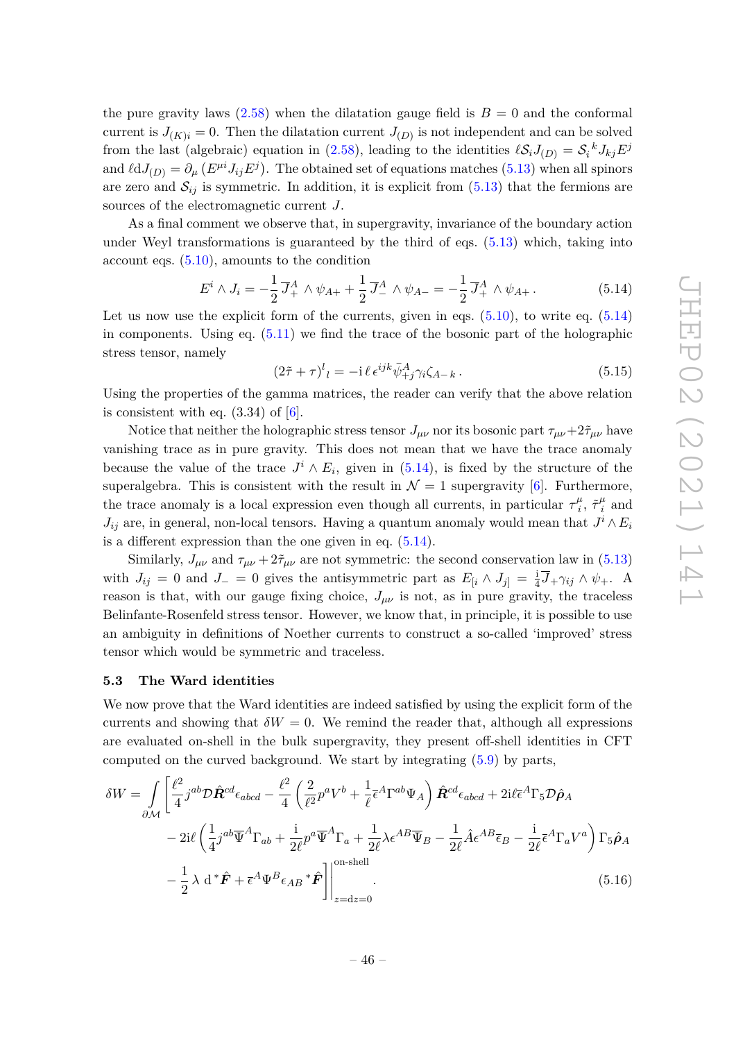the pure gravity laws  $(2.58)$  when the dilatation gauge field is  $B = 0$  and the conformal current is  $J_{(K)i} = 0$ . Then the dilatation current  $J_{(D)}$  is not independent and can be solved from the last (algebraic) equation in (2.58), leading to the identities  $\ell S_i J_{(D)} = S_i^k J_{kj} E^j$ and  $\ell dJ_{(D)} = \partial_{\mu} (E^{\mu i} J_{i j} E^{j})$ . The obtained set of equations matches (5.13) when all spinors are zero and  $S_{ij}$  is symmetric. In addition, it is explicit from  $(5.13)$  that the fermions are sources of the electromagnetic current *J*.

As a final comment we observe that, in supergravity, invariance of the boundary action under Weyl transformations is guaranteed by the third of eqs. (5.13) which, taking into account eqs. (5.10), amounts to the condition

$$
E^i \wedge J_i = -\frac{1}{2} \overline{J}_+^A \wedge \psi_{A+} + \frac{1}{2} \overline{J}_-^A \wedge \psi_{A-} = -\frac{1}{2} \overline{J}_+^A \wedge \psi_{A+}.
$$
 (5.14)

Let us now use the explicit form of the currents, given in eqs.  $(5.10)$ , to write eq.  $(5.14)$ in components. Using eq. (5.11) we find the trace of the bosonic part of the holographic stress tensor, namely

$$
(2\tilde{\tau} + \tau)^l{}_l = -i \ell \epsilon^{ijk} \bar{\psi}^A_{+j} \gamma_i \zeta_{A-k} \,. \tag{5.15}
$$

Using the properties of the gamma matrices, the reader can verify that the above relation is consistent with eq.  $(3.34)$  of  $[6]$ .

Notice that neither the holographic stress tensor  $J_{\mu\nu}$  nor its bosonic part  $\tau_{\mu\nu}+2\tilde{\tau}_{\mu\nu}$  have vanishing trace as in pure gravity. This does not mean that we have the trace anomaly because the value of the trace  $J^i \wedge E_i$ , given in (5.14), is fixed by the structure of the superalgebra. This is consistent with the result in  $\mathcal{N}=1$  supergravity [6]. Furthermore, the trace anomaly is a local expression even though all currents, in particular  $\tau_i^{\mu}$  $\frac{\mu}{i}$ ,  $\tilde{\tau}^{\mu}_{i}$  $\frac{\mu}{i}$  and  $J_{ij}$  are, in general, non-local tensors. Having a quantum anomaly would mean that  $J^i \wedge E_i$ is a different expression than the one given in eq.  $(5.14)$ .

Similarly,  $J_{\mu\nu}$  and  $\tau_{\mu\nu} + 2\tilde{\tau}_{\mu\nu}$  are not symmetric: the second conservation law in (5.13) with  $J_{ij} = 0$  and  $J_{-} = 0$  gives the antisymmetric part as  $E_{[i} \wedge J_{j]} = \frac{1}{4}$  $\frac{1}{4}\overline{J}$ + $\gamma_{ij} \wedge \psi$ +. A reason is that, with our gauge fixing choice,  $J_{\mu\nu}$  is not, as in pure gravity, the traceless Belinfante-Rosenfeld stress tensor. However, we know that, in principle, it is possible to use an ambiguity in definitions of Noether currents to construct a so-called 'improved' stress tensor which would be symmetric and traceless.

#### **5.3 The Ward identities**

We now prove that the Ward identities are indeed satisfied by using the explicit form of the currents and showing that  $\delta W = 0$ . We remind the reader that, although all expressions are evaluated on-shell in the bulk supergravity, they present off-shell identities in CFT computed on the curved background. We start by integrating (5.9) by parts,

$$
\delta W = \int_{\partial \mathcal{M}} \left[ \frac{\ell^2}{4} j^{ab} \mathcal{D} \hat{\mathbf{R}}^{cd} \epsilon_{abcd} - \frac{\ell^2}{4} \left( \frac{2}{\ell^2} p^a V^b + \frac{1}{\ell} \bar{\epsilon}^A \Gamma^{ab} \Psi_A \right) \hat{\mathbf{R}}^{cd} \epsilon_{abcd} + 2i \ell \bar{\epsilon}^A \Gamma_5 \mathcal{D} \hat{\rho}_A - 2i \ell \left( \frac{1}{4} j^{ab} \overline{\Psi}^A \Gamma_{ab} + \frac{1}{2\ell} p^a \overline{\Psi}^A \Gamma_a + \frac{1}{2\ell} \lambda \epsilon^{AB} \overline{\Psi}_B - \frac{1}{2\ell} \hat{A} \epsilon^{AB} \overline{\epsilon}_B - \frac{i}{2\ell} \bar{\epsilon}^A \Gamma_a V^a \right) \Gamma_5 \hat{\rho}_A - \frac{1}{2} \lambda \ d^* \hat{\mathbf{F}} + \bar{\epsilon}^A \Psi^B \epsilon_{AB} {}^* \hat{\mathbf{F}} \bigg] \bigg|_{z=dz=0}^{\text{on-shell}}.
$$
\n(5.16)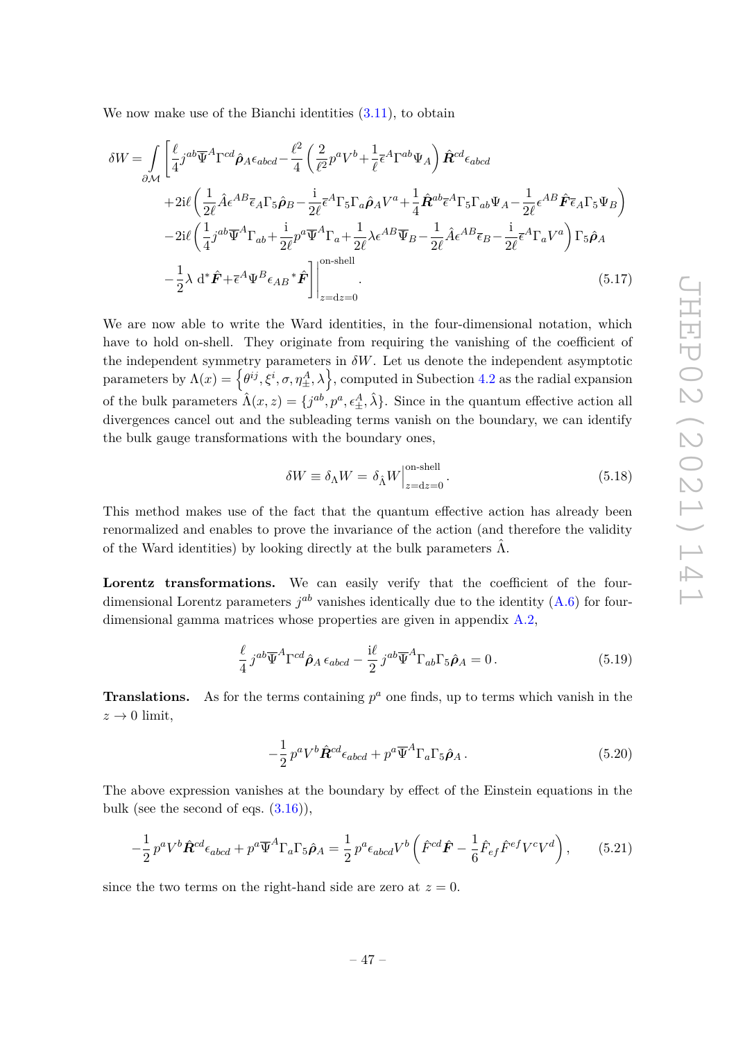We now make use of the Bianchi identities  $(3.11)$ , to obtain

$$
\delta W = \int_{\partial M} \left[ \frac{\ell}{4} j^{ab} \overline{\Psi}^{A} \Gamma^{cd} \hat{\rho}_{A} \epsilon_{abcd} - \frac{\ell^{2}}{4} \left( \frac{2}{\ell^{2}} p^{a} V^{b} + \frac{1}{\ell} \overline{\epsilon}^{A} \Gamma^{ab} \Psi_{A} \right) \hat{\mathbf{R}}^{cd} \epsilon_{abcd} \right]
$$
  
+2i\ell \left( \frac{1}{2\ell} \hat{A} \epsilon^{AB} \overline{\epsilon}\_{A} \Gamma\_{5} \hat{\rho}\_{B} - \frac{i}{2\ell} \overline{\epsilon}^{A} \Gamma\_{5} \Gamma\_{a} \hat{\rho}\_{A} V^{a} + \frac{1}{4} \hat{\mathbf{R}}^{ab} \overline{\epsilon}^{A} \Gamma\_{5} \Gamma\_{ab} \Psi\_{A} - \frac{1}{2\ell} \epsilon^{AB} \hat{\mathbf{F}} \overline{\epsilon}\_{A} \Gamma\_{5} \Psi\_{B} \right)  
-2i\ell \left( \frac{1}{4} j^{ab} \overline{\Psi}^{A} \Gamma\_{ab} + \frac{i}{2\ell} p^{a} \overline{\Psi}^{A} \Gamma\_{a} + \frac{1}{2\ell} \lambda \epsilon^{AB} \overline{\Psi}\_{B} - \frac{1}{2\ell} \hat{A} \epsilon^{AB} \overline{\epsilon}\_{B} - \frac{i}{2\ell} \overline{\epsilon}^{A} \Gamma\_{a} V^{a} \right) \Gamma\_{5} \hat{\rho}\_{A}  
- \frac{1}{2} \lambda \mathrm{d}^{\*} \hat{\mathbf{F}} + \overline{\epsilon}^{A} \Psi^{B} \epsilon\_{AB} {}^{\*} \hat{\mathbf{F}} \bigg] \bigg|\_{z=dz=0}^{\text{on-shell}}.(5.17)

We are now able to write the Ward identities, in the four-dimensional notation, which have to hold on-shell. They originate from requiring the vanishing of the coefficient of the independent symmetry parameters in  $\delta W$ . Let us denote the independent asymptotic  $\text{parameters by } \Lambda(x) = \left\{ \theta^{ij}, \xi^i, \sigma, \eta^A_{\pm}, \lambda \right\}, \text{computed in Subection 4.2 as the radial expansion}$ of the bulk parameters  $\hat{\Lambda}(x, z) = \{j^{ab}, p^a, \epsilon_{\pm}^A, \hat{\lambda}\}\.$  Since in the quantum effective action all divergences cancel out and the subleading terms vanish on the boundary, we can identify the bulk gauge transformations with the boundary ones,

$$
\delta W \equiv \delta_{\Lambda} W = \delta_{\hat{\Lambda}} W \Big|_{z = dz = 0}^{\text{on-shell}}.
$$
\n(5.18)

This method makes use of the fact that the quantum effective action has already been renormalized and enables to prove the invariance of the action (and therefore the validity of the Ward identities) by looking directly at the bulk parameters  $\hat{\Lambda}$ .

Lorentz transformations. We can easily verify that the coefficient of the fourdimensional Lorentz parameters  $j^{ab}$  vanishes identically due to the identity  $(A.6)$  for fourdimensional gamma matrices whose properties are given in appendix A.2,

$$
\frac{\ell}{4} j^{ab} \overline{\Psi}^A \Gamma^{cd} \hat{\rho}_A \epsilon_{abcd} - \frac{\mathrm{i}\ell}{2} j^{ab} \overline{\Psi}^A \Gamma_{ab} \Gamma_5 \hat{\rho}_A = 0 \,. \tag{5.19}
$$

**Translations.** As for the terms containing  $p^a$  one finds, up to terms which vanish in the  $z\rightarrow 0$  limit,

$$
-\frac{1}{2}p^{a}V^{b}\hat{\mathbf{R}}^{cd}\epsilon_{abcd} + p^{a}\overline{\Psi}^{A}\Gamma_{a}\Gamma_{5}\hat{\boldsymbol{\rho}}_{A}.
$$
\n(5.20)

The above expression vanishes at the boundary by effect of the Einstein equations in the bulk (see the second of eqs.  $(3.16)$ ),

$$
-\frac{1}{2}p^aV^b\hat{\boldsymbol{R}}^{cd}\epsilon_{abcd} + p^a\overline{\Psi}^A\Gamma_a\Gamma_5\hat{\boldsymbol{\rho}}_A = \frac{1}{2}p^a\epsilon_{abcd}V^b\left(\hat{F}^{cd}\hat{\boldsymbol{F}} - \frac{1}{6}\hat{F}_{ef}\hat{F}^{ef}V^cV^d\right),\tag{5.21}
$$

since the two terms on the right-hand side are zero at  $z = 0$ .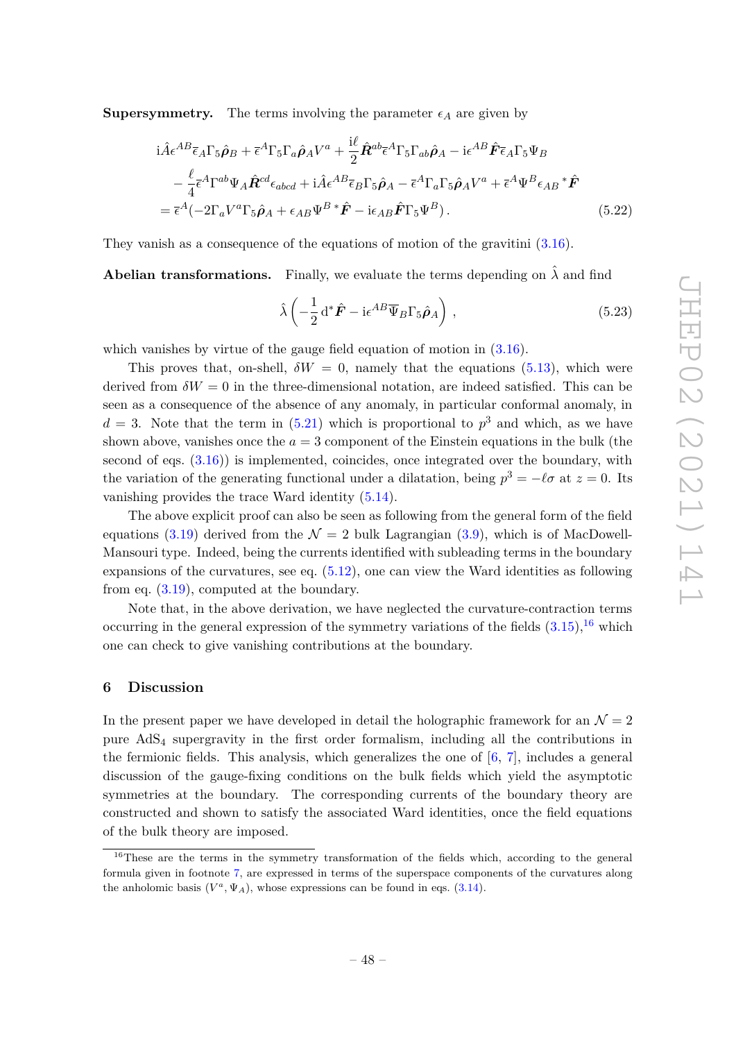**Supersymmetry.** The terms involving the parameter  $\epsilon_A$  are given by

$$
i\hat{A}\epsilon^{AB}\bar{\epsilon}_{A}\Gamma_{5}\hat{\rho}_{B} + \bar{\epsilon}^{A}\Gamma_{5}\Gamma_{a}\hat{\rho}_{A}V^{a} + \frac{i\ell}{2}\hat{R}^{ab}\bar{\epsilon}^{A}\Gamma_{5}\Gamma_{ab}\hat{\rho}_{A} - i\epsilon^{AB}\hat{F}\bar{\epsilon}_{A}\Gamma_{5}\Psi_{B}
$$
  
\n
$$
- \frac{\ell}{4}\bar{\epsilon}^{A}\Gamma^{ab}\Psi_{A}\hat{R}^{cd}\epsilon_{abcd} + i\hat{A}\epsilon^{AB}\bar{\epsilon}_{B}\Gamma_{5}\hat{\rho}_{A} - \bar{\epsilon}^{A}\Gamma_{a}\Gamma_{5}\hat{\rho}_{A}V^{a} + \bar{\epsilon}^{A}\Psi^{B}\epsilon_{AB}{}^{*}\hat{F}
$$
  
\n
$$
= \bar{\epsilon}^{A}(-2\Gamma_{a}V^{a}\Gamma_{5}\hat{\rho}_{A} + \epsilon_{AB}\Psi^{B}{}^{*}\hat{F} - i\epsilon_{AB}\hat{F}\Gamma_{5}\Psi^{B}). \tag{5.22}
$$

They vanish as a consequence of the equations of motion of the gravitini (3.16).

**Abelian transformations.** Finally, we evaluate the terms depending on  $\lambda$  and find

$$
\hat{\lambda} \left( -\frac{1}{2} \mathrm{d}^* \hat{F} - \mathrm{i} \epsilon^{AB} \overline{\Psi}_B \Gamma_5 \hat{\rho}_A \right) , \qquad (5.23)
$$

which vanishes by virtue of the gauge field equation of motion in  $(3.16)$ .

This proves that, on-shell,  $\delta W = 0$ , namely that the equations (5.13), which were derived from  $\delta W = 0$  in the three-dimensional notation, are indeed satisfied. This can be seen as a consequence of the absence of any anomaly, in particular conformal anomaly, in  $d = 3$ . Note that the term in  $(5.21)$  which is proportional to  $p<sup>3</sup>$  and which, as we have shown above, vanishes once the  $a = 3$  component of the Einstein equations in the bulk (the second of eqs.  $(3.16)$ ) is implemented, coincides, once integrated over the boundary, with the variation of the generating functional under a dilatation, being  $p^3 = -\ell\sigma$  at  $z = 0$ . Its vanishing provides the trace Ward identity (5.14).

The above explicit proof can also be seen as following from the general form of the field equations (3.19) derived from the  $\mathcal{N} = 2$  bulk Lagrangian (3.9), which is of MacDowell-Mansouri type. Indeed, being the currents identified with subleading terms in the boundary expansions of the curvatures, see eq. (5.12), one can view the Ward identities as following from eq.  $(3.19)$ , computed at the boundary.

Note that, in the above derivation, we have neglected the curvature-contraction terms occurring in the general expression of the symmetry variations of the fields  $(3.15)$ , <sup>16</sup> which one can check to give vanishing contributions at the boundary.

#### **6 Discussion**

In the present paper we have developed in detail the holographic framework for an  $\mathcal{N}=2$ pure  $AdS<sub>4</sub>$  supergravity in the first order formalism, including all the contributions in the fermionic fields. This analysis, which generalizes the one of [6, 7], includes a general discussion of the gauge-fixing conditions on the bulk fields which yield the asymptotic symmetries at the boundary. The corresponding currents of the boundary theory are constructed and shown to satisfy the associated Ward identities, once the field equations of the bulk theory are imposed.

<sup>&</sup>lt;sup>16</sup>These are the terms in the symmetry transformation of the fields which, according to the general formula given in footnote 7, are expressed in terms of the superspace components of the curvatures along the anholomic basis  $(V^a, \Psi_A)$ , whose expressions can be found in eqs. (3.14).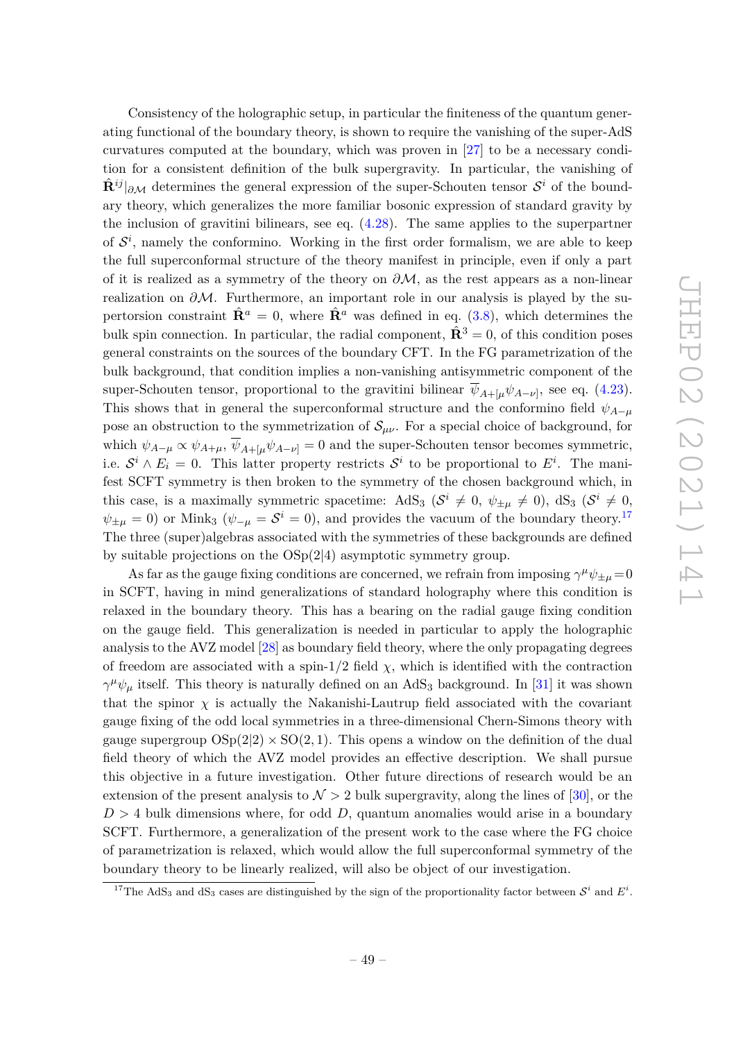Consistency of the holographic setup, in particular the finiteness of the quantum generating functional of the boundary theory, is shown to require the vanishing of the super-AdS curvatures computed at the boundary, which was proven in [27] to be a necessary condition for a consistent definition of the bulk supergravity. In particular, the vanishing of  $\hat{\mathbf{R}}^{ij}|_{\partial\mathcal{M}}$  determines the general expression of the super-Schouten tensor  $\mathcal{S}^i$  of the boundary theory, which generalizes the more familiar bosonic expression of standard gravity by the inclusion of gravitini bilinears, see eq. (4.28). The same applies to the superpartner of  $S<sup>i</sup>$ , namely the conformino. Working in the first order formalism, we are able to keep the full superconformal structure of the theory manifest in principle, even if only a part of it is realized as a symmetry of the theory on *∂*M, as the rest appears as a non-linear realization on *∂*M. Furthermore, an important role in our analysis is played by the supertorsion constraint  $\hat{\mathbf{R}}^a = 0$ , where  $\hat{\mathbf{R}}^a$  was defined in eq. (3.8), which determines the bulk spin connection. In particular, the radial component,  $\hat{\mathbf{R}}^3 = 0$ , of this condition poses general constraints on the sources of the boundary CFT. In the FG parametrization of the bulk background, that condition implies a non-vanishing antisymmetric component of the super-Schouten tensor, proportional to the gravitini bilinear  $\psi_{A+[\mu}\psi_{A-\nu]}$ , see eq. (4.23). This shows that in general the superconformal structure and the conformino field  $\psi_{A-\mu}$ pose an obstruction to the symmetrization of  $S_{\mu\nu}$ . For a special choice of background, for which  $\psi_{A-\mu} \propto \psi_{A+\mu}$ ,  $\overline{\psi}_{A+\mu} \psi_{A-\nu} = 0$  and the super-Schouten tensor becomes symmetric, i.e.  $S^i \wedge E_i = 0$ . This latter property restricts  $S^i$  to be proportional to  $E^i$ . The manifest SCFT symmetry is then broken to the symmetry of the chosen background which, in this case, is a maximally symmetric spacetime:  $AdS_3$   $(S^i \neq 0, \psi_{\pm \mu} \neq 0)$ ,  $dS_3$   $(S^i \neq 0, \psi_{\pm \mu} \neq 0)$  $\psi_{\pm\mu} = 0$ ) or Mink<sub>3</sub> ( $\psi_{-\mu} = S^i = 0$ ), and provides the vacuum of the boundary theory.<sup>17</sup> The three (super)algebras associated with the symmetries of these backgrounds are defined by suitable projections on the OSp(2|4) asymptotic symmetry group.

As far as the gauge fixing conditions are concerned, we refrain from imposing  $\gamma^{\mu}\psi_{\pm\mu} = 0$ in SCFT, having in mind generalizations of standard holography where this condition is relaxed in the boundary theory. This has a bearing on the radial gauge fixing condition on the gauge field. This generalization is needed in particular to apply the holographic analysis to the AVZ model [28] as boundary field theory, where the only propagating degrees of freedom are associated with a spin- $1/2$  field  $\chi$ , which is identified with the contraction  $\gamma^{\mu}\psi_{\mu}$  itself. This theory is naturally defined on an AdS<sub>3</sub> background. In [31] it was shown that the spinor  $\chi$  is actually the Nakanishi-Lautrup field associated with the covariant gauge fixing of the odd local symmetries in a three-dimensional Chern-Simons theory with gauge supergroup  $OSp(2|2) \times SO(2, 1)$ . This opens a window on the definition of the dual field theory of which the AVZ model provides an effective description. We shall pursue this objective in a future investigation. Other future directions of research would be an extension of the present analysis to  $\mathcal{N} > 2$  bulk supergravity, along the lines of [30], or the  $D > 4$  bulk dimensions where, for odd  $D$ , quantum anomalies would arise in a boundary SCFT. Furthermore, a generalization of the present work to the case where the FG choice of parametrization is relaxed, which would allow the full superconformal symmetry of the boundary theory to be linearly realized, will also be object of our investigation.

<sup>&</sup>lt;sup>17</sup>The AdS<sub>3</sub> and  $dS_3$  cases are distinguished by the sign of the proportionality factor between  $S^i$  and  $E^i$ .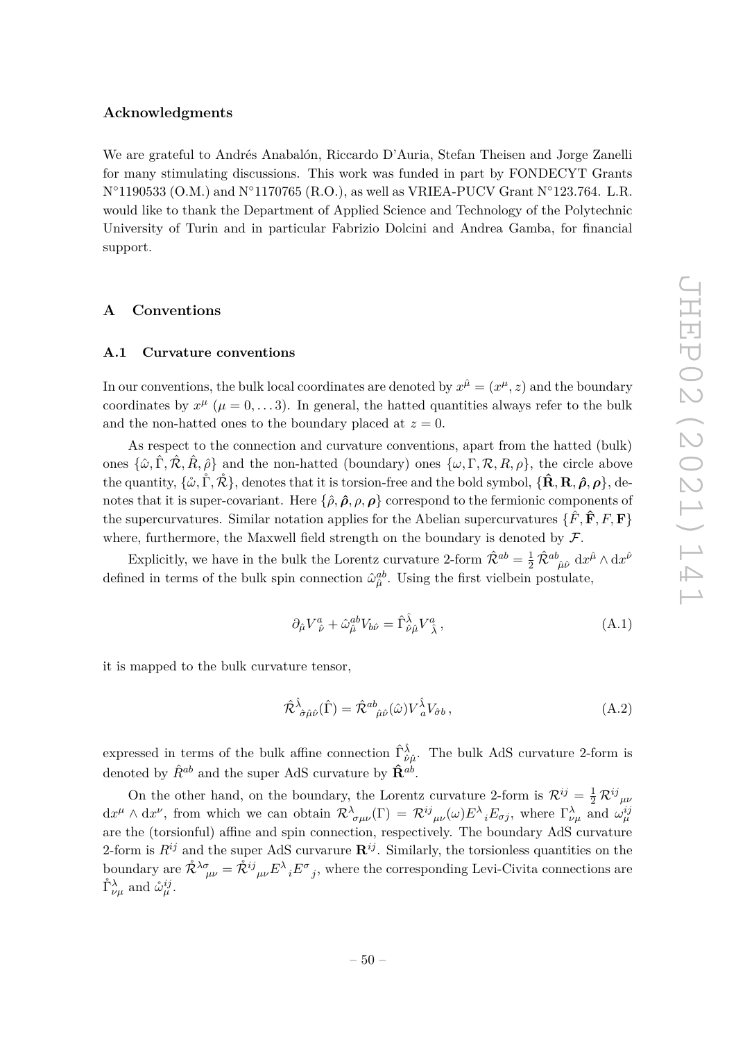#### **Acknowledgments**

We are grateful to Andrés Anabalón, Riccardo D'Auria, Stefan Theisen and Jorge Zanelli for many stimulating discussions. This work was funded in part by FONDECYT Grants  $N°1190533$  (O.M.) and  $N°1170765$  (R.O.), as well as VRIEA-PUCV Grant  $N°123.764$ . L.R. would like to thank the Department of Applied Science and Technology of the Polytechnic University of Turin and in particular Fabrizio Dolcini and Andrea Gamba, for financial support.

#### **A Conventions**

#### **A.1 Curvature conventions**

In our conventions, the bulk local coordinates are denoted by  $x^{\hat{\mu}} = (x^{\mu}, z)$  and the boundary coordinates by  $x^{\mu}$  ( $\mu = 0, \ldots 3$ ). In general, the hatted quantities always refer to the bulk and the non-hatted ones to the boundary placed at  $z = 0$ .

As respect to the connection and curvature conventions, apart from the hatted (bulk) ones  $\{\hat{\omega}, \hat{\Gamma}, \hat{\mathcal{R}}, \hat{R}, \hat{\rho}\}\$  and the non-hatted (boundary) ones  $\{\omega, \Gamma, \mathcal{R}, R, \rho\}\$ , the circle above  $\{\hat{\mathbf{R}}, \mathbf{R}, \hat{\boldsymbol{\rho}}, \rho\}$ , denotes that it is torsion-free and the bold symbol,  $\{\hat{\mathbf{R}}, \mathbf{R}, \hat{\boldsymbol{\rho}}, \rho\}$ , denotes that it is super-covariant. Here  $\{\hat{\rho}, \hat{\rho}, \rho, \rho\}$  correspond to the fermionic components of the supercurvatures. Similar notation applies for the Abelian supercurvatures  $\{F, \mathbf{F}, F, F\}$ where, furthermore, the Maxwell field strength on the boundary is denoted by  $\mathcal{F}$ .

Explicitly, we have in the bulk the Lorentz curvature 2-form  $\hat{\mathcal{R}}^{ab} = \frac{1}{2} \hat{\mathcal{R}}^{ab}_{\ \hat{\mu}\hat{\nu}} d x^{\hat{\mu}} \wedge d x^{\hat{\nu}}$ defined in terms of the bulk spin connection  $\hat{\omega}_{\hat{\mu}}^{ab}$ . Using the first vielbein postulate,

$$
\partial_{\hat{\mu}} V^a_{\ \hat{\nu}} + \hat{\omega}_{\hat{\mu}}^{ab} V_{b\hat{\nu}} = \hat{\Gamma}^{\hat{\lambda}}_{\hat{\nu}\hat{\mu}} V^a_{\ \hat{\lambda}} \,, \tag{A.1}
$$

it is mapped to the bulk curvature tensor,

$$
\hat{\mathcal{R}}^{\hat{\lambda}}_{\ \hat{\sigma}\hat{\mu}\hat{\nu}}(\hat{\Gamma}) = \hat{\mathcal{R}}^{ab}_{\ \hat{\mu}\hat{\nu}}(\hat{\omega})V^{\hat{\lambda}}_{\ a}V_{\hat{\sigma}b}\,,\tag{A.2}
$$

expressed in terms of the bulk affine connection  $\hat{\Gamma}^{\hat{\lambda}}_{\hat{\nu}\hat{\mu}}$ . The bulk AdS curvature 2-form is denoted by  $\hat{R}^{ab}$  and the super AdS curvature by  $\hat{\mathbf{R}}^{ab}$ .

On the other hand, on the boundary, the Lorentz curvature 2-form is  $\mathcal{R}^{ij} = \frac{1}{2} \mathcal{R}^{ij}{}_{\mu\nu}$  $dx^{\mu} \wedge dx^{\nu}$ , from which we can obtain  $\mathcal{R}^{\lambda}_{\sigma\mu\nu}(\Gamma) = \mathcal{R}^{ij}_{\mu\nu}(\omega) E^{\lambda}_{i} E_{\sigma j}$ , where  $\Gamma^{\lambda}_{\nu\mu}$  and  $\omega^{ij}_{\mu}$ are the (torsionful) affine and spin connection, respectively. The boundary AdS curvature 2-form is  $R^{ij}$  and the super AdS curvarure  $\mathbf{R}^{ij}$ . Similarly, the torsionless quantities on the boundary are  $\mathcal{R}^{\lambda\sigma}{}_{\mu\nu} = \mathcal{R}^{ij}{}_{\mu\nu} E^{\lambda}{}_{i} E^{\sigma}{}_{j}$ , where the corresponding Levi-Civita connections are  $\mathring{\Gamma}_{\nu\mu}^{\lambda}$  and  $\mathring{\omega}_{\mu}^{ij}$ .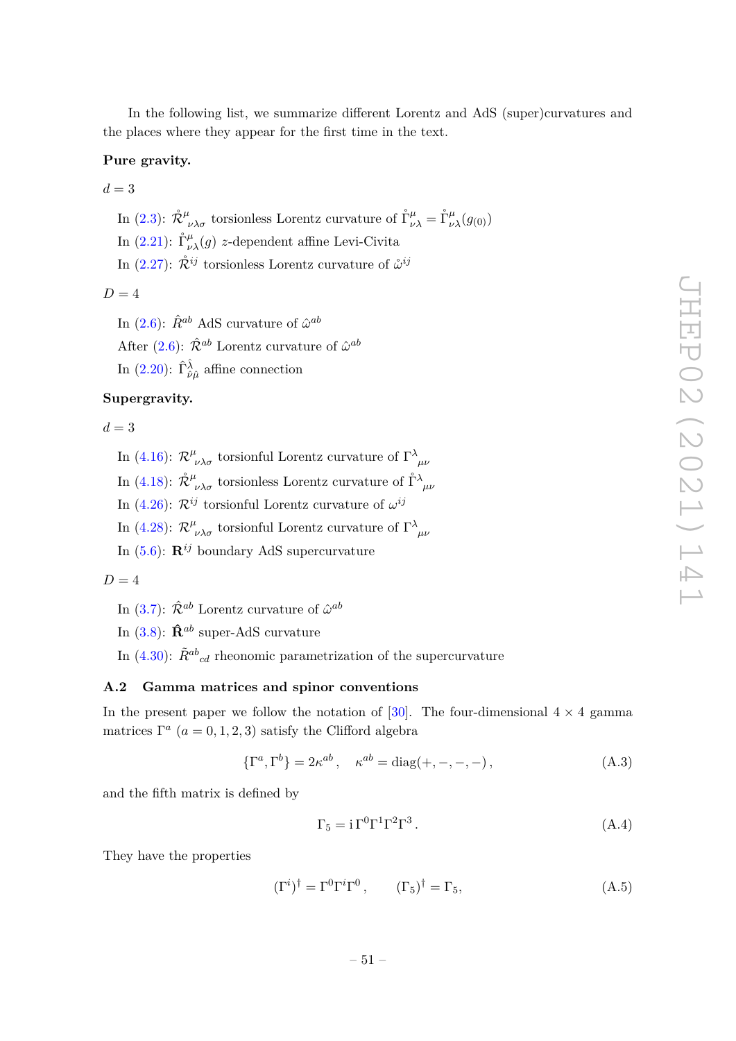In the following list, we summarize different Lorentz and AdS (super)curvatures and the places where they appear for the first time in the text.

#### **Pure gravity.**

 $d = 3$ 

In (2.3):  $\mathring{\mathcal{R}}^{\mu}_{\ \nu\lambda\sigma}$  torsionless Lorentz curvature of  $\mathring{\Gamma}^{\mu}_{\nu\lambda} = \mathring{\Gamma}^{\mu}_{\nu\lambda}(g_{(0)})$ 

In (2.21):  $\mathring{\Gamma}_{\nu\lambda}^{\mu}(g)$  *z*-dependent affine Levi-Civita

In  $(2.27)$ :  $\mathring{\mathcal{R}}^{ij}$  torsionless Lorentz curvature of  $\mathring{\omega}^{ij}$ 

#### $D = 4$

In  $(2.6)$ :  $\hat{R}^{ab}$  AdS curvature of  $\hat{\omega}^{ab}$ 

After (2.6):  $\hat{\mathcal{R}}^{ab}$  Lorentz curvature of  $\hat{\omega}^{ab}$ 

In  $(2.20)$ :  $\hat{\Gamma}^{\hat{\lambda}}_{\hat{\nu}\hat{\mu}}$  affine connection

#### **Supergravity.**

 $d = 3$ 

- In (4.16):  $\mathcal{R}^{\mu}_{\ \nu\lambda\sigma}$  torsionful Lorentz curvature of  $\Gamma^{\lambda}_{\ \mu\nu}$
- In (4.18):  $\mathring{\mathcal{R}}^{\mu}{}_{\nu\lambda\sigma}$  torsionless Lorentz curvature of  $\mathring{\Gamma}^{\lambda}{}_{\mu\nu}$

In (4.26):  $\mathcal{R}^{ij}$  torsionful Lorentz curvature of  $\omega^{ij}$ 

- In (4.28):  $\mathcal{R}^{\mu}_{\ \nu\lambda\sigma}$  torsionful Lorentz curvature of  $\Gamma^{\lambda}_{\ \mu\nu}$
- In (5.6): **R***ij* boundary AdS supercurvature

$$
D=4
$$

- In  $(3.7)$ :  $\hat{\mathcal{R}}^{ab}$  Lorentz curvature of  $\hat{\omega}^{ab}$
- In  $(3.8)$ :  $\hat{\mathbf{R}}^{ab}$  super-AdS curvature
- In  $(4.30)$ :  $\tilde{R}^{ab}{}_{cd}$  rheonomic parametrization of the supercurvature

#### **A.2 Gamma matrices and spinor conventions**

In the present paper we follow the notation of [30]. The four-dimensional  $4 \times 4$  gamma matrices  $\Gamma^a$  ( $a = 0, 1, 2, 3$ ) satisfy the Clifford algebra

$$
\{\Gamma^a, \Gamma^b\} = 2\kappa^{ab} , \quad \kappa^{ab} = \text{diag}(+,-,-,-) \,, \tag{A.3}
$$

and the fifth matrix is defined by

$$
\Gamma_5 = i \Gamma^0 \Gamma^1 \Gamma^2 \Gamma^3. \tag{A.4}
$$

They have the properties

$$
(\Gamma^i)^{\dagger} = \Gamma^0 \Gamma^i \Gamma^0, \qquad (\Gamma_5)^{\dagger} = \Gamma_5, \tag{A.5}
$$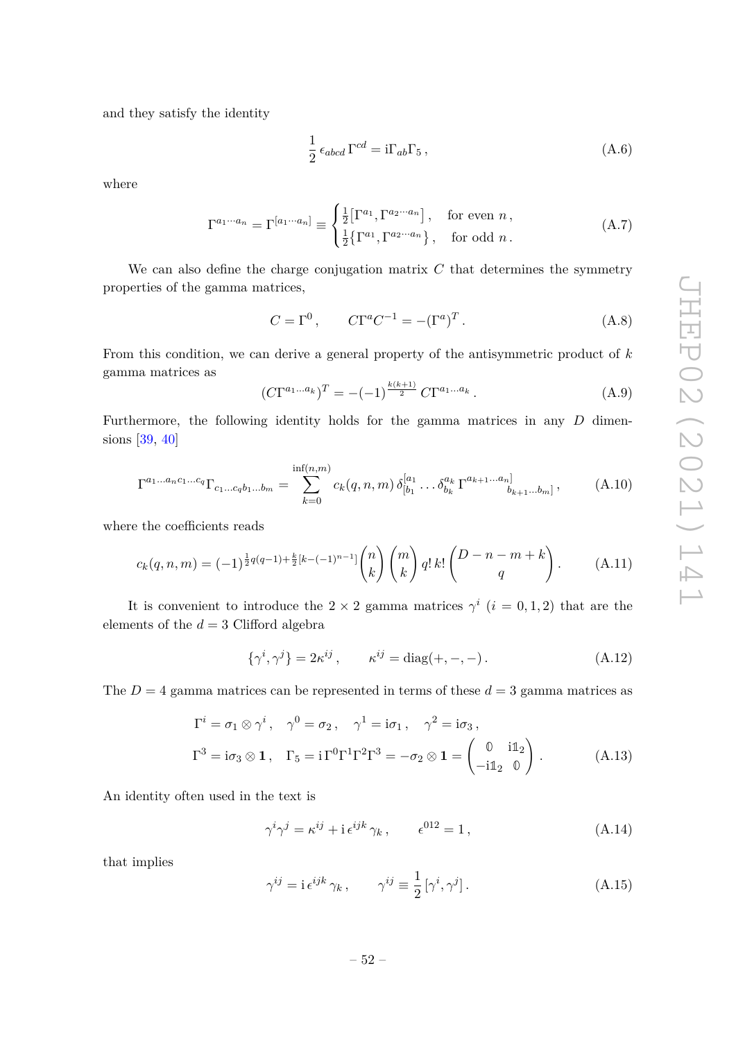and they satisfy the identity

$$
\frac{1}{2} \epsilon_{abcd} \Gamma^{cd} = i \Gamma_{ab} \Gamma_5 , \qquad (A.6)
$$

where

$$
\Gamma^{a_1 \cdots a_n} = \Gamma^{[a_1 \cdots a_n]} \equiv \begin{cases} \frac{1}{2} [\Gamma^{a_1}, \Gamma^{a_2 \cdots a_n}], & \text{for even } n, \\ \frac{1}{2} {\{\Gamma^{a_1}, \Gamma^{a_2 \cdots a_n}\}}, & \text{for odd } n. \end{cases}
$$
 (A.7)

We can also define the charge conjugation matrix *C* that determines the symmetry properties of the gamma matrices,

$$
C = \Gamma^0, \qquad C\Gamma^a C^{-1} = -(\Gamma^a)^T.
$$
\n(A.8)

From this condition, we can derive a general property of the antisymmetric product of *k* gamma matrices as

$$
(C\Gamma^{a_1...a_k})^T = -(-1)^{\frac{k(k+1)}{2}} C\Gamma^{a_1...a_k}.
$$
 (A.9)

Furthermore, the following identity holds for the gamma matrices in any *D* dimensions [39, 40]

$$
\Gamma^{a_1...a_n c_1...c_q} \Gamma_{c_1...c_q b_1...b_m} = \sum_{k=0}^{\inf(n,m)} c_k(q,n,m) \, \delta_{[b_1}^{[a_1} \dots \delta_{b_k}^{a_k} \Gamma^{a_{k+1}...a_n]}_{b_{k+1}...b_m]}, \tag{A.10}
$$

where the coefficients reads

$$
c_k(q,n,m) = (-1)^{\frac{1}{2}q(q-1)+\frac{k}{2}[k-(-1)^{n-1}]} \binom{n}{k} \binom{m}{k} q! k! \binom{D-n-m+k}{q}.
$$
 (A.11)

It is convenient to introduce the  $2 \times 2$  gamma matrices  $\gamma^i$  ( $i = 0, 1, 2$ ) that are the elements of the  $d = 3$  Clifford algebra

$$
\{\gamma^i, \gamma^j\} = 2\kappa^{ij}, \qquad \kappa^{ij} = \text{diag}(+,-,-)\,. \tag{A.12}
$$

The  $D = 4$  gamma matrices can be represented in terms of these  $d = 3$  gamma matrices as

$$
\Gamma^{i} = \sigma_{1} \otimes \gamma^{i}, \quad \gamma^{0} = \sigma_{2}, \quad \gamma^{1} = i\sigma_{1}, \quad \gamma^{2} = i\sigma_{3},
$$
  

$$
\Gamma^{3} = i\sigma_{3} \otimes \mathbf{1}, \quad \Gamma_{5} = i\Gamma^{0}\Gamma^{1}\Gamma^{2}\Gamma^{3} = -\sigma_{2} \otimes \mathbf{1} = \begin{pmatrix} 0 & i\mathbb{1}_{2} \\ -i\mathbb{1}_{2} & 0 \end{pmatrix}.
$$
 (A.13)

An identity often used in the text is

$$
\gamma^{i}\gamma^{j} = \kappa^{ij} + i\,\epsilon^{ijk}\,\gamma_{k}\,, \qquad \epsilon^{012} = 1\,, \tag{A.14}
$$

that implies

$$
\gamma^{ij} = i \,\epsilon^{ijk} \,\gamma_k \,, \qquad \gamma^{ij} \equiv \frac{1}{2} \left[ \gamma^i, \gamma^j \right]. \tag{A.15}
$$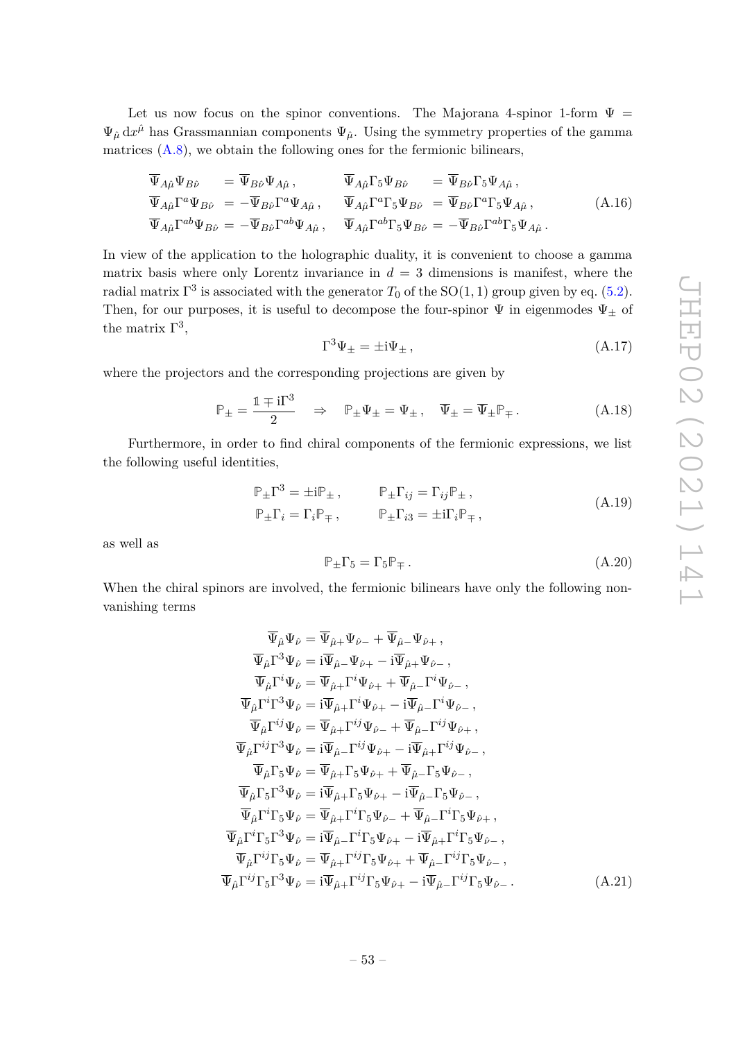Let us now focus on the spinor conventions. The Majorana 4-spinor 1-form  $\Psi =$  $\Psi_{\hat{\mu}} dx^{\hat{\mu}}$  has Grassmannian components  $\Psi_{\hat{\mu}}$ . Using the symmetry properties of the gamma matrices  $(A.8)$ , we obtain the following ones for the fermionic bilinears,

$$
\overline{\Psi}_{A\hat{\mu}}\Psi_{B\hat{\nu}} = \overline{\Psi}_{B\hat{\nu}}\Psi_{A\hat{\mu}}, \qquad \overline{\Psi}_{A\hat{\mu}}\Gamma_5\Psi_{B\hat{\nu}} = \overline{\Psi}_{B\hat{\nu}}\Gamma_5\Psi_{A\hat{\mu}}, \n\overline{\Psi}_{A\hat{\mu}}\Gamma^a\Psi_{B\hat{\nu}} = -\overline{\Psi}_{B\hat{\nu}}\Gamma^a\Psi_{A\hat{\mu}}, \qquad \overline{\Psi}_{A\hat{\mu}}\Gamma^a\Gamma_5\Psi_{B\hat{\nu}} = \overline{\Psi}_{B\hat{\nu}}\Gamma^a\Gamma_5\Psi_{A\hat{\mu}}, \n\overline{\Psi}_{A\hat{\mu}}\Gamma^{ab}\Psi_{B\hat{\nu}} = -\overline{\Psi}_{B\hat{\nu}}\Gamma^{ab}\Psi_{A\hat{\mu}}, \qquad (\text{A.16})
$$

In view of the application to the holographic duality, it is convenient to choose a gamma matrix basis where only Lorentz invariance in  $d = 3$  dimensions is manifest, where the radial matrix  $\Gamma^3$  is associated with the generator  $T_0$  of the  $\text{SO}(1,1)$  group given by eq. (5.2). Then, for our purposes, it is useful to decompose the four-spinor  $\Psi$  in eigenmodes  $\Psi_{\pm}$  of the matrix  $\Gamma^3$ ,

$$
\Gamma^3 \Psi_{\pm} = \pm i \Psi_{\pm} \,, \tag{A.17}
$$

where the projectors and the corresponding projections are given by

$$
\mathbb{P}_{\pm} = \frac{\mathbb{1} \mp i\Gamma^3}{2} \quad \Rightarrow \quad \mathbb{P}_{\pm}\Psi_{\pm} = \Psi_{\pm} \,, \quad \overline{\Psi}_{\pm} = \overline{\Psi}_{\pm}\mathbb{P}_{\mp} \,. \tag{A.18}
$$

Furthermore, in order to find chiral components of the fermionic expressions, we list the following useful identities,

$$
\mathbb{P}_{\pm} \Gamma^3 = \pm i \mathbb{P}_{\pm} , \qquad \mathbb{P}_{\pm} \Gamma_{ij} = \Gamma_{ij} \mathbb{P}_{\pm} ,
$$
  
\n
$$
\mathbb{P}_{\pm} \Gamma_i = \Gamma_i \mathbb{P}_{\mp} , \qquad \mathbb{P}_{\pm} \Gamma_{i3} = \pm i \Gamma_i \mathbb{P}_{\mp} ,
$$
  
\n(A.19)

as well as

$$
\mathbb{P}_{\pm}\Gamma_5 = \Gamma_5 \mathbb{P}_{\mp} \,. \tag{A.20}
$$

When the chiral spinors are involved, the fermionic bilinears have only the following nonvanishing terms

$$
\overline{\Psi}_{\hat{\mu}}\Psi_{\hat{\nu}} = \overline{\Psi}_{\hat{\mu}+}\Psi_{\hat{\nu}-} + \overline{\Psi}_{\hat{\mu}-}\Psi_{\hat{\nu}+}, \n\overline{\Psi}_{\hat{\mu}}\Gamma^{3}\Psi_{\hat{\nu}} = i\overline{\Psi}_{\hat{\mu}-}\Psi_{\hat{\nu}+} - i\overline{\Psi}_{\hat{\mu}+}\Psi_{\hat{\nu}-}, \n\overline{\Psi}_{\hat{\mu}}\Gamma^{i}\Psi_{\hat{\nu}} = \overline{\Psi}_{\hat{\mu}+}\Gamma^{i}\Psi_{\hat{\nu}+} + \overline{\Psi}_{\hat{\mu}-}\Gamma^{i}\Psi_{\hat{\nu}-}, \n\overline{\Psi}_{\hat{\mu}}\Gamma^{i}\Gamma^{3}\Psi_{\hat{\nu}} = i\overline{\Psi}_{\hat{\mu}+}\Gamma^{i}\Psi_{\hat{\nu}+} - i\overline{\Psi}_{\hat{\mu}-}\Gamma^{i}\Psi_{\hat{\nu}-}, \n\overline{\Psi}_{\hat{\mu}}\Gamma^{ij}\Psi_{\hat{\nu}} = \overline{\Psi}_{\hat{\mu}+}\Gamma^{ij}\Psi_{\hat{\nu}-} + \overline{\Psi}_{\hat{\mu}-}\Gamma^{ij}\Psi_{\hat{\nu}+}, \n\overline{\Psi}_{\hat{\mu}}\Gamma^{ij}\Gamma^{3}\Psi_{\hat{\nu}} = i\overline{\Psi}_{\hat{\mu}-}\Gamma^{ij}\Psi_{\hat{\nu}+} - i\overline{\Psi}_{\hat{\mu}+}\Gamma^{ij}\Psi_{\hat{\nu}-}, \n\overline{\Psi}_{\hat{\mu}}\Gamma_{5}\Psi_{\hat{\nu}} = \overline{\Psi}_{\hat{\mu}+}\Gamma_{5}\Psi_{\hat{\nu}+} + \overline{\Psi}_{\hat{\mu}-}\Gamma_{5}\Psi_{\hat{\nu}-}, \n\overline{\Psi}_{\hat{\mu}}\Gamma_{5}\Gamma^{3}\Psi_{\hat{\nu}} = i\overline{\Psi}_{\hat{\mu}+}\Gamma^{i}\Gamma_{5}\Psi_{\hat{\nu}-} + \overline{\Psi}_{\hat{\mu}-}\Gamma^{i}\Gamma_{5}\Psi_{\hat{\nu}+}, \n\overline{\Psi}_{\hat{\mu}}\Gamma^{i}\Gamma_{5}\Psi_{\hat{\nu}} = \overline{\Psi}_{\hat{\mu}+}\Gamma^{i}\Gamma_{5}\Psi_{\hat{\nu}+} + \overline{\Psi}_{\hat{\mu}-}\Gamma^{i}\Gamma_{5}\Psi_{\hat{\nu}-}, \n\overline{\Psi}_{\hat{\mu}}\Gamma^{i}\Gamma_{5}\Gamma^{3}\Psi_{\hat{\nu
$$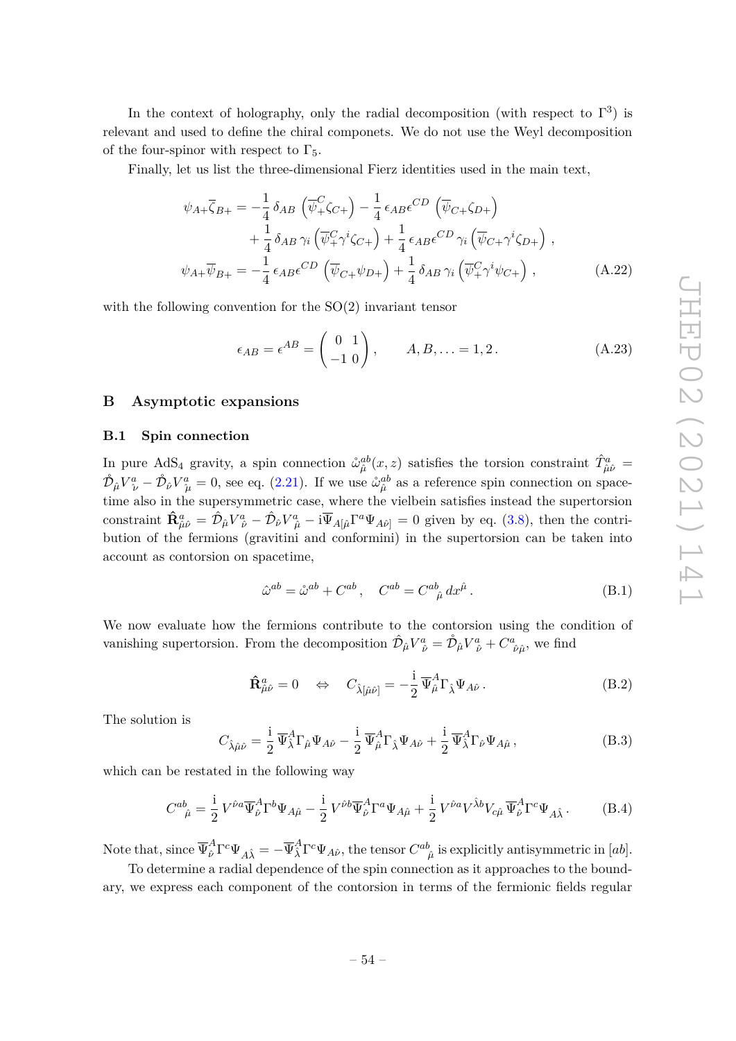In the context of holography, only the radial decomposition (with respect to  $\Gamma^3$ ) is relevant and used to define the chiral componets. We do not use the Weyl decomposition of the four-spinor with respect to  $\Gamma_5$ .

Finally, let us list the three-dimensional Fierz identities used in the main text,

$$
\psi_{A+}\overline{\zeta}_{B+} = -\frac{1}{4}\delta_{AB}\left(\overline{\psi}_{+}^{C}\zeta_{C+}\right) - \frac{1}{4}\epsilon_{AB}\epsilon^{CD}\left(\overline{\psi}_{C+}\zeta_{D+}\right) \n+ \frac{1}{4}\delta_{AB}\gamma_{i}\left(\overline{\psi}_{+}^{C}\gamma^{i}\zeta_{C+}\right) + \frac{1}{4}\epsilon_{AB}\epsilon^{CD}\gamma_{i}\left(\overline{\psi}_{C+}\gamma^{i}\zeta_{D+}\right) ,\n\psi_{A+}\overline{\psi}_{B+} = -\frac{1}{4}\epsilon_{AB}\epsilon^{CD}\left(\overline{\psi}_{C+}\psi_{D+}\right) + \frac{1}{4}\delta_{AB}\gamma_{i}\left(\overline{\psi}_{+}^{C}\gamma^{i}\psi_{C+}\right) ,
$$
\n(A.22)

with the following convention for the  $SO(2)$  invariant tensor

$$
\epsilon_{AB} = \epsilon^{AB} = \begin{pmatrix} 0 & 1 \\ -1 & 0 \end{pmatrix}, \qquad A, B, \dots = 1, 2.
$$
 (A.23)

#### **B Asymptotic expansions**

#### **B.1 Spin connection**

In pure AdS<sub>4</sub> gravity, a spin connection  $\mathring{\omega}_{\hat{\mu}}^{ab}(x, z)$  satisfies the torsion constraint  $\hat{T}^a_{\hat{\mu}\hat{\nu}} =$  $\mathring{\mathcal{D}}_{\hat{\mu}}V^a_{\ \hat{\nu}} - \mathring{\mathcal{D}}_{\hat{\nu}}V^a_{\ \hat{\mu}} = 0$ , see eq. (2.21). If we use  $\mathring{\omega}_{\hat{\mu}}^{ab}$  as a reference spin connection on spacetime also in the supersymmetric case, where the vielbein satisfies instead the supertorsion constraint  $\mathbf{\hat{R}}_{\hat{\mu}\hat{\nu}}^a = \hat{\mathcal{D}}_{\hat{\mu}} V_{\hat{\nu}}^a - \hat{\mathcal{D}}_{\hat{\nu}} V_{\hat{\mu}}^a - i \overline{\Psi}_{A[\hat{\mu}} \Gamma^a \Psi_{A\hat{\nu}}] = 0$  given by eq. (3.8), then the contribution of the fermions (gravitini and conformini) in the supertorsion can be taken into account as contorsion on spacetime,

$$
\hat{\omega}^{ab} = \mathring{\omega}^{ab} + C^{ab}, \quad C^{ab} = C^{ab}_{\ \hat{\mu}} dx^{\hat{\mu}}.
$$
\n(B.1)

We now evaluate how the fermions contribute to the contorsion using the condition of vanishing supertorsion. From the decomposition  $\hat{\mathcal{D}}_{\hat{\mu}} V^a_{\hat{\nu}} = \mathring{\mathcal{D}}_{\hat{\mu}} V^a_{\hat{\nu}} + C^a_{\hat{\nu}\hat{\mu}}$ , we find

$$
\hat{\mathbf{R}}^a_{\hat{\mu}\hat{\nu}} = 0 \quad \Leftrightarrow \quad C_{\hat{\lambda}[\hat{\mu}\hat{\nu}]} = -\frac{\mathrm{i}}{2} \,\overline{\Psi}^A_{\hat{\mu}} \Gamma_{\hat{\lambda}} \Psi_{A\hat{\nu}} \,. \tag{B.2}
$$

The solution is

$$
C_{\hat{\lambda}\hat{\mu}\hat{\nu}} = \frac{i}{2} \overline{\Psi}_{\hat{\lambda}}^A \Gamma_{\hat{\mu}} \Psi_{A\hat{\nu}} - \frac{i}{2} \overline{\Psi}_{\hat{\mu}}^A \Gamma_{\hat{\lambda}} \Psi_{A\hat{\nu}} + \frac{i}{2} \overline{\Psi}_{\hat{\lambda}}^A \Gamma_{\hat{\nu}} \Psi_{A\hat{\mu}}, \tag{B.3}
$$

which can be restated in the following way

$$
C^{ab}_{\ \hat{\mu}} = \frac{i}{2} V^{\hat{\nu}a} \overline{\Psi}_{\hat{\nu}}^A \Gamma^b \Psi_{A\hat{\mu}} - \frac{i}{2} V^{\hat{\nu}b} \overline{\Psi}_{\hat{\nu}}^A \Gamma^a \Psi_{A\hat{\mu}} + \frac{i}{2} V^{\hat{\nu}a} V^{\hat{\lambda}b} V_{c\hat{\mu}} \overline{\Psi}_{\hat{\nu}}^A \Gamma^c \Psi_{A\hat{\lambda}}.
$$
 (B.4)

Note that, since  $\overline{\Psi}^A_{\hat{\nu}}\Gamma^c\Psi_{A\hat{\lambda}} = -\overline{\Psi}^A_{\hat{\lambda}}\Gamma^c\Psi_{A\hat{\nu}},$  the tensor  $C^{ab}_{\ \hat{\mu}}$  is explicitly antisymmetric in  $[ab].$ 

To determine a radial dependence of the spin connection as it approaches to the boundary, we express each component of the contorsion in terms of the fermionic fields regular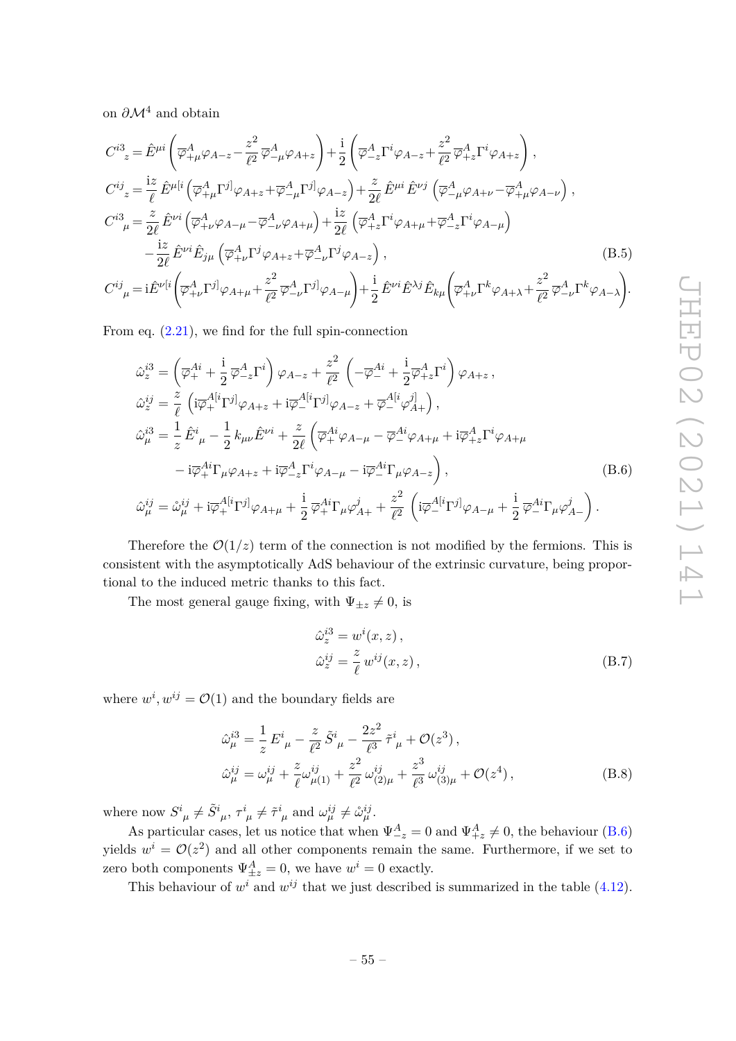on *∂*M<sup>4</sup> and obtain

$$
C^{i3}_{\ z} = \hat{E}^{\mu i} \left( \overline{\varphi}_{+\mu}^{A} \varphi_{A-z} - \frac{z^{2}}{\ell^{2}} \overline{\varphi}_{-\mu}^{A} \varphi_{A+z} \right) + \frac{i}{2} \left( \overline{\varphi}_{-z}^{A} \Gamma^{i} \varphi_{A-z} + \frac{z^{2}}{\ell^{2}} \overline{\varphi}_{+z}^{A} \Gamma^{i} \varphi_{A+z} \right),
$$
  
\n
$$
C^{i j}_{\ z} = \frac{i z}{\ell} \hat{E}^{\mu [i} \left( \overline{\varphi}_{+\mu}^{A} \Gamma^{j]} \varphi_{A+z} + \overline{\varphi}_{-\mu}^{A} \Gamma^{j]} \varphi_{A-z} \right) + \frac{z}{2\ell} \hat{E}^{\mu i} \hat{E}^{\nu j} \left( \overline{\varphi}_{-\mu}^{A} \varphi_{A+\nu} - \overline{\varphi}_{+\mu}^{A} \varphi_{A-\nu} \right),
$$
  
\n
$$
C^{i3}_{\ \mu} = \frac{z}{2\ell} \hat{E}^{\nu i} \left( \overline{\varphi}_{+\nu}^{A} \varphi_{A-\mu} - \overline{\varphi}_{-\nu}^{A} \varphi_{A+\mu} \right) + \frac{iz}{2\ell} \left( \overline{\varphi}_{+z}^{A} \Gamma^{i} \varphi_{A+\mu} + \overline{\varphi}_{-z}^{A} \Gamma^{i} \varphi_{A-\mu} \right)
$$
  
\n
$$
- \frac{iz}{2\ell} \hat{E}^{\nu i} \hat{E}_{j\mu} \left( \overline{\varphi}_{+\nu}^{A} \Gamma^{j} \varphi_{A+z} + \overline{\varphi}_{-\nu}^{A} \Gamma^{j} \varphi_{A-z} \right),
$$
  
\n
$$
C^{i j}_{\ \mu} = i \hat{E}^{\nu [i} \left( \overline{\varphi}_{+\nu}^{A} \Gamma^{j]} \varphi_{A+\mu} + \frac{z^{2}}{\ell^{2}} \overline{\varphi}_{-\nu}^{A} \Gamma^{j]} \varphi_{A-\mu} \right) + \frac{i}{2} \hat{E}^{\nu i} \hat{E}^{\lambda j} \hat{E}_{k\mu} \left( \overline{\varphi}_{+\nu}^{A} \Gamma^{k} \varphi_{A+\lambda} + \frac
$$

From eq. (2.21), we find for the full spin-connection

$$
\hat{\omega}_{z}^{i3} = \left(\overline{\varphi}_{+}^{Ai} + \frac{i}{2}\overline{\varphi}_{-z}^{A}\Gamma^{i}\right)\varphi_{A-z} + \frac{z^{2}}{\ell^{2}}\left(-\overline{\varphi}_{-}^{Ai} + \frac{i}{2}\overline{\varphi}_{+z}^{A}\Gamma^{i}\right)\varphi_{A+z},
$$
  
\n
$$
\hat{\omega}_{z}^{ij} = \frac{z}{\ell}\left(i\overline{\varphi}_{+}^{A[i}\Gamma^{j]}\varphi_{A+z} + i\overline{\varphi}_{-}^{A[i}\Gamma^{j]}\varphi_{A-z} + \overline{\varphi}_{-}^{A[i}\varphi_{A+}^{j]}\right),
$$
  
\n
$$
\hat{\omega}_{\mu}^{i3} = \frac{1}{z}\hat{E}^{i}{}_{\mu} - \frac{1}{2}k_{\mu\nu}\hat{E}^{\nu i} + \frac{z}{2\ell}\left(\overline{\varphi}_{+}^{Ai}\varphi_{A-\mu} - \overline{\varphi}_{-}^{Ai}\varphi_{A+\mu} + i\overline{\varphi}_{+z}^{A}\Gamma^{i}\varphi_{A+\mu} - i\overline{\varphi}_{+}^{Ai}\Gamma_{\mu}\varphi_{A+z} + i\overline{\varphi}_{-z}^{A}\Gamma^{i}\varphi_{A-\mu} - i\overline{\varphi}_{-}^{Ai}\Gamma_{\mu}\varphi_{A-z}\right),
$$
  
\n
$$
\hat{\omega}_{\mu}^{ij} = \hat{\omega}_{\mu}^{ij} + i\overline{\varphi}_{+}^{A[i}\Gamma^{j]}\varphi_{A+\mu} + \frac{i}{2}\overline{\varphi}_{+}^{Ai}\Gamma_{\mu}\varphi_{A+}^{j} + \frac{z^{2}}{\ell^{2}}\left(i\overline{\varphi}_{-}^{A[i}\Gamma^{j]}\varphi_{A-\mu} + \frac{i}{2}\overline{\varphi}_{-}^{Ai}\Gamma_{\mu}\varphi_{A-}^{j}\right).
$$
  
\n(B.6)

Therefore the  $\mathcal{O}(1/z)$  term of the connection is not modified by the fermions. This is consistent with the asymptotically AdS behaviour of the extrinsic curvature, being proportional to the induced metric thanks to this fact.

The most general gauge fixing, with  $\Psi_{\pm z} \neq 0$ , is

$$
\hat{\omega}_z^{i3} = w^i(x, z), \n\hat{\omega}_z^{ij} = \frac{z}{\ell} w^{ij}(x, z),
$$
\n(B.7)

where  $w^i, w^{ij} = \mathcal{O}(1)$  and the boundary fields are

$$
\hat{\omega}_{\mu}^{i3} = \frac{1}{z} E^{i}_{\ \mu} - \frac{z}{\ell^{2}} \tilde{S}^{i}_{\ \mu} - \frac{2z^{2}}{\ell^{3}} \tilde{\tau}^{i}_{\ \mu} + \mathcal{O}(z^{3}), \n\hat{\omega}_{\mu}^{ij} = \omega_{\mu}^{ij} + \frac{z}{\ell} \omega_{\mu(1)}^{ij} + \frac{z^{2}}{\ell^{2}} \omega_{(2)\mu}^{ij} + \frac{z^{3}}{\ell^{3}} \omega_{(3)\mu}^{ij} + \mathcal{O}(z^{4}),
$$
\n(B.8)

where now  $S^i_{\mu} \neq \tilde{S}^i_{\mu}, \tau^i_{\mu} \neq \tilde{\tau}^i_{\mu}$  and  $\omega^{ij}_{\mu} \neq \tilde{\omega}^{ij}_{\mu}$ .

As particular cases, let us notice that when  $\Psi_{-z}^{A} = 0$  and  $\Psi_{+z}^{A} \neq 0$ , the behaviour (B.6) yields  $w^i = \mathcal{O}(z^2)$  and all other components remain the same. Furthermore, if we set to zero both components  $\Psi_{\pm z}^A = 0$ , we have  $w^i = 0$  exactly.

This behaviour of  $w^i$  and  $w^{ij}$  that we just described is summarized in the table (4.12).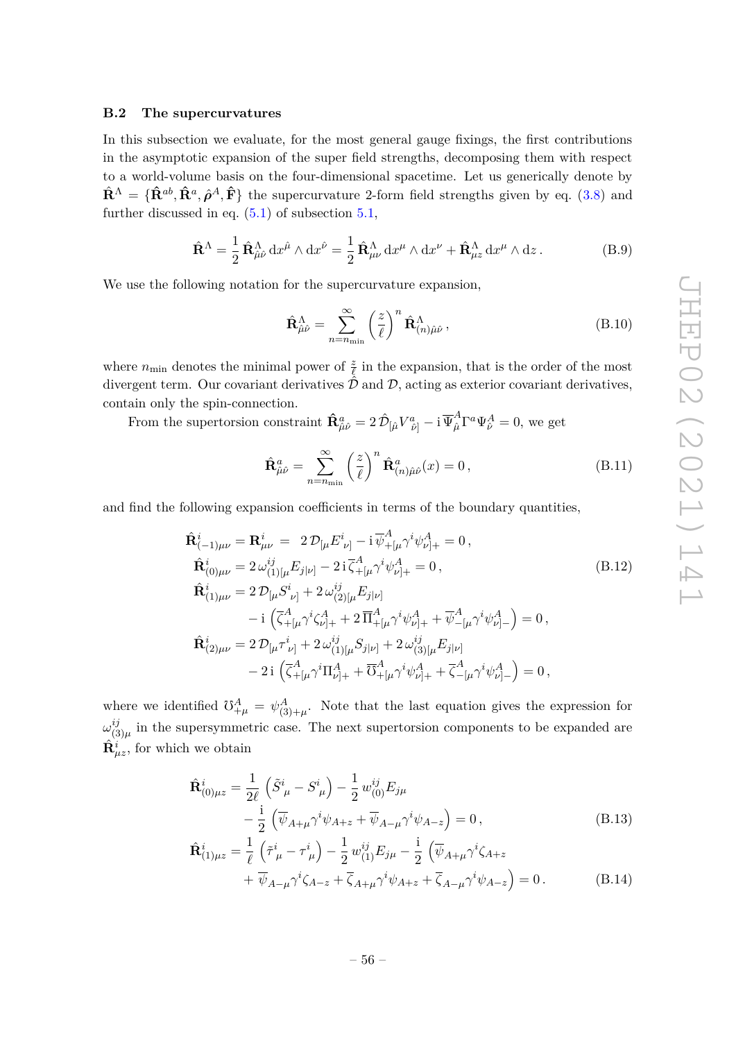#### **B.2 The supercurvatures**

In this subsection we evaluate, for the most general gauge fixings, the first contributions in the asymptotic expansion of the super field strengths, decomposing them with respect to a world-volume basis on the four-dimensional spacetime. Let us generically denote by  $\hat{\mathbf{R}}^{\Lambda} = {\hat{\mathbf{R}}^{ab}, \hat{\mathbf{R}}^a, \hat{\boldsymbol{\rho}}^A, \hat{\mathbf{F}}}$  the supercurvature 2-form field strengths given by eq. (3.8) and further discussed in eq.  $(5.1)$  of subsection  $5.1$ ,

$$
\hat{\mathbf{R}}^{\Lambda} = \frac{1}{2} \,\hat{\mathbf{R}}^{\Lambda}_{\hat{\mu}\hat{\nu}} \, dx^{\hat{\mu}} \wedge dx^{\hat{\nu}} = \frac{1}{2} \,\hat{\mathbf{R}}^{\Lambda}_{\mu\nu} \, dx^{\mu} \wedge dx^{\nu} + \hat{\mathbf{R}}^{\Lambda}_{\mu z} \, dx^{\mu} \wedge dz \,. \tag{B.9}
$$

We use the following notation for the supercurvature expansion,

$$
\hat{\mathbf{R}}^{\Lambda}_{\hat{\mu}\hat{\nu}} = \sum_{n=n_{\text{min}}}^{\infty} \left(\frac{z}{\ell}\right)^n \hat{\mathbf{R}}^{\Lambda}_{(n)\hat{\mu}\hat{\nu}},
$$
\n(B.10)

where  $n_{\text{min}}$  denotes the minimal power of  $\frac{z}{\ell}$  in the expansion, that is the order of the most divergent term. Our covariant derivatives  $\hat{\mathcal{D}}$  and  $\mathcal{D}$ , acting as exterior covariant derivatives, contain only the spin-connection.

From the supertorsion constraint  $\mathbf{\hat{R}}_{\hat{\mu}\hat{\nu}}^a = 2 \hat{\mathcal{D}}_{\left[\hat{\mu} \right.} V^a_{\left.\hat{\nu}\right]} - i \overline{\Psi}^A_{\hat{\mu}} \Gamma^a \Psi^A_{\hat{\nu}} = 0$ , we get

$$
\hat{\mathbf{R}}_{\hat{\mu}\hat{\nu}}^{a} = \sum_{n=n_{\min}}^{\infty} \left(\frac{z}{\ell}\right)^{n} \hat{\mathbf{R}}_{(n)\hat{\mu}\hat{\nu}}^{a}(x) = 0, \qquad (B.11)
$$

and find the following expansion coefficients in terms of the boundary quantities,

$$
\hat{\mathbf{R}}_{(-1)\mu\nu}^{i} = \mathbf{R}_{\mu\nu}^{i} = 2\mathcal{D}_{[\mu}E_{\nu]}^{i} - i\overline{\psi}_{+[\mu}^{A}\gamma^{i}\psi_{\nu]_{+}}^{A} = 0, \n\hat{\mathbf{R}}_{(0)\mu\nu}^{i} = 2\omega_{(1)[\mu}^{ij}E_{j|\nu]} - 2i\overline{\zeta}_{+[\mu}^{A}\gamma^{i}\psi_{\nu]_{+}}^{A} = 0, \n\hat{\mathbf{R}}_{(1)\mu\nu}^{i} = 2\mathcal{D}_{[\mu}S_{\nu]}^{i} + 2\omega_{(2)[\mu}^{ij}E_{j|\nu]} \n- i(\overline{\zeta}_{+[\mu}^{A}\gamma^{i}\zeta_{\nu]_{+}}^{A} + 2\overline{\Pi}_{+[\mu}^{A}\gamma^{i}\psi_{\nu]_{+}}^{A} + \overline{\psi}_{-[\mu}^{A}\gamma^{i}\psi_{\nu]_{-}}^{A}) = 0, \n\hat{\mathbf{R}}_{(2)\mu\nu}^{i} = 2\mathcal{D}_{[\mu}\tau_{\nu]}^{i} + 2\omega_{(1)[\mu}^{ij}S_{j|\nu]} + 2\omega_{(3)[\mu}^{ij}E_{j|\nu]} \n- 2i(\overline{\zeta}_{+[\mu}^{A}\gamma^{i}\Pi_{\nu]_{+}}^{A} + \overline{\zeta}_{+[\mu}^{A}\gamma^{i}\psi_{\nu]_{+}}^{A} + \overline{\zeta}_{-[\mu}^{A}\gamma^{i}\psi_{\nu]_{-}}^{A}) = 0,
$$

where we identified  $\mathcal{V}_{+\mu}^A = \psi_{(3)+\mu}^A$ . Note that the last equation gives the expression for *ω ij*  $\frac{y}{(3)\mu}$  in the supersymmetric case. The next supertorsion components to be expanded are  $\hat{\mathbf{R}}_{\mu z}^{i}$ , for which we obtain

$$
\hat{\mathbf{R}}_{(0)\mu z}^{i} = \frac{1}{2\ell} \left( \tilde{S}_{\ \mu}^{i} - S_{\ \mu}^{i} \right) - \frac{1}{2} w_{(0)}^{ij} E_{j\mu} \n- \frac{i}{2} \left( \overline{\psi}_{A+\mu} \gamma^{i} \psi_{A+z} + \overline{\psi}_{A-\mu} \gamma^{i} \psi_{A-z} \right) = 0 ,
$$
\n
$$
\hat{\mathbf{R}}_{(1)\mu z}^{i} = \frac{1}{\ell} \left( \tilde{\tau}_{\ \mu}^{i} - \tau_{\ \mu}^{i} \right) - \frac{1}{2} w_{(1)}^{ij} E_{j\mu} - \frac{i}{2} \left( \overline{\psi}_{A+\mu} \gamma^{i} \zeta_{A+z} \right)
$$
\n(B.13)

$$
\mathbf{R}_{(1)\mu z} - \frac{1}{\ell} \left( \gamma \mu - \gamma \mu \right) - \frac{1}{2} w_{(1)} \Sigma_{j\mu} - \frac{1}{2} \left( \psi_{A+\mu} \gamma \varsigma_{A+z} \right) + \overline{\psi}_{A-\mu} \gamma^i \zeta_{A-z} + \overline{\zeta}_{A+\mu} \gamma^i \psi_{A+z} + \overline{\zeta}_{A-\mu} \gamma^i \psi_{A-z} \right) = 0.
$$
 (B.14)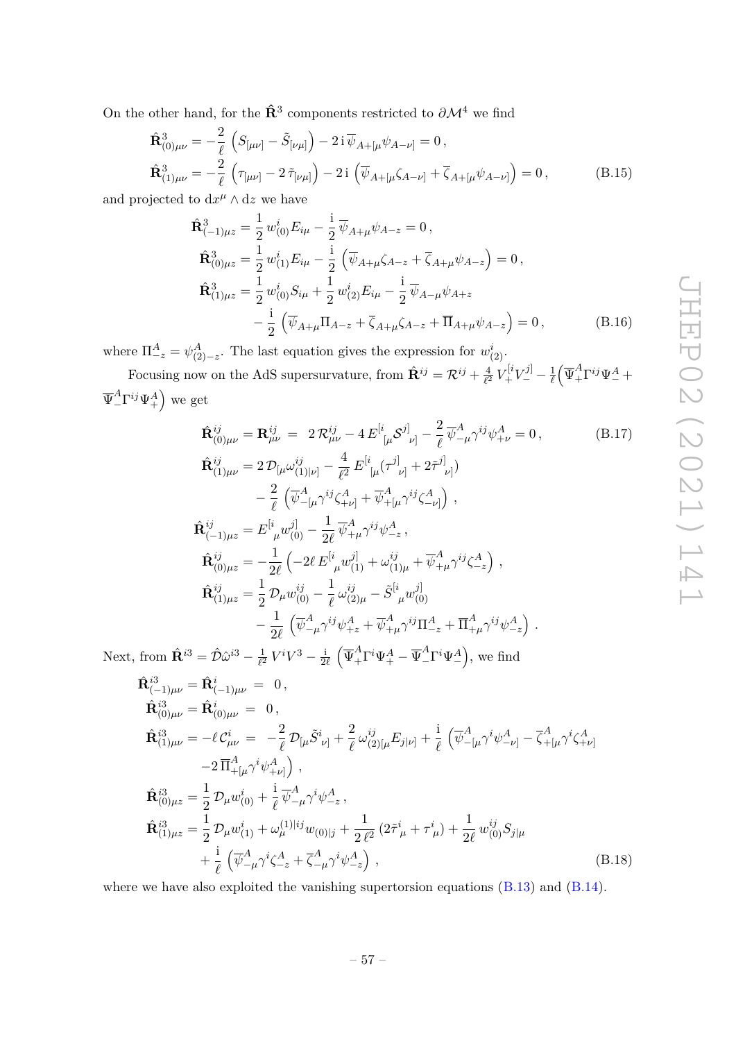On the other hand, for the  $\hat{\mathbf{R}}^3$  components restricted to  $\partial \mathcal{M}^4$  we find

$$
\hat{\mathbf{R}}_{(0)\mu\nu}^{3} = -\frac{2}{\ell} \left( S_{[\mu\nu]} - \tilde{S}_{[\nu\mu]} \right) - 2i \overline{\psi}_{A+[\mu} \psi_{A-\nu]} = 0 ,
$$
\n
$$
\hat{\mathbf{R}}_{(1)\mu\nu}^{3} = -\frac{2}{\ell} \left( \tau_{[\mu\nu]} - 2 \tilde{\tau}_{[\nu\mu]} \right) - 2i \left( \overline{\psi}_{A+[\mu} \zeta_{A-\nu]} + \overline{\zeta}_{A+[\mu} \psi_{A-\nu]} \right) = 0 ,
$$
\n(B.15)

and projected to  $dx^{\mu} \wedge dz$  we have

$$
\hat{\mathbf{R}}_{(-1)\mu z}^{3} = \frac{1}{2} w_{(0)}^{i} E_{i\mu} - \frac{i}{2} \overline{\psi}_{A+\mu} \psi_{A-z} = 0, \n\hat{\mathbf{R}}_{(0)\mu z}^{3} = \frac{1}{2} w_{(1)}^{i} E_{i\mu} - \frac{i}{2} \left( \overline{\psi}_{A+\mu} \zeta_{A-z} + \overline{\zeta}_{A+\mu} \psi_{A-z} \right) = 0, \n\hat{\mathbf{R}}_{(1)\mu z}^{3} = \frac{1}{2} w_{(0)}^{i} S_{i\mu} + \frac{1}{2} w_{(2)}^{i} E_{i\mu} - \frac{i}{2} \overline{\psi}_{A-\mu} \psi_{A+z} \n- \frac{i}{2} \left( \overline{\psi}_{A+\mu} \Pi_{A-z} + \overline{\zeta}_{A+\mu} \zeta_{A-z} + \overline{\Pi}_{A+\mu} \psi_{A-z} \right) = 0, \quad (B.16)
$$

where  $\Pi_{-z}^{A} = \psi_{(2)-z}^{A}$ . The last equation gives the expression for  $w_{(2)}^{i}$ .

Focusing now on the AdS supersurvature, from  $\hat{\mathbf{R}}^{ij} = \mathcal{R}^{ij} + \frac{4}{\ell^2}$  $\frac{4}{\ell^2} V^{[i}_+ V^{j]}_- - \frac{1}{\ell}$  $\frac{1}{\ell}\Big(\overline\Psi^A_+\Gamma^{ij}\Psi^A_-+$  $\overline{\Psi}^A_-\Gamma^{ij}\Psi^A_+$  we get

$$
\hat{\mathbf{R}}_{(0)\mu\nu}^{ij} = \mathbf{R}_{\mu\nu}^{ij} = 2 \mathcal{R}_{\mu\nu}^{ij} - 4 E_{\left[\mu}^{[i} \mathcal{S}^{j]}\right]_{\nu} - \frac{2}{\ell} \overline{\psi}_{-\mu}^{A} \gamma^{ij} \psi_{+\nu}^{A} = 0, \qquad (B.17)
$$
\n
$$
\hat{\mathbf{R}}_{(1)\mu\nu}^{ij} = 2 \mathcal{D}_{\left[\mu} \omega_{(1)\right]\nu\right]}^{ij} - \frac{4}{\ell^{2}} E_{\left[\mu}^{[i} (\tau^{j]}\right]_{\nu} + 2 \tilde{\tau}^{j]}\right) \\
- \frac{2}{\ell} \left( \overline{\psi}_{-[{\mu}}^{A} \gamma^{ij} \zeta_{+\nu]}^{A} + \overline{\psi}_{+[{\mu}}^{A} \gamma^{ij} \zeta_{-\nu]}^{A} \right),
$$
\n
$$
\hat{\mathbf{R}}_{(-1)\mu z}^{ij} = E_{\left[\mu}^{[i} \omega_{(0)}^{j]}\right) - \frac{1}{2\ell} \overline{\psi}_{+\mu}^{A} \gamma^{ij} \psi_{-z}^{A},
$$
\n
$$
\hat{\mathbf{R}}_{(0)\mu z}^{ij} = -\frac{1}{2\ell} \left( -2\ell E_{\left[\mu}^{[i} \omega_{(1)}^{j]}\right) + \omega_{(1)\mu}^{ij} + \overline{\psi}_{+\mu}^{A} \gamma^{ij} \zeta_{-z}^{A} \right),
$$
\n
$$
\hat{\mathbf{R}}_{(1)\mu z}^{ij} = \frac{1}{2} \mathcal{D}_{\mu} w_{(0)}^{ij} - \frac{1}{\ell} \omega_{(2)\mu}^{ij} - \tilde{S}_{\left[\mu}^{[i} \omega_{(0)}^{j]}\right] \\
- \frac{1}{2\ell} \left( \overline{\psi}_{-\mu}^{A} \gamma^{ij} \psi_{+z}^{A} + \overline{\psi}_{+\mu}^{A} \gamma^{ij} \Pi_{-z}^{A} + \overline{\Pi}_{+\mu}^{A} \gamma^{ij} \psi_{-z}^{A} \right).
$$
\n(B.17)

Next, from  $\hat{\mathbf{R}}^{i3} = \hat{\mathcal{D}} \hat{\omega}^{i3} - \frac{1}{\ell^2}$  $\frac{1}{\ell^2} V^i V^3 - \frac{1}{2}$  $\frac{i}{2\ell} \left( \overline{\Psi}^A_+ \Gamma^i \Psi^A_+ - \overline{\Psi}^A_- \Gamma^i \Psi^A_- \right)$ , we find

$$
\hat{\mathbf{R}}_{(-1)\mu\nu}^{i3} = \hat{\mathbf{R}}_{(-1)\mu\nu}^{i} = 0, \n\hat{\mathbf{R}}_{(0)\mu\nu}^{i3} = \hat{\mathbf{R}}_{(0)\mu\nu}^{i} = 0, \n\hat{\mathbf{R}}_{(1)\mu\nu}^{i3} = -\ell C_{\mu\nu}^{i} = -\frac{2}{\ell} \mathcal{D}_{\lbrack\mu} \tilde{S}_{\nu\rbrack}^{i} + \frac{2}{\ell} \omega_{(2)\lbrack\mu}^{ij} E_{j|\nu\rbrack} + \frac{i}{\ell} \left( \overline{\psi}_{-\lbrack\mu}^{A} \gamma^{i} \psi_{-\nu\rbrack}^{A} - \overline{\zeta}_{+\lbrack\mu}^{A} \gamma^{i} \zeta_{+\nu\rbrack}^{A} \right) \n-\frac{2}{\Pi_{+\lbrack\mu}^{A}} \gamma^{i} \psi_{+\nu\rbrack}^{A} \right), \n\hat{\mathbf{R}}_{(0)\mu z}^{i3} = \frac{1}{2} \mathcal{D}_{\mu} w_{(0)}^{i} + \frac{i}{\ell} \overline{\psi}_{-\mu}^{A} \gamma^{i} \psi_{-z}^{A}, \n\hat{\mathbf{R}}_{(1)\mu z}^{i3} = \frac{1}{2} \mathcal{D}_{\mu} w_{(1)}^{i} + \omega_{\mu}^{(1)|ij} w_{(0)|j} + \frac{1}{2 \ell^{2}} (2 \tilde{\tau}_{\mu}^{i} + \tau_{\mu}^{i}) + \frac{1}{2 \ell} w_{(0)}^{ij} S_{j|\mu} \n+ \frac{i}{\ell} \left( \overline{\psi}_{-\mu}^{A} \gamma^{i} \zeta_{-z}^{A} + \overline{\zeta}_{-\mu}^{A} \gamma^{i} \psi_{-z}^{A} \right),
$$
\n(B.18)

where we have also exploited the vanishing supertorsion equations  $(B.13)$  and  $(B.14)$ .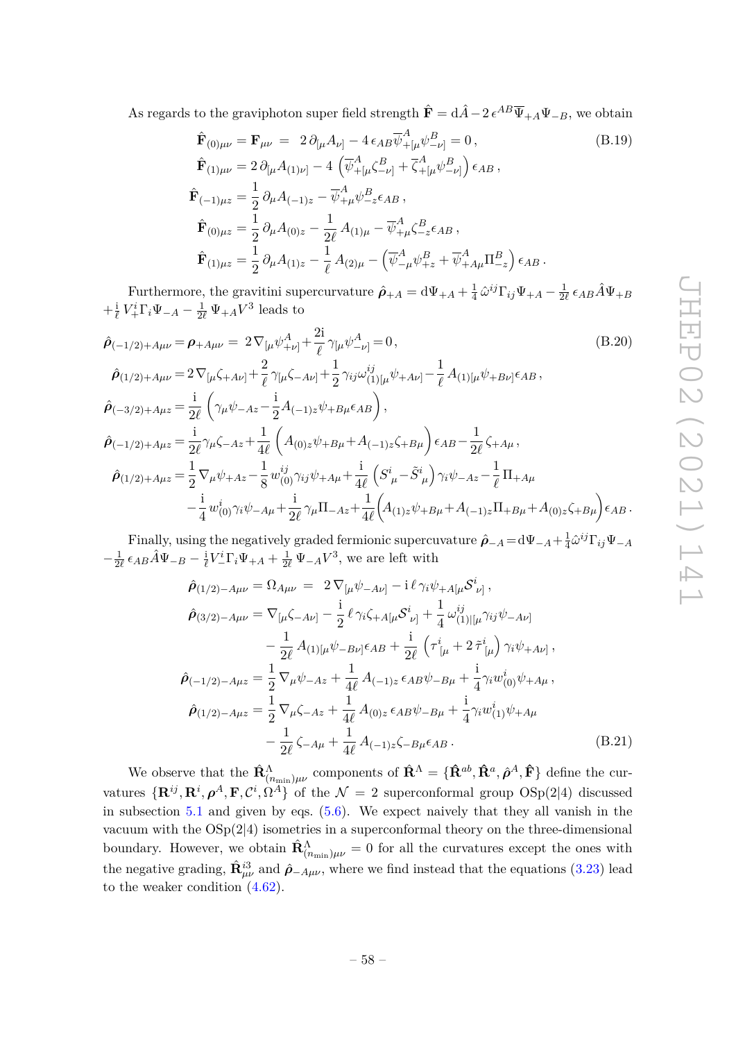As regards to the graviphoton super field strength  $\hat{\mathbf{F}} = d\hat{A} - 2 e^{AB} \overline{\Psi}_{+A} \Psi_{-B}$ , we obtain

$$
\hat{\mathbf{F}}_{(0)\mu\nu} = \mathbf{F}_{\mu\nu} = 2 \partial_{[\mu} A_{\nu]} - 4 \epsilon_{AB} \overline{\psi}_{+[\mu}^{A} \psi_{-\nu]}^{B} = 0, \qquad (B.19)
$$
\n
$$
\hat{\mathbf{F}}_{(1)\mu\nu} = 2 \partial_{[\mu} A_{(1)\nu]} - 4 \left( \overline{\psi}_{+[\mu}^{A} \zeta_{-\nu]}^{B} + \overline{\zeta}_{+[\mu}^{A} \psi_{-\nu]}^{B} \right) \epsilon_{AB},
$$
\n
$$
\hat{\mathbf{F}}_{(-1)\mu z} = \frac{1}{2} \partial_{\mu} A_{(-1)z} - \overline{\psi}_{+\mu}^{A} \psi_{-z}^{B} \epsilon_{AB},
$$
\n
$$
\hat{\mathbf{F}}_{(0)\mu z} = \frac{1}{2} \partial_{\mu} A_{(0)z} - \frac{1}{2\ell} A_{(1)\mu} - \overline{\psi}_{+\mu}^{A} \zeta_{-z}^{B} \epsilon_{AB},
$$
\n
$$
\hat{\mathbf{F}}_{(1)\mu z} = \frac{1}{2} \partial_{\mu} A_{(1)z} - \frac{1}{\ell} A_{(2)\mu} - \left( \overline{\psi}_{-\mu}^{A} \psi_{+z}^{B} + \overline{\psi}_{+A\mu}^{A} \Pi_{-z}^{B} \right) \epsilon_{AB}.
$$

Furthermore, the gravitini supercurvature  $\hat{\rho}_{+A} = d\Psi_{+A} + \frac{1}{4}$  $\frac{1}{4} \hat{\omega}^{ij} \Gamma_{ij} \Psi_{+A} - \frac{1}{2}$  $\frac{1}{2\ell}$   $\epsilon_{AB}\hat{A}\Psi_{+B}$  $+\frac{i}{\ell}$  $\frac{i}{\ell} V^i_+ \Gamma_i \Psi_{-A} - \frac{1}{2\ell} \Psi_{+A} V^3$  leads to

$$
\hat{\rho}_{(-1/2)+A\mu\nu} = \rho_{+A\mu\nu} = 2 \nabla_{[\mu} \psi_{+\nu]}^{A} + \frac{2i}{\ell} \gamma_{[\mu} \psi_{-\nu]}^{A} = 0, \qquad (B.20)
$$
\n
$$
\hat{\rho}_{(1/2)+A\mu\nu} = 2 \nabla_{[\mu}\zeta_{+A\nu]} + \frac{2}{\ell} \gamma_{[\mu}\zeta_{-A\nu]} + \frac{1}{2} \gamma_{ij}\omega_{(1)[\mu}^{ij}\psi_{+A\nu]} - \frac{1}{\ell} A_{(1)[\mu}\psi_{+B\nu]} \epsilon_{AB},
$$
\n
$$
\hat{\rho}_{(-3/2)+A\mu z} = \frac{i}{2\ell} \left( \gamma_{\mu}\psi_{-A z} - \frac{i}{2} A_{(-1)z}\psi_{+B\mu} \epsilon_{AB} \right),
$$
\n
$$
\hat{\rho}_{(-1/2)+A\mu z} = \frac{i}{2\ell} \gamma_{\mu}\zeta_{-A z} + \frac{1}{4\ell} \left( A_{(0)z}\psi_{+B\mu} + A_{(-1)z}\zeta_{+B\mu} \right) \epsilon_{AB} - \frac{1}{2\ell} \zeta_{+A\mu},
$$
\n
$$
\hat{\rho}_{(1/2)+A\mu z} = \frac{1}{2} \nabla_{\mu}\psi_{+A z} - \frac{1}{8} w_{(0)}^{ij} \gamma_{ij}\psi_{+A\mu} + \frac{i}{4\ell} \left( S_{\mu}^{i} - \tilde{S}_{\mu}^{i} \right) \gamma_{i}\psi_{-A z} - \frac{1}{\ell} \Pi_{+A\mu}
$$
\n
$$
- \frac{i}{4} w_{(0)}^{i} \gamma_{i}\psi_{-A\mu} + \frac{i}{2\ell} \gamma_{\mu} \Pi_{-A z} + \frac{1}{4\ell} \left( A_{(1)z}\psi_{+B\mu} + A_{(-1)z} \Pi_{+B\mu} + A_{(0)z}\zeta_{+B\mu} \right) \epsilon_{AB}.
$$
\n(B.20)

Finally, using the negatively graded fermionic supercuvature  $\hat{\rho}_{-A} = d\Psi_{-A} + \frac{1}{4}\hat{\omega}^{ij}\Gamma_{ij}\Psi_{-A}$  $-\frac{1}{2\ell}$   $\epsilon_{AB}\hat{A}\Psi_{-B} - \frac{i}{\ell}V_{-}^{i}\Gamma_{i}\Psi_{+A} + \frac{1}{2\ell}\Psi_{-A}V^{3}$ , we are left with

$$
\hat{\rho}_{(1/2)-A\mu\nu} = \Omega_{A\mu\nu} = 2 \nabla_{[\mu}\psi_{-A\nu]} - i \ell \gamma_i \psi_{+A[\mu} S^i_{\nu]},
$$
\n
$$
\hat{\rho}_{(3/2)-A\mu\nu} = \nabla_{[\mu}\zeta_{-A\nu]} - \frac{i}{2} \ell \gamma_i \zeta_{+A[\mu} S^i_{\nu]} + \frac{1}{4} \omega_{(1)|[\mu}^{ij} \gamma_i \psi_{-A\nu]}
$$
\n
$$
- \frac{1}{2\ell} A_{(1)[\mu}\psi_{-B\nu]} \epsilon_{AB} + \frac{i}{2\ell} \left( \tau^i_{[\mu} + 2 \tilde{\tau}^i_{[\mu]} \right) \gamma_i \psi_{+A\nu]},
$$
\n
$$
\hat{\rho}_{(-1/2)-A\mu z} = \frac{1}{2} \nabla_{\mu}\psi_{-Az} + \frac{1}{4\ell} A_{(-1)z} \epsilon_{AB}\psi_{-B\mu} + \frac{i}{4} \gamma_i w^i_{(0)} \psi_{+A\mu},
$$
\n
$$
\hat{\rho}_{(1/2)-A\mu z} = \frac{1}{2} \nabla_{\mu}\zeta_{-Az} + \frac{1}{4\ell} A_{(0)z} \epsilon_{AB}\psi_{-B\mu} + \frac{i}{4} \gamma_i w^i_{(1)} \psi_{+A\mu}
$$
\n
$$
- \frac{1}{2\ell} \zeta_{-A\mu} + \frac{1}{4\ell} A_{(-1)z} \zeta_{-B\mu} \epsilon_{AB}. \tag{B.21}
$$

We observe that the  $\hat{\mathbf{R}}_{(n_{\min})\mu\nu}^{\Lambda}$  components of  $\hat{\mathbf{R}}^{\Lambda} = \{\hat{\mathbf{R}}^{ab}, \hat{\mathbf{R}}^{a}, \hat{\boldsymbol{\rho}}^{A}, \hat{\mathbf{F}}\}$  define the curvatures  $\{R^{ij}, R^i, \rho^A, F, C^i, \Omega^A\}$  of the  $\mathcal{N} = 2$  superconformal group  $OSp(2|4)$  discussed in subsection 5.1 and given by eqs. (5.6). We expect naively that they all vanish in the vacuum with the  $OSp(2|4)$  isometries in a superconformal theory on the three-dimensional boundary. However, we obtain  $\hat{\mathbf{R}}^{\Lambda}_{(n_{\min})\mu\nu} = 0$  for all the curvatures except the ones with the negative grading,  $\hat{\mathbf{R}}_{\mu\nu}^{i3}$  and  $\hat{\rho}_{-A\mu\nu}$ , where we find instead that the equations (3.23) lead to the weaker condition (4.62).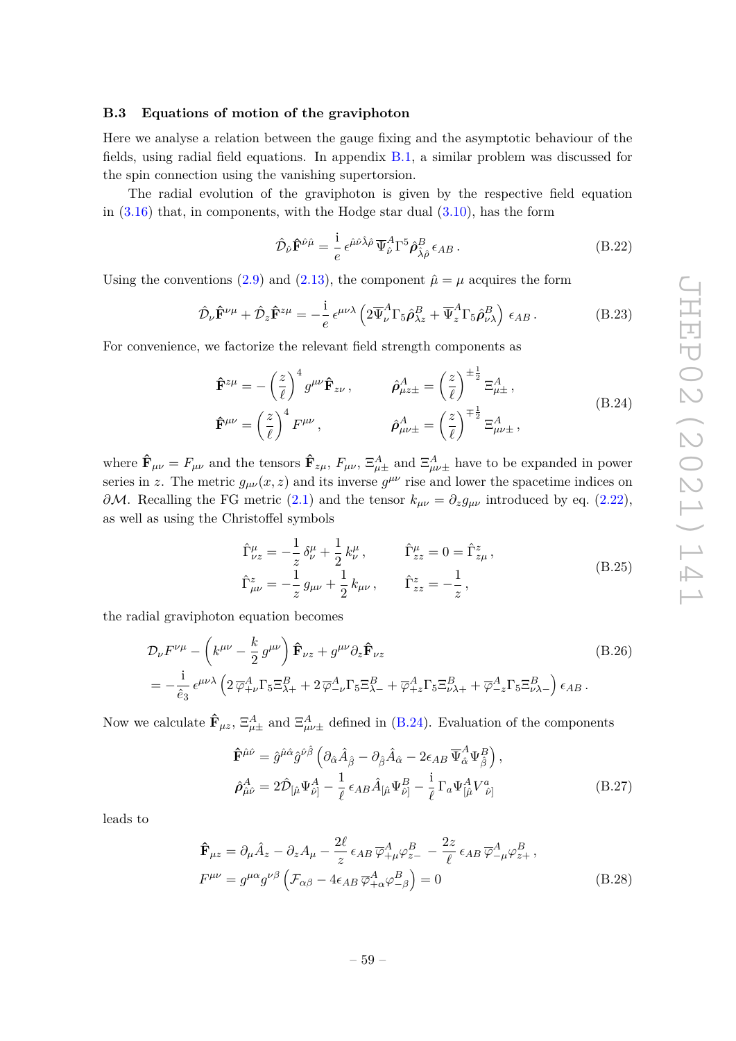#### **B.3 Equations of motion of the graviphoton**

Here we analyse a relation between the gauge fixing and the asymptotic behaviour of the fields, using radial field equations. In appendix B.1, a similar problem was discussed for the spin connection using the vanishing supertorsion.

The radial evolution of the graviphoton is given by the respective field equation in  $(3.16)$  that, in components, with the Hodge star dual  $(3.10)$ , has the form

$$
\hat{\mathcal{D}}_{\hat{\nu}}\hat{\mathbf{F}}^{\hat{\nu}\hat{\mu}} = \frac{\mathrm{i}}{e} \epsilon^{\hat{\mu}\hat{\nu}\hat{\lambda}\hat{\rho}} \overline{\Psi}_{\hat{\nu}}^A \Gamma^5 \hat{\boldsymbol{\rho}}_{\hat{\lambda}\hat{\rho}}^B \epsilon_{AB} \,. \tag{B.22}
$$

Using the conventions (2.9) and (2.13), the component  $\hat{\mu} = \mu$  acquires the form

$$
\hat{\mathcal{D}}_{\nu}\hat{\mathbf{F}}^{\nu\mu} + \hat{\mathcal{D}}_{z}\hat{\mathbf{F}}^{z\mu} = -\frac{i}{e}\epsilon^{\mu\nu\lambda} \left(2\overline{\Psi}_{\nu}^{A}\Gamma_{5}\hat{\rho}_{\lambda z}^{B} + \overline{\Psi}_{z}^{A}\Gamma_{5}\hat{\rho}_{\nu\lambda}^{B}\right)\epsilon_{AB}.
$$
\n(B.23)

For convenience, we factorize the relevant field strength components as

$$
\hat{\mathbf{F}}^{z\mu} = -\left(\frac{z}{\ell}\right)^4 g^{\mu\nu} \hat{\mathbf{F}}_{z\nu}, \qquad \hat{\boldsymbol{\rho}}^A_{\mu z \pm} = \left(\frac{z}{\ell}\right)^{\pm \frac{1}{2}} \Xi^A_{\mu \pm},
$$
\n
$$
\hat{\mathbf{F}}^{\mu\nu} = \left(\frac{z}{\ell}\right)^4 F^{\mu\nu}, \qquad \hat{\boldsymbol{\rho}}^A_{\mu\nu \pm} = \left(\frac{z}{\ell}\right)^{\mp \frac{1}{2}} \Xi^A_{\mu\nu \pm},
$$
\n(B.24)

where  $\hat{\mathbf{F}}_{\mu\nu} = F_{\mu\nu}$  and the tensors  $\hat{\mathbf{F}}_{z\mu}$ ,  $F_{\mu\nu}$ ,  $\Xi_{\mu\nu}^A$  and  $\Xi_{\mu\nu\pm}^A$  have to be expanded in power series in *z*. The metric  $g_{\mu\nu}(x, z)$  and its inverse  $g^{\mu\nu}$  rise and lower the spacetime indices on *∂M*. Recalling the FG metric (2.1) and the tensor  $k_{\mu\nu} = ∂_{z}g_{\mu\nu}$  introduced by eq. (2.22), as well as using the Christoffel symbols

$$
\hat{\Gamma}^{\mu}_{\nu z} = -\frac{1}{z} \delta^{\mu}_{\nu} + \frac{1}{2} k^{\mu}_{\nu}, \qquad \hat{\Gamma}^{\mu}_{zz} = 0 = \hat{\Gamma}^{z}_{z\mu}, \n\hat{\Gamma}^{z}_{\mu\nu} = -\frac{1}{z} g_{\mu\nu} + \frac{1}{2} k_{\mu\nu}, \qquad \hat{\Gamma}^{z}_{zz} = -\frac{1}{z},
$$
\n(B.25)

the radial graviphoton equation becomes

$$
\mathcal{D}_{\nu}F^{\nu\mu} - \left(k^{\mu\nu} - \frac{k}{2}g^{\mu\nu}\right)\hat{\mathbf{F}}_{\nu z} + g^{\mu\nu}\partial_z\hat{\mathbf{F}}_{\nu z}
$$
\n
$$
= -\frac{i}{\hat{e}_3}\epsilon^{\mu\nu\lambda}\left(2\,\overline{\varphi}_{+\nu}^A\Gamma_5\Xi_{\lambda+}^B + 2\,\overline{\varphi}_{-\nu}^A\Gamma_5\Xi_{\lambda-}^B + \overline{\varphi}_{+z}^A\Gamma_5\Xi_{\nu\lambda+}^B + \overline{\varphi}_{-z}^A\Gamma_5\Xi_{\nu\lambda-}^B\right)\epsilon_{AB}.
$$
\n(B.26)

Now we calculate  $\hat{\mathbf{F}}_{\mu z}$ ,  $\Xi_{\mu\pm}^A$  and  $\Xi_{\mu\nu\pm}^A$  defined in (B.24). Evaluation of the components

$$
\hat{\mathbf{F}}^{\hat{\mu}\hat{\nu}} = \hat{g}^{\hat{\mu}\hat{\alpha}} \hat{g}^{\hat{\nu}\hat{\beta}} \left( \partial_{\hat{\alpha}} \hat{A}_{\hat{\beta}} - \partial_{\hat{\beta}} \hat{A}_{\hat{\alpha}} - 2\epsilon_{AB} \, \overline{\Psi}_{\hat{\alpha}}^{A} \Psi_{\hat{\beta}}^{B} \right),
$$
\n
$$
\hat{\rho}_{\hat{\mu}\hat{\nu}}^{A} = 2\hat{\mathcal{D}}_{\left[\hat{\mu}} \Psi_{\hat{\nu}\right]}^{A} - \frac{1}{\ell} \, \epsilon_{AB} \hat{A}_{\left[\hat{\mu}} \Psi_{\hat{\nu}\right]}^{B} - \frac{i}{\ell} \, \Gamma_{a} \Psi_{\left[\hat{\mu}}^{A} V_{\left.\hat{\nu}\right]}^{a} \tag{B.27}
$$

leads to

$$
\hat{\mathbf{F}}_{\mu z} = \partial_{\mu} \hat{A}_z - \partial_z A_{\mu} - \frac{2\ell}{z} \epsilon_{AB} \overline{\varphi}^A_{+\mu} \varphi^B_{z-} - \frac{2z}{\ell} \epsilon_{AB} \overline{\varphi}^A_{-\mu} \varphi^B_{z+} ,
$$
\n
$$
F^{\mu \nu} = g^{\mu \alpha} g^{\nu \beta} \left( \mathcal{F}_{\alpha \beta} - 4 \epsilon_{AB} \overline{\varphi}^A_{+\alpha} \varphi^B_{-\beta} \right) = 0
$$
\n(B.28)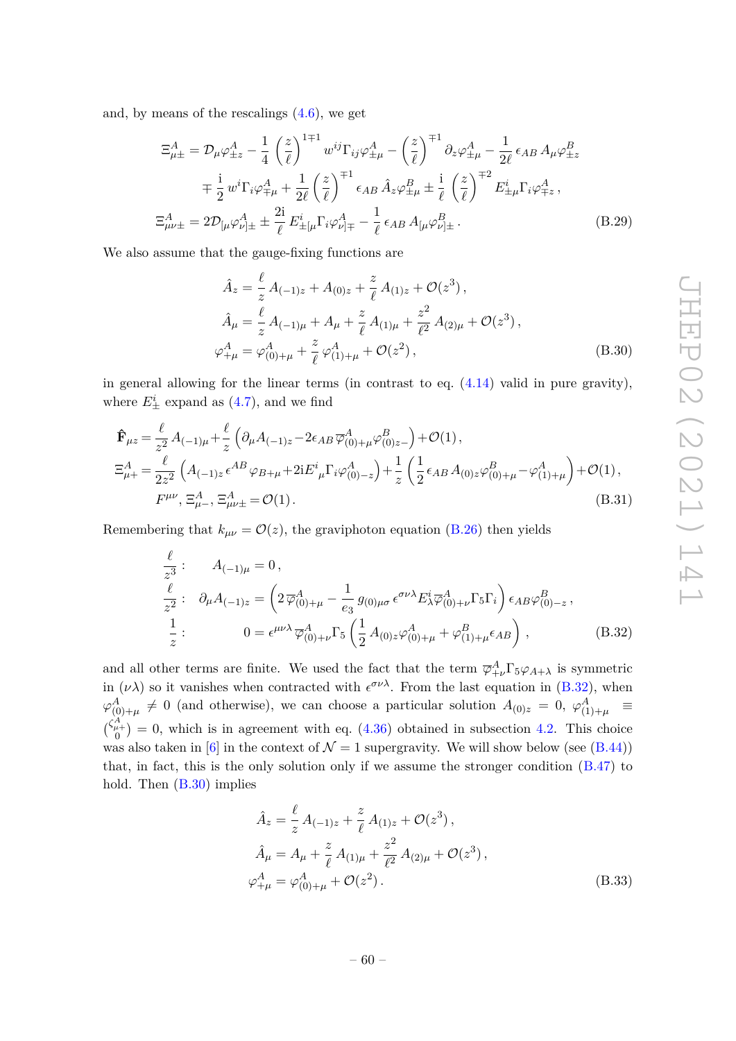and, by means of the rescalings (4.6), we get

$$
\Xi_{\mu\pm}^{A} = \mathcal{D}_{\mu}\varphi_{\pm z}^{A} - \frac{1}{4} \left(\frac{z}{\ell}\right)^{1\mp 1} w^{ij} \Gamma_{ij}\varphi_{\pm \mu}^{A} - \left(\frac{z}{\ell}\right)^{\mp 1} \partial_{z}\varphi_{\pm \mu}^{A} - \frac{1}{2\ell} \epsilon_{AB} A_{\mu}\varphi_{\pm z}^{B}
$$
\n
$$
= \frac{1}{2} w^{i} \Gamma_{i}\varphi_{\mp \mu}^{A} + \frac{1}{2\ell} \left(\frac{z}{\ell}\right)^{\mp 1} \epsilon_{AB} \hat{A}_{z}\varphi_{\pm \mu}^{B} \pm \frac{1}{\ell} \left(\frac{z}{\ell}\right)^{\mp 2} E_{\pm \mu}^{i} \Gamma_{i}\varphi_{\mp z}^{A},
$$
\n
$$
\Xi_{\mu\nu\pm}^{A} = 2\mathcal{D}_{\left[\mu\right]}\varphi_{\nu\right] \pm}^{A} \pm \frac{2i}{\ell} E_{\pm \mu}^{i} \Gamma_{i}\varphi_{\nu\right] \mp}^{A} - \frac{1}{\ell} \epsilon_{AB} A_{\left[\mu\right]}\varphi_{\nu\right] \pm}^{B}. \tag{B.29}
$$

We also assume that the gauge-fixing functions are

$$
\hat{A}_z = \frac{\ell}{z} A_{(-1)z} + A_{(0)z} + \frac{z}{\ell} A_{(1)z} + \mathcal{O}(z^3),
$$
\n
$$
\hat{A}_\mu = \frac{\ell}{z} A_{(-1)\mu} + A_\mu + \frac{z}{\ell} A_{(1)\mu} + \frac{z^2}{\ell^2} A_{(2)\mu} + \mathcal{O}(z^3),
$$
\n
$$
\varphi_{+\mu}^A = \varphi_{(0)+\mu}^A + \frac{z}{\ell} \varphi_{(1)+\mu}^A + \mathcal{O}(z^2),
$$
\n(B.30)

in general allowing for the linear terms (in contrast to eq. (4.14) valid in pure gravity), where  $E^i_{\pm}$  expand as  $(4.7)$ , and we find

$$
\hat{\mathbf{F}}_{\mu z} = \frac{\ell}{z^2} A_{(-1)\mu} + \frac{\ell}{z} \left( \partial_{\mu} A_{(-1)z} - 2\epsilon_{AB} \overline{\varphi}_{(0)+\mu}^A \varphi_{(0)z-}^B \right) + \mathcal{O}(1),
$$
\n
$$
\Xi_{\mu+}^A = \frac{\ell}{2z^2} \left( A_{(-1)z} \epsilon^{AB} \varphi_{B+\mu} + 2i E^i{}_{\mu} \Gamma_i \varphi_{(0)-z}^A \right) + \frac{1}{z} \left( \frac{1}{2} \epsilon_{AB} A_{(0)z} \varphi_{(0)+\mu}^B - \varphi_{(1)+\mu}^A \right) + \mathcal{O}(1),
$$
\n
$$
F^{\mu\nu}, \Xi_{\mu-}^A, \Xi_{\mu\nu\pm}^A = \mathcal{O}(1).
$$
\n(B.31)

Remembering that  $k_{\mu\nu} = \mathcal{O}(z)$ , the graviphoton equation (B.26) then yields

$$
\frac{\ell}{z^3} : A_{(-1)\mu} = 0, \n\frac{\ell}{z^2} : \partial_{\mu} A_{(-1)z} = \left(2\,\overline{\varphi}_{(0)+\mu}^A - \frac{1}{e_3} \,g_{(0)\mu\sigma} \,\epsilon^{\sigma\nu\lambda} E^i_{\lambda} \overline{\varphi}_{(0)+\nu}^A \Gamma_5 \Gamma_i \right) \epsilon_{AB} \varphi_{(0)-z}^B, \n\frac{1}{z} : 0 = \epsilon^{\mu\nu\lambda} \,\overline{\varphi}_{(0)+\nu}^A \Gamma_5 \left(\frac{1}{2} \,A_{(0)z} \varphi_{(0)+\mu}^A + \varphi_{(1)+\mu}^B \epsilon_{AB} \right),
$$
\n(B.32)

and all other terms are finite. We used the fact that the term  $\overline{\varphi}^A_{+\nu} \Gamma_5 \varphi_{A+\lambda}$  is symmetric in  $(\nu \lambda)$  so it vanishes when contracted with  $\epsilon^{\sigma \nu \lambda}$ . From the last equation in (B.32), when  $\varphi_{(0)+\mu}^A \neq 0$  (and otherwise), we can choose a particular solution  $A_{(0)z} = 0$ ,  $\varphi_{(1)+\mu}^A =$  $\binom{\zeta_{\mu+}^A}{0} = 0$ , which is in agreement with eq. (4.36) obtained in subsection 4.2. This choice was also taken in [6] in the context of  $\mathcal{N} = 1$  supergravity. We will show below (see (B.44)) that, in fact, this is the only solution only if we assume the stronger condition (B.47) to hold. Then (B.30) implies

$$
\hat{A}_z = \frac{\ell}{z} A_{(-1)z} + \frac{z}{\ell} A_{(1)z} + \mathcal{O}(z^3),
$$
\n
$$
\hat{A}_\mu = A_\mu + \frac{z}{\ell} A_{(1)\mu} + \frac{z^2}{\ell^2} A_{(2)\mu} + \mathcal{O}(z^3),
$$
\n
$$
\varphi_{+\mu}^A = \varphi_{(0)+\mu}^A + \mathcal{O}(z^2).
$$
\n(B.33)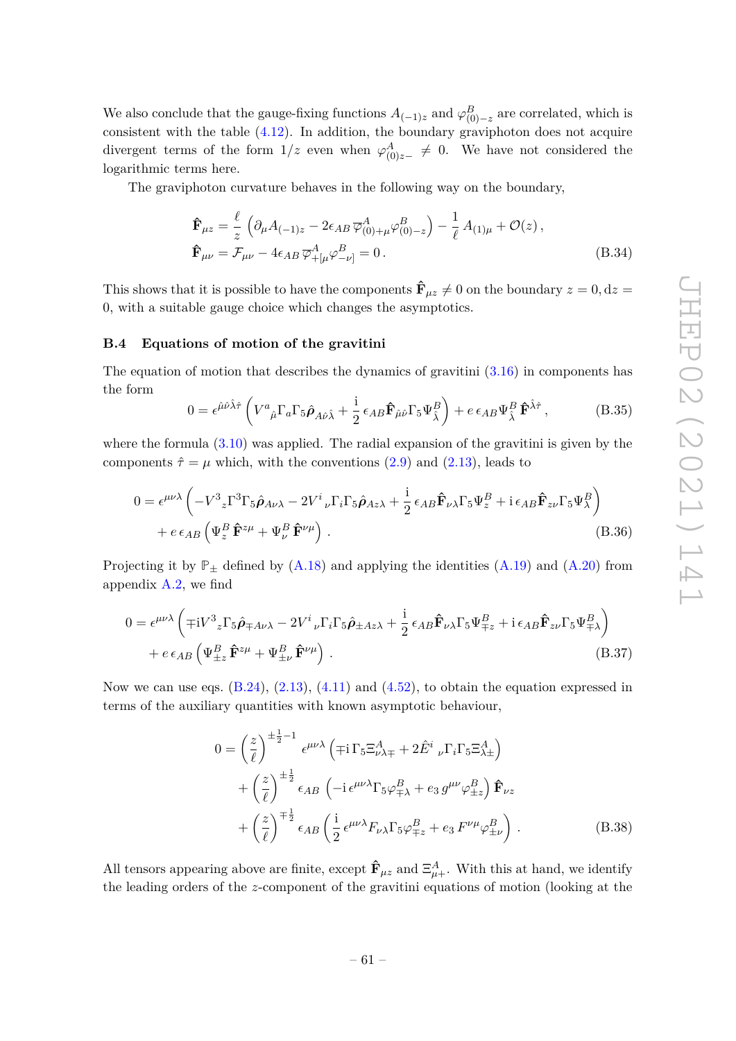We also conclude that the gauge-fixing functions  $A_{(-1)z}$  and  $\varphi_{(0)-z}^B$  are correlated, which is consistent with the table  $(4.12)$ . In addition, the boundary graviphoton does not acquire divergent terms of the form  $1/z$  even when  $\varphi_{(0)z-}^A \neq 0$ . We have not considered the logarithmic terms here.

The graviphoton curvature behaves in the following way on the boundary,

$$
\hat{\mathbf{F}}_{\mu z} = \frac{\ell}{z} \left( \partial_{\mu} A_{(-1)z} - 2 \epsilon_{AB} \overline{\varphi}_{(0)+\mu}^{A} \varphi_{(0)-z}^{B} \right) - \frac{1}{\ell} A_{(1)\mu} + \mathcal{O}(z) ,
$$
\n
$$
\hat{\mathbf{F}}_{\mu\nu} = \mathcal{F}_{\mu\nu} - 4 \epsilon_{AB} \overline{\varphi}_{+[\mu}^{A} \varphi_{-\nu]}^{B} = 0 .
$$
\n(B.34)

This shows that it is possible to have the components  $\hat{\mathbf{F}}_{\mu z} \neq 0$  on the boundary  $z = 0, dz =$ 0, with a suitable gauge choice which changes the asymptotics.

#### **B.4 Equations of motion of the gravitini**

The equation of motion that describes the dynamics of gravitini  $(3.16)$  in components has the form

$$
0 = \epsilon^{\hat{\mu}\hat{\nu}\hat{\lambda}\hat{\tau}} \left( V^a{}_{\hat{\mu}} \Gamma_a \Gamma_5 \hat{\rho}_{A\hat{\nu}\hat{\lambda}} + \frac{\mathrm{i}}{2} \epsilon_{AB} \hat{\mathbf{F}}_{\hat{\mu}\hat{\nu}} \Gamma_5 \Psi^B_{\hat{\lambda}} \right) + e \epsilon_{AB} \Psi^B_{\hat{\lambda}} \hat{\mathbf{F}}^{\hat{\lambda}\hat{\tau}} , \tag{B.35}
$$

where the formula  $(3.10)$  was applied. The radial expansion of the gravitini is given by the components  $\hat{\tau} = \mu$  which, with the conventions (2.9) and (2.13), leads to

$$
0 = \epsilon^{\mu\nu\lambda} \left( -V^3{}_z \Gamma^3 \Gamma_5 \hat{\rho}_{A\nu\lambda} - 2V^i{}_{\nu} \Gamma_i \Gamma_5 \hat{\rho}_{Az\lambda} + \frac{i}{2} \epsilon_{AB} \hat{\mathbf{F}}_{\nu\lambda} \Gamma_5 \Psi_z^B + i \epsilon_{AB} \hat{\mathbf{F}}_{z\nu} \Gamma_5 \Psi_\lambda^B \right) + e \epsilon_{AB} \left( \Psi_z^B \hat{\mathbf{F}}^{z\mu} + \Psi_\nu^B \hat{\mathbf{F}}^{\nu\mu} \right).
$$
 (B.36)

Projecting it by  $\mathbb{P}_{\pm}$  defined by (A.18) and applying the identities (A.19) and (A.20) from appendix A.2, we find

$$
0 = \epsilon^{\mu\nu\lambda} \left( \mp iV^3{}_z \Gamma_5 \hat{\rho}_{\mp A\nu\lambda} - 2V^i{}_{\nu} \Gamma_i \Gamma_5 \hat{\rho}_{\pm A z\lambda} + \frac{i}{2} \epsilon_{AB} \hat{\mathbf{F}}_{\nu\lambda} \Gamma_5 \Psi^B_{\mp z} + i \epsilon_{AB} \hat{\mathbf{F}}_{z\nu} \Gamma_5 \Psi^B_{\mp \lambda} \right) + e \epsilon_{AB} \left( \Psi^B_{\pm z} \hat{\mathbf{F}}^{z\mu} + \Psi^B_{\pm \nu} \hat{\mathbf{F}}^{\nu\mu} \right).
$$
 (B.37)

Now we can use eqs.  $(B.24)$ ,  $(2.13)$ ,  $(4.11)$  and  $(4.52)$ , to obtain the equation expressed in terms of the auxiliary quantities with known asymptotic behaviour,

$$
0 = \left(\frac{z}{\ell}\right)^{\pm \frac{1}{2} - 1} \epsilon^{\mu\nu\lambda} \left(\mp i \Gamma_5 \Xi_{\nu\lambda\mp}^A + 2 \hat{E}^i{}_{\nu} \Gamma_i \Gamma_5 \Xi_{\lambda\pm}^A\right) + \left(\frac{z}{\ell}\right)^{\pm \frac{1}{2}} \epsilon_{AB} \left(-i \epsilon^{\mu\nu\lambda} \Gamma_5 \varphi_{\mp\lambda}^B + e_3 g^{\mu\nu} \varphi_{\pm z}^B\right) \hat{\mathbf{F}}_{\nu z} + \left(\frac{z}{\ell}\right)^{\mp \frac{1}{2}} \epsilon_{AB} \left(\frac{i}{2} \epsilon^{\mu\nu\lambda} F_{\nu\lambda} \Gamma_5 \varphi_{\mp z}^B + e_3 F^{\nu\mu} \varphi_{\pm \nu}^B\right).
$$
 (B.38)

All tensors appearing above are finite, except  $\hat{\mathbf{F}}_{\mu z}$  and  $\Xi_{\mu+}^A$ . With this at hand, we identify the leading orders of the *z*-component of the gravitini equations of motion (looking at the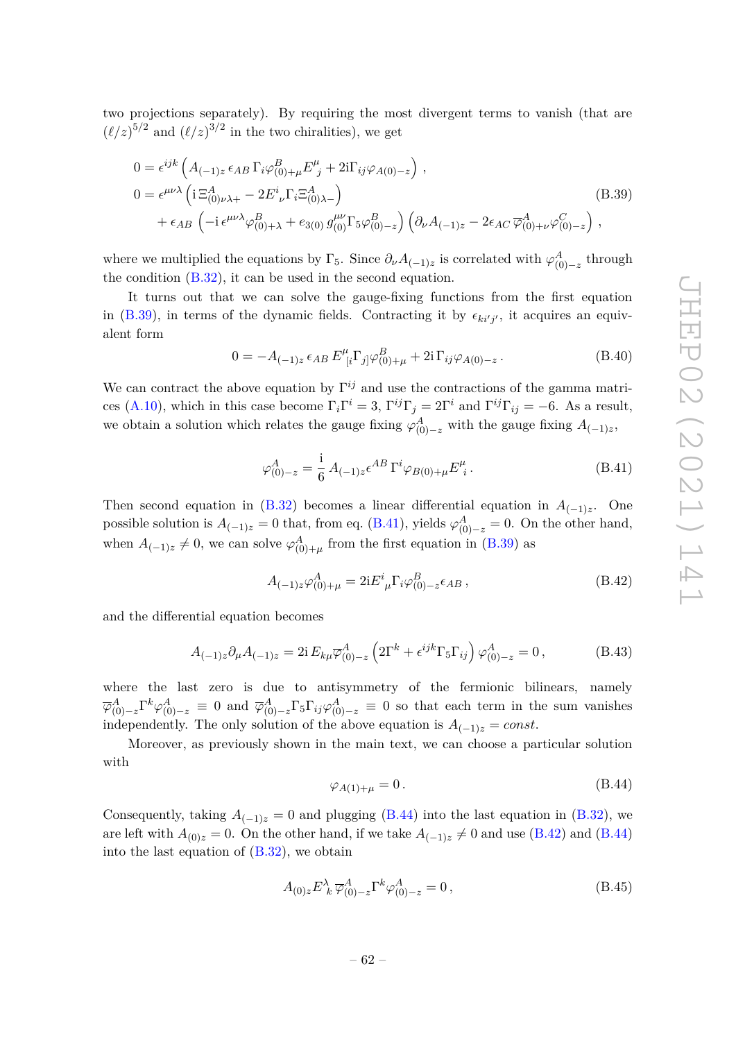two projections separately). By requiring the most divergent terms to vanish (that are  $(\ell/z)^{5/2}$  and  $(\ell/z)^{3/2}$  in the two chiralities), we get

$$
0 = \epsilon^{ijk} \left( A_{(-1)z} \epsilon_{AB} \Gamma_i \varphi^B_{(0)+\mu} E^{\mu}_{j} + 2i \Gamma_{ij} \varphi_{A(0)-z} \right) ,
$$
  
\n
$$
0 = \epsilon^{\mu\nu\lambda} \left( i \Xi^A_{(0)\nu\lambda+} - 2 E^i_{\ \nu} \Gamma_i \Xi^A_{(0)\lambda-} \right)
$$
  
\n
$$
+ \epsilon_{AB} \left( -i \epsilon^{\mu\nu\lambda} \varphi^B_{(0)+\lambda} + e_{3(0)} g^{\mu\nu}_{(0)} \Gamma_5 \varphi^B_{(0)-z} \right) \left( \partial_{\nu} A_{(-1)z} - 2 \epsilon_{AC} \overline{\varphi}^A_{(0)+\nu} \varphi^C_{(0)-z} \right) ,
$$
\n(B.39)

where we multiplied the equations by  $\Gamma_5$ . Since  $\partial_{\nu}A_{(-1)z}$  is correlated with  $\varphi^A_{(0)-z}$  through the condition (B.32), it can be used in the second equation.

It turns out that we can solve the gauge-fixing functions from the first equation in (B.39), in terms of the dynamic fields. Contracting it by  $\epsilon_{ki'j'}$ , it acquires an equivalent form

$$
0 = -A_{(-1)z} \epsilon_{AB} E^{\mu}_{[i} \Gamma_{j]} \varphi^{B}_{(0)+\mu} + 2i \Gamma_{ij} \varphi_{A(0)-z}.
$$
 (B.40)

We can contract the above equation by  $\Gamma^{ij}$  and use the contractions of the gamma matrices (A.10), which in this case become  $\Gamma_i \Gamma^i = 3$ ,  $\Gamma^{ij} \Gamma_j = 2\Gamma^i$  and  $\Gamma^{ij} \Gamma_{ij} = -6$ . As a result, we obtain a solution which relates the gauge fixing  $\varphi_{(0)-z}^A$  with the gauge fixing  $A_{(-1)z}$ ,

$$
\varphi_{(0)-z}^A = \frac{i}{6} A_{(-1)z} \epsilon^{AB} \Gamma^i \varphi_{B(0)+\mu} E^{\mu}_i.
$$
 (B.41)

Then second equation in  $(B.32)$  becomes a linear differential equation in  $A_{(-1)z}$ . One possible solution is  $A_{(-1)z} = 0$  that, from eq. (B.41), yields  $\varphi_{(0)-z}^A = 0$ . On the other hand, when  $A_{(-1)z} \neq 0$ , we can solve  $\varphi^A_{(0)+\mu}$  from the first equation in (B.39) as

$$
A_{(-1)z}\varphi^A_{(0)+\mu} = 2iE^i_{\ \mu}\Gamma_i\varphi^B_{(0)-z}\epsilon_{AB}\,,\tag{B.42}
$$

and the differential equation becomes

$$
A_{(-1)z}\partial_{\mu}A_{(-1)z} = 2i E_{k\mu}\overline{\varphi}_{(0)-z}^{A} \left(2\Gamma^{k} + \epsilon^{ijk}\Gamma_{5}\Gamma_{ij}\right)\varphi_{(0)-z}^{A} = 0, \qquad (B.43)
$$

where the last zero is due to antisymmetry of the fermionic bilinears, namely  $\overline{\varphi}_{(0)-z}^A \Gamma^k \varphi_{(0)-z}^A \equiv 0$  and  $\overline{\varphi}_{(0)-z}^A \Gamma_5 \Gamma_{ij} \varphi_{(0)-z}^A \equiv 0$  so that each term in the sum vanishes independently. The only solution of the above equation is  $A_{(-1)z} = const.$ 

Moreover, as previously shown in the main text, we can choose a particular solution with

$$
\varphi_{A(1)+\mu} = 0. \tag{B.44}
$$

Consequently, taking  $A_{(-1)z} = 0$  and plugging (B.44) into the last equation in (B.32), we are left with  $A_{(0)z} = 0$ . On the other hand, if we take  $A_{(-1)z} \neq 0$  and use (B.42) and (B.44) into the last equation of  $(B.32)$ , we obtain

$$
A_{(0)z}E^{\lambda}_{\ k}\,\overline{\varphi}^{A}_{(0)-z}\Gamma^{k}\varphi^{A}_{(0)-z}=0\,,\tag{B.45}
$$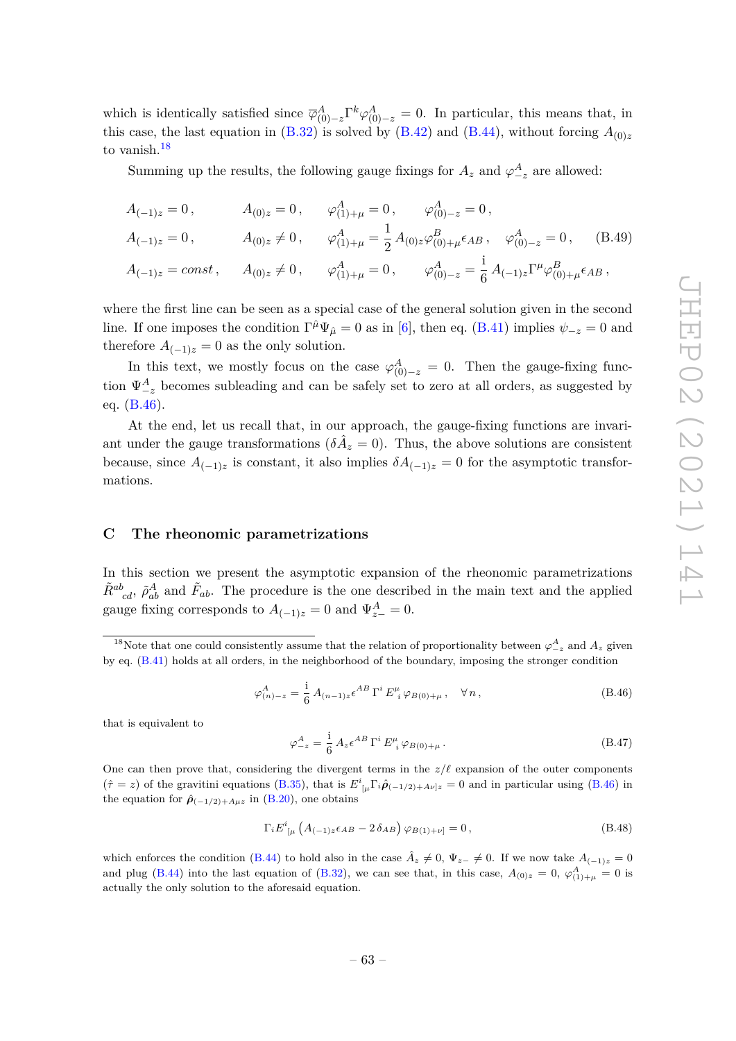which is identically satisfied since  $\overline{\varphi}_{(0)-z}^A \Gamma^k \varphi_{(0)-z}^A = 0$ . In particular, this means that, in this case, the last equation in  $(B.32)$  is solved by  $(B.42)$  and  $(B.44)$ , without forcing  $A_{(0)z}$ to vanish.<sup>18</sup>

Summing up the results, the following gauge fixings for  $A_z$  and  $\varphi_{-z}^A$  are allowed:

$$
A_{(-1)z} = 0, \t A_{(0)z} = 0, \t \varphi_{(1)+\mu}^{A} = 0, \t \varphi_{(0)-z}^{A} = 0,
$$
  
\n
$$
A_{(-1)z} = 0, \t A_{(0)z} \neq 0, \t \varphi_{(1)+\mu}^{A} = \frac{1}{2} A_{(0)z} \varphi_{(0)+\mu}^{B} \epsilon_{AB}, \t \varphi_{(0)-z}^{A} = 0, \t (B.49)
$$
  
\n
$$
A_{(-1)z} = const, \t A_{(0)z} \neq 0, \t \varphi_{(1)+\mu}^{A} = 0, \t \varphi_{(0)-z}^{A} = \frac{i}{6} A_{(-1)z} \Gamma^{\mu} \varphi_{(0)+\mu}^{B} \epsilon_{AB},
$$

where the first line can be seen as a special case of the general solution given in the second line. If one imposes the condition  $\Gamma^{\hat{\mu}}\Psi_{\hat{\mu}} = 0$  as in [6], then eq. (B.41) implies  $\psi_{-z} = 0$  and therefore  $A_{(-1)z} = 0$  as the only solution.

In this text, we mostly focus on the case  $\varphi_{(0)-z}^A = 0$ . Then the gauge-fixing function  $\Psi^A_{-z}$  becomes subleading and can be safely set to zero at all orders, as suggested by eq. (B.46).

At the end, let us recall that, in our approach, the gauge-fixing functions are invariant under the gauge transformations  $(\delta \hat{A}_z = 0)$ . Thus, the above solutions are consistent because, since  $A_{(-1)z}$  is constant, it also implies  $\delta A_{(-1)z} = 0$  for the asymptotic transformations.

#### **C The rheonomic parametrizations**

In this section we present the asymptotic expansion of the rheonomic parametrizations  $\tilde{R}^{ab}_{cd}$ ,  $\tilde{\rho}^A_{ab}$  and  $\tilde{F}_{ab}$ . The procedure is the one described in the main text and the applied gauge fixing corresponds to  $A_{(-1)z} = 0$  and  $\Psi_{z-}^A = 0$ .

$$
\varphi_{(n)-z}^A = \frac{i}{6} A_{(n-1)z} \epsilon^{AB} \Gamma^i E_i^{\mu} \varphi_{B(0)+\mu}, \quad \forall n,
$$
\n(B.46)

that is equivalent to

$$
\varphi_{-z}^{A} = \frac{i}{6} A_{z} \epsilon^{AB} \Gamma^{i} E_{i}^{\mu} \varphi_{B(0) + \mu}.
$$
 (B.47)

One can then prove that, considering the divergent terms in the  $z/\ell$  expansion of the outer components  $(\hat{\tau} = z)$  of the gravitini equations (B.35), that is  $E^i_{\mu} \Gamma_i \hat{\rho}_{(-1/2)+A\nu]z} = 0$  and in particular using (B.46) in the equation for  $\hat{\rho}_{(-1/2)+A\mu z}$  in (B.20), one obtains

$$
\Gamma_i E^i_{\ \mu} \left( A_{(-1)z} \epsilon_{AB} - 2 \delta_{AB} \right) \varphi_{B(1)+\nu]} = 0, \tag{B.48}
$$

which enforces the condition (B.44) to hold also in the case  $\hat{A}_z \neq 0$ ,  $\Psi_{z-} \neq 0$ . If we now take  $A_{(-1)z} = 0$ and plug (B.44) into the last equation of (B.32), we can see that, in this case,  $A_{(0)z} = 0$ ,  $\varphi_{(1)+\mu}^A = 0$  is actually the only solution to the aforesaid equation.

<sup>&</sup>lt;sup>18</sup>Note that one could consistently assume that the relation of proportionality between  $\varphi_{-z}^A$  and  $A_z$  given by eq. (B.41) holds at all orders, in the neighborhood of the boundary, imposing the stronger condition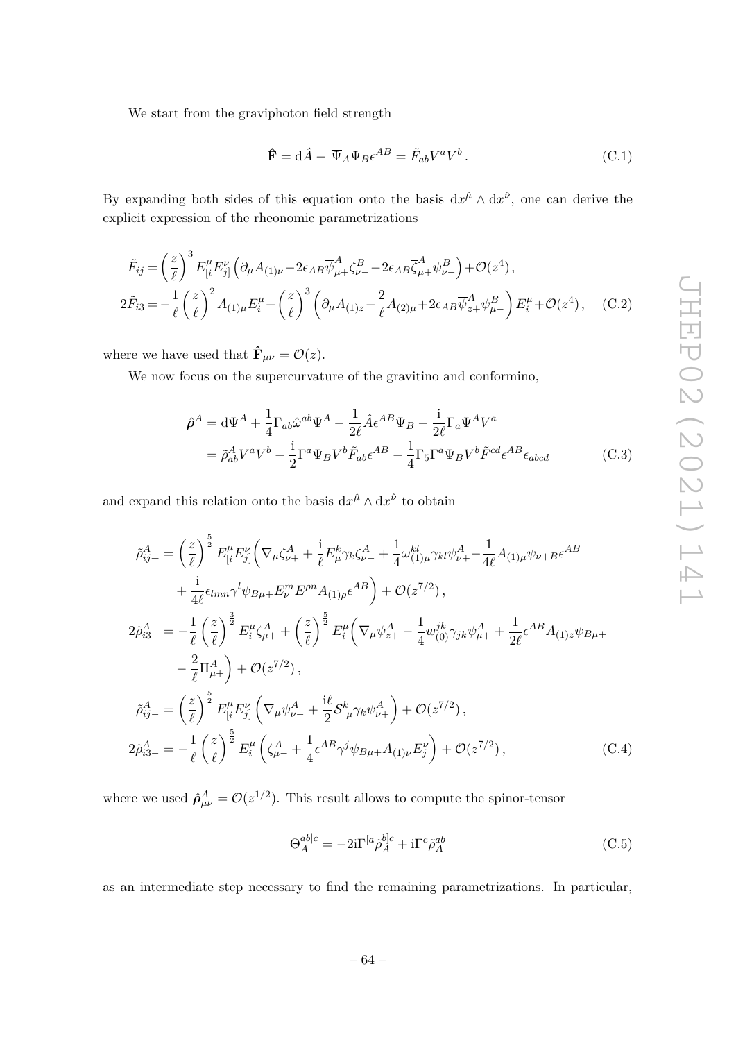We start from the graviphoton field strength

$$
\hat{\mathbf{F}} = d\hat{A} - \overline{\Psi}_A \Psi_B \epsilon^{AB} = \tilde{F}_{ab} V^a V^b. \tag{C.1}
$$

By expanding both sides of this equation onto the basis  $dx^{\hat{\mu}} \wedge dx^{\hat{\nu}}$ , one can derive the explicit expression of the rheonomic parametrizations

$$
\tilde{F}_{ij} = \left(\frac{z}{\ell}\right)^3 E_{[i}^{\mu} E_{j]}^{\nu} \left(\partial_{\mu} A_{(1)\nu} - 2\epsilon_{AB} \overline{\psi}_{\mu+}^A \zeta_{\nu-}^B - 2\epsilon_{AB} \overline{\zeta}_{\mu+}^A \psi_{\nu-}^B\right) + \mathcal{O}(z^4),
$$
\n
$$
2\tilde{F}_{i3} = -\frac{1}{\ell} \left(\frac{z}{\ell}\right)^2 A_{(1)\mu} E_{i}^{\mu} + \left(\frac{z}{\ell}\right)^3 \left(\partial_{\mu} A_{(1)z} - \frac{2}{\ell} A_{(2)\mu} + 2\epsilon_{AB} \overline{\psi}_{z+}^A \psi_{\mu-}^B\right) E_{i}^{\mu} + \mathcal{O}(z^4), \quad (C.2)
$$

where we have used that  $\mathbf{\hat{F}}_{\mu\nu} = \mathcal{O}(z)$ .

We now focus on the supercurvature of the gravitino and conformino,

$$
\hat{\rho}^A = d\Psi^A + \frac{1}{4}\Gamma_{ab}\hat{\omega}^{ab}\Psi^A - \frac{1}{2\ell}\hat{A}\epsilon^{AB}\Psi_B - \frac{i}{2\ell}\Gamma_a\Psi^A V^a
$$
  

$$
= \tilde{\rho}_{ab}^A V^a V^b - \frac{i}{2}\Gamma^a\Psi_B V^b \tilde{F}_{ab}\epsilon^{AB} - \frac{1}{4}\Gamma_5\Gamma^a\Psi_B V^b \tilde{F}^{cd}\epsilon^{AB}\epsilon_{abcd}
$$
(C.3)

and expand this relation onto the basis  $dx^{\hat{\mu}} \wedge dx^{\hat{\nu}}$  to obtain

$$
\tilde{\rho}_{ij+}^{A} = \left(\frac{z}{\ell}\right)^{\frac{5}{2}} E_{[i}^{\mu} E_{j]}^{\nu} \left(\nabla_{\mu} \zeta_{\nu+}^{A} + \frac{1}{\ell} E_{\mu}^{k} \gamma_{k} \zeta_{\nu-}^{A} + \frac{1}{4} \omega_{(1)\mu}^{kl} \gamma_{kl} \psi_{\nu+}^{A} - \frac{1}{4\ell} A_{(1)\mu} \psi_{\nu+} B \epsilon^{AB} \right) \n+ \frac{1}{4\ell} \epsilon_{lmn} \gamma^{l} \psi_{B\mu+} E_{\nu}^{m} E^{pn} A_{(1)\rho} \epsilon^{AB} \right) + \mathcal{O}(z^{7/2}),
$$
\n
$$
2\tilde{\rho}_{i3+}^{A} = -\frac{1}{\ell} \left(\frac{z}{\ell}\right)^{\frac{3}{2}} E_{i}^{\mu} \zeta_{\mu+}^{A} + \left(\frac{z}{\ell}\right)^{\frac{5}{2}} E_{i}^{\mu} \left(\nabla_{\mu} \psi_{z+}^{A} - \frac{1}{4} \omega_{(0)}^{jk} \gamma_{jk} \psi_{\mu+}^{A} + \frac{1}{2\ell} \epsilon^{AB} A_{(1)z} \psi_{B\mu+} - \frac{2}{\ell} \Pi_{\mu+}^{A} \right) + \mathcal{O}(z^{7/2}),
$$
\n
$$
\tilde{\rho}_{ij-}^{A} = \left(\frac{z}{\ell}\right)^{\frac{5}{2}} E_{[i}^{\mu} E_{j]}^{\nu} \left(\nabla_{\mu} \psi_{\nu-}^{A} + \frac{i\ell}{2} \mathcal{S}_{\mu}^{k} \gamma_{k} \psi_{\nu+}^{A} \right) + \mathcal{O}(z^{7/2}),
$$
\n
$$
2\tilde{\rho}_{i3-}^{A} = -\frac{1}{\ell} \left(\frac{z}{\ell}\right)^{\frac{5}{2}} E_{i}^{\mu} \left(\zeta_{\mu-}^{A} + \frac{1}{4} \epsilon^{AB} \gamma^{j} \psi_{B\mu+} A_{(1)\nu} E_{j}^{\nu}\right) + \mathcal{O}(z^{7/2}), \tag{C.4}
$$

where we used  $\hat{\rho}^A_{\mu\nu} = \mathcal{O}(z^{1/2})$ . This result allows to compute the spinor-tensor

$$
\Theta_A^{ab|c} = -2i\Gamma^{[a}\tilde{\rho}_A^{b]c} + i\Gamma^c \tilde{\rho}_A^{ab} \tag{C.5}
$$

as an intermediate step necessary to find the remaining parametrizations. In particular,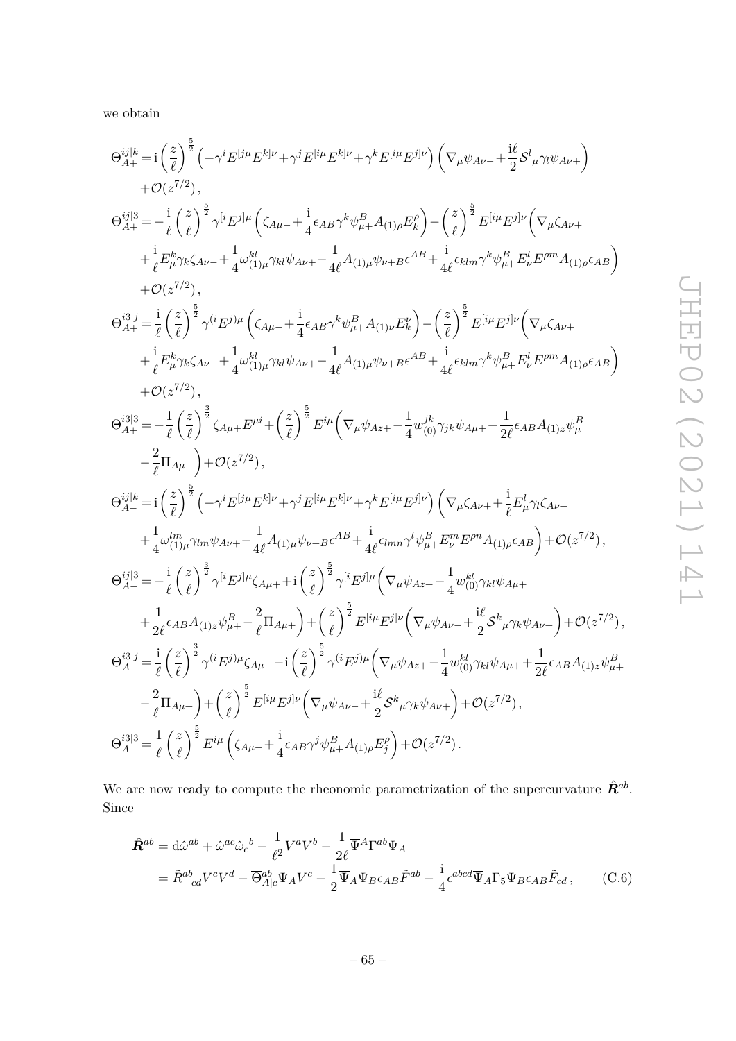we obtain

$$
\Theta_{A+}^{ij|k} = i \left(\frac{z}{\ell}\right)^{\frac{5}{2}} \left(-\gamma^{i} E^{[j\mu} E^{k]\nu} + \gamma^{j} E^{[i\mu} E^{k]\nu} + \gamma^{k} E^{[i\mu} E^{j]\nu}\right) \left(\nabla_{\mu} \psi_{A\nu} - i \frac{i}{2} S^{l}{}_{\mu} \gamma \psi_{A\nu} + \beta (z^{7/2}),\n\Theta_{A+}^{ij|3} = -\frac{i}{\ell} \left(\frac{z}{\ell}\right)^{\frac{5}{2}} \gamma^{[i} E^{j]\mu} \left(\zeta_{A\mu} - i \frac{i}{4} \epsilon_{AB} \gamma^{k} \psi_{\mu}^{B} A_{(1)\rho} E^{p}_{k}\right) - \left(\frac{z}{\ell}\right)^{\frac{5}{2}} E^{[i\mu} E^{j]\nu} \left(\nabla_{\mu} \zeta_{A\nu} + \frac{i}{\ell} E^{k}_{\mu} \gamma_{k} \zeta_{A\nu} - i \frac{i}{4} \omega_{(1)\mu}^{kl} \gamma_{kl} \psi_{A\nu} - \frac{1}{4\ell} A_{(1)\mu} \psi_{\nu} + B \epsilon^{AB} + \frac{i}{4\ell} \epsilon_{klm} \gamma^{k} \psi_{\mu}^{B} E^{l}_{\nu} E^{\rho m} A_{(1)\rho} \epsilon_{AB}\right) + \mathcal{O}(z^{7/2}),\n\Theta_{A+}^{3|j} = \frac{i}{\ell} \left(\frac{z}{\ell}\right)^{\frac{5}{2}} \gamma^{i} (E^{j)\mu} \left(\zeta_{A\mu} - i \frac{i}{4} \epsilon_{AB} \gamma^{k} \psi_{\mu}^{B} + A_{(1)\nu} E^{k}\right) - \left(\frac{z}{\ell}\right)^{\frac{5}{2}} E^{[i\mu} E^{j]\nu} \left(\nabla_{\mu} \zeta_{A\nu} + \frac{i}{\ell} E^{k}_{\mu} \gamma_{k} \zeta_{A\nu} - \frac{1}{4} \omega_{(1)\mu}^{kl} \gamma_{kl} \psi_{A\nu} - \frac{1}{4\ell} A_{(1)\mu} \psi_{\nu} + B \epsilon^{AB} + \frac{i}{4\ell} \epsilon_{klm} \gamma^{k} \psi_{\mu}^{B} E^{l}_{\nu} E^{\rho m} A_{(1)\rho} \epsilon_{AB}\right) +
$$

We are now ready to compute the rheonomic parametrization of the supercurvature  $\hat{R}^{ab}$ . Since

$$
\hat{\mathbf{R}}^{ab} = d\hat{\omega}^{ab} + \hat{\omega}^{ac}\hat{\omega}_c{}^b - \frac{1}{\ell^2}V^aV^b - \frac{1}{2\ell}\overline{\Psi}^A\Gamma^{ab}\Psi_A
$$
\n
$$
= \tilde{R}^{ab}_{cd}V^cV^d - \overline{\Theta}^{ab}_{A|c}\Psi_AV^c - \frac{1}{2}\overline{\Psi}_A\Psi_B\epsilon_{AB}\tilde{F}^{ab} - \frac{i}{4}\epsilon^{abcd}\overline{\Psi}_A\Gamma_5\Psi_B\epsilon_{AB}\tilde{F}_{cd},\tag{C.6}
$$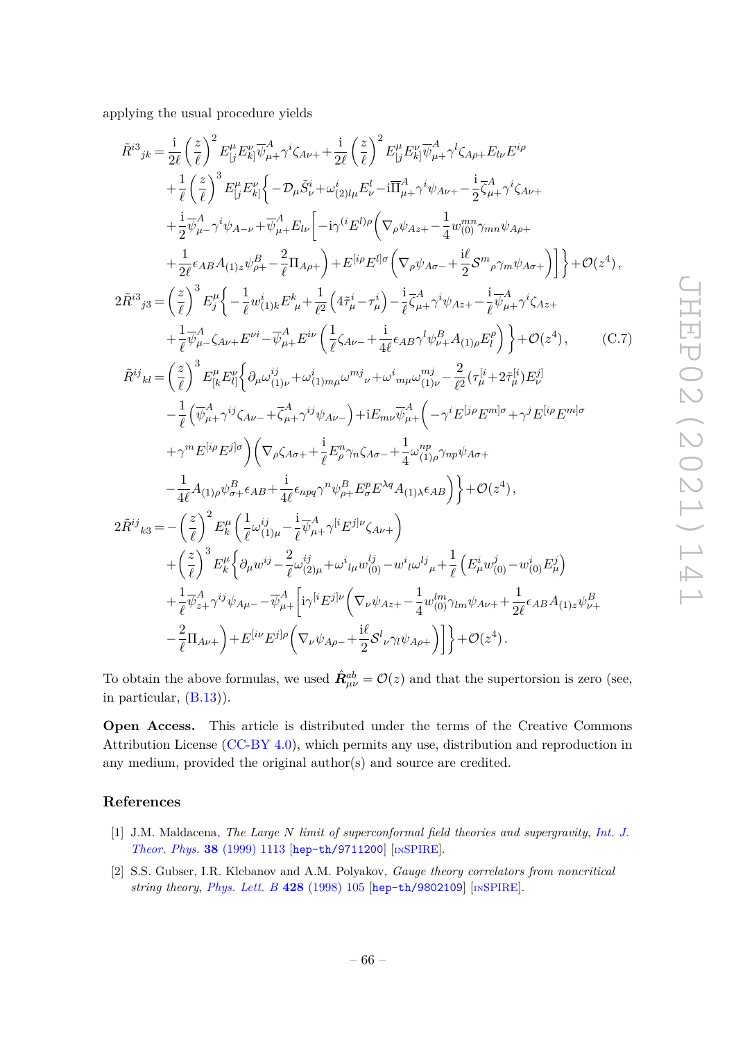applying the usual procedure yields

$$
\tilde{R}^{i3}{}_{jk} = \frac{i}{2\ell} \left(\frac{z}{\ell}\right)^2 E_{[j}^{\mu} E_{k]}^{\nu} \overline{\psi}_{\mu+}^A \gamma^i \zeta_{A\nu} + \frac{i}{2\ell} \left(\frac{z}{\ell}\right)^2 E_{[j}^{\mu} E_{k]}^{\nu} \overline{\psi}_{\mu+}^A \gamma^l \zeta_{A\rho+} E_{l\nu} E^{i\rho} \n+ \frac{1}{\ell} \left(\frac{z}{\ell}\right)^3 E_{[j}^{\mu} E_{k]}^{\nu} \left\{-\mathcal{D}_{\mu} \tilde{S}_{\nu}^i + \omega_{(2)l\mu}^i E_{\nu}^l - i \overline{\Pi}_{\mu+}^A \gamma^i \psi_{A\nu+} - \frac{i}{2} \overline{\zeta}_{\mu+}^A \gamma^i \zeta_{A\nu+} \n+ \frac{1}{2} \overline{\psi}_{\mu-}^A \gamma^i \psi_{A-\nu} + \overline{\psi}_{\mu+}^A E_{l\nu} \left[-i \gamma^{(i} E^{l)\rho} \left(\nabla_{\rho} \psi_{Az+} - \frac{1}{4} w_{(0)}^{mn} \gamma_{mn} \psi_{A\rho+} \right.\n\right] \right\} + \mathcal{O}(z^4),
$$
\n
$$
2\tilde{R}^{i3}{}_{j3} = \left(\frac{z}{\ell}\right)^3 E_{j}^{\mu} \left\{-\frac{1}{\ell} w_{(1)\kappa}^i E_{\mu}^k + \frac{1}{\ell^2} \left(4\tilde{\tau}_{\mu}^i - \tau_{\mu}^i\right) - \frac{i}{\ell} \overline{\zeta}_{A}^A \gamma^i \psi_{Az+} - \frac{i}{\ell} \overline{\psi}_{\mu+}^A \gamma^i \zeta_{Az+} + \frac{1}{\ell} \overline{\psi}_{A-}^A \zeta_{A\nu+} E^{\nu i} - \overline{\psi}_{A+}^A E^{\nu i} \left(\frac{1}{\ell} \zeta_{A\nu-} + \frac{i}{4\ell} \epsilon_{AB} \gamma^l \psi_{B+}^B \right) + \mathcal{O}(z^4),
$$
\n
$$
\tilde{R}^{ij}{}_{kl} = \left(\frac{z}{\ell}\right
$$

To obtain the above formulas, we used  $\hat{R}^{ab}_{\mu\nu} = \mathcal{O}(z)$  and that the supertorsion is zero (see, in particular, (B.13)).

**Open Access.** This article is distributed under the terms of the Creative Commons Attribution License [\(CC-BY 4.0\)](https://creativecommons.org/licenses/by/4.0/), which permits any use, distribution and reproduction in any medium, provided the original author(s) and source are credited.

#### **References**

- [1] J.M. Maldacena, *The Large N limit of superconformal field theories and supergravity*, *[Int. J.](https://doi.org/10.1023/A:1026654312961) [Theor. Phys.](https://doi.org/10.1023/A:1026654312961)* **38** (1999) 1113 [[hep-th/9711200](https://arxiv.org/abs/hep-th/9711200)] [IN[SPIRE](https://inspirehep.net/search?p=find+EPRINT%2Bhep-th%2F9711200)].
- [2] S.S. Gubser, I.R. Klebanov and A.M. Polyakov, *Gauge theory correlators from noncritical string theory*, *[Phys. Lett. B](https://doi.org/10.1016/S0370-2693(98)00377-3)* **428** (1998) 105 [[hep-th/9802109](https://arxiv.org/abs/hep-th/9802109)] [IN[SPIRE](https://inspirehep.net/search?p=find+EPRINT%2Bhep-th%2F9802109)].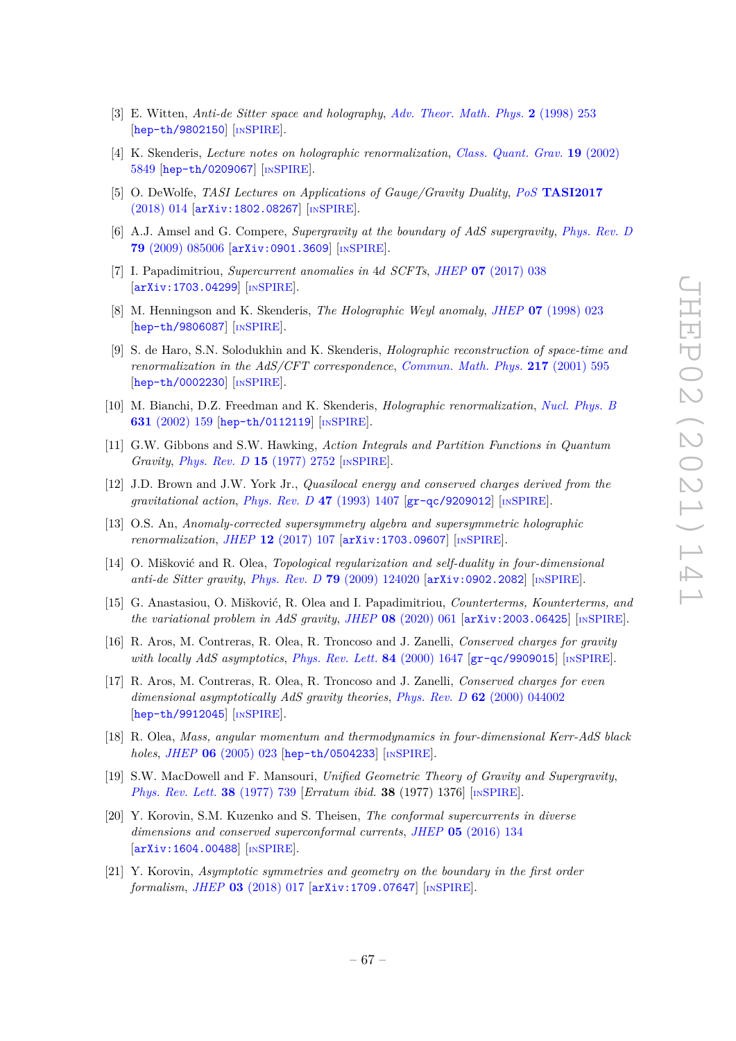- [3] E. Witten, *Anti-de Sitter space and holography*, *[Adv. Theor. Math. Phys.](https://doi.org/10.4310/ATMP.1998.v2.n2.a2)* **2** (1998) 253 [[hep-th/9802150](https://arxiv.org/abs/hep-th/9802150)] [IN[SPIRE](https://inspirehep.net/search?p=find+EPRINT%2Bhep-th%2F9802150)].
- [4] K. Skenderis, *Lecture notes on holographic renormalization*, *[Class. Quant. Grav.](https://doi.org/10.1088/0264-9381/19/22/306)* **19** (2002) [5849](https://doi.org/10.1088/0264-9381/19/22/306) [[hep-th/0209067](https://arxiv.org/abs/hep-th/0209067)] [IN[SPIRE](https://inspirehep.net/search?p=find+EPRINT%2Bhep-th%2F0209067)].
- [5] O. DeWolfe, *TASI Lectures on Applications of Gauge/Gravity Duality*, *PoS* **[TASI2017](https://doi.org/10.22323/1.305.0014)** [\(2018\) 014](https://doi.org/10.22323/1.305.0014) [[arXiv:1802.08267](https://arxiv.org/abs/1802.08267)] [IN[SPIRE](https://inspirehep.net/search?p=find+EPRINT%2BarXiv%3A1802.08267)].
- [6] A.J. Amsel and G. Compere, *Supergravity at the boundary of AdS supergravity*, *[Phys. Rev. D](https://doi.org/10.1103/PhysRevD.79.085006)* **79** [\(2009\) 085006](https://doi.org/10.1103/PhysRevD.79.085006) [[arXiv:0901.3609](https://arxiv.org/abs/0901.3609)] [IN[SPIRE](https://inspirehep.net/search?p=find+EPRINT%2BarXiv%3A0901.3609)].
- [7] I. Papadimitriou, *Supercurrent anomalies in* 4*d SCFTs*, *JHEP* **07** [\(2017\) 038](https://doi.org/10.1007/JHEP07(2017)038) [[arXiv:1703.04299](https://arxiv.org/abs/1703.04299)] [IN[SPIRE](https://inspirehep.net/search?p=find+EPRINT%2BarXiv%3A1703.04299)].
- [8] M. Henningson and K. Skenderis, *The Holographic Weyl anomaly*, *JHEP* **07** [\(1998\) 023](https://doi.org/10.1088/1126-6708/1998/07/023) [[hep-th/9806087](https://arxiv.org/abs/hep-th/9806087)] [IN[SPIRE](https://inspirehep.net/search?p=find+EPRINT%2Bhep-th%2F9806087)].
- [9] S. de Haro, S.N. Solodukhin and K. Skenderis, *Holographic reconstruction of space-time and renormalization in the AdS/CFT correspondence*, *[Commun. Math. Phys.](https://doi.org/10.1007/s002200100381)* **217** (2001) 595 [[hep-th/0002230](https://arxiv.org/abs/hep-th/0002230)] [IN[SPIRE](https://inspirehep.net/search?p=find+EPRINT%2Bhep-th%2F0002230)].
- [10] M. Bianchi, D.Z. Freedman and K. Skenderis, *Holographic renormalization*, *[Nucl. Phys. B](https://doi.org/10.1016/S0550-3213(02)00179-7)* **631** [\(2002\) 159](https://doi.org/10.1016/S0550-3213(02)00179-7) [[hep-th/0112119](https://arxiv.org/abs/hep-th/0112119)] [IN[SPIRE](https://inspirehep.net/search?p=find+EPRINT%2Bhep-th%2F0112119)].
- [11] G.W. Gibbons and S.W. Hawking, *Action Integrals and Partition Functions in Quantum Gravity*, *[Phys. Rev. D](https://doi.org/10.1103/PhysRevD.15.2752)* **15** (1977) 2752 [IN[SPIRE](https://inspirehep.net/search?p=find+J%20%22Phys.Rev.%2CD15%2C2752%22)].
- [12] J.D. Brown and J.W. York Jr., *Quasilocal energy and conserved charges derived from the gravitational action*, *[Phys. Rev. D](https://doi.org/10.1103/PhysRevD.47.1407)* **47** (1993) 1407 [[gr-qc/9209012](https://arxiv.org/abs/gr-qc/9209012)] [IN[SPIRE](https://inspirehep.net/search?p=find+EPRINT%2Bgr-qc%2F9209012)].
- [13] O.S. An, *Anomaly-corrected supersymmetry algebra and supersymmetric holographic renormalization*, *JHEP* **12** [\(2017\) 107](https://doi.org/10.1007/JHEP12(2017)107) [[arXiv:1703.09607](https://arxiv.org/abs/1703.09607)] [IN[SPIRE](https://inspirehep.net/search?p=find+EPRINT%2BarXiv%3A1703.09607)].
- [14] O. Mišković and R. Olea, *Topological regularization and self-duality in four-dimensional anti-de Sitter gravity, Phys. Rev. D* **79** [\(2009\) 124020](https://doi.org/10.1103/PhysRevD.79.124020) [[arXiv:0902.2082](https://arxiv.org/abs/0902.2082)] [IN[SPIRE](https://inspirehep.net/search?p=find+EPRINT%2BarXiv%3A0902.2082)].
- [15] G. Anastasiou, O. Mišković, R. Olea and I. Papadimitriou, *Counterterms, Kounterterms, and the variational problem in AdS gravity*, *JHEP* **08** [\(2020\) 061](https://doi.org/10.1007/JHEP08(2020)061) [[arXiv:2003.06425](https://arxiv.org/abs/2003.06425)] [IN[SPIRE](https://inspirehep.net/search?p=find+EPRINT%2BarXiv%3A2003.06425)].
- [16] R. Aros, M. Contreras, R. Olea, R. Troncoso and J. Zanelli, *Conserved charges for gravity with locally AdS asymptotics*, *[Phys. Rev. Lett.](https://doi.org/10.1103/PhysRevLett.84.1647)* **84** (2000) 1647 [[gr-qc/9909015](https://arxiv.org/abs/gr-qc/9909015)] [IN[SPIRE](https://inspirehep.net/search?p=find+EPRINT%2Bgr-qc%2F9909015)].
- [17] R. Aros, M. Contreras, R. Olea, R. Troncoso and J. Zanelli, *Conserved charges for even dimensional asymptotically AdS gravity theories*, *Phys. Rev. D* **62** [\(2000\) 044002](https://doi.org/10.1103/PhysRevD.62.044002) [[hep-th/9912045](https://arxiv.org/abs/hep-th/9912045)] [IN[SPIRE](https://inspirehep.net/search?p=find+EPRINT%2Bhep-th%2F9912045)].
- [18] R. Olea, *Mass, angular momentum and thermodynamics in four-dimensional Kerr-AdS black holes*, *JHEP* **06** [\(2005\) 023](https://doi.org/10.1088/1126-6708/2005/06/023) [[hep-th/0504233](https://arxiv.org/abs/hep-th/0504233)] [IN[SPIRE](https://inspirehep.net/search?p=find+EPRINT%2Bhep-th%2F0504233)].
- [19] S.W. MacDowell and F. Mansouri, *Unified Geometric Theory of Gravity and Supergravity*, *[Phys. Rev. Lett.](https://doi.org/10.1103/PhysRevLett.38.739)* **38** (1977) 739 [*Erratum ibid.* **38** (1977) 1376] [IN[SPIRE](https://inspirehep.net/search?p=find+J%20%22Phys.Rev.Lett.%2C38%2C739%22)].
- [20] Y. Korovin, S.M. Kuzenko and S. Theisen, *The conformal supercurrents in diverse dimensions and conserved superconformal currents*, *JHEP* **05** [\(2016\) 134](https://doi.org/10.1007/JHEP05(2016)134) [[arXiv:1604.00488](https://arxiv.org/abs/1604.00488)] [IN[SPIRE](https://inspirehep.net/search?p=find+EPRINT%2BarXiv%3A1604.00488)].
- [21] Y. Korovin, *Asymptotic symmetries and geometry on the boundary in the first order formalism*, *JHEP* **03** [\(2018\) 017](https://doi.org/10.1007/JHEP03(2018)017) [[arXiv:1709.07647](https://arxiv.org/abs/1709.07647)] [IN[SPIRE](https://inspirehep.net/search?p=find+EPRINT%2BarXiv%3A1709.07647)].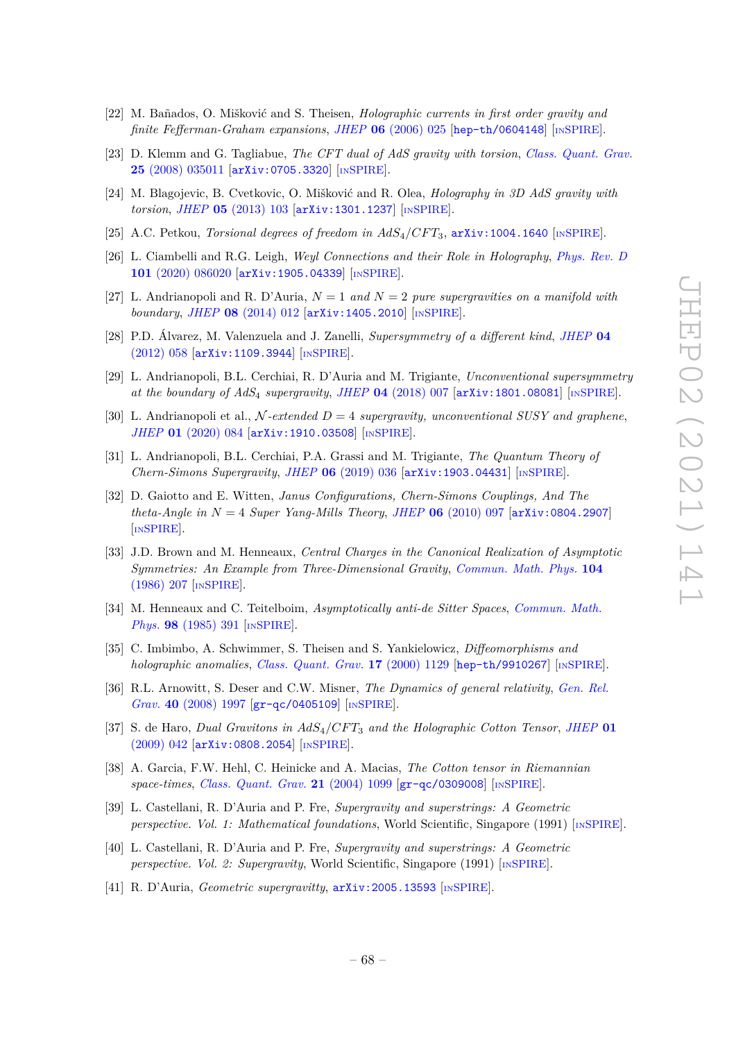- [22] M. Bañados, O. Mišković and S. Theisen, *Holographic currents in first order gravity and finite Fefferman-Graham expansions*, *JHEP* **06** [\(2006\) 025](https://doi.org/10.1088/1126-6708/2006/06/025) [[hep-th/0604148](https://arxiv.org/abs/hep-th/0604148)] [IN[SPIRE](https://inspirehep.net/search?p=find+EPRINT%2Bhep-th%2F0604148)].
- [23] D. Klemm and G. Tagliabue, *The CFT dual of AdS gravity with torsion*, *[Class. Quant. Grav.](https://doi.org/10.1088/0264-9381/25/3/035011)* **25** [\(2008\) 035011](https://doi.org/10.1088/0264-9381/25/3/035011) [[arXiv:0705.3320](https://arxiv.org/abs/0705.3320)] [IN[SPIRE](https://inspirehep.net/search?p=find+EPRINT%2BarXiv%3A0705.3320)].
- [24] M. Blagojevic, B. Cvetkovic, O. Mišković and R. Olea, *Holography in 3D AdS gravity with torsion*, *JHEP* **05** [\(2013\) 103](https://doi.org/10.1007/JHEP05(2013)103) [[arXiv:1301.1237](https://arxiv.org/abs/1301.1237)] [IN[SPIRE](https://inspirehep.net/search?p=find+EPRINT%2BarXiv%3A1301.1237)].
- [25] A.C. Petkou, *Torsional degrees of freedom in AdS*4*/CF T*3, [arXiv:1004.1640](https://arxiv.org/abs/1004.1640) [IN[SPIRE](https://inspirehep.net/search?p=find+EPRINT%2BarXiv%3A1004.1640)].
- [26] L. Ciambelli and R.G. Leigh, *Weyl Connections and their Role in Holography*, *[Phys. Rev. D](https://doi.org/10.1103/PhysRevD.101.086020)* **101** [\(2020\) 086020](https://doi.org/10.1103/PhysRevD.101.086020) [[arXiv:1905.04339](https://arxiv.org/abs/1905.04339)] [IN[SPIRE](https://inspirehep.net/search?p=find+EPRINT%2BarXiv%3A1905.04339)].
- [27] L. Andrianopoli and R. D'Auria, *N* = 1 *and N* = 2 *pure supergravities on a manifold with boundary*, *JHEP* **08** [\(2014\) 012](https://doi.org/10.1007/JHEP08(2014)012) [[arXiv:1405.2010](https://arxiv.org/abs/1405.2010)] [IN[SPIRE](https://inspirehep.net/search?p=find+EPRINT%2BarXiv%3A1405.2010)].
- [28] P.D. Álvarez, M. Valenzuela and J. Zanelli, *Supersymmetry of a different kind*, *[JHEP](https://doi.org/10.1007/JHEP04(2012)058)* **04** [\(2012\) 058](https://doi.org/10.1007/JHEP04(2012)058) [[arXiv:1109.3944](https://arxiv.org/abs/1109.3944)] [IN[SPIRE](https://inspirehep.net/search?p=find+EPRINT%2BarXiv%3A1109.3944)].
- [29] L. Andrianopoli, B.L. Cerchiai, R. D'Auria and M. Trigiante, *Unconventional supersymmetry at the boundary of AdS*<sup>4</sup> *supergravity*, *JHEP* **04** [\(2018\) 007](https://doi.org/10.1007/JHEP04(2018)007) [[arXiv:1801.08081](https://arxiv.org/abs/1801.08081)] [IN[SPIRE](https://inspirehep.net/search?p=find+EPRINT%2BarXiv%3A1801.08081)].
- [30] L. Andrianopoli et al., N *-extended D* = 4 *supergravity, unconventional SUSY and graphene*, *JHEP* **01** [\(2020\) 084](https://doi.org/10.1007/JHEP01(2020)084) [[arXiv:1910.03508](https://arxiv.org/abs/1910.03508)] [IN[SPIRE](https://inspirehep.net/search?p=find+EPRINT%2BarXiv%3A1910.03508)].
- [31] L. Andrianopoli, B.L. Cerchiai, P.A. Grassi and M. Trigiante, *The Quantum Theory of Chern-Simons Supergravity*, *JHEP* **06** [\(2019\) 036](https://doi.org/10.1007/JHEP06(2019)036) [[arXiv:1903.04431](https://arxiv.org/abs/1903.04431)] [IN[SPIRE](https://inspirehep.net/search?p=find+EPRINT%2BarXiv%3A1903.04431)].
- [32] D. Gaiotto and E. Witten, *Janus Configurations, Chern-Simons Couplings, And The theta-Angle in N* = 4 *Super Yang-Mills Theory*, *JHEP* **06** [\(2010\) 097](https://doi.org/10.1007/JHEP06(2010)097) [[arXiv:0804.2907](https://arxiv.org/abs/0804.2907)] [IN[SPIRE](https://inspirehep.net/search?p=find+EPRINT%2BarXiv%3A0804.2907)].
- [33] J.D. Brown and M. Henneaux, *Central Charges in the Canonical Realization of Asymptotic Symmetries: An Example from Three-Dimensional Gravity*, *[Commun. Math. Phys.](https://doi.org/10.1007/BF01211590)* **104** [\(1986\) 207](https://doi.org/10.1007/BF01211590) [IN[SPIRE](https://inspirehep.net/search?p=find+J%20%22Commun.Math.Phys.%2C104%2C207%22)].
- [34] M. Henneaux and C. Teitelboim, *Asymptotically anti-de Sitter Spaces*, *[Commun. Math.](https://doi.org/10.1007/BF01205790) Phys.* **98** [\(1985\) 391](https://doi.org/10.1007/BF01205790) [IN[SPIRE](https://inspirehep.net/search?p=find+J%20%22Commun.Math.Phys.%2C98%2C391%22)].
- [35] C. Imbimbo, A. Schwimmer, S. Theisen and S. Yankielowicz, *Diffeomorphisms and holographic anomalies*, *[Class. Quant. Grav.](https://doi.org/10.1088/0264-9381/17/5/322)* **17** (2000) 1129 [[hep-th/9910267](https://arxiv.org/abs/hep-th/9910267)] [IN[SPIRE](https://inspirehep.net/search?p=find+EPRINT%2Bhep-th%2F9910267)].
- [36] R.L. Arnowitt, S. Deser and C.W. Misner, *The Dynamics of general relativity*, *[Gen. Rel.](https://doi.org/10.1007/s10714-008-0661-1) Grav.* **40** [\(2008\) 1997](https://doi.org/10.1007/s10714-008-0661-1) [[gr-qc/0405109](https://arxiv.org/abs/gr-qc/0405109)] [IN[SPIRE](https://inspirehep.net/search?p=find+EPRINT%2Bgr-qc%2F0405109)].
- [37] S. de Haro, *Dual Gravitons in AdS*4*/CF T*<sup>3</sup> *and the Holographic Cotton Tensor*, *[JHEP](https://doi.org/10.1088/1126-6708/2009/01/042)* **01** [\(2009\) 042](https://doi.org/10.1088/1126-6708/2009/01/042) [[arXiv:0808.2054](https://arxiv.org/abs/0808.2054)] [IN[SPIRE](https://inspirehep.net/search?p=find+EPRINT%2BarXiv%3A0808.2054)].
- [38] A. Garcia, F.W. Hehl, C. Heinicke and A. Macias, *The Cotton tensor in Riemannian space-times*, *[Class. Quant. Grav.](https://doi.org/10.1088/0264-9381/21/4/024)* **21** (2004) 1099 [[gr-qc/0309008](https://arxiv.org/abs/gr-qc/0309008)] [IN[SPIRE](https://inspirehep.net/search?p=find+EPRINT%2Bgr-qc%2F0309008)].
- [39] L. Castellani, R. D'Auria and P. Fre, *Supergravity and superstrings: A Geometric perspective. Vol. 1: Mathematical foundations*, World Scientific, Singapore (1991) [IN[SPIRE](http://inspirehep.net/record/324753)].
- [40] L. Castellani, R. D'Auria and P. Fre, *Supergravity and superstrings: A Geometric perspective. Vol. 2: Supergravity*, World Scientific, Singapore (1991) [IN[SPIRE](http://inspirehep.net/record/324754)].
- [41] R. D'Auria, *Geometric supergravitty*, [arXiv:2005.13593](https://arxiv.org/abs/2005.13593) [IN[SPIRE](https://inspirehep.net/search?p=find+EPRINT%2BarXiv%3A2005.13593)].